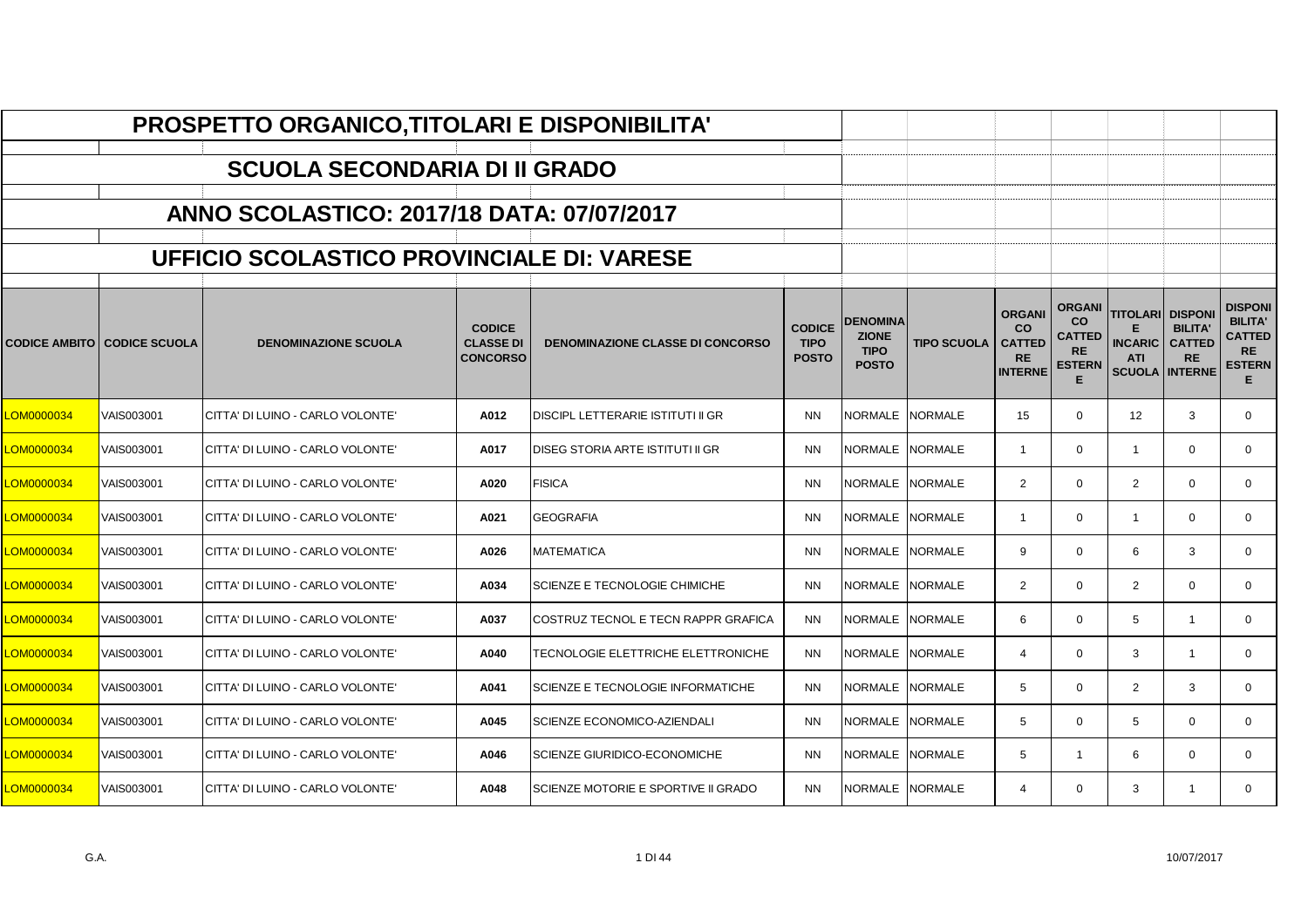|                   |                                      | PROSPETTO ORGANICO, TITOLARI E DISPONIBILITA' |                                                      |                                         |                                              |                                                                |                    |                                                                            |                                                                                |                                                       |                                                                       |                                                                                      |
|-------------------|--------------------------------------|-----------------------------------------------|------------------------------------------------------|-----------------------------------------|----------------------------------------------|----------------------------------------------------------------|--------------------|----------------------------------------------------------------------------|--------------------------------------------------------------------------------|-------------------------------------------------------|-----------------------------------------------------------------------|--------------------------------------------------------------------------------------|
|                   |                                      | <b>SCUOLA SECONDARIA DI II GRADO</b>          |                                                      |                                         |                                              |                                                                |                    |                                                                            |                                                                                |                                                       |                                                                       |                                                                                      |
|                   |                                      | ANNO SCOLASTICO: 2017/18 DATA: 07/07/2017     |                                                      |                                         |                                              |                                                                |                    |                                                                            |                                                                                |                                                       |                                                                       |                                                                                      |
|                   |                                      |                                               |                                                      |                                         |                                              |                                                                |                    |                                                                            |                                                                                |                                                       |                                                                       |                                                                                      |
|                   |                                      | UFFICIO SCOLASTICO PROVINCIALE DI: VARESE     |                                                      |                                         |                                              |                                                                |                    |                                                                            |                                                                                |                                                       |                                                                       |                                                                                      |
|                   | <b>CODICE AMBITO   CODICE SCUOLA</b> | <b>DENOMINAZIONE SCUOLA</b>                   | <b>CODICE</b><br><b>CLASSE DI</b><br><b>CONCORSO</b> | <b>DENOMINAZIONE CLASSE DI CONCORSO</b> | <b>CODICE</b><br><b>TIPO</b><br><b>POSTO</b> | <b>DENOMINA</b><br><b>ZIONE</b><br><b>TIPO</b><br><b>POSTO</b> | <b>TIPO SCUOLA</b> | <b>ORGANI</b><br><b>CO</b><br><b>CATTED</b><br><b>RE</b><br><b>INTERNE</b> | <b>ORGANI</b><br><b>CO</b><br><b>CATTED</b><br><b>RE</b><br><b>ESTERN</b><br>E | TITOLARI DISPONI<br>F<br><b>INCARIC</b><br><b>ATI</b> | <b>BILITA'</b><br><b>CATTED</b><br><b>RE</b><br><b>SCUOLA INTERNE</b> | <b>DISPONI</b><br><b>BILITA'</b><br><b>CATTED</b><br><b>RE</b><br><b>ESTERN</b><br>E |
| <u>.OM0000034</u> | VAIS003001                           | CITTA' DI LUINO - CARLO VOLONTE'              | A012                                                 | DISCIPL LETTERARIE ISTITUTI II GR       | <b>NN</b>                                    | NORMALE                                                        | <b>NORMALE</b>     | 15                                                                         | $\mathbf 0$                                                                    | 12                                                    | 3                                                                     | 0                                                                                    |
| <b>OM0000034</b>  | VAIS003001                           | ICITTA' DI LUINO - CARLO VOLONTE'             | A017                                                 | DISEG STORIA ARTE ISTITUTI II GR        | <b>NN</b>                                    | <b>NORMALE</b>                                                 | <b>NORMALE</b>     | $\overline{1}$                                                             | $\Omega$                                                                       | $\mathbf{1}$                                          | $\Omega$                                                              | $\Omega$                                                                             |
| <b>OM0000034</b>  | VAIS003001                           | İCITTA' DI LUINO - CARLO VOLONTE'             | A020                                                 | <b>FISICA</b>                           | <b>NN</b>                                    | <b>NORMALE</b>                                                 | <b>NORMALE</b>     | $\overline{2}$                                                             | $\Omega$                                                                       | $\overline{2}$                                        | $\mathbf 0$                                                           | $\mathbf 0$                                                                          |
| <u>.OM0000034</u> | VAIS003001                           | CITTA' DI LUINO - CARLO VOLONTE'              | A021                                                 | <b>GEOGRAFIA</b>                        | <b>NN</b>                                    | <b>NORMALE</b>                                                 | <b>NORMALE</b>     | $\overline{1}$                                                             | $\mathbf 0$                                                                    | $\mathbf{1}$                                          | $\mathbf 0$                                                           | $\mathbf 0$                                                                          |
| <b>OM0000034</b>  | VAIS003001                           | İCITTA' DI LUINO - CARLO VOLONTE'             | A026                                                 | <b>MATEMATICA</b>                       | <b>NN</b>                                    | <b>NORMALE</b>                                                 | <b>NORMALE</b>     | 9                                                                          | $\Omega$                                                                       | 6                                                     | 3                                                                     | $\mathbf 0$                                                                          |
| <b>OM0000034</b>  | VAIS003001                           | CITTA' DI LUINO - CARLO VOLONTE'              | A034                                                 | SCIENZE E TECNOLOGIE CHIMICHE           | <b>NN</b>                                    | NORMALE                                                        | <b>NORMALE</b>     | $\overline{2}$                                                             | $\Omega$                                                                       | $\overline{2}$                                        | $\mathbf 0$                                                           | $\mathbf 0$                                                                          |
| <b>CM0000034</b>  | VAIS003001                           | ICITTA' DI LUINO - CARLO VOLONTE'             | A037                                                 | COSTRUZ TECNOL E TECN RAPPR GRAFICA     | <b>NN</b>                                    | <b>NORMALE</b>                                                 | <b>NORMALE</b>     | 6                                                                          | $\mathbf 0$                                                                    | 5                                                     | $\overline{1}$                                                        | $\mathbf 0$                                                                          |
| <b>OM0000034</b>  | VAIS003001                           | CITTA' DI LUINO - CARLO VOLONTE'              | A040                                                 | TECNOLOGIE ELETTRICHE ELETTRONICHE      | <b>NN</b>                                    | <b>NORMALE</b>                                                 | <b>NORMALE</b>     | $\boldsymbol{\Delta}$                                                      | $\mathbf 0$                                                                    | 3                                                     |                                                                       | $\mathbf 0$                                                                          |
| OM0000034         | VAIS003001                           | İCITTA' DI LUINO - CARLO VOLONTE'             | A041                                                 | SCIENZE E TECNOLOGIE INFORMATICHE       | <b>NN</b>                                    | <b>NORMALE</b>                                                 | <b>NORMALE</b>     | 5                                                                          | $\Omega$                                                                       | $\overline{2}$                                        | 3                                                                     | $\mathbf 0$                                                                          |
| <b>OM0000034</b>  | VAIS003001                           | CITTA' DI LUINO - CARLO VOLONTE'              | A045                                                 | <b>SCIENZE ECONOMICO-AZIENDALI</b>      | <b>NN</b>                                    | <b>NORMALE</b>                                                 | <b>NORMALE</b>     | 5                                                                          | $\Omega$                                                                       | 5                                                     | $\Omega$                                                              | $\mathbf 0$                                                                          |
| <b>OM0000034</b>  | VAIS003001                           | CITTA' DI LUINO - CARLO VOLONTE'              | A046                                                 | SCIENZE GIURIDICO-ECONOMICHE            | <b>NN</b>                                    | NORMALE                                                        | <b>NORMALE</b>     | 5                                                                          | $\overline{1}$                                                                 | 6                                                     | $\mathbf 0$                                                           | $\mathbf 0$                                                                          |
| <b>CM0000034</b>  | VAIS003001                           | ICITTA' DI LUINO - CARLO VOLONTE'             | A048                                                 | SCIENZE MOTORIE E SPORTIVE II GRADO     | <b>NN</b>                                    | NORMALE                                                        | <b>NORMALE</b>     | $\overline{\mathcal{L}}$                                                   | $\Omega$                                                                       | 3                                                     |                                                                       | $\mathbf 0$                                                                          |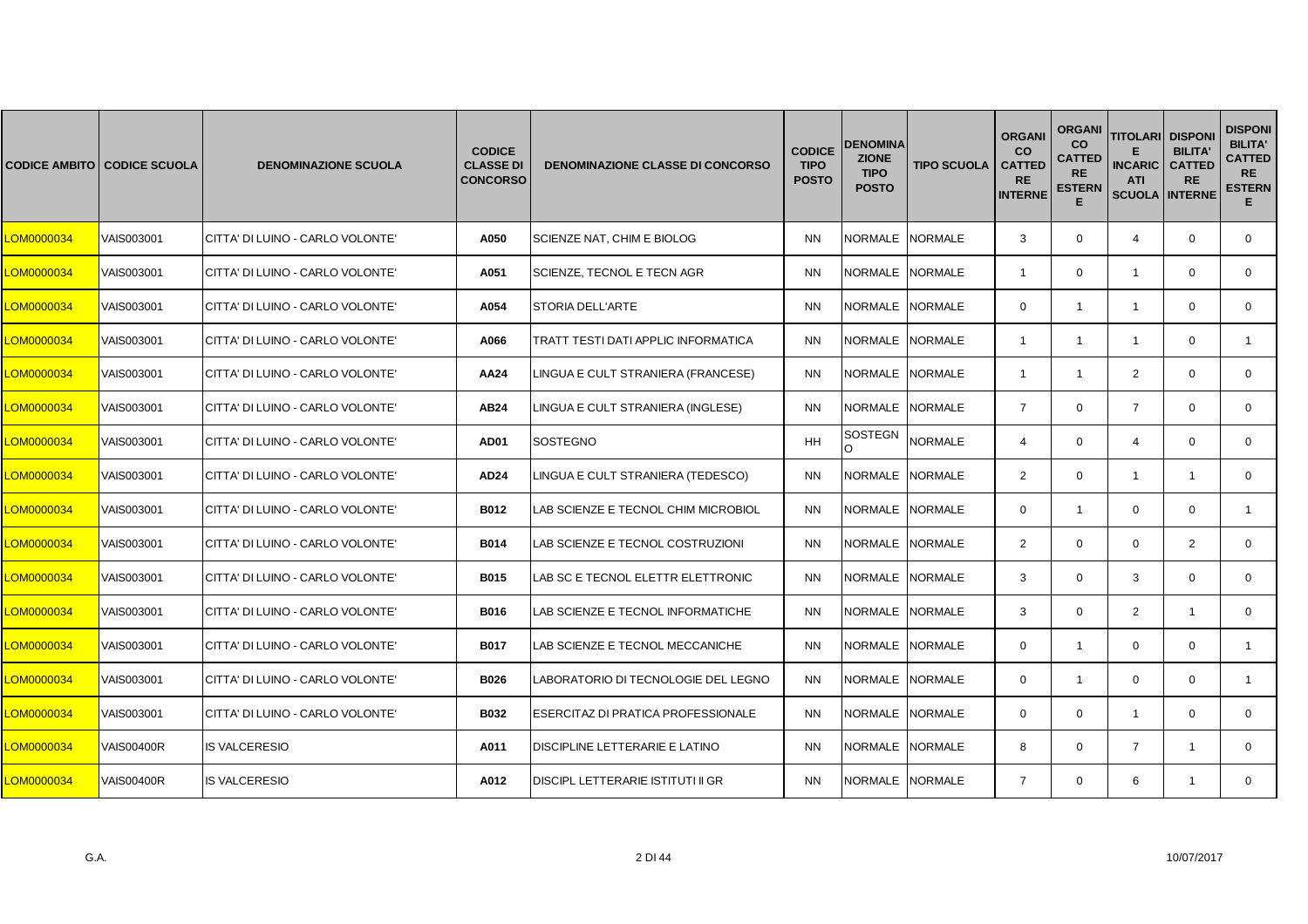|            | <b>CODICE AMBITO CODICE SCUOLA</b> | <b>DENOMINAZIONE SCUOLA</b>      | <b>CODICE</b><br><b>CLASSE DI</b><br><b>CONCORSO</b> | <b>DENOMINAZIONE CLASSE DI CONCORSO</b> | <b>CODICE</b><br><b>TIPO</b><br><b>POSTO</b> | <b>DENOMINA</b><br><b>ZIONE</b><br><b>TIPO</b><br><b>POSTO</b> | <b>TIPO SCUOLA</b> | <b>ORGANI</b><br><b>CO</b><br><b>CATTED</b><br><b>RE</b><br><b>INTERNE</b> | <b>ORGANI</b><br>co<br><b>CATTED</b><br><b>RE</b><br><b>ESTERN</b><br>Е | <b>TITOLARI</b><br><b>INCARIC</b><br><b>ATI</b><br><b>SCUOLA INTERNE</b> | <b>DISPONI</b><br><b>BILITA'</b><br><b>CATTED</b><br><b>RE</b> | <b>DISPONI</b><br><b>BILITA'</b><br><b>CATTED</b><br><b>RE</b><br><b>ESTERN</b><br>E. |
|------------|------------------------------------|----------------------------------|------------------------------------------------------|-----------------------------------------|----------------------------------------------|----------------------------------------------------------------|--------------------|----------------------------------------------------------------------------|-------------------------------------------------------------------------|--------------------------------------------------------------------------|----------------------------------------------------------------|---------------------------------------------------------------------------------------|
| LOM0000034 | VAIS003001                         | CITTA' DI LUINO - CARLO VOLONTE' | A050                                                 | SCIENZE NAT, CHIM E BIOLOG              | <b>NN</b>                                    | NORMALE NORMALE                                                |                    | 3                                                                          | $\mathbf 0$                                                             | $\overline{4}$                                                           | $\mathbf 0$                                                    | $\mathbf 0$                                                                           |
| LOM0000034 | VAIS003001                         | CITTA' DI LUINO - CARLO VOLONTE' | A051                                                 | SCIENZE, TECNOL E TECN AGR              | <b>NN</b>                                    | NORMALE NORMALE                                                |                    | $\overline{1}$                                                             | $\mathbf{0}$                                                            | $\mathbf{1}$                                                             | $\mathbf 0$                                                    | $\mathbf{0}$                                                                          |
| LOM0000034 | VAIS003001                         | CITTA' DI LUINO - CARLO VOLONTE' | A054                                                 | <b>STORIA DELL'ARTE</b>                 | <b>NN</b>                                    | NORMALE                                                        | <b>NORMALE</b>     | $\Omega$                                                                   | $\mathbf{1}$                                                            | $\overline{1}$                                                           | $\Omega$                                                       | $\Omega$                                                                              |
| LOM0000034 | VAIS003001                         | CITTA' DI LUINO - CARLO VOLONTE' | A066                                                 | TRATT TESTI DATI APPLIC INFORMATICA     | <b>NN</b>                                    | NORMALE NORMALE                                                |                    | $\overline{1}$                                                             | $\mathbf{1}$                                                            | $\mathbf{1}$                                                             | $\mathbf 0$                                                    |                                                                                       |
| LOM0000034 | VAIS003001                         | CITTA' DI LUINO - CARLO VOLONTE' | AA24                                                 | LINGUA E CULT STRANIERA (FRANCESE)      | <b>NN</b>                                    | NORMALE NORMALE                                                |                    | $\overline{1}$                                                             | $\mathbf{1}$                                                            | $\overline{2}$                                                           | $\mathbf 0$                                                    | $\mathbf{0}$                                                                          |
| LOM0000034 | VAIS003001                         | CITTA' DI LUINO - CARLO VOLONTE' | AB24                                                 | LINGUA E CULT STRANIERA (INGLESE)       | <b>NN</b>                                    | <b>NORMALE</b>                                                 | <b>NORMALE</b>     | $\overline{7}$                                                             | $\mathbf{0}$                                                            | $\overline{7}$                                                           | $\mathbf 0$                                                    | $\mathbf{0}$                                                                          |
| LOM0000034 | VAIS003001                         | CITTA' DI LUINO - CARLO VOLONTE' | AD01                                                 | SOSTEGNO                                | HH                                           | <b>SOSTEGN</b><br>O                                            | <b>NORMALE</b>     | $\overline{4}$                                                             | $\mathbf 0$                                                             | $\overline{4}$                                                           | $\mathbf 0$                                                    | $\mathbf 0$                                                                           |
| LOM0000034 | VAIS003001                         | CITTA' DI LUINO - CARLO VOLONTE' | AD24                                                 | LINGUA E CULT STRANIERA (TEDESCO)       | <b>NN</b>                                    | NORMALE NORMALE                                                |                    | 2                                                                          | $\mathbf{0}$                                                            | $\mathbf{1}$                                                             | -1                                                             | $\mathbf{0}$                                                                          |
| LOM0000034 | VAIS003001                         | CITTA' DI LUINO - CARLO VOLONTE' | B012                                                 | LAB SCIENZE E TECNOL CHIM MICROBIOL     | <b>NN</b>                                    | <b>NORMALE</b>                                                 | <b>NORMALE</b>     | $\mathbf 0$                                                                | $\mathbf{1}$                                                            | $\mathbf 0$                                                              | $\Omega$                                                       | $\mathbf{1}$                                                                          |
| LOM0000034 | VAIS003001                         | CITTA' DI LUINO - CARLO VOLONTE' | <b>B014</b>                                          | LAB SCIENZE E TECNOL COSTRUZIONI        | <b>NN</b>                                    | NORMALE NORMALE                                                |                    | 2                                                                          | $\mathbf 0$                                                             | $\mathbf 0$                                                              | $\overline{2}$                                                 | $\mathbf 0$                                                                           |
| LOM0000034 | VAIS003001                         | CITTA' DI LUINO - CARLO VOLONTE' | <b>B015</b>                                          | LAB SC E TECNOL ELETTR ELETTRONIC       | <b>NN</b>                                    | NORMALE                                                        | <b>NORMALE</b>     | 3                                                                          | $\mathbf{0}$                                                            | 3                                                                        | $\mathbf 0$                                                    | $\mathbf{0}$                                                                          |
| LOM0000034 | VAIS003001                         | CITTA' DI LUINO - CARLO VOLONTE' | B016                                                 | LAB SCIENZE E TECNOL INFORMATICHE       | <b>NN</b>                                    | <b>NORMALE</b>                                                 | <b>NORMALE</b>     | 3                                                                          | $\mathbf 0$                                                             | $\overline{2}$                                                           | $\overline{1}$                                                 | $\mathbf{0}$                                                                          |
| LOM0000034 | VAIS003001                         | CITTA' DI LUINO - CARLO VOLONTE' | <b>B017</b>                                          | <b>LAB SCIENZE E TECNOL MECCANICHE</b>  | <b>NN</b>                                    | <b>NORMALE</b>                                                 | <b>NORMALE</b>     | $\mathbf 0$                                                                | $\mathbf{1}$                                                            | $\mathbf 0$                                                              | $\mathbf 0$                                                    | $\mathbf{1}$                                                                          |
| LOM0000034 | VAIS003001                         | CITTA' DI LUINO - CARLO VOLONTE' | <b>B026</b>                                          | ABORATORIO DI TECNOLOGIE DEL LEGNO      | <b>NN</b>                                    | NORMALE                                                        | <b>NORMALE</b>     | $\mathbf 0$                                                                | $\mathbf{1}$                                                            | $\mathbf 0$                                                              | $\mathbf 0$                                                    | $\mathbf{1}$                                                                          |
| LOM0000034 | VAIS003001                         | CITTA' DI LUINO - CARLO VOLONTE' | <b>B032</b>                                          | ESERCITAZ DI PRATICA PROFESSIONALE      | <b>NN</b>                                    | NORMALE                                                        | <b>NORMALE</b>     | $\Omega$                                                                   | $\mathbf 0$                                                             | $\overline{1}$                                                           | $\Omega$                                                       | $\mathbf{0}$                                                                          |
| LOM0000034 | <b>VAIS00400R</b>                  | <b>IS VALCERESIO</b>             | A011                                                 | DISCIPLINE LETTERARIE E LATINO          | <b>NN</b>                                    | NORMALE NORMALE                                                |                    | 8                                                                          | $\mathbf 0$                                                             | $\overline{7}$                                                           | $\overline{1}$                                                 | $\mathbf 0$                                                                           |
| LOM0000034 | <b>VAIS00400R</b>                  | <b>IS VALCERESIO</b>             | A012                                                 | DISCIPL LETTERARIE ISTITUTI II GR       | <b>NN</b>                                    | NORMALE NORMALE                                                |                    | $\overline{7}$                                                             | $\mathbf{0}$                                                            | 6                                                                        | $\mathbf{1}$                                                   | $\mathbf{0}$                                                                          |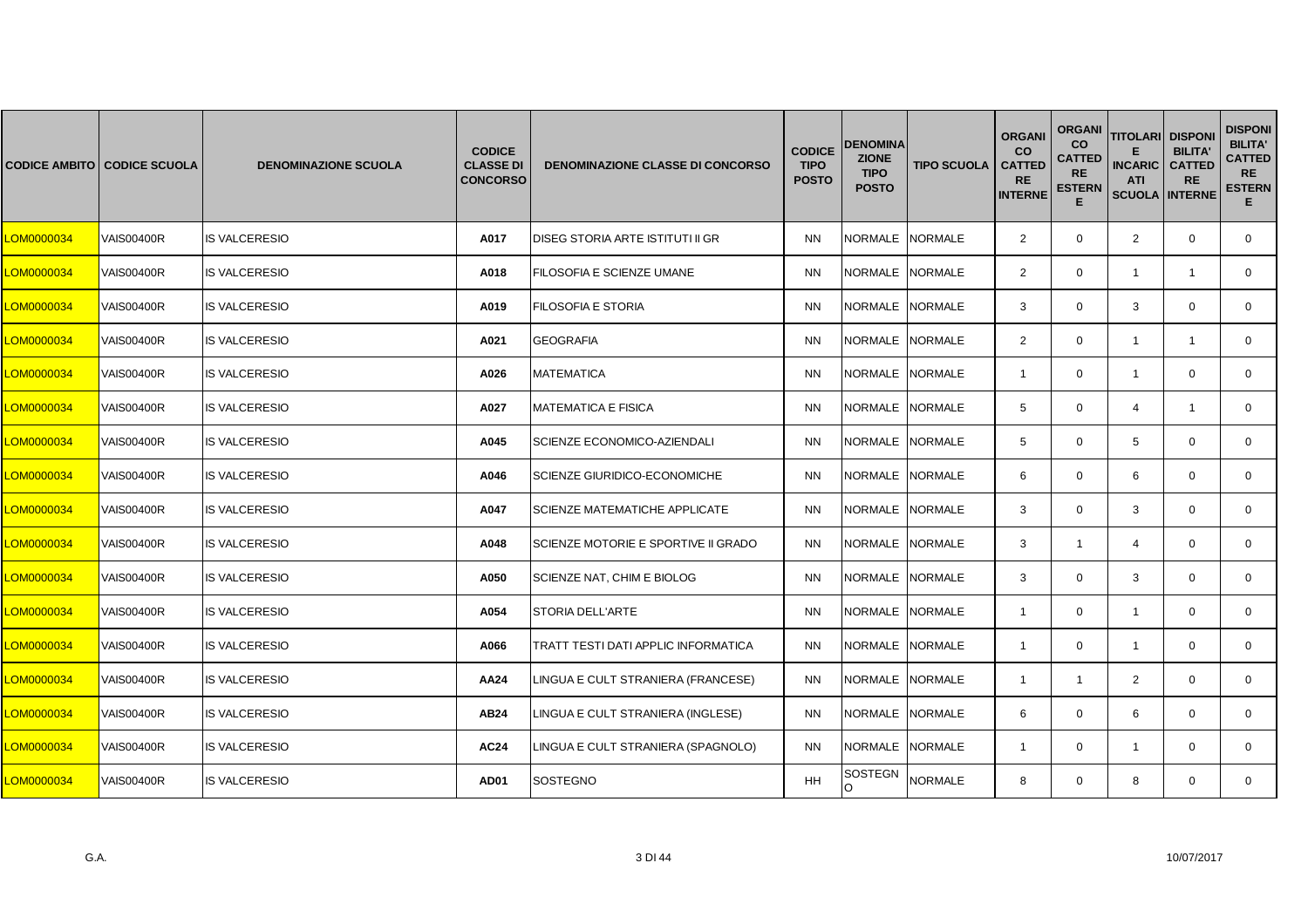|            | <b>CODICE AMBITO CODICE SCUOLA</b> | <b>DENOMINAZIONE SCUOLA</b> | <b>CODICE</b><br><b>CLASSE DI</b><br><b>CONCORSO</b> | <b>DENOMINAZIONE CLASSE DI CONCORSO</b> | <b>CODICE</b><br><b>TIPO</b><br><b>POSTO</b> | DENOMINA<br><b>ZIONE</b><br><b>TIPO</b><br><b>POSTO</b> | <b>TIPO SCUOLA</b> | <b>ORGANI</b><br><b>CO</b><br><b>CATTED</b><br><b>RE</b><br><b>INTERNE</b> | <b>ORGANI</b><br>co<br><b>CATTED</b><br><b>RE</b><br><b>ESTERN</b><br>E. | <b>TITOLARI</b><br><b>INCARIC</b><br><b>ATI</b><br><b>SCUOLA INTERNE</b> | <b>DISPONI</b><br><b>BILITA'</b><br><b>CATTED</b><br><b>RE</b> | <b>DISPONI</b><br><b>BILITA'</b><br><b>CATTED</b><br><b>RE</b><br><b>ESTERN</b><br>E. |
|------------|------------------------------------|-----------------------------|------------------------------------------------------|-----------------------------------------|----------------------------------------------|---------------------------------------------------------|--------------------|----------------------------------------------------------------------------|--------------------------------------------------------------------------|--------------------------------------------------------------------------|----------------------------------------------------------------|---------------------------------------------------------------------------------------|
| LOM0000034 | <b>VAIS00400R</b>                  | <b>IS VALCERESIO</b>        | A017                                                 | DISEG STORIA ARTE ISTITUTI II GR        | <b>NN</b>                                    | NORMALE NORMALE                                         |                    | 2                                                                          | $\mathbf 0$                                                              | $\overline{2}$                                                           | $\mathbf 0$                                                    | $\mathbf 0$                                                                           |
| LOM0000034 | <b>VAIS00400R</b>                  | <b>IS VALCERESIO</b>        | A018                                                 | FILOSOFIA E SCIENZE UMANE               | <b>NN</b>                                    | NORMALE NORMALE                                         |                    | 2                                                                          | $\mathbf 0$                                                              | $\mathbf{1}$                                                             | $\mathbf{1}$                                                   | $\mathbf 0$                                                                           |
| LOM0000034 | <b>VAIS00400R</b>                  | <b>IS VALCERESIO</b>        | A019                                                 | FILOSOFIA E STORIA                      | <b>NN</b>                                    | NORMALE                                                 | <b>NORMALE</b>     | 3                                                                          | $\mathbf{0}$                                                             | 3                                                                        | $\mathbf 0$                                                    | $\mathbf{0}$                                                                          |
| LOM0000034 | <b>VAIS00400R</b>                  | <b>IS VALCERESIO</b>        | A021                                                 | <b>GEOGRAFIA</b>                        | <b>NN</b>                                    | NORMALE NORMALE                                         |                    | 2                                                                          | $\mathbf 0$                                                              | $\mathbf{1}$                                                             | $\overline{1}$                                                 | $\mathbf 0$                                                                           |
| LOM0000034 | <b>VAIS00400R</b>                  | <b>IS VALCERESIO</b>        | A026                                                 | <b>MATEMATICA</b>                       | <b>NN</b>                                    | NORMALE NORMALE                                         |                    | $\overline{1}$                                                             | $\mathbf 0$                                                              | $\mathbf{1}$                                                             | $\mathbf 0$                                                    | $\mathbf{0}$                                                                          |
| LOM0000034 | <b>VAIS00400R</b>                  | <b>IS VALCERESIO</b>        | A027                                                 | <b>MATEMATICA E FISICA</b>              | <b>NN</b>                                    | <b>NORMALE</b>                                          | <b>NORMALE</b>     | 5                                                                          | $\mathbf{0}$                                                             | 4                                                                        | $\mathbf{1}$                                                   | $\mathbf{0}$                                                                          |
| LOM0000034 | <b>VAIS00400R</b>                  | <b>IS VALCERESIO</b>        | A045                                                 | SCIENZE ECONOMICO-AZIENDALI             | <b>NN</b>                                    | NORMALE                                                 | <b>NORMALE</b>     | 5                                                                          | $\mathbf 0$                                                              | 5                                                                        | $\mathbf 0$                                                    | $\mathbf 0$                                                                           |
| LOM0000034 | <b>VAIS00400R</b>                  | <b>IS VALCERESIO</b>        | A046                                                 | SCIENZE GIURIDICO-ECONOMICHE            | <b>NN</b>                                    | NORMALE NORMALE                                         |                    | 6                                                                          | $\mathbf{0}$                                                             | 6                                                                        | $\mathbf 0$                                                    | $\mathbf{0}$                                                                          |
| LOM0000034 | <b>VAIS00400R</b>                  | <b>IS VALCERESIO</b>        | A047                                                 | <b>SCIENZE MATEMATICHE APPLICATE</b>    | <b>NN</b>                                    | <b>NORMALE</b>                                          | <b>NORMALE</b>     | 3                                                                          | $\mathbf 0$                                                              | 3                                                                        | $\mathbf 0$                                                    | $\mathbf 0$                                                                           |
| LOM0000034 | <b>VAIS00400R</b>                  | <b>IS VALCERESIO</b>        | A048                                                 | SCIENZE MOTORIE E SPORTIVE II GRADO     | <b>NN</b>                                    | NORMALE NORMALE                                         |                    | 3                                                                          | $\mathbf{1}$                                                             | $\overline{4}$                                                           | $\mathbf 0$                                                    | $\mathbf 0$                                                                           |
| LOM0000034 | <b>VAIS00400R</b>                  | <b>IS VALCERESIO</b>        | A050                                                 | SCIENZE NAT, CHIM E BIOLOG              | <b>NN</b>                                    | NORMALE                                                 | <b>NORMALE</b>     | 3                                                                          | $\mathbf{0}$                                                             | 3                                                                        | $\mathbf 0$                                                    | $\mathbf{0}$                                                                          |
| LOM0000034 | <b>VAIS00400R</b>                  | <b>IS VALCERESIO</b>        | A054                                                 | <b>STORIA DELL'ARTE</b>                 | <b>NN</b>                                    | <b>NORMALE</b>                                          | <b>NORMALE</b>     | $\mathbf{1}$                                                               | $\mathbf 0$                                                              | $\overline{1}$                                                           | $\mathbf 0$                                                    | $\mathbf{0}$                                                                          |
| LOM0000034 | <b>VAIS00400R</b>                  | <b>IS VALCERESIO</b>        | A066                                                 | TRATT TESTI DATI APPLIC INFORMATICA     | <b>NN</b>                                    | NORMALE NORMALE                                         |                    | $\mathbf{1}$                                                               | $\mathbf 0$                                                              | $\mathbf{1}$                                                             | $\mathbf 0$                                                    | $\mathbf 0$                                                                           |
| LOM0000034 | <b>VAIS00400R</b>                  | <b>IS VALCERESIO</b>        | AA24                                                 | LINGUA E CULT STRANIERA (FRANCESE)      | <b>NN</b>                                    | NORMALE NORMALE                                         |                    | $\mathbf{1}$                                                               | $\mathbf{1}$                                                             | $\overline{2}$                                                           | $\mathbf 0$                                                    | $\mathbf{0}$                                                                          |
| LOM0000034 | <b>VAIS00400R</b>                  | <b>IS VALCERESIO</b>        | <b>AB24</b>                                          | LINGUA E CULT STRANIERA (INGLESE)       | <b>NN</b>                                    | NORMALE                                                 | <b>NORMALE</b>     | 6                                                                          | $\mathbf 0$                                                              | 6                                                                        | $\mathbf 0$                                                    | $\mathbf{0}$                                                                          |
| LOM0000034 | <b>VAIS00400R</b>                  | <b>IS VALCERESIO</b>        | <b>AC24</b>                                          | LINGUA E CULT STRANIERA (SPAGNOLO)      | <b>NN</b>                                    | NORMALE NORMALE                                         |                    | $\overline{1}$                                                             | $\mathbf 0$                                                              | $\mathbf{1}$                                                             | $\mathbf 0$                                                    | $\mathbf 0$                                                                           |
| LOM0000034 | <b>VAIS00400R</b>                  | <b>IS VALCERESIO</b>        | AD01                                                 | <b>SOSTEGNO</b>                         | HH                                           | SOSTEGN<br>O                                            | <b>NORMALE</b>     | 8                                                                          | $\mathbf{0}$                                                             | 8                                                                        | $\mathbf 0$                                                    | $\mathbf{0}$                                                                          |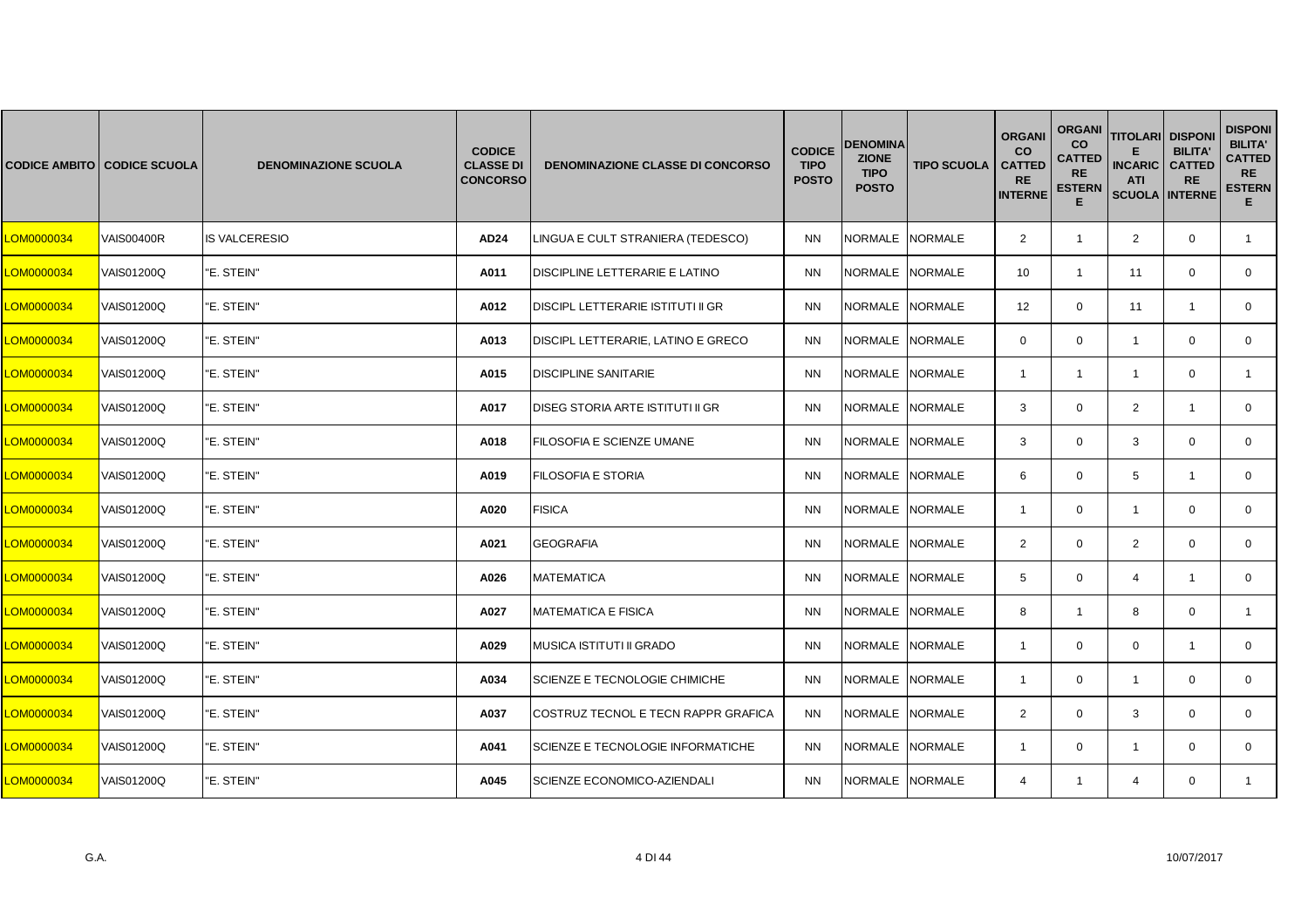|            | <b>CODICE AMBITO CODICE SCUOLA</b> | <b>DENOMINAZIONE SCUOLA</b> | <b>CODICE</b><br><b>CLASSE DI</b><br><b>CONCORSO</b> | <b>DENOMINAZIONE CLASSE DI CONCORSO</b>  | <b>CODICE</b><br><b>TIPO</b><br><b>POSTO</b> | <b>DENOMINA</b><br><b>ZIONE</b><br><b>TIPO</b><br><b>POSTO</b> | <b>TIPO SCUOLA</b> | <b>ORGANI</b><br><b>CO</b><br><b>CATTED</b><br><b>RE</b><br><b>INTERNE</b> | <b>ORGANI</b><br><b>CO</b><br><b>CATTED</b><br><b>RE</b><br><b>ESTERN</b><br>Е | <b>TITOLARI DISPONI</b><br><b>INCARIC</b><br><b>ATI</b><br><b>SCUOLA INTERNE</b> | <b>BILITA'</b><br><b>CATTED</b><br><b>RE</b> | <b>DISPONI</b><br><b>BILITA'</b><br><b>CATTED</b><br><b>RE</b><br><b>ESTERN</b><br>Е. |
|------------|------------------------------------|-----------------------------|------------------------------------------------------|------------------------------------------|----------------------------------------------|----------------------------------------------------------------|--------------------|----------------------------------------------------------------------------|--------------------------------------------------------------------------------|----------------------------------------------------------------------------------|----------------------------------------------|---------------------------------------------------------------------------------------|
| LOM0000034 | <b>VAIS00400R</b>                  | <b>IS VALCERESIO</b>        | <b>AD24</b>                                          | LINGUA E CULT STRANIERA (TEDESCO)        | <b>NN</b>                                    | NORMALE NORMALE                                                |                    | $\overline{2}$                                                             | $\mathbf{1}$                                                                   | $\overline{2}$                                                                   | $\mathbf 0$                                  | $\mathbf{1}$                                                                          |
| LOM0000034 | VAIS01200Q                         | "E. STEIN"                  | A011                                                 | DISCIPLINE LETTERARIE E LATINO           | <b>NN</b>                                    | NORMALE NORMALE                                                |                    | 10                                                                         | $\mathbf{1}$                                                                   | 11                                                                               | $\mathbf 0$                                  | 0                                                                                     |
| LOM0000034 | VAIS01200Q                         | "E. STEIN"                  | A012                                                 | DISCIPL LETTERARIE ISTITUTI II GR        | <b>NN</b>                                    | NORMALE NORMALE                                                |                    | 12 <sup>2</sup>                                                            | $\Omega$                                                                       | 11                                                                               | -1                                           | $\mathbf{0}$                                                                          |
| LOM0000034 | VAIS01200Q                         | "E. STEIN"                  | A013                                                 | DISCIPL LETTERARIE, LATINO E GRECO       | <b>NN</b>                                    | NORMALE NORMALE                                                |                    | $\mathbf 0$                                                                | $\mathbf{0}$                                                                   | $\overline{1}$                                                                   | $\mathbf 0$                                  | $\mathbf{0}$                                                                          |
| LOM0000034 | <b>VAIS01200Q</b>                  | "E. STEIN"                  | A015                                                 | <b>DISCIPLINE SANITARIE</b>              | <b>NN</b>                                    | NORMALE NORMALE                                                |                    | $\mathbf{1}$                                                               | $\mathbf{1}$                                                                   | $\mathbf{1}$                                                                     | $\mathbf 0$                                  | $\mathbf{1}$                                                                          |
| LOM0000034 | VAIS01200Q                         | "E. STEIN"                  | A017                                                 | DISEG STORIA ARTE ISTITUTI II GR         | <b>NN</b>                                    | <b>NORMALE</b>                                                 | <b>NORMALE</b>     | 3                                                                          | $\mathbf{0}$                                                                   | $\overline{2}$                                                                   | $\mathbf{1}$                                 | $\mathbf{0}$                                                                          |
| LOM0000034 | VAIS01200Q                         | "E. STEIN"                  | A018                                                 | FILOSOFIA E SCIENZE UMANE                | <b>NN</b>                                    | NORMALE NORMALE                                                |                    | 3                                                                          | $\mathbf 0$                                                                    | 3                                                                                | $\mathbf 0$                                  | 0                                                                                     |
| LOM0000034 | VAIS01200Q                         | "E. STEIN"                  | A019                                                 | <b>FILOSOFIA E STORIA</b>                | <b>NN</b>                                    | NORMALE NORMALE                                                |                    | 6                                                                          | $\mathbf 0$                                                                    | 5                                                                                | $\mathbf{1}$                                 | $\mathbf{0}$                                                                          |
| LOM0000034 | <b>VAIS01200Q</b>                  | "E. STEIN"                  | A020                                                 | <b>FISICA</b>                            | <b>NN</b>                                    | NORMALE NORMALE                                                |                    | $\mathbf{1}$                                                               | $\mathbf 0$                                                                    | $\mathbf{1}$                                                                     | $\mathbf 0$                                  | $\mathbf 0$                                                                           |
| LOM0000034 | VAIS01200Q                         | "E. STEIN"                  | A021                                                 | <b>GEOGRAFIA</b>                         | <b>NN</b>                                    | NORMALE NORMALE                                                |                    | $\overline{2}$                                                             | $\mathbf 0$                                                                    | 2                                                                                | $\mathbf 0$                                  | 0                                                                                     |
| LOM0000034 | VAIS01200Q                         | "E. STEIN"                  | A026                                                 | <b>MATEMATICA</b>                        | <b>NN</b>                                    | NORMALE NORMALE                                                |                    | 5                                                                          | $\mathbf 0$                                                                    | $\overline{4}$                                                                   | $\overline{1}$                               | $\mathbf 0$                                                                           |
| LOM0000034 | <b>VAIS01200Q</b>                  | "E. STEIN"                  | A027                                                 | <b>MATEMATICA E FISICA</b>               | <b>NN</b>                                    | NORMALE NORMALE                                                |                    | 8                                                                          | $\mathbf{1}$                                                                   | 8                                                                                | $\mathbf 0$                                  | $\mathbf{1}$                                                                          |
| LOM0000034 | VAIS01200Q                         | "E. STEIN"                  | A029                                                 | MUSICA ISTITUTI II GRADO                 | <b>NN</b>                                    | NORMALE                                                        | <b>NORMALE</b>     | $\mathbf{1}$                                                               | $\mathbf 0$                                                                    | 0                                                                                | $\overline{1}$                               | 0                                                                                     |
| LOM0000034 | VAIS01200Q                         | "E. STEIN"                  | A034                                                 | SCIENZE E TECNOLOGIE CHIMICHE            | <b>NN</b>                                    | NORMALE                                                        | <b>NORMALE</b>     | $\mathbf{1}$                                                               | $\mathbf 0$                                                                    | $\mathbf{1}$                                                                     | $\mathbf 0$                                  | 0                                                                                     |
| LOM0000034 | VAIS01200Q                         | "E. STEIN"                  | A037                                                 | COSTRUZ TECNOL E TECN RAPPR GRAFICA      | <b>NN</b>                                    | NORMALE NORMALE                                                |                    | 2                                                                          | $\mathbf 0$                                                                    | 3                                                                                | $\mathbf 0$                                  | $\mathbf{0}$                                                                          |
| LOM0000034 | <b>VAIS01200Q</b>                  | "E. STEIN"                  | A041                                                 | <b>SCIENZE E TECNOLOGIE INFORMATICHE</b> | <b>NN</b>                                    | <b>NORMALE</b>                                                 | <b>NORMALE</b>     | -1                                                                         | $\mathbf{0}$                                                                   | $\overline{1}$                                                                   | $\Omega$                                     | $\mathbf{0}$                                                                          |
| LOM0000034 | VAIS01200Q                         | "E. STEIN"                  | A045                                                 | SCIENZE ECONOMICO-AZIENDALI              | <b>NN</b>                                    | NORMALE NORMALE                                                |                    | $\overline{4}$                                                             | $\mathbf{1}$                                                                   | 4                                                                                | $\mathbf 0$                                  | 1                                                                                     |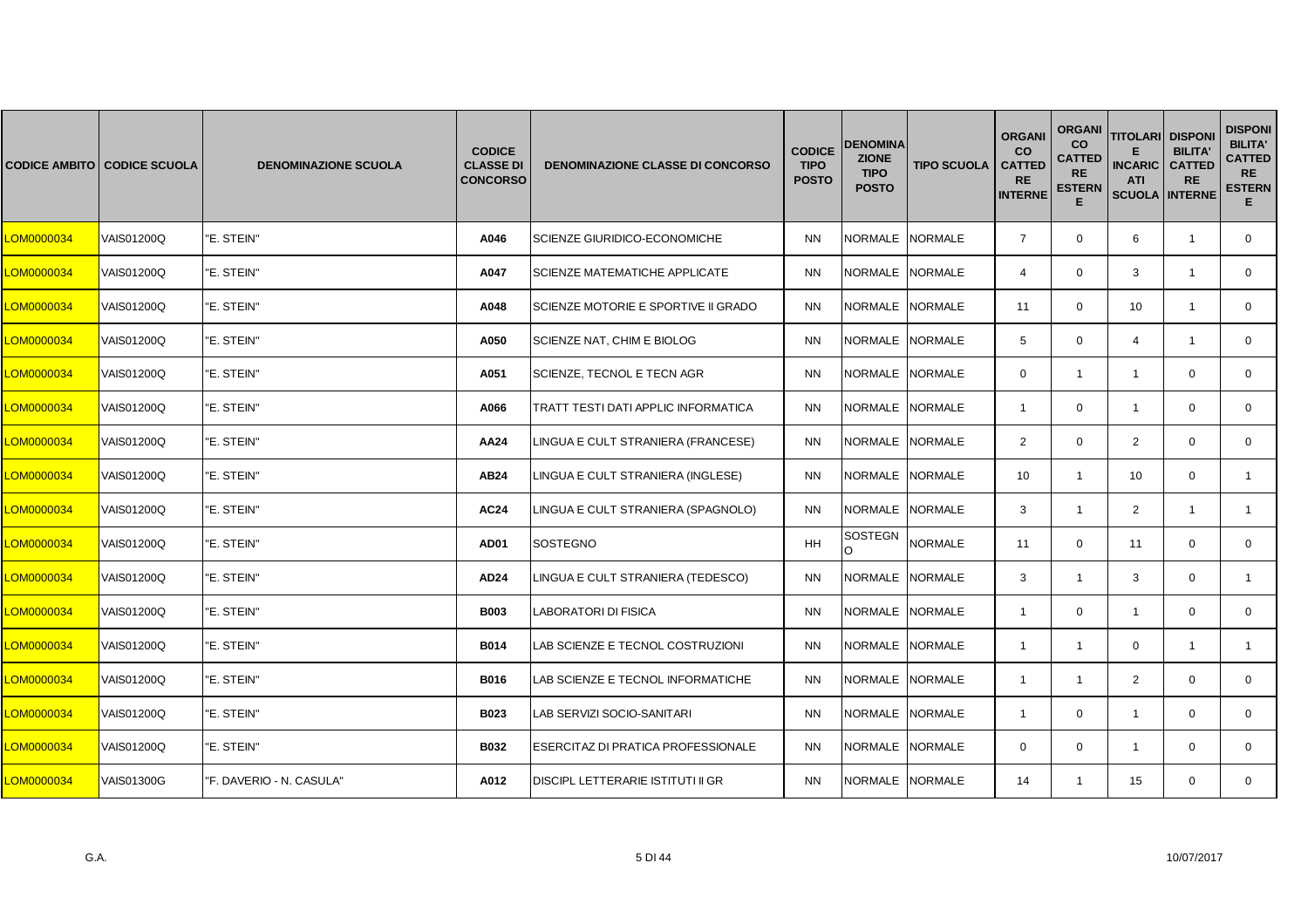|            | <b>CODICE AMBITO CODICE SCUOLA</b> | <b>DENOMINAZIONE SCUOLA</b> | <b>CODICE</b><br><b>CLASSE DI</b><br><b>CONCORSO</b> | <b>DENOMINAZIONE CLASSE DI CONCORSO</b> | <b>CODICE</b><br><b>TIPO</b><br><b>POSTO</b> | <b>DENOMINA</b><br><b>ZIONE</b><br><b>TIPO</b><br><b>POSTO</b> | <b>TIPO SCUOLA</b> | <b>ORGANI</b><br><b>CO</b><br><b>CATTED</b><br><b>RE</b><br><b>INTERNE</b> | <b>ORGANI</b><br><b>CO</b><br><b>CATTED</b><br><b>RE</b><br><b>ESTERN</b><br>E | <b>TITOLARI DISPONI</b><br><b>INCARIC</b><br><b>ATI</b><br><b>SCUOLA INTERNE</b> | <b>BILITA'</b><br><b>CATTED</b><br><b>RE</b> | <b>DISPONI</b><br><b>BILITA'</b><br><b>CATTED</b><br><b>RE</b><br><b>ESTERN</b><br>E. |
|------------|------------------------------------|-----------------------------|------------------------------------------------------|-----------------------------------------|----------------------------------------------|----------------------------------------------------------------|--------------------|----------------------------------------------------------------------------|--------------------------------------------------------------------------------|----------------------------------------------------------------------------------|----------------------------------------------|---------------------------------------------------------------------------------------|
| LOM0000034 | VAIS01200Q                         | "E. STEIN"                  | A046                                                 | SCIENZE GIURIDICO-ECONOMICHE            | <b>NN</b>                                    | NORMALE NORMALE                                                |                    | $\overline{7}$                                                             | $\mathbf 0$                                                                    | 6                                                                                | $\overline{1}$                               | $\mathbf{0}$                                                                          |
| LOM0000034 | VAIS01200Q                         | "E. STEIN"                  | A047                                                 | <b>SCIENZE MATEMATICHE APPLICATE</b>    | <b>NN</b>                                    | NORMALE NORMALE                                                |                    | $\overline{4}$                                                             | $\mathbf 0$                                                                    | 3                                                                                | $\mathbf{1}$                                 | $\mathbf{0}$                                                                          |
| LOM0000034 | VAIS01200Q                         | "E. STEIN"                  | A048                                                 | SCIENZE MOTORIE E SPORTIVE II GRADO     | <b>NN</b>                                    | NORMALE NORMALE                                                |                    | 11                                                                         | $\mathbf 0$                                                                    | 10                                                                               | -1                                           | $\mathbf 0$                                                                           |
| LOM0000034 | VAIS01200Q                         | "E. STEIN"                  | A050                                                 | SCIENZE NAT, CHIM E BIOLOG              | <b>NN</b>                                    | NORMALE NORMALE                                                |                    | 5                                                                          | $\mathbf 0$                                                                    | $\overline{4}$                                                                   | $\overline{1}$                               | $\mathbf{0}$                                                                          |
| LOM0000034 | <b>VAIS01200Q</b>                  | "E. STEIN"                  | A051                                                 | SCIENZE, TECNOL E TECN AGR              | <b>NN</b>                                    | NORMALE NORMALE                                                |                    | $\mathbf 0$                                                                | $\mathbf{1}$                                                                   | $\mathbf{1}$                                                                     | $\mathbf 0$                                  | $\mathbf{0}$                                                                          |
| LOM0000034 | VAIS01200Q                         | "E. STEIN"                  | A066                                                 | TRATT TESTI DATI APPLIC INFORMATICA     | <b>NN</b>                                    | <b>NORMALE</b>                                                 | <b>NORMALE</b>     | $\overline{1}$                                                             | $\mathbf 0$                                                                    | $\overline{1}$                                                                   | $\mathbf 0$                                  | $\mathbf{0}$                                                                          |
| LOM0000034 | VAIS01200Q                         | "E. STEIN"                  | AA24                                                 | INGUA E CULT STRANIERA (FRANCESE)       | <b>NN</b>                                    | NORMALE                                                        | <b>NORMALE</b>     | 2                                                                          | $\mathbf{0}$                                                                   | $\overline{2}$                                                                   | $\mathbf 0$                                  | $\mathbf 0$                                                                           |
| LOM0000034 | VAIS01200Q                         | "E. STEIN"                  | <b>AB24</b>                                          | LINGUA E CULT STRANIERA (INGLESE)       | <b>NN</b>                                    | NORMALE NORMALE                                                |                    | 10                                                                         | $\mathbf{1}$                                                                   | 10                                                                               | $\mathbf 0$                                  | $\mathbf{1}$                                                                          |
| LOM0000034 | VAIS01200Q                         | "E. STEIN"                  | <b>AC24</b>                                          | LINGUA E CULT STRANIERA (SPAGNOLO)      | <b>NN</b>                                    | NORMALE                                                        | <b>NORMALE</b>     | 3                                                                          | $\mathbf{1}$                                                                   | $\overline{2}$                                                                   | $\mathbf{1}$                                 | 1                                                                                     |
| LOM0000034 | VAIS01200Q                         | "E. STEIN"                  | AD01                                                 | <b>SOSTEGNO</b>                         | HH                                           | SOSTEGN<br>$\circ$                                             | <b>NORMALE</b>     | 11                                                                         | $\mathbf 0$                                                                    | 11                                                                               | $\mathbf 0$                                  | $\mathbf{0}$                                                                          |
| LOM0000034 | <b>VAIS01200Q</b>                  | "E. STEIN"                  | AD24                                                 | LINGUA E CULT STRANIERA (TEDESCO)       | <b>NN</b>                                    | NORMALE NORMALE                                                |                    | 3                                                                          | $\mathbf{1}$                                                                   | 3                                                                                | $\mathbf 0$                                  | $\mathbf{1}$                                                                          |
| LOM0000034 | VAIS01200Q                         | "E. STEIN"                  | <b>B003</b>                                          | LABORATORI DI FISICA                    | <b>NN</b>                                    | NORMALE                                                        | <b>NORMALE</b>     | $\overline{1}$                                                             | $\mathbf 0$                                                                    | $\mathbf{1}$                                                                     | $\mathbf 0$                                  | $\mathbf{0}$                                                                          |
| LOM0000034 | VAIS01200Q                         | "E. STEIN"                  | <b>B014</b>                                          | AB SCIENZE E TECNOL COSTRUZIONI         | <b>NN</b>                                    | <b>NORMALE</b>                                                 | <b>NORMALE</b>     | $\overline{1}$                                                             | $\mathbf{1}$                                                                   | $\mathbf 0$                                                                      | $\mathbf{1}$                                 | $\mathbf{1}$                                                                          |
| LOM0000034 | VAIS01200Q                         | "E. STEIN"                  | B016                                                 | AB SCIENZE E TECNOL INFORMATICHE        | <b>NN</b>                                    | NORMALE NORMALE                                                |                    | $\mathbf{1}$                                                               | $\mathbf{1}$                                                                   | $\overline{2}$                                                                   | $\mathbf 0$                                  | $\mathbf 0$                                                                           |
| LOM0000034 | VAIS01200Q                         | "E. STEIN"                  | B023                                                 | LAB SERVIZI SOCIO-SANITARI              | <b>NN</b>                                    | NORMALE NORMALE                                                |                    | $\overline{1}$                                                             | $\mathbf 0$                                                                    | $\mathbf{1}$                                                                     | $\mathbf 0$                                  | $\mathbf{0}$                                                                          |
| LOM0000034 | <b>VAIS01200Q</b>                  | "E. STEIN"                  | <b>B032</b>                                          | ESERCITAZ DI PRATICA PROFESSIONALE      | <b>NN</b>                                    | NORMALE INORMALE                                               |                    | $\mathbf{0}$                                                               | $\mathbf{0}$                                                                   | $\overline{1}$                                                                   | $\mathbf 0$                                  | $\mathbf{0}$                                                                          |
| LOM0000034 | <b>VAIS01300G</b>                  | "F. DAVERIO - N. CASULA"    | A012                                                 | DISCIPL LETTERARIE ISTITUTI II GR       | <b>NN</b>                                    | NORMALE NORMALE                                                |                    | 14                                                                         | $\mathbf{1}$                                                                   | 15                                                                               | $\mathbf 0$                                  | $\mathbf{0}$                                                                          |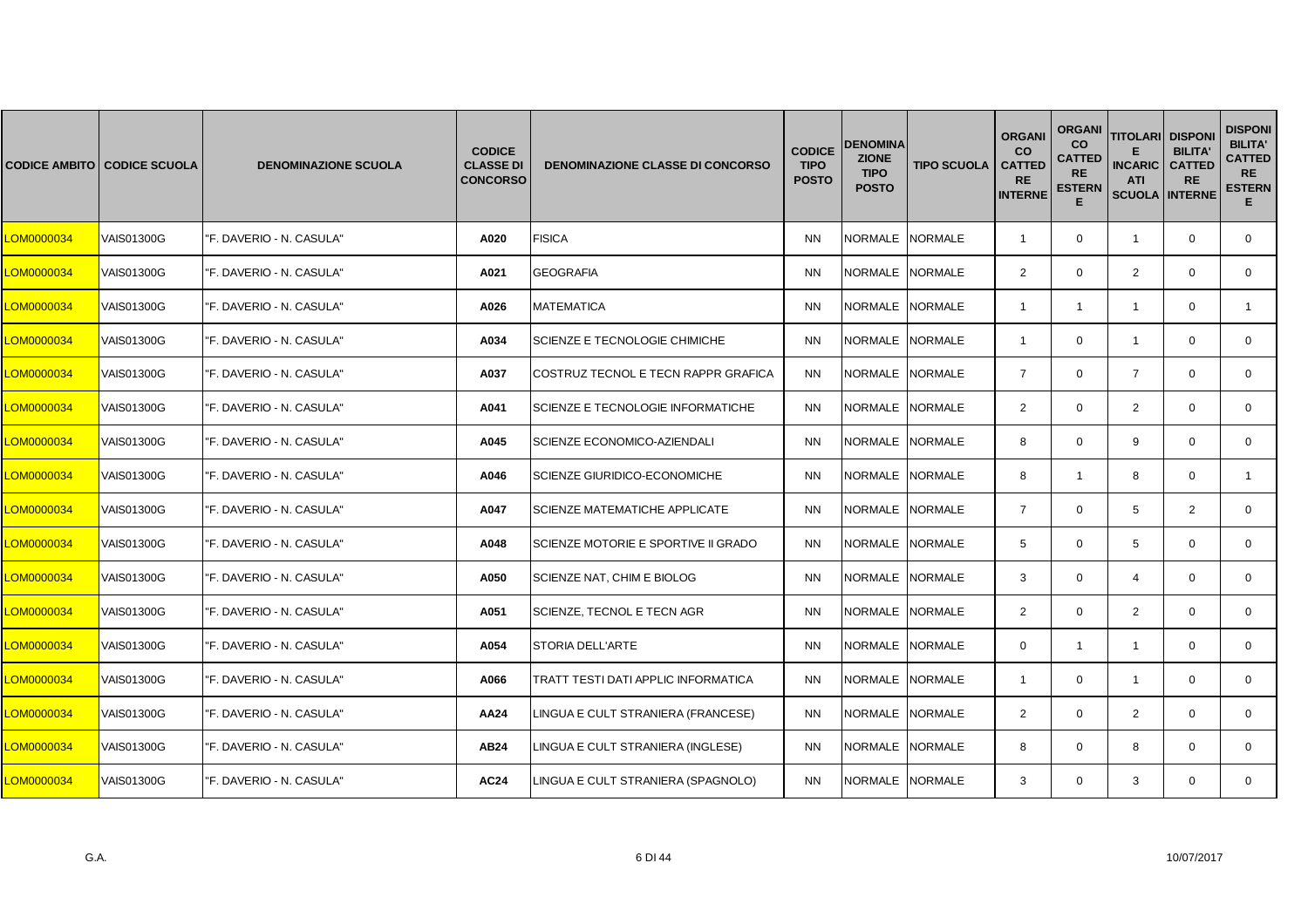|            | <b>CODICE AMBITO CODICE SCUOLA</b> | <b>DENOMINAZIONE SCUOLA</b> | <b>CODICE</b><br><b>CLASSE DI</b><br><b>CONCORSO</b> | <b>DENOMINAZIONE CLASSE DI CONCORSO</b> | <b>CODICE</b><br><b>TIPO</b><br><b>POSTO</b> | <b>DENOMINA</b><br><b>ZIONE</b><br><b>TIPO</b><br><b>POSTO</b> | <b>TIPO SCUOLA</b> | <b>ORGANI</b><br><b>CO</b><br><b>CATTED</b><br><b>RE</b><br><b>INTERNE</b> | <b>ORGANI</b><br><b>CO</b><br><b>CATTED</b><br><b>RE</b><br><b>ESTERN</b><br>Е | <b>TITOLARI DISPONI</b><br><b>INCARIC</b><br><b>ATI</b><br><b>SCUOLA INTERNE</b> | <b>BILITA'</b><br><b>CATTED</b><br><b>RE</b> | <b>DISPONI</b><br><b>BILITA'</b><br><b>CATTED</b><br><b>RE</b><br><b>ESTERN</b><br>Е. |
|------------|------------------------------------|-----------------------------|------------------------------------------------------|-----------------------------------------|----------------------------------------------|----------------------------------------------------------------|--------------------|----------------------------------------------------------------------------|--------------------------------------------------------------------------------|----------------------------------------------------------------------------------|----------------------------------------------|---------------------------------------------------------------------------------------|
| LOM0000034 | VAIS01300G                         | "F. DAVERIO - N. CASULA"    | A020                                                 | <b>FISICA</b>                           | <b>NN</b>                                    | NORMALE NORMALE                                                |                    | $\overline{1}$                                                             | $\mathbf 0$                                                                    | $\overline{1}$                                                                   | $\mathbf 0$                                  | $\mathbf{0}$                                                                          |
| LOM0000034 | VAIS01300G                         | "F. DAVERIO - N. CASULA"    | A021                                                 | <b>GEOGRAFIA</b>                        | <b>NN</b>                                    | NORMALE NORMALE                                                |                    | $\overline{2}$                                                             | $\mathbf{0}$                                                                   | $\overline{2}$                                                                   | $\mathbf 0$                                  | $\mathbf{0}$                                                                          |
| LOM0000034 | VAIS01300G                         | "F. DAVERIO - N. CASULA"    | A026                                                 | <b>MATEMATICA</b>                       | <b>NN</b>                                    | <b>NORMALE</b>                                                 | <b>NORMALE</b>     | -1                                                                         | $\mathbf{1}$                                                                   | -1                                                                               | $\Omega$                                     |                                                                                       |
| LOM0000034 | VAIS01300G                         | "F. DAVERIO - N. CASULA"    | A034                                                 | SCIENZE E TECNOLOGIE CHIMICHE           | <b>NN</b>                                    | NORMALE NORMALE                                                |                    | $\overline{1}$                                                             | $\mathbf{0}$                                                                   | $\overline{1}$                                                                   | $\mathbf 0$                                  | $\mathbf{0}$                                                                          |
| LOM0000034 | VAIS01300G                         | "F. DAVERIO - N. CASULA"    | A037                                                 | COSTRUZ TECNOL E TECN RAPPR GRAFICA     | <b>NN</b>                                    | <b>NORMALE</b>                                                 | <b>NORMALE</b>     | $\overline{7}$                                                             | $\mathbf 0$                                                                    | $\overline{7}$                                                                   | $\mathbf 0$                                  | $\mathbf{0}$                                                                          |
| LOM0000034 | VAIS01300G                         | "F. DAVERIO - N. CASULA"    | A041                                                 | SCIENZE E TECNOLOGIE INFORMATICHE       | <b>NN</b>                                    | <b>NORMALE</b>                                                 | <b>NORMALE</b>     | $\overline{2}$                                                             | $\mathbf{0}$                                                                   | 2                                                                                | $\Omega$                                     | $\mathbf{0}$                                                                          |
| LOM0000034 | VAIS01300G                         | "F. DAVERIO - N. CASULA"    | A045                                                 | SCIENZE ECONOMICO-AZIENDALI             | <b>NN</b>                                    | NORMALE                                                        | <b>NORMALE</b>     | 8                                                                          | $\mathbf{0}$                                                                   | 9                                                                                | $\mathbf 0$                                  | 0                                                                                     |
| LOM0000034 | <b>VAIS01300G</b>                  | "F. DAVERIO - N. CASULA"    | A046                                                 | <b>SCIENZE GIURIDICO-ECONOMICHE</b>     | <b>NN</b>                                    | <b>NORMALE</b>                                                 | <b>NORMALE</b>     | 8                                                                          | $\mathbf{1}$                                                                   | 8                                                                                | $\mathbf 0$                                  | $\mathbf{1}$                                                                          |
| LOM0000034 | <b>VAIS01300G</b>                  | "F. DAVERIO - N. CASULA"    | A047                                                 | <b>SCIENZE MATEMATICHE APPLICATE</b>    | <b>NN</b>                                    | <b>NORMALE</b>                                                 | <b>NORMALE</b>     | $\overline{7}$                                                             | $\mathbf 0$                                                                    | 5                                                                                | 2                                            | $\mathbf 0$                                                                           |
| LOM0000034 | VAIS01300G                         | "F. DAVERIO - N. CASULA"    | A048                                                 | SCIENZE MOTORIE E SPORTIVE II GRADO     | <b>NN</b>                                    | NORMALE                                                        | <b>NORMALE</b>     | 5                                                                          | $\mathbf{0}$                                                                   | 5                                                                                | $\mathbf 0$                                  | $\mathbf{0}$                                                                          |
| LOM0000034 | VAIS01300G                         | "F. DAVERIO - N. CASULA"    | A050                                                 | SCIENZE NAT, CHIM E BIOLOG              | <b>NN</b>                                    | NORMALE                                                        | <b>NORMALE</b>     | 3                                                                          | $\mathbf 0$                                                                    | $\overline{4}$                                                                   | $\mathbf 0$                                  | $\mathbf 0$                                                                           |
| LOM0000034 | <b>VAIS01300G</b>                  | "F. DAVERIO - N. CASULA"    | A051                                                 | SCIENZE, TECNOL E TECN AGR              | <b>NN</b>                                    | <b>NORMALE</b>                                                 | <b>NORMALE</b>     | $\overline{2}$                                                             | $\mathbf 0$                                                                    | $\overline{2}$                                                                   | $\Omega$                                     | $\Omega$                                                                              |
| LOM0000034 | VAIS01300G                         | "F. DAVERIO - N. CASULA"    | A054                                                 | STORIA DELL'ARTE                        | <b>NN</b>                                    | <b>NORMALE</b>                                                 | <b>NORMALE</b>     | $\mathbf{0}$                                                               | $\mathbf{1}$                                                                   | $\overline{1}$                                                                   | $\mathbf 0$                                  | $\mathbf 0$                                                                           |
| LOM0000034 | VAIS01300G                         | "F. DAVERIO - N. CASULA"    | A066                                                 | TRATT TESTI DATI APPLIC INFORMATICA     | <b>NN</b>                                    | NORMALE                                                        | <b>NORMALE</b>     | $\overline{1}$                                                             | $\mathbf 0$                                                                    | $\mathbf{1}$                                                                     | $\mathbf 0$                                  | 0                                                                                     |
| LOM0000034 | VAIS01300G                         | "F. DAVERIO - N. CASULA"    | AA24                                                 | LINGUA E CULT STRANIERA (FRANCESE)      | <b>NN</b>                                    | NORMALE NORMALE                                                |                    | $\overline{2}$                                                             | $\mathbf 0$                                                                    | $\overline{2}$                                                                   | $\mathbf 0$                                  | $\mathbf{0}$                                                                          |
| LOM0000034 | <b>VAIS01300G</b>                  | "F. DAVERIO - N. CASULA"    | AB24                                                 | LINGUA E CULT STRANIERA (INGLESE)       | <b>NN</b>                                    | <b>NORMALE</b>                                                 | <b>NORMALE</b>     | 8                                                                          | $\Omega$                                                                       | 8                                                                                | $\Omega$                                     | $\mathbf{0}$                                                                          |
| LOM0000034 | VAIS01300G                         | "F. DAVERIO - N. CASULA"    | <b>AC24</b>                                          | LINGUA E CULT STRANIERA (SPAGNOLO)      | <b>NN</b>                                    | NORMALE NORMALE                                                |                    | 3                                                                          | $\mathbf{0}$                                                                   | 3                                                                                | $\mathbf 0$                                  | $\mathbf{0}$                                                                          |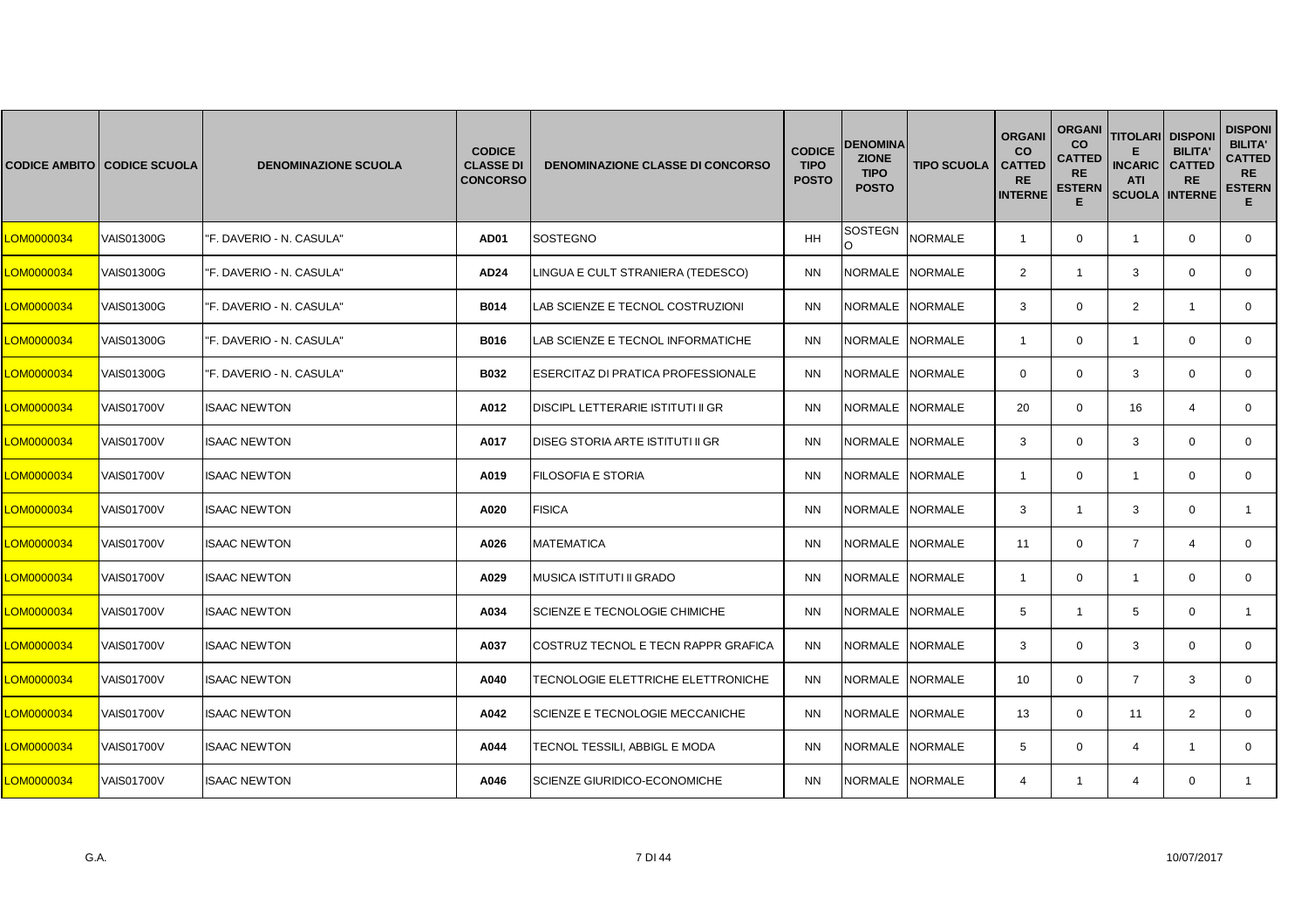|            | <b>CODICE AMBITO CODICE SCUOLA</b> | <b>DENOMINAZIONE SCUOLA</b> | <b>CODICE</b><br><b>CLASSE DI</b><br><b>CONCORSO</b> | <b>DENOMINAZIONE CLASSE DI CONCORSO</b>  | <b>CODICE</b><br><b>TIPO</b><br><b>POSTO</b> | DENOMINA<br><b>ZIONE</b><br><b>TIPO</b><br><b>POSTO</b> | <b>TIPO SCUOLA</b> | <b>ORGANI</b><br><b>CO</b><br><b>CATTED</b><br><b>RE</b><br><b>INTERNE</b> | <b>ORGANI</b><br>co<br><b>CATTED</b><br><b>RE</b><br><b>ESTERN</b><br>Е | <b>TITOLARI DISPONI</b><br><b>INCARIC</b><br><b>ATI</b><br><b>SCUOLA INTERNE</b> | <b>BILITA'</b><br><b>CATTED</b><br><b>RE</b> | <b>DISPONI</b><br><b>BILITA'</b><br><b>CATTED</b><br><b>RE</b><br><b>ESTERN</b><br>Е. |
|------------|------------------------------------|-----------------------------|------------------------------------------------------|------------------------------------------|----------------------------------------------|---------------------------------------------------------|--------------------|----------------------------------------------------------------------------|-------------------------------------------------------------------------|----------------------------------------------------------------------------------|----------------------------------------------|---------------------------------------------------------------------------------------|
| LOM0000034 | VAIS01300G                         | "F. DAVERIO - N. CASULA"    | <b>AD01</b>                                          | <b>SOSTEGNO</b>                          | HH                                           | SOSTEGN                                                 | <b>NORMALE</b>     | $\overline{1}$                                                             | $\mathbf 0$                                                             | $\mathbf{1}$                                                                     | $\mathbf 0$                                  | $\mathbf{0}$                                                                          |
| LOM0000034 | VAIS01300G                         | "F. DAVERIO - N. CASULA"    | <b>AD24</b>                                          | LINGUA E CULT STRANIERA (TEDESCO)        | <b>NN</b>                                    | NORMALE NORMALE                                         |                    | $\overline{2}$                                                             | $\mathbf{1}$                                                            | 3                                                                                | $\mathbf 0$                                  | $\mathbf{0}$                                                                          |
| LOM0000034 | VAIS01300G                         | "F. DAVERIO - N. CASULA"    | <b>B014</b>                                          | LAB SCIENZE E TECNOL COSTRUZIONI         | <b>NN</b>                                    | <b>NORMALE</b>                                          | <b>NORMALE</b>     | 3                                                                          | $\mathbf{0}$                                                            | 2                                                                                | $\mathbf{1}$                                 | $\mathbf{0}$                                                                          |
| LOM0000034 | VAIS01300G                         | "F. DAVERIO - N. CASULA"    | B016                                                 | LAB SCIENZE E TECNOL INFORMATICHE        | <b>NN</b>                                    | NORMALE NORMALE                                         |                    | $\mathbf{1}$                                                               | $\mathbf 0$                                                             | $\mathbf{1}$                                                                     | $\mathbf 0$                                  | $\mathbf 0$                                                                           |
| LOM0000034 | VAIS01300G                         | "F. DAVERIO - N. CASULA"    | <b>B032</b>                                          | ESERCITAZ DI PRATICA PROFESSIONALE       | <b>NN</b>                                    | <b>NORMALE</b>                                          | <b>NORMALE</b>     | $\mathbf{0}$                                                               | $\mathbf{0}$                                                            | 3                                                                                | $\mathbf 0$                                  | $\mathbf{0}$                                                                          |
| LOM0000034 | <b>VAIS01700V</b>                  | <b>ISAAC NEWTON</b>         | A012                                                 | <b>DISCIPL LETTERARIE ISTITUTI II GR</b> | <b>NN</b>                                    | <b>NORMALE</b>                                          | <b>NORMALE</b>     | 20                                                                         | $\mathbf{0}$                                                            | 16                                                                               | $\overline{4}$                               | $\mathbf{0}$                                                                          |
| LOM0000034 | <b>VAIS01700V</b>                  | <b>ISAAC NEWTON</b>         | A017                                                 | DISEG STORIA ARTE ISTITUTI II GR         | <b>NN</b>                                    | <b>NORMALE</b>                                          | <b>NORMALE</b>     | 3                                                                          | $\Omega$                                                                | 3                                                                                | $\mathbf 0$                                  | $\mathbf 0$                                                                           |
| LOM0000034 | VAIS01700V                         | <b>ISAAC NEWTON</b>         | A019                                                 | FILOSOFIA E STORIA                       | <b>NN</b>                                    | <b>NORMALE</b>                                          | <b>NORMALE</b>     | $\overline{1}$                                                             | $\mathbf{0}$                                                            | $\mathbf{1}$                                                                     | $\mathbf 0$                                  | $\mathbf{0}$                                                                          |
| LOM0000034 | <b>VAIS01700V</b>                  | <b>ISAAC NEWTON</b>         | A020                                                 | <b>FISICA</b>                            | <b>NN</b>                                    | <b>NORMALE</b>                                          | <b>NORMALE</b>     | 3                                                                          | $\mathbf{1}$                                                            | 3                                                                                | $\Omega$                                     | $\mathbf{1}$                                                                          |
| LOM0000034 | VAIS01700V                         | <b>ISAAC NEWTON</b>         | A026                                                 | <b>MATEMATICA</b>                        | <b>NN</b>                                    | NORMALE NORMALE                                         |                    | 11                                                                         | $\mathbf 0$                                                             | $\overline{7}$                                                                   | $\overline{4}$                               | $\mathbf 0$                                                                           |
| LOM0000034 | <b>VAIS01700V</b>                  | <b>ISAAC NEWTON</b>         | A029                                                 | MUSICA ISTITUTI II GRADO                 | <b>NN</b>                                    | <b>NORMALE</b>                                          | <b>NORMALE</b>     | $\overline{1}$                                                             | $\mathbf{0}$                                                            | $\mathbf{1}$                                                                     | $\mathbf 0$                                  | $\mathbf{0}$                                                                          |
| LOM0000034 | <b>VAIS01700V</b>                  | <b>ISAAC NEWTON</b>         | A034                                                 | SCIENZE E TECNOLOGIE CHIMICHE            | <b>NN</b>                                    | <b>NORMALE</b>                                          | <b>NORMALE</b>     | 5                                                                          | $\mathbf{1}$                                                            | 5                                                                                | $\mathbf 0$                                  | $\mathbf{1}$                                                                          |
| LOM0000034 | <b>VAIS01700V</b>                  | <b>ISAAC NEWTON</b>         | A037                                                 | COSTRUZ TECNOL E TECN RAPPR GRAFICA      | <b>NN</b>                                    | <b>NORMALE</b>                                          | <b>NORMALE</b>     | 3                                                                          | $\Omega$                                                                | 3                                                                                | $\mathbf 0$                                  | $\mathbf 0$                                                                           |
| LOM0000034 | <b>VAIS01700V</b>                  | <b>ISAAC NEWTON</b>         | A040                                                 | TECNOLOGIE ELETTRICHE ELETTRONICHE       | <b>NN</b>                                    | <b>NORMALE</b>                                          | <b>NORMALE</b>     | 10                                                                         | $\mathbf{0}$                                                            | $\overline{7}$                                                                   | 3                                            | $\mathbf{0}$                                                                          |
| LOM0000034 | <b>VAIS01700V</b>                  | <b>ISAAC NEWTON</b>         | A042                                                 | SCIENZE E TECNOLOGIE MECCANICHE          | <b>NN</b>                                    | <b>NORMALE</b>                                          | <b>NORMALE</b>     | 13                                                                         | $\mathbf{0}$                                                            | 11                                                                               | 2                                            | $\mathbf{0}$                                                                          |
| LOM0000034 | VAIS01700V                         | <b>ISAAC NEWTON</b>         | A044                                                 | TECNOL TESSILI, ABBIGL E MODA            | <b>NN</b>                                    | NORMALE NORMALE                                         |                    | 5                                                                          | $\mathbf{0}$                                                            | $\overline{4}$                                                                   | $\overline{1}$                               | $\mathbf{0}$                                                                          |
| LOM0000034 | VAIS01700V                         | <b>ISAAC NEWTON</b>         | A046                                                 | SCIENZE GIURIDICO-ECONOMICHE             | <b>NN</b>                                    | NORMALE                                                 | <b>NORMALE</b>     | $\overline{4}$                                                             | $\mathbf{1}$                                                            | 4                                                                                | $\mathbf{0}$                                 | $\mathbf{1}$                                                                          |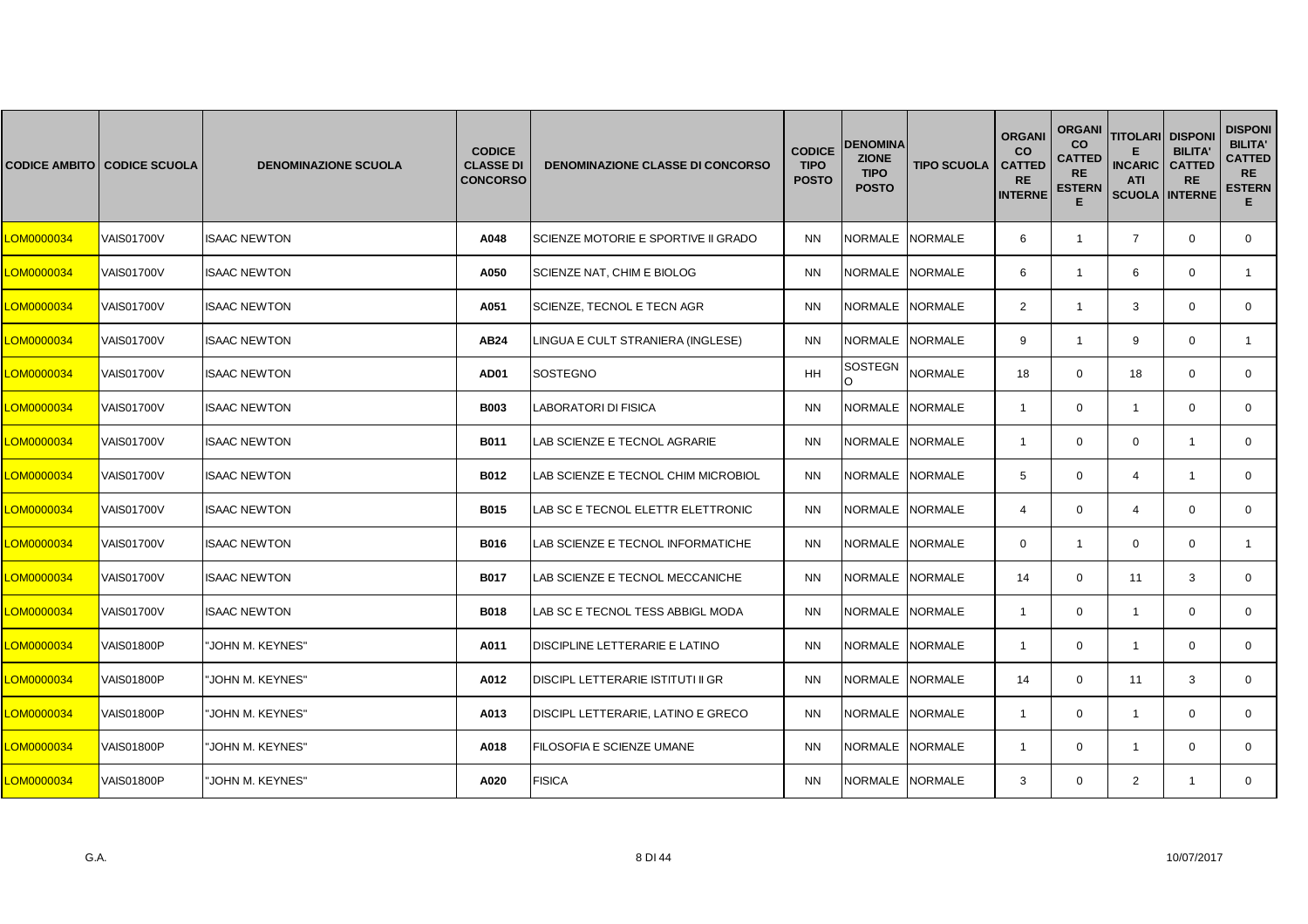|            | <b>CODICE AMBITO CODICE SCUOLA</b> | <b>DENOMINAZIONE SCUOLA</b> | <b>CODICE</b><br><b>CLASSE DI</b><br><b>CONCORSO</b> | <b>DENOMINAZIONE CLASSE DI CONCORSO</b> | <b>CODICE</b><br><b>TIPO</b><br><b>POSTO</b> | DENOMINA<br><b>ZIONE</b><br><b>TIPO</b><br><b>POSTO</b> | <b>TIPO SCUOLA</b> | <b>ORGANI</b><br><b>CO</b><br><b>CATTED</b><br><b>RE</b><br><b>INTERNE</b> | <b>ORGANI</b><br>co<br><b>CATTED</b><br><b>RE</b><br><b>ESTERN</b><br>Е | <b>TITOLARI DISPONI</b><br><b>INCARIC</b><br><b>ATI</b><br><b>SCUOLA INTERNE</b> | <b>BILITA'</b><br><b>CATTED</b><br><b>RE</b> | <b>DISPONI</b><br><b>BILITA'</b><br><b>CATTED</b><br><b>RE</b><br><b>ESTERN</b><br>Е. |
|------------|------------------------------------|-----------------------------|------------------------------------------------------|-----------------------------------------|----------------------------------------------|---------------------------------------------------------|--------------------|----------------------------------------------------------------------------|-------------------------------------------------------------------------|----------------------------------------------------------------------------------|----------------------------------------------|---------------------------------------------------------------------------------------|
| LOM0000034 | <b>VAIS01700V</b>                  | <b>ISAAC NEWTON</b>         | A048                                                 | SCIENZE MOTORIE E SPORTIVE II GRADO     | <b>NN</b>                                    | <b>NORMALE</b>                                          | <b>NORMALE</b>     | 6                                                                          | $\mathbf{1}$                                                            | $\overline{7}$                                                                   | $\mathbf 0$                                  | $\overline{0}$                                                                        |
| LOM0000034 | <b>VAIS01700V</b>                  | <b>ISAAC NEWTON</b>         | A050                                                 | SCIENZE NAT, CHIM E BIOLOG              | <b>NN</b>                                    | NORMALE NORMALE                                         |                    | 6                                                                          | $\mathbf{1}$                                                            | 6                                                                                | $\mathbf 0$                                  | $\mathbf{1}$                                                                          |
| LOM0000034 | <b>VAIS01700V</b>                  | <b>ISAAC NEWTON</b>         | A051                                                 | SCIENZE, TECNOL E TECN AGR              | <b>NN</b>                                    | <b>NORMALE</b>                                          | <b>NORMALE</b>     | 2                                                                          | $\mathbf{1}$                                                            | 3                                                                                | $\Omega$                                     | $\mathbf{0}$                                                                          |
| LOM0000034 | <b>VAIS01700V</b>                  | <b>ISAAC NEWTON</b>         | AB24                                                 | LINGUA E CULT STRANIERA (INGLESE)       | <b>NN</b>                                    | NORMALE NORMALE                                         |                    | 9                                                                          | $\mathbf{1}$                                                            | 9                                                                                | $\mathbf 0$                                  | $\mathbf{1}$                                                                          |
| LOM0000034 | <b>VAIS01700V</b>                  | <b>ISAAC NEWTON</b>         | <b>AD01</b>                                          | <b>SOSTEGNO</b>                         | HH                                           | SOSTEGN<br>$\Omega$                                     | <b>NORMALE</b>     | 18                                                                         | $\mathbf{0}$                                                            | 18                                                                               | $\mathbf 0$                                  | $\mathbf 0$                                                                           |
| LOM0000034 | <b>VAIS01700V</b>                  | <b>ISAAC NEWTON</b>         | <b>B003</b>                                          | LABORATORI DI FISICA                    | <b>NN</b>                                    | <b>NORMALE</b>                                          | <b>NORMALE</b>     | $\mathbf{1}$                                                               | $\mathbf{0}$                                                            | $\overline{1}$                                                                   | $\mathbf 0$                                  | $\mathbf{0}$                                                                          |
| LOM0000034 | <b>VAIS01700V</b>                  | <b>ISAAC NEWTON</b>         | B011                                                 | LAB SCIENZE E TECNOL AGRARIE            | <b>NN</b>                                    | <b>NORMALE</b>                                          | <b>NORMALE</b>     | $\overline{1}$                                                             | $\mathbf 0$                                                             | $\mathbf 0$                                                                      | $\mathbf{1}$                                 | $\mathbf 0$                                                                           |
| LOM0000034 | VAIS01700V                         | <b>ISAAC NEWTON</b>         | <b>B012</b>                                          | LAB SCIENZE E TECNOL CHIM MICROBIOL     | <b>NN</b>                                    | <b>NORMALE</b>                                          | <b>NORMALE</b>     | 5                                                                          | $\mathbf{0}$                                                            | $\overline{4}$                                                                   | $\mathbf{1}$                                 | $\mathbf{0}$                                                                          |
| LOM0000034 | <b>VAIS01700V</b>                  | <b>ISAAC NEWTON</b>         | B015                                                 | LAB SC E TECNOL ELETTR ELETTRONIC       | <b>NN</b>                                    | <b>NORMALE</b>                                          | <b>NORMALE</b>     | $\overline{4}$                                                             | $\mathbf 0$                                                             | $\overline{4}$                                                                   | $\Omega$                                     | $\mathbf 0$                                                                           |
| LOM0000034 | VAIS01700V                         | <b>ISAAC NEWTON</b>         | B016                                                 | LAB SCIENZE E TECNOL INFORMATICHE       | <b>NN</b>                                    | NORMALE NORMALE                                         |                    | $\mathbf{0}$                                                               | $\mathbf{1}$                                                            | $\mathbf 0$                                                                      | $\mathbf 0$                                  | $\mathbf{1}$                                                                          |
| LOM0000034 | <b>VAIS01700V</b>                  | <b>ISAAC NEWTON</b>         | <b>B017</b>                                          | LAB SCIENZE E TECNOL MECCANICHE         | <b>NN</b>                                    | <b>NORMALE</b>                                          | <b>NORMALE</b>     | 14                                                                         | $\mathbf{0}$                                                            | 11                                                                               | 3                                            | $\mathbf{0}$                                                                          |
| LOM0000034 | <b>VAIS01700V</b>                  | <b>ISAAC NEWTON</b>         | <b>B018</b>                                          | LAB SC E TECNOL TESS ABBIGL MODA        | <b>NN</b>                                    | <b>NORMALE</b>                                          | <b>NORMALE</b>     | $\overline{1}$                                                             | $\mathbf 0$                                                             | $\overline{1}$                                                                   | $\Omega$                                     | $\mathbf{0}$                                                                          |
| LOM0000034 | VAIS01800P                         | JOHN M. KEYNES"             | A011                                                 | DISCIPLINE LETTERARIE E LATINO          | <b>NN</b>                                    | <b>NORMALE</b>                                          | <b>NORMALE</b>     | $\overline{1}$                                                             | $\mathbf 0$                                                             | $\mathbf{1}$                                                                     | $\mathbf 0$                                  | $\mathbf 0$                                                                           |
| LOM0000034 | VAIS01800P                         | JOHN M. KEYNES"             | A012                                                 | DISCIPL LETTERARIE ISTITUTI II GR       | <b>NN</b>                                    | <b>NORMALE</b>                                          | <b>NORMALE</b>     | 14                                                                         | $\mathbf{0}$                                                            | 11                                                                               | 3                                            | $\mathbf{0}$                                                                          |
| LOM0000034 | VAIS01800P                         | 'JOHN M. KEYNES"            | A013                                                 | DISCIPL LETTERARIE, LATINO E GRECO      | <b>NN</b>                                    | NORMALE                                                 | <b>NORMALE</b>     | $\overline{1}$                                                             | $\mathbf{0}$                                                            | $\overline{1}$                                                                   | $\mathbf 0$                                  | $\mathbf{0}$                                                                          |
| LOM0000034 | VAIS01800P                         | 'JOHN M. KEYNES"            | A018                                                 | FILOSOFIA E SCIENZE UMANE               | <b>NN</b>                                    | NORMALE NORMALE                                         |                    | -1                                                                         | $\mathbf{0}$                                                            | $\mathbf{1}$                                                                     | $\mathbf 0$                                  | $\mathbf{0}$                                                                          |
| LOM0000034 | VAIS01800P                         | 'JOHN M. KEYNES"            | A020                                                 | <b>FISICA</b>                           | <b>NN</b>                                    | NORMALE                                                 | <b>NORMALE</b>     | 3                                                                          | $\mathbf{0}$                                                            | $\overline{2}$                                                                   | $\overline{1}$                               | $\mathbf{0}$                                                                          |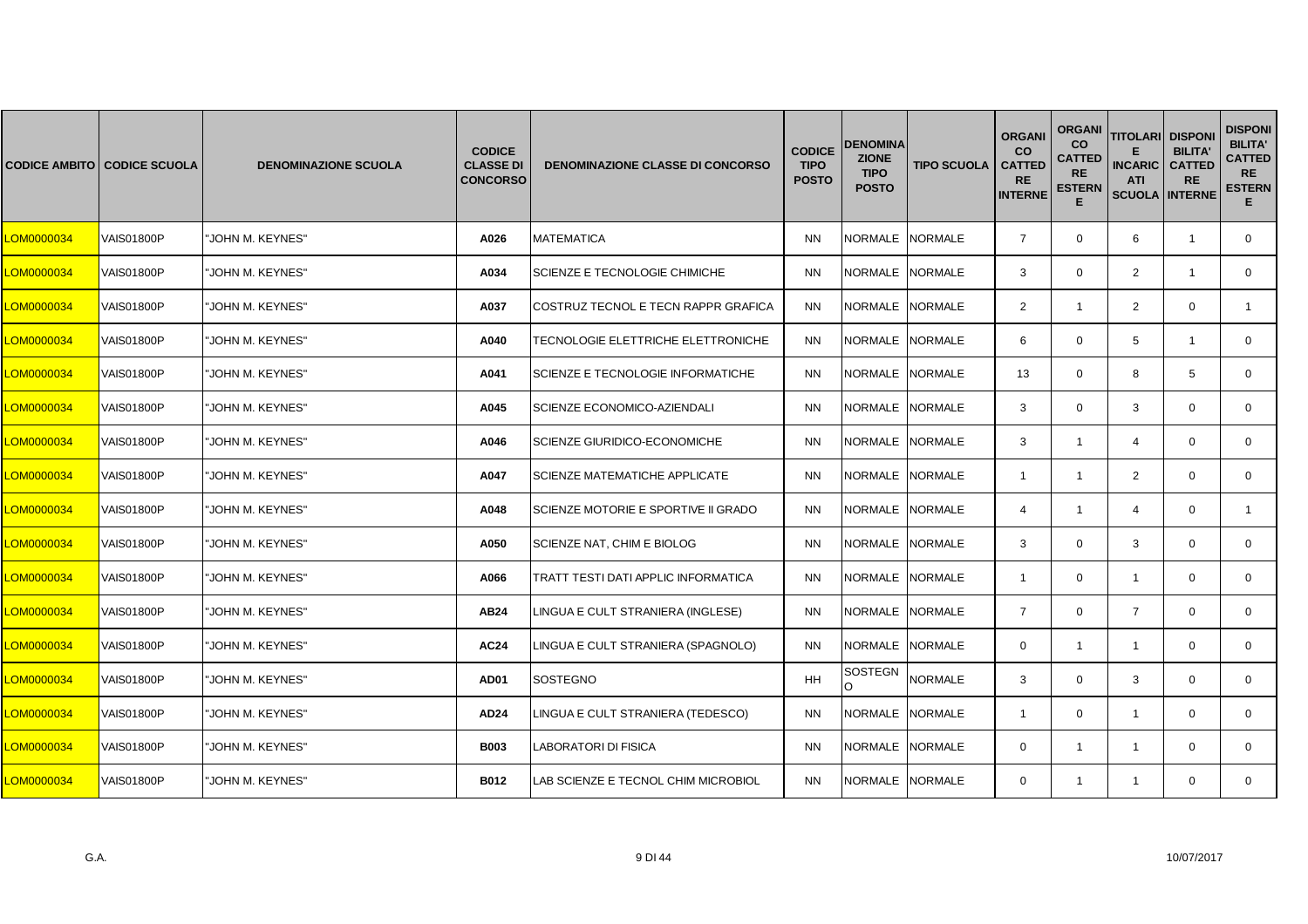|            | <b>CODICE AMBITO CODICE SCUOLA</b> | <b>DENOMINAZIONE SCUOLA</b> | <b>CODICE</b><br><b>CLASSE DI</b><br><b>CONCORSO</b> | <b>DENOMINAZIONE CLASSE DI CONCORSO</b> | <b>CODICE</b><br><b>TIPO</b><br><b>POSTO</b> | <b>DENOMINA</b><br><b>ZIONE</b><br><b>TIPO</b><br><b>POSTO</b> | <b>TIPO SCUOLA</b> | <b>ORGANI</b><br><b>CO</b><br><b>CATTED</b><br><b>RE</b><br><b>INTERNE</b> | <b>ORGANI</b><br><b>CO</b><br><b>CATTED</b><br><b>RE</b><br><b>ESTERN</b><br>Е | <b>TITOLARI DISPONI</b><br><b>INCARIC</b><br><b>ATI</b><br><b>SCUOLA INTERNE</b> | <b>BILITA'</b><br><b>CATTED</b><br><b>RE</b> | <b>DISPONI</b><br><b>BILITA'</b><br><b>CATTED</b><br><b>RE</b><br><b>ESTERN</b><br>Е. |
|------------|------------------------------------|-----------------------------|------------------------------------------------------|-----------------------------------------|----------------------------------------------|----------------------------------------------------------------|--------------------|----------------------------------------------------------------------------|--------------------------------------------------------------------------------|----------------------------------------------------------------------------------|----------------------------------------------|---------------------------------------------------------------------------------------|
| LOM0000034 | VAIS01800P                         | 'JOHN M. KEYNES"            | A026                                                 | <b>MATEMATICA</b>                       | <b>NN</b>                                    | <b>NORMALE</b>                                                 | <b>NORMALE</b>     | $\overline{7}$                                                             | $\mathbf 0$                                                                    | 6                                                                                | $\overline{1}$                               | $\mathbf{0}$                                                                          |
| LOM0000034 | VAIS01800P                         | 'JOHN M. KEYNES"            | A034                                                 | SCIENZE E TECNOLOGIE CHIMICHE           | <b>NN</b>                                    | <b>NORMALE</b>                                                 | <b>NORMALE</b>     | 3                                                                          | $\mathbf 0$                                                                    | $\overline{2}$                                                                   | $\overline{1}$                               | 0                                                                                     |
| LOM0000034 | <b>VAIS01800P</b>                  | JOHN M. KEYNES"             | A037                                                 | COSTRUZ TECNOL E TECN RAPPR GRAFICA     | <b>NN</b>                                    | <b>NORMALE</b>                                                 | <b>NORMALE</b>     | $\overline{2}$                                                             | 1                                                                              | $\overline{2}$                                                                   | $\Omega$                                     |                                                                                       |
| LOM0000034 | <b>VAIS01800P</b>                  | JOHN M. KEYNES"             | A040                                                 | TECNOLOGIE ELETTRICHE ELETTRONICHE      | <b>NN</b>                                    | NORMALE NORMALE                                                |                    | 6                                                                          | $\mathbf{0}$                                                                   | 5                                                                                | $\overline{1}$                               | $\mathbf{0}$                                                                          |
| LOM0000034 | <b>VAIS01800P</b>                  | "JOHN M. KEYNES"            | A041                                                 | SCIENZE E TECNOLOGIE INFORMATICHE       | <b>NN</b>                                    | <b>NORMALE</b>                                                 | <b>NORMALE</b>     | 13                                                                         | $\mathbf 0$                                                                    | 8                                                                                | 5                                            | $\mathbf{0}$                                                                          |
| LOM0000034 | <b>VAIS01800P</b>                  | JOHN M. KEYNES"             | A045                                                 | SCIENZE ECONOMICO-AZIENDALI             | <b>NN</b>                                    | <b>NORMALE</b>                                                 | <b>NORMALE</b>     | 3                                                                          | $\mathbf{0}$                                                                   | 3                                                                                | $\Omega$                                     | $\mathbf{0}$                                                                          |
| LOM0000034 | VAIS01800P                         | JOHN M. KEYNES"             | A046                                                 | SCIENZE GIURIDICO-ECONOMICHE            | <b>NN</b>                                    | NORMALE                                                        | <b>NORMALE</b>     | 3                                                                          | $\mathbf{1}$                                                                   | $\overline{4}$                                                                   | $\mathbf 0$                                  | 0                                                                                     |
| LOM0000034 | <b>VAIS01800P</b>                  | 'JOHN M. KEYNES"            | A047                                                 | SCIENZE MATEMATICHE APPLICATE           | <b>NN</b>                                    | <b>NORMALE</b>                                                 | <b>NORMALE</b>     | $\overline{1}$                                                             | $\mathbf{1}$                                                                   | $\overline{2}$                                                                   | $\mathbf 0$                                  | $\mathbf{0}$                                                                          |
| LOM0000034 | <b>VAIS01800P</b>                  | <b>JOHN M. KEYNES"</b>      | A048                                                 | SCIENZE MOTORIE E SPORTIVE II GRADO     | <b>NN</b>                                    | <b>NORMALE</b>                                                 | <b>NORMALE</b>     | $\overline{4}$                                                             | $\mathbf{1}$                                                                   | $\overline{4}$                                                                   | $\Omega$                                     | $\mathbf{1}$                                                                          |
| LOM0000034 | VAIS01800P                         | 'JOHN M. KEYNES"            | A050                                                 | SCIENZE NAT, CHIM E BIOLOG              | <b>NN</b>                                    | NORMALE                                                        | <b>NORMALE</b>     | 3                                                                          | $\mathbf{0}$                                                                   | 3                                                                                | $\mathbf 0$                                  | $\mathbf{0}$                                                                          |
| LOM0000034 | <b>VAIS01800P</b>                  | 'JOHN M. KEYNES"            | A066                                                 | TRATT TESTI DATI APPLIC INFORMATICA     | <b>NN</b>                                    | NORMALE                                                        | <b>NORMALE</b>     | -1                                                                         | $\mathbf 0$                                                                    | $\overline{1}$                                                                   | $\mathbf 0$                                  | $\mathbf 0$                                                                           |
| LOM0000034 | <b>VAIS01800P</b>                  | <b>JOHN M. KEYNES"</b>      | <b>AB24</b>                                          | LINGUA E CULT STRANIERA (INGLESE)       | <b>NN</b>                                    | <b>NORMALE</b>                                                 | <b>NORMALE</b>     | $\overline{7}$                                                             | $\mathbf 0$                                                                    | $\overline{7}$                                                                   | $\Omega$                                     | $\Omega$                                                                              |
| LOM0000034 | VAIS01800P                         | 'JOHN M. KEYNES"            | <b>AC24</b>                                          | LINGUA E CULT STRANIERA (SPAGNOLO)      | <b>NN</b>                                    | <b>NORMALE</b>                                                 | <b>NORMALE</b>     | $\mathbf{0}$                                                               | $\mathbf{1}$                                                                   | $\overline{1}$                                                                   | $\mathbf 0$                                  | $\mathbf 0$                                                                           |
| LOM0000034 | VAIS01800P                         | JOHN M. KEYNES"             | AD01                                                 | <b>SOSTEGNO</b>                         | HH                                           | SOSTEGN                                                        | <b>NORMALE</b>     | 3                                                                          | $\mathbf 0$                                                                    | 3                                                                                | $\mathbf 0$                                  | 0                                                                                     |
| LOM0000034 | <b>VAIS01800P</b>                  | <b>JOHN M. KEYNES"</b>      | AD24                                                 | LINGUA E CULT STRANIERA (TEDESCO)       | <b>NN</b>                                    | NORMALE NORMALE                                                |                    | $\overline{1}$                                                             | $\mathbf 0$                                                                    | $\overline{1}$                                                                   | $\mathbf 0$                                  | $\mathbf{0}$                                                                          |
| LOM0000034 | <b>VAIS01800P</b>                  | JOHN M. KEYNES"             | <b>B003</b>                                          | LABORATORI DI FISICA                    | <b>NN</b>                                    | <b>NORMALE</b>                                                 | <b>NORMALE</b>     | $\Omega$                                                                   | 1                                                                              | $\overline{1}$                                                                   | $\Omega$                                     | $\mathbf{0}$                                                                          |
| LOM0000034 | <b>VAIS01800P</b>                  | 'JOHN M. KEYNES"            | <b>B012</b>                                          | LAB SCIENZE E TECNOL CHIM MICROBIOL     | <b>NN</b>                                    | NORMALE NORMALE                                                |                    | $\mathbf{0}$                                                               | $\mathbf{1}$                                                                   | $\mathbf{1}$                                                                     | $\mathbf 0$                                  | $\mathbf{0}$                                                                          |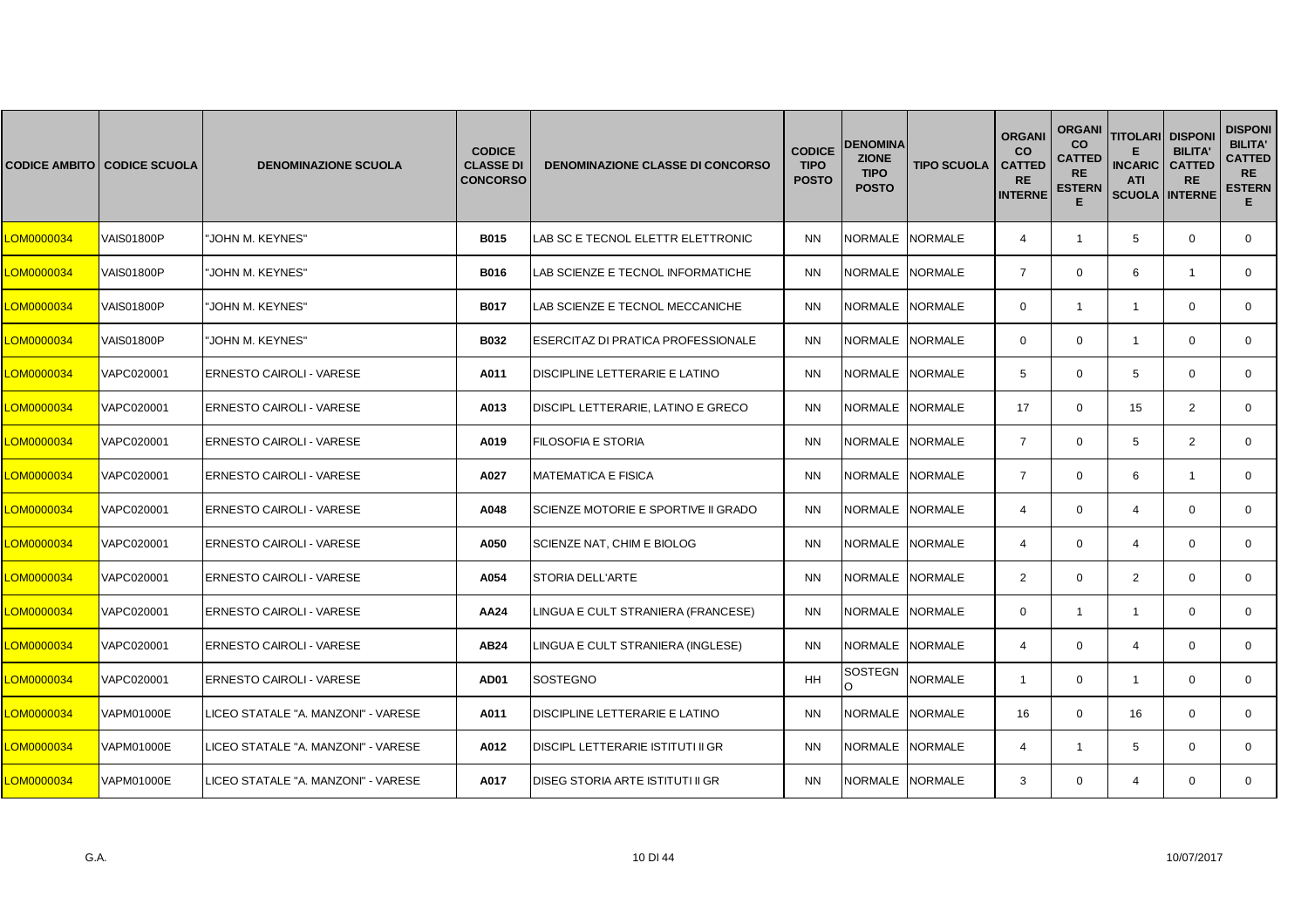|            | <b>CODICE AMBITO CODICE SCUOLA</b> | <b>DENOMINAZIONE SCUOLA</b>         | <b>CODICE</b><br><b>CLASSE DI</b><br><b>CONCORSO</b> | <b>DENOMINAZIONE CLASSE DI CONCORSO</b> | <b>CODICE</b><br><b>TIPO</b><br><b>POSTO</b> | <b>DENOMINA</b><br><b>ZIONE</b><br><b>TIPO</b><br><b>POSTO</b> | <b>TIPO SCUOLA</b> | <b>ORGANI</b><br><b>CO</b><br><b>CATTED</b><br><b>RE</b><br><b>INTERNE</b> | <b>ORGANI</b><br><b>CO</b><br><b>CATTED</b><br><b>RE</b><br><b>ESTERN</b><br>Е | <b>TITOLARI</b><br><b>INCARIC</b><br><b>ATI</b><br><b>SCUOLA INTERNE</b> | <b>DISPONI</b><br><b>BILITA'</b><br><b>CATTED</b><br><b>RE</b> | <b>DISPONI</b><br><b>BILITA'</b><br><b>CATTED</b><br><b>RE</b><br><b>ESTERN</b><br>Е. |
|------------|------------------------------------|-------------------------------------|------------------------------------------------------|-----------------------------------------|----------------------------------------------|----------------------------------------------------------------|--------------------|----------------------------------------------------------------------------|--------------------------------------------------------------------------------|--------------------------------------------------------------------------|----------------------------------------------------------------|---------------------------------------------------------------------------------------|
| LOM0000034 | <b>VAIS01800P</b>                  | 'JOHN M. KEYNES"                    | <b>B015</b>                                          | LAB SC E TECNOL ELETTR ELETTRONIC       | <b>NN</b>                                    | NORMALE NORMALE                                                |                    | $\overline{4}$                                                             | $\mathbf{1}$                                                                   | 5                                                                        | $\mathbf 0$                                                    | $\mathbf{0}$                                                                          |
| LOM0000034 | <b>VAIS01800P</b>                  | "JOHN M. KEYNES"                    | <b>B016</b>                                          | LAB SCIENZE E TECNOL INFORMATICHE       | <b>NN</b>                                    | NORMALE NORMALE                                                |                    | $\overline{7}$                                                             | $\mathbf 0$                                                                    | 6                                                                        | $\mathbf{1}$                                                   | $\mathbf{0}$                                                                          |
| LOM0000034 | <b>VAIS01800P</b>                  | 'JOHN M. KEYNES"                    | <b>B017</b>                                          | LAB SCIENZE E TECNOL MECCANICHE         | <b>NN</b>                                    | NORMALE                                                        | <b>NORMALE</b>     | $\Omega$                                                                   | 1                                                                              | -1                                                                       | $\Omega$                                                       | $\mathbf{0}$                                                                          |
| LOM0000034 | <b>VAIS01800P</b>                  | 'JOHN M. KEYNES"                    | <b>B032</b>                                          | ESERCITAZ DI PRATICA PROFESSIONALE      | <b>NN</b>                                    | NORMALE NORMALE                                                |                    | $\mathbf 0$                                                                | $\mathbf{0}$                                                                   | $\mathbf{1}$                                                             | $\mathbf 0$                                                    | $\mathbf{0}$                                                                          |
| LOM0000034 | VAPC020001                         | <b>ERNESTO CAIROLI - VARESE</b>     | A011                                                 | DISCIPLINE LETTERARIE E LATINO          | <b>NN</b>                                    | NORMALE NORMALE                                                |                    | 5                                                                          | $\mathbf 0$                                                                    | 5                                                                        | $\mathbf 0$                                                    | $\mathbf{0}$                                                                          |
| LOM0000034 | VAPC020001                         | <b>ERNESTO CAIROLI - VARESE</b>     | A013                                                 | DISCIPL LETTERARIE, LATINO E GRECO      | <b>NN</b>                                    | <b>NORMALE</b>                                                 | <b>NORMALE</b>     | 17                                                                         | $\Omega$                                                                       | 15                                                                       | 2                                                              | $\Omega$                                                                              |
| LOM0000034 | VAPC020001                         | <b>ERNESTO CAIROLI - VARESE</b>     | A019                                                 | FILOSOFIA E STORIA                      | <b>NN</b>                                    | NORMALE NORMALE                                                |                    | $\overline{7}$                                                             | $\mathbf{0}$                                                                   | 5                                                                        | 2                                                              | $\mathbf{0}$                                                                          |
| LOM0000034 | VAPC020001                         | <b>ERNESTO CAIROLI - VARESE</b>     | A027                                                 | <b>MATEMATICA E FISICA</b>              | <b>NN</b>                                    | <b>NORMALE</b>                                                 | <b>NORMALE</b>     | $\overline{7}$                                                             | $\mathbf 0$                                                                    | 6                                                                        | $\overline{1}$                                                 | $\mathbf{0}$                                                                          |
| LOM0000034 | VAPC020001                         | <b>ERNESTO CAIROLI - VARESE</b>     | A048                                                 | SCIENZE MOTORIE E SPORTIVE II GRADO     | <b>NN</b>                                    | <b>NORMALE</b>                                                 | <b>NORMALE</b>     | $\overline{4}$                                                             | $\Omega$                                                                       | $\overline{4}$                                                           | $\Omega$                                                       | $\Omega$                                                                              |
| LOM0000034 | VAPC020001                         | ERNESTO CAIROLI - VARESE            | A050                                                 | SCIENZE NAT, CHIM E BIOLOG              | <b>NN</b>                                    | NORMALE                                                        | <b>NORMALE</b>     | $\overline{4}$                                                             | $\mathbf{0}$                                                                   | 4                                                                        | $\mathbf 0$                                                    | $\mathbf{0}$                                                                          |
| LOM0000034 | VAPC020001                         | ERNESTO CAIROLI - VARESE            | A054                                                 | <b>STORIA DELL'ARTE</b>                 | <b>NN</b>                                    | NORMALE NORMALE                                                |                    | 2                                                                          | $\mathbf 0$                                                                    | 2                                                                        | $\mathbf 0$                                                    | $\mathbf 0$                                                                           |
| LOM0000034 | VAPC020001                         | <b>ERNESTO CAIROLI - VARESE</b>     | AA24                                                 | LINGUA E CULT STRANIERA (FRANCESE)      | <b>NN</b>                                    | NORMALE                                                        | <b>NORMALE</b>     | $\Omega$                                                                   | $\mathbf{1}$                                                                   | $\overline{1}$                                                           | $\Omega$                                                       | $\Omega$                                                                              |
| LOM0000034 | VAPC020001                         | <b>ERNESTO CAIROLI - VARESE</b>     | AB24                                                 | LINGUA E CULT STRANIERA (INGLESE)       | <b>NN</b>                                    | NORMALE                                                        | <b>NORMALE</b>     | $\overline{4}$                                                             | $\mathbf 0$                                                                    | 4                                                                        | $\mathbf 0$                                                    | $\mathbf{0}$                                                                          |
| LOM0000034 | VAPC020001                         | <b>ERNESTO CAIROLI - VARESE</b>     | AD01                                                 | SOSTEGNO                                | HH                                           | SOSTEGN                                                        | <b>NORMALE</b>     | $\overline{1}$                                                             | $\mathbf 0$                                                                    | $\mathbf{1}$                                                             | $\mathbf 0$                                                    | 0                                                                                     |
| LOM0000034 | VAPM01000E                         | LICEO STATALE "A. MANZONI" - VARESE | A011                                                 | DISCIPLINE LETTERARIE E LATINO          | <b>NN</b>                                    | NORMALE NORMALE                                                |                    | 16                                                                         | $\mathbf 0$                                                                    | 16                                                                       | $\Omega$                                                       | $\mathbf{0}$                                                                          |
| LOM0000034 | <b>VAPM01000E</b>                  | LICEO STATALE "A. MANZONI" - VARESE | A012                                                 | DISCIPL LETTERARIE ISTITUTI II GR       | <b>NN</b>                                    | NORMALE                                                        | <b>NORMALE</b>     | 4                                                                          | 1                                                                              | 5                                                                        | $\Omega$                                                       | $\Omega$                                                                              |
| LOM0000034 | <b>VAPM01000E</b>                  | LICEO STATALE "A. MANZONI" - VARESE | A017                                                 | DISEG STORIA ARTE ISTITUTI II GR        | <b>NN</b>                                    | NORMALE NORMALE                                                |                    | 3                                                                          | $\mathbf{0}$                                                                   | 4                                                                        | $\mathbf 0$                                                    | $\mathbf{0}$                                                                          |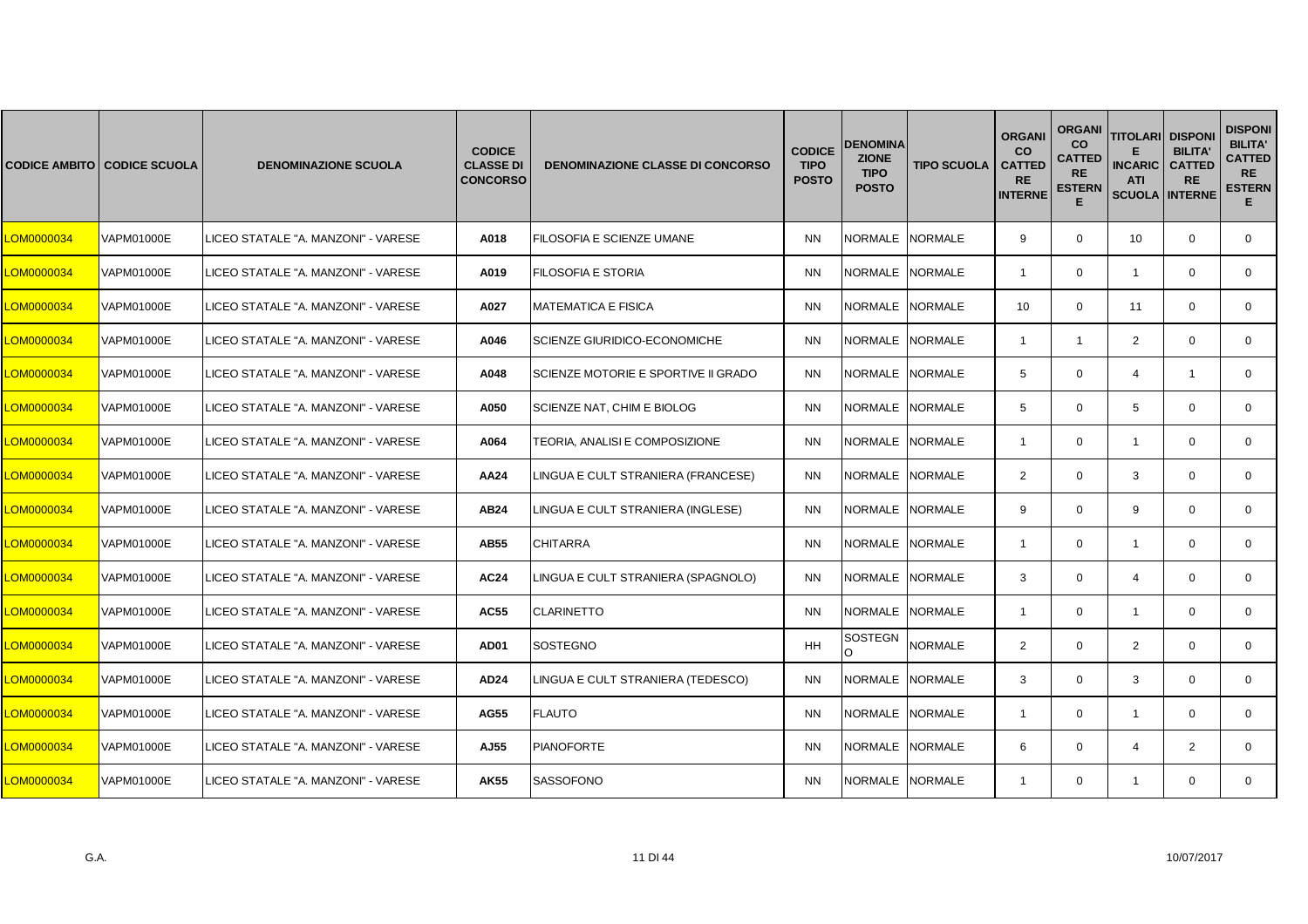|                   | <b>CODICE AMBITO CODICE SCUOLA</b> | <b>DENOMINAZIONE SCUOLA</b>         | <b>CODICE</b><br><b>CLASSE DI</b><br><b>CONCORSO</b> | <b>DENOMINAZIONE CLASSE DI CONCORSO</b> | <b>CODICE</b><br><b>TIPO</b><br><b>POSTO</b> | <b>DENOMINA</b><br><b>ZIONE</b><br><b>TIPO</b><br><b>POSTO</b> | <b>TIPO SCUOLA</b> | <b>ORGANI</b><br><b>CO</b><br><b>CATTED</b><br><b>RE</b><br><b>INTERNE</b> | <b>ORGANI</b><br>co<br><b>CATTED</b><br><b>RE</b><br><b>ESTERN</b><br>E | <b>TITOLARI</b><br><b>INCARIC</b><br><b>ATI</b><br><b>SCUOLA INTERNE</b> | <b>DISPONI</b><br><b>BILITA'</b><br><b>CATTED</b><br><b>RE</b> | <b>DISPONI</b><br><b>BILITA'</b><br><b>CATTED</b><br><b>RE</b><br><b>ESTERN</b><br>E. |
|-------------------|------------------------------------|-------------------------------------|------------------------------------------------------|-----------------------------------------|----------------------------------------------|----------------------------------------------------------------|--------------------|----------------------------------------------------------------------------|-------------------------------------------------------------------------|--------------------------------------------------------------------------|----------------------------------------------------------------|---------------------------------------------------------------------------------------|
| <b>_OM0000034</b> | <b>VAPM01000E</b>                  | LICEO STATALE "A. MANZONI" - VARESE | A018                                                 | FILOSOFIA E SCIENZE UMANE               | <b>NN</b>                                    | NORMALE NORMALE                                                |                    | 9                                                                          | $\mathbf 0$                                                             | 10                                                                       | $\mathbf 0$                                                    | $\mathbf 0$                                                                           |
| LOM0000034        | <b>VAPM01000E</b>                  | LICEO STATALE "A. MANZONI" - VARESE | A019                                                 | <b>FILOSOFIA E STORIA</b>               | <b>NN</b>                                    | NORMALE NORMALE                                                |                    | $\overline{1}$                                                             | $\mathbf 0$                                                             | $\mathbf{1}$                                                             | $\Omega$                                                       | $\mathbf{0}$                                                                          |
| <b>_OM0000034</b> | <b>VAPM01000E</b>                  | LICEO STATALE "A. MANZONI" - VARESE | A027                                                 | <b>MATEMATICA E FISICA</b>              | <b>NN</b>                                    | NORMALE INORMALE                                               |                    | 10                                                                         | $\Omega$                                                                | 11                                                                       | $\Omega$                                                       | $\Omega$                                                                              |
| <b>_OM0000034</b> | <b>VAPM01000E</b>                  | LICEO STATALE "A. MANZONI" - VARESE | A046                                                 | <b>SCIENZE GIURIDICO-ECONOMICHE</b>     | <b>NN</b>                                    | NORMALE NORMALE                                                |                    | $\overline{\mathbf{1}}$                                                    | $\mathbf{1}$                                                            | $\overline{2}$                                                           | $\mathbf 0$                                                    | $\mathbf 0$                                                                           |
| <b>_OM0000034</b> | <b>VAPM01000E</b>                  | LICEO STATALE "A. MANZONI" - VARESE | A048                                                 | SCIENZE MOTORIE E SPORTIVE II GRADO     | <b>NN</b>                                    | NORMALE NORMALE                                                |                    | 5                                                                          | $\mathbf 0$                                                             | $\overline{4}$                                                           | -1                                                             | $\mathbf{0}$                                                                          |
| <b>_OM0000034</b> | VAPM01000E                         | LICEO STATALE "A. MANZONI" - VARESE | A050                                                 | SCIENZE NAT, CHIM E BIOLOG              | <b>NN</b>                                    | NORMALE                                                        | <b>NORMALE</b>     | 5                                                                          | $\Omega$                                                                | 5                                                                        | $\Omega$                                                       | $\Omega$                                                                              |
| <b>_OM0000034</b> | <b>VAPM01000E</b>                  | LICEO STATALE "A. MANZONI" - VARESE | A064                                                 | TEORIA, ANALISI E COMPOSIZIONE          | <b>NN</b>                                    | NORMALE NORMALE                                                |                    | $\overline{1}$                                                             | $\mathbf 0$                                                             | $\mathbf{1}$                                                             | $\mathbf 0$                                                    | $\mathbf 0$                                                                           |
| <b>_OM0000034</b> | <b>VAPM01000E</b>                  | LICEO STATALE "A. MANZONI" - VARESE | AA24                                                 | LINGUA E CULT STRANIERA (FRANCESE)      | <b>NN</b>                                    | NORMALE NORMALE                                                |                    | $\overline{2}$                                                             | $\mathbf 0$                                                             | 3                                                                        | $\mathbf 0$                                                    | $\mathbf{0}$                                                                          |
| <b>_OM0000034</b> | <b>VAPM01000E</b>                  | LICEO STATALE "A. MANZONI" - VARESE | AB24                                                 | LINGUA E CULT STRANIERA (INGLESE)       | <b>NN</b>                                    | NORMALE INORMALE                                               |                    | 9                                                                          | $\Omega$                                                                | 9                                                                        | $\Omega$                                                       | $\Omega$                                                                              |
| <b>_OM0000034</b> | <b>VAPM01000E</b>                  | LICEO STATALE "A. MANZONI" - VARESE | <b>AB55</b>                                          | <b>CHITARRA</b>                         | <b>NN</b>                                    | NORMALE NORMALE                                                |                    | $\overline{1}$                                                             | $\mathbf 0$                                                             | $\mathbf{1}$                                                             | $\mathbf 0$                                                    | $\mathbf 0$                                                                           |
| <b>_OM0000034</b> | VAPM01000E                         | LICEO STATALE "A. MANZONI" - VARESE | <b>AC24</b>                                          | LINGUA E CULT STRANIERA (SPAGNOLO)      | <b>NN</b>                                    | NORMALE NORMALE                                                |                    | 3                                                                          | $\mathbf 0$                                                             | $\overline{4}$                                                           | $\Omega$                                                       | $\mathbf{0}$                                                                          |
| <b>_OM0000034</b> | <b>VAPM01000E</b>                  | LICEO STATALE "A. MANZONI" - VARESE | AC55                                                 | <b>CLARINETTO</b>                       | <b>NN</b>                                    | NORMALE NORMALE                                                |                    | $\overline{1}$                                                             | $\mathbf 0$                                                             | $\overline{1}$                                                           | $\Omega$                                                       | $\mathbf 0$                                                                           |
| LOM0000034        | <b>VAPM01000E</b>                  | LICEO STATALE "A. MANZONI" - VARESE | AD01                                                 | SOSTEGNO                                | <b>HH</b>                                    | <b>SOSTEGN</b><br>O                                            | <b>NORMALE</b>     | $\overline{2}$                                                             | $\mathbf 0$                                                             | $\overline{2}$                                                           | $\Omega$                                                       | $\mathbf 0$                                                                           |
| <b>_OM0000034</b> | <b>VAPM01000E</b>                  | LICEO STATALE "A. MANZONI" - VARESE | <b>AD24</b>                                          | LINGUA E CULT STRANIERA (TEDESCO)       | <b>NN</b>                                    | NORMALE NORMALE                                                |                    | 3                                                                          | $\mathbf 0$                                                             | 3                                                                        | $\Omega$                                                       | $\mathbf{0}$                                                                          |
| <b>CM0000034</b>  | <b>VAPM01000E</b>                  | LICEO STATALE "A. MANZONI" - VARESE | AG55                                                 | <b>FLAUTO</b>                           | <b>NN</b>                                    | NORMALE NORMALE                                                |                    | $\overline{1}$                                                             | $\Omega$                                                                | $\overline{1}$                                                           | $\Omega$                                                       | $\Omega$                                                                              |
| <b>_OM0000034</b> | <b>VAPM01000E</b>                  | LICEO STATALE "A. MANZONI" - VARESE | AJ55                                                 | <b>PIANOFORTE</b>                       | <b>NN</b>                                    | NORMALE NORMALE                                                |                    | 6                                                                          | $\mathbf 0$                                                             | $\overline{4}$                                                           | 2                                                              | $\Omega$                                                                              |
| <b>_OM0000034</b> | <b>VAPM01000E</b>                  | LICEO STATALE "A. MANZONI" - VARESE | <b>AK55</b>                                          | <b>SASSOFONO</b>                        | <b>NN</b>                                    | NORMALE NORMALE                                                |                    | $\overline{1}$                                                             | $\mathbf 0$                                                             | $\mathbf{1}$                                                             | $\mathbf 0$                                                    | $\mathbf{0}$                                                                          |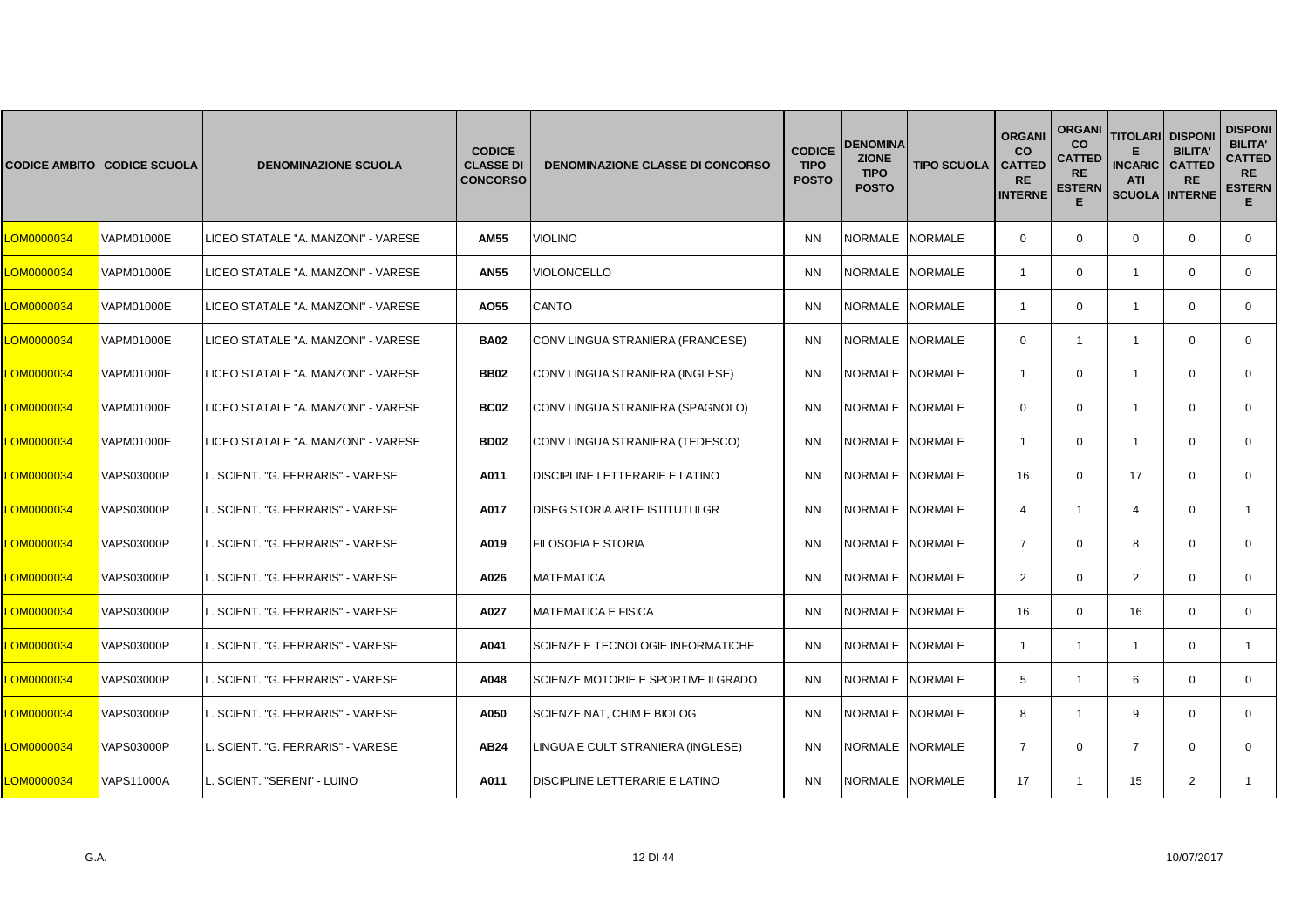|                   | <b>CODICE AMBITO CODICE SCUOLA</b> | <b>DENOMINAZIONE SCUOLA</b>         | <b>CODICE</b><br><b>CLASSE DI</b><br><b>CONCORSO</b> | <b>DENOMINAZIONE CLASSE DI CONCORSO</b> | <b>CODICE</b><br><b>TIPO</b><br><b>POSTO</b> | <b>DENOMINA</b><br><b>ZIONE</b><br><b>TIPO</b><br><b>POSTO</b> | <b>TIPO SCUOLA</b> | <b>ORGANI</b><br><b>CO</b><br><b>CATTED</b><br><b>RE</b><br><b>INTERNE</b> | <b>ORGANI</b><br><b>CO</b><br><b>CATTED</b><br><b>RE</b><br><b>ESTERN</b><br>Е | <b>TITOLARI</b><br><b>INCARIC</b><br><b>ATI</b><br><b>SCUOLA INTERNE</b> | <b>DISPONI</b><br><b>BILITA'</b><br><b>CATTED</b><br><b>RE</b> | <b>DISPONI</b><br><b>BILITA'</b><br><b>CATTED</b><br><b>RE</b><br><b>ESTERN</b><br>Е. |
|-------------------|------------------------------------|-------------------------------------|------------------------------------------------------|-----------------------------------------|----------------------------------------------|----------------------------------------------------------------|--------------------|----------------------------------------------------------------------------|--------------------------------------------------------------------------------|--------------------------------------------------------------------------|----------------------------------------------------------------|---------------------------------------------------------------------------------------|
| <b>_OM0000034</b> | <b>VAPM01000E</b>                  | LICEO STATALE "A. MANZONI" - VARESE | <b>AM55</b>                                          | <b>VIOLINO</b>                          | <b>NN</b>                                    | NORMALE NORMALE                                                |                    | $\mathbf{0}$                                                               | $\mathbf 0$                                                                    | $\mathbf 0$                                                              | $\mathbf 0$                                                    | $\mathbf{0}$                                                                          |
| LOM0000034        | <b>VAPM01000E</b>                  | LICEO STATALE "A. MANZONI" - VARESE | <b>AN55</b>                                          | VIOLONCELLO                             | <b>NN</b>                                    | NORMALE NORMALE                                                |                    | $\overline{1}$                                                             | $\mathbf 0$                                                                    | $\mathbf{1}$                                                             | $\mathbf 0$                                                    | $\mathbf{0}$                                                                          |
| LOM0000034        | VAPM01000E                         | LICEO STATALE "A. MANZONI" - VARESE | A055                                                 | <b>CANTO</b>                            | <b>NN</b>                                    | NORMALE INORMALE                                               |                    | -1                                                                         | $\Omega$                                                                       | -1                                                                       | $\Omega$                                                       | $\Omega$                                                                              |
| <b>CM0000034</b>  | <b>VAPM01000E</b>                  | LICEO STATALE "A. MANZONI" - VARESE | <b>BA02</b>                                          | CONV LINGUA STRANIERA (FRANCESE)        | <b>NN</b>                                    | NORMALE NORMALE                                                |                    | $\mathbf 0$                                                                | $\mathbf{1}$                                                                   | $\mathbf{1}$                                                             | $\mathbf 0$                                                    | $\mathbf{0}$                                                                          |
| <b>_OM0000034</b> | <b>VAPM01000E</b>                  | LICEO STATALE "A. MANZONI" - VARESE | <b>BB02</b>                                          | CONV LINGUA STRANIERA (INGLESE)         | <b>NN</b>                                    | NORMALE NORMALE                                                |                    | $\overline{1}$                                                             | $\mathbf 0$                                                                    | $\mathbf{1}$                                                             | $\mathbf 0$                                                    | $\mathbf 0$                                                                           |
| <b>CM0000034</b>  | VAPM01000E                         | LICEO STATALE "A. MANZONI" - VARESE | <b>BC02</b>                                          | CONV LINGUA STRANIERA (SPAGNOLO)        | <b>NN</b>                                    | NORMALE                                                        | <b>NORMALE</b>     | $\Omega$                                                                   | $\mathbf 0$                                                                    | $\overline{1}$                                                           | $\Omega$                                                       | $\Omega$                                                                              |
| <b>_OM0000034</b> | VAPM01000E                         | LICEO STATALE "A. MANZONI" - VARESE | <b>BD02</b>                                          | CONV LINGUA STRANIERA (TEDESCO)         | <b>NN</b>                                    | NORMALE NORMALE                                                |                    | $\overline{\mathbf{1}}$                                                    | $\mathbf 0$                                                                    | $\mathbf{1}$                                                             | $\mathbf 0$                                                    | $\mathbf{0}$                                                                          |
| LOM0000034        | <b>VAPS03000P</b>                  | SCIENT. "G. FERRARIS" - VARESE      | A011                                                 | DISCIPLINE LETTERARIE E LATINO          | <b>NN</b>                                    | NORMALE NORMALE                                                |                    | 16                                                                         | $\mathbf 0$                                                                    | 17                                                                       | $\mathbf 0$                                                    | $\mathbf 0$                                                                           |
| <b>CM0000034</b>  | <b>VAPS03000P</b>                  | SCIENT. "G. FERRARIS" - VARESE      | A017                                                 | <b>DISEG STORIA ARTE ISTITUTI II GR</b> | <b>NN</b>                                    | NORMALE NORMALE                                                |                    | $\overline{4}$                                                             | $\mathbf{1}$                                                                   | $\overline{4}$                                                           | $\Omega$                                                       | $\mathbf{1}$                                                                          |
| <b>CM0000034</b>  | <b>VAPS03000P</b>                  | SCIENT. "G. FERRARIS" - VARESE      | A019                                                 | FILOSOFIA E STORIA                      | <b>NN</b>                                    | NORMALE NORMALE                                                |                    | $\overline{7}$                                                             | $\mathbf 0$                                                                    | 8                                                                        | $\Omega$                                                       | $\mathbf{0}$                                                                          |
| <b>_OM0000034</b> | <b>VAPS03000P</b>                  | SCIENT. "G. FERRARIS" - VARESE      | A026                                                 | <b>MATEMATICA</b>                       | <b>NN</b>                                    | NORMALE NORMALE                                                |                    | 2                                                                          | $\mathbf 0$                                                                    | $\overline{2}$                                                           | $\mathbf 0$                                                    | $\mathbf 0$                                                                           |
| <b>_OM0000034</b> | <b>VAPS03000P</b>                  | SCIENT. "G. FERRARIS" - VARESE      | A027                                                 | <b>MATEMATICA E FISICA</b>              | <b>NN</b>                                    | NORMALE NORMALE                                                |                    | 16                                                                         | $\Omega$                                                                       | 16                                                                       | $\Omega$                                                       | $\Omega$                                                                              |
| LOM0000034        | VAPS03000P                         | SCIENT. "G. FERRARIS" - VARESE      | A041                                                 | SCIENZE E TECNOLOGIE INFORMATICHE       | <b>NN</b>                                    | NORMALE                                                        | <b>NORMALE</b>     | $\overline{1}$                                                             | $\mathbf{1}$                                                                   | $\mathbf{1}$                                                             | $\mathbf 0$                                                    | $\mathbf{1}$                                                                          |
| <b>_OM0000034</b> | VAPS03000P                         | . SCIENT. "G. FERRARIS" - VARESE    | A048                                                 | SCIENZE MOTORIE E SPORTIVE II GRADO     | <b>NN</b>                                    | NORMALE NORMALE                                                |                    | 5                                                                          | $\mathbf{1}$                                                                   | 6                                                                        | $\mathbf 0$                                                    | $\mathbf 0$                                                                           |
| <b>_OM0000034</b> | <b>VAPS03000P</b>                  | SCIENT. "G. FERRARIS" - VARESE      | A050                                                 | SCIENZE NAT, CHIM E BIOLOG              | <b>NN</b>                                    | NORMALE NORMALE                                                |                    | 8                                                                          | $\mathbf{1}$                                                                   | 9                                                                        | $\Omega$                                                       | $\mathbf{0}$                                                                          |
| LOM0000034        | <b>VAPS03000P</b>                  | L. SCIENT. "G. FERRARIS" - VARESE   | AB24                                                 | LINGUA E CULT STRANIERA (INGLESE)       | <b>NN</b>                                    | NORMALE NORMALE                                                |                    | $\overline{7}$                                                             | $\Omega$                                                                       | $\overline{7}$                                                           | $\Omega$                                                       | $\Omega$                                                                              |
| <b>_OM0000034</b> | <b>VAPS11000A</b>                  | SCIENT. "SERENI" - LUINO            | A011                                                 | DISCIPLINE LETTERARIE E LATINO          | <b>NN</b>                                    | NORMALE NORMALE                                                |                    | 17                                                                         | $\mathbf{1}$                                                                   | 15                                                                       | 2                                                              |                                                                                       |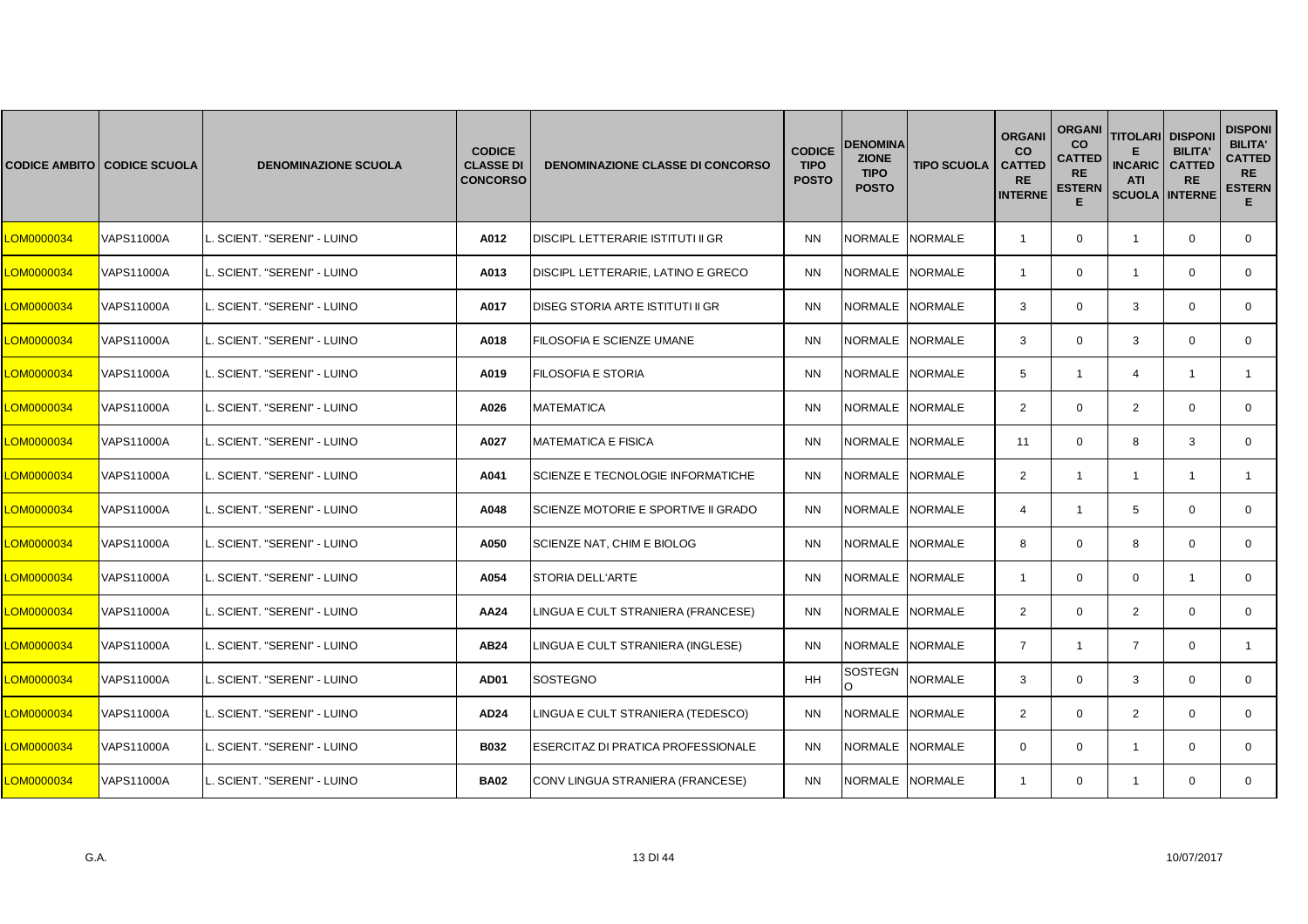|            | <b>CODICE AMBITO CODICE SCUOLA</b> | <b>DENOMINAZIONE SCUOLA</b> | <b>CODICE</b><br><b>CLASSE DI</b><br><b>CONCORSO</b> | <b>DENOMINAZIONE CLASSE DI CONCORSO</b>    | <b>CODICE</b><br><b>TIPO</b><br><b>POSTO</b> | <b>DENOMINA</b><br><b>ZIONE</b><br><b>TIPO</b><br><b>POSTO</b> | <b>TIPO SCUOLA</b> | <b>ORGANI</b><br><b>CO</b><br><b>CATTED</b><br><b>RE</b><br><b>INTERNE</b> | <b>ORGANI</b><br>CO<br>CATTED<br><b>RE</b><br><b>ESTERN</b><br>E | <b>TITOLARI</b><br><b>INCARIC</b><br><b>ATI</b><br><b>SCUOLA</b> | <b>DISPON</b><br><b>BILITA</b><br><b>CATTED</b><br><b>RE</b><br><b>INTERNE</b> | <b>DISPONI</b><br><b>BILITA'</b><br><b>CATTED</b><br><b>RE</b><br><b>ESTERN</b><br>E. |
|------------|------------------------------------|-----------------------------|------------------------------------------------------|--------------------------------------------|----------------------------------------------|----------------------------------------------------------------|--------------------|----------------------------------------------------------------------------|------------------------------------------------------------------|------------------------------------------------------------------|--------------------------------------------------------------------------------|---------------------------------------------------------------------------------------|
| LOM0000034 | <b>VAPS11000A</b>                  | SCIENT. "SERENI" - LUINO    | A012                                                 | DISCIPL LETTERARIE ISTITUTI II GR          | <b>NN</b>                                    | NORMALE NORMALE                                                |                    | $\overline{1}$                                                             | $\mathbf 0$                                                      | $\overline{1}$                                                   | $\mathbf{0}$                                                                   | 0                                                                                     |
| LOM0000034 | <b>VAPS11000A</b>                  | SCIENT. "SERENI" - LUINO    | A013                                                 | DISCIPL LETTERARIE, LATINO E GRECO         | <b>NN</b>                                    | NORMALE NORMALE                                                |                    | $\overline{\mathbf{1}}$                                                    | $\mathbf 0$                                                      | $\overline{1}$                                                   | $\mathbf 0$                                                                    | $\mathbf 0$                                                                           |
| LOM0000034 | <b>VAPS11000A</b>                  | SCIENT. "SERENI" - LUINO    | A017                                                 | DISEG STORIA ARTE ISTITUTI II GR           | <b>NN</b>                                    | NORMALE INORMALE                                               |                    | 3                                                                          | $\mathbf 0$                                                      | 3                                                                | $\Omega$                                                                       | $\mathbf 0$                                                                           |
| LOM0000034 | <b>VAPS11000A</b>                  | SCIENT. "SERENI" - LUINO    | A018                                                 | FILOSOFIA E SCIENZE UMANE                  | <b>NN</b>                                    | NORMALE NORMALE                                                |                    | 3                                                                          | $\mathbf 0$                                                      | 3                                                                | $\mathbf 0$                                                                    | $\mathbf{0}$                                                                          |
| LOM0000034 | <b>VAPS11000A</b>                  | SCIENT. "SERENI" - LUINO    | A019                                                 | <b>FILOSOFIA E STORIA</b>                  | <b>NN</b>                                    | NORMALE NORMALE                                                |                    | 5                                                                          | $\mathbf{1}$                                                     | $\overline{4}$                                                   | $\overline{1}$                                                                 | $\mathbf{1}$                                                                          |
| LOM0000034 | <b>VAPS11000A</b>                  | SCIENT. "SERENI" - LUINO    | A026                                                 | <b>MATEMATICA</b>                          | <b>NN</b>                                    | NORMALE                                                        | <b>NORMALE</b>     | 2                                                                          | $\mathbf 0$                                                      | 2                                                                | $\Omega$                                                                       | $\mathbf{0}$                                                                          |
| LOM0000034 | VAPS11000A                         | . SCIENT. "SERENI" - LUINO  | A027                                                 | <b>MATEMATICA E FISICA</b>                 | <b>NN</b>                                    | NORMALE NORMALE                                                |                    | 11                                                                         | $\mathbf 0$                                                      | 8                                                                | 3                                                                              | 0                                                                                     |
| LOM0000034 | <b>VAPS11000A</b>                  | SCIENT. "SERENI" - LUINO    | A041                                                 | SCIENZE E TECNOLOGIE INFORMATICHE          | <b>NN</b>                                    | NORMALE NORMALE                                                |                    | 2                                                                          | $\mathbf{1}$                                                     | $\overline{1}$                                                   | $\overline{1}$                                                                 | $\mathbf{1}$                                                                          |
| LOM0000034 | <b>VAPS11000A</b>                  | SCIENT. "SERENI" - LUINO    | A048                                                 | <b>SCIENZE MOTORIE E SPORTIVE II GRADO</b> | <b>NN</b>                                    | NORMALE NORMALE                                                |                    | $\overline{4}$                                                             | $\mathbf{1}$                                                     | 5                                                                | $\Omega$                                                                       | $\mathbf 0$                                                                           |
| LOM0000034 | VAPS11000A                         | SCIENT. "SERENI" - LUINO    | A050                                                 | SCIENZE NAT, CHIM E BIOLOG                 | <b>NN</b>                                    | NORMALE NORMALE                                                |                    | 8                                                                          | 0                                                                | 8                                                                | $\mathbf 0$                                                                    | 0                                                                                     |
| LOM0000034 | <b>VAPS11000A</b>                  | SCIENT. "SERENI" - LUINO    | A054                                                 | <b>STORIA DELL'ARTE</b>                    | <b>NN</b>                                    | NORMALE NORMALE                                                |                    | $\overline{1}$                                                             | $\mathbf 0$                                                      | $\mathbf 0$                                                      | $\overline{1}$                                                                 | $\mathbf{0}$                                                                          |
| LOM0000034 | <b>VAPS11000A</b>                  | SCIENT. "SERENI" - LUINO    | AA24                                                 | LINGUA E CULT STRANIERA (FRANCESE)         | <b>NN</b>                                    | NORMALE NORMALE                                                |                    | $\overline{2}$                                                             | $\mathbf 0$                                                      | 2                                                                | $\Omega$                                                                       | $\Omega$                                                                              |
| LOM0000034 | VAPS11000A                         | SCIENT. "SERENI" - LUINO    | AB24                                                 | LINGUA E CULT STRANIERA (INGLESE)          | <b>NN</b>                                    | NORMALE                                                        | <b>NORMALE</b>     | $\overline{7}$                                                             | $\mathbf{1}$                                                     | $\overline{7}$                                                   | $\mathbf 0$                                                                    | $\mathbf{1}$                                                                          |
| LOM0000034 | VAPS11000A                         | . SCIENT. "SERENI" - LUINO  | AD01                                                 | <b>SOSTEGNO</b>                            | <b>HH</b>                                    | SOSTEGN                                                        | <b>NORMALE</b>     | 3                                                                          | $\mathbf 0$                                                      | 3                                                                | $\mathbf 0$                                                                    | 0                                                                                     |
| LOM0000034 | <b>VAPS11000A</b>                  | SCIENT. "SERENI" - LUINO    | AD24                                                 | LINGUA E CULT STRANIERA (TEDESCO)          | <b>NN</b>                                    | NORMALE NORMALE                                                |                    | $\overline{2}$                                                             | $\mathbf 0$                                                      | $\overline{2}$                                                   | $\Omega$                                                                       | $\mathbf 0$                                                                           |
| LOM0000034 | <b>VAPS11000A</b>                  | SCIENT. "SERENI" - LUINO    | <b>B032</b>                                          | ESERCITAZ DI PRATICA PROFESSIONALE         | <b>NN</b>                                    | NORMALE INORMALE                                               |                    | $\Omega$                                                                   | $\mathbf 0$                                                      | -1                                                               | $\Omega$                                                                       | $\mathbf 0$                                                                           |
| LOM0000034 | <b>VAPS11000A</b>                  | SCIENT. "SERENI" - LUINO    | <b>BA02</b>                                          | CONV LINGUA STRANIERA (FRANCESE)           | <b>NN</b>                                    | NORMALE NORMALE                                                |                    | -1                                                                         | 0                                                                | $\overline{1}$                                                   | $\mathbf 0$                                                                    | $\mathbf{0}$                                                                          |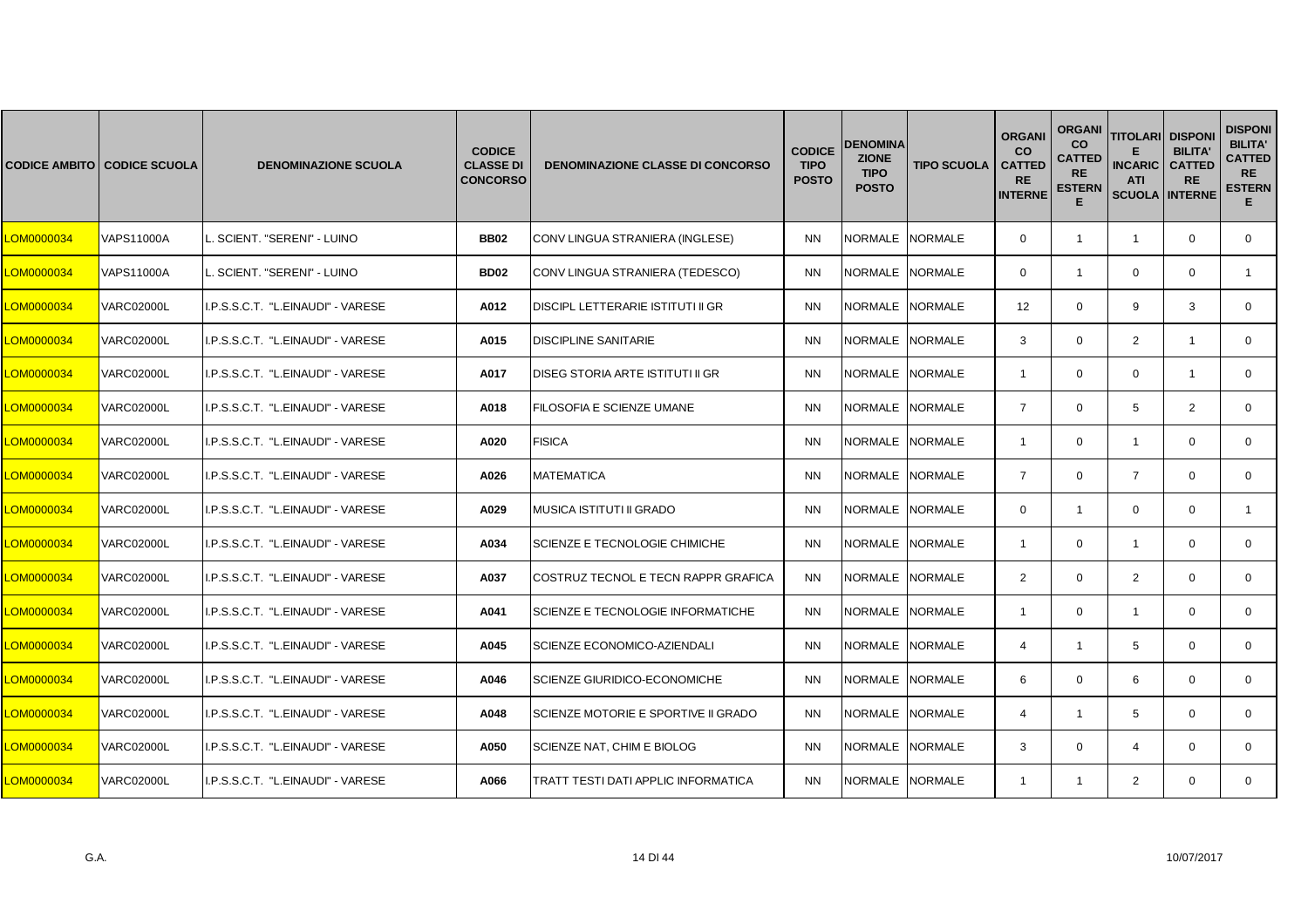|            | <b>CODICE AMBITO CODICE SCUOLA</b> | <b>DENOMINAZIONE SCUOLA</b>       | <b>CODICE</b><br><b>CLASSE DI</b><br><b>CONCORSO</b> | <b>DENOMINAZIONE CLASSE DI CONCORSO</b> | <b>CODICE</b><br><b>TIPO</b><br><b>POSTO</b> | <b>DENOMINA</b><br><b>ZIONE</b><br><b>TIPO</b><br><b>POSTO</b> | <b>TIPO SCUOLA</b> | <b>ORGANI</b><br><b>CO</b><br><b>CATTED</b><br><b>RE</b><br><b>INTERNE</b> | <b>ORGANI</b><br><b>CO</b><br><b>CATTED</b><br><b>RE</b><br><b>ESTERN</b><br>Е | <b>TITOLARI</b><br><b>INCARIC</b><br><b>ATI</b><br><b>SCUOLA INTERNE</b> | <b>DISPONI</b><br><b>BILITA'</b><br><b>CATTED</b><br><b>RE</b> | <b>DISPONI</b><br><b>BILITA'</b><br><b>CATTED</b><br><b>RE</b><br><b>ESTERN</b><br>E. |
|------------|------------------------------------|-----------------------------------|------------------------------------------------------|-----------------------------------------|----------------------------------------------|----------------------------------------------------------------|--------------------|----------------------------------------------------------------------------|--------------------------------------------------------------------------------|--------------------------------------------------------------------------|----------------------------------------------------------------|---------------------------------------------------------------------------------------|
| LOM0000034 | <b>VAPS11000A</b>                  | SCIENT. "SERENI" - LUINO          | <b>BB02</b>                                          | CONV LINGUA STRANIERA (INGLESE)         | <b>NN</b>                                    | NORMALE NORMALE                                                |                    | $\mathbf 0$                                                                | $\mathbf{1}$                                                                   | $\overline{1}$                                                           | $\mathbf 0$                                                    | $\mathbf{0}$                                                                          |
| LOM0000034 | <b>VAPS11000A</b>                  | SCIENT. "SERENI" - LUINO          | <b>BD02</b>                                          | CONV LINGUA STRANIERA (TEDESCO)         | <b>NN</b>                                    | NORMALE NORMALE                                                |                    | $\mathbf 0$                                                                | $\mathbf{1}$                                                                   | $\mathbf 0$                                                              | $\mathbf 0$                                                    | $\mathbf{1}$                                                                          |
| LOM0000034 | <b>VARC02000L</b>                  | I.P.S.S.C.T. "L.EINAUDI" - VARESE | A012                                                 | DISCIPL LETTERARIE ISTITUTI II GR       | <b>NN</b>                                    | NORMALE                                                        | <b>NORMALE</b>     | 12 <sup>2</sup>                                                            | $\Omega$                                                                       | 9                                                                        | 3                                                              | $\mathbf{0}$                                                                          |
| LOM0000034 | <b>VARC02000L</b>                  | I.P.S.S.C.T. "L.EINAUDI" - VARESE | A015                                                 | <b>DISCIPLINE SANITARIE</b>             | <b>NN</b>                                    | NORMALE NORMALE                                                |                    | 3                                                                          | $\mathbf{0}$                                                                   | $\overline{2}$                                                           | $\overline{1}$                                                 | $\mathbf{0}$                                                                          |
| LOM0000034 | <b>VARC02000L</b>                  | I.P.S.S.C.T. "L.EINAUDI" - VARESE | A017                                                 | <b>DISEG STORIA ARTE ISTITUTI II GR</b> | <b>NN</b>                                    | NORMALE NORMALE                                                |                    | $\overline{1}$                                                             | $\mathbf 0$                                                                    | $\mathbf 0$                                                              | $\overline{1}$                                                 | $\mathbf{0}$                                                                          |
| LOM0000034 | <b>VARC02000L</b>                  | I.P.S.S.C.T. "L.EINAUDI" - VARESE | A018                                                 | FILOSOFIA E SCIENZE UMANE               | <b>NN</b>                                    | <b>NORMALE</b>                                                 | <b>NORMALE</b>     | $\overline{7}$                                                             | $\Omega$                                                                       | 5                                                                        | 2                                                              | $\Omega$                                                                              |
| LOM0000034 | <b>VARC02000L</b>                  | I.P.S.S.C.T. "L.EINAUDI" - VARESE | A020                                                 | <b>FISICA</b>                           | <b>NN</b>                                    | NORMALE NORMALE                                                |                    | $\overline{1}$                                                             | $\mathbf 0$                                                                    | $\mathbf{1}$                                                             | $\mathbf 0$                                                    | $\mathbf{0}$                                                                          |
| LOM0000034 | <b>VARC02000L</b>                  | I.P.S.S.C.T. "L.EINAUDI" - VARESE | A026                                                 | <b>MATEMATICA</b>                       | <b>NN</b>                                    | <b>NORMALE</b>                                                 | <b>NORMALE</b>     | $\overline{7}$                                                             | $\mathbf 0$                                                                    | $\overline{7}$                                                           | $\mathbf 0$                                                    | $\mathbf{0}$                                                                          |
| LOM0000034 | <b>VARC02000L</b>                  | I.P.S.S.C.T. "L.EINAUDI" - VARESE | A029                                                 | <b>MUSICA ISTITUTI II GRADO</b>         | <b>NN</b>                                    | <b>NORMALE</b>                                                 | <b>NORMALE</b>     | $\Omega$                                                                   | $\mathbf{1}$                                                                   | $\Omega$                                                                 | $\Omega$                                                       | $\mathbf{1}$                                                                          |
| LOM0000034 | <b>VARC02000L</b>                  | I.P.S.S.C.T. "L.EINAUDI" - VARESE | A034                                                 | SCIENZE E TECNOLOGIE CHIMICHE           | <b>NN</b>                                    | NORMALE                                                        | <b>NORMALE</b>     | $\overline{1}$                                                             | $\mathbf{0}$                                                                   | $\overline{1}$                                                           | $\mathbf 0$                                                    | $\mathbf{0}$                                                                          |
| LOM0000034 | <b>VARC02000L</b>                  | I.P.S.S.C.T. "L.EINAUDI" - VARESE | A037                                                 | COSTRUZ TECNOL E TECN RAPPR GRAFICA     | <b>NN</b>                                    | NORMALE NORMALE                                                |                    | $\overline{2}$                                                             | $\mathbf 0$                                                                    | $\overline{2}$                                                           | $\mathbf 0$                                                    | $\mathbf 0$                                                                           |
| LOM0000034 | <b>VARC02000L</b>                  | I.P.S.S.C.T. "L.EINAUDI" - VARESE | A041                                                 | SCIENZE E TECNOLOGIE INFORMATICHE       | <b>NN</b>                                    | <b>NORMALE</b>                                                 | <b>NORMALE</b>     | $\mathbf{1}$                                                               | $\Omega$                                                                       | $\overline{1}$                                                           | $\Omega$                                                       | $\Omega$                                                                              |
| LOM0000034 | <b>VARC02000L</b>                  | I.P.S.S.C.T. "L.EINAUDI" - VARESE | A045                                                 | SCIENZE ECONOMICO-AZIENDALI             | <b>NN</b>                                    | NORMALE                                                        | NORMALE            | $\overline{4}$                                                             | $\mathbf{1}$                                                                   | 5                                                                        | $\mathbf 0$                                                    | $\mathbf{0}$                                                                          |
| LOM0000034 | <b>VARC02000L</b>                  | I.P.S.S.C.T. "L.EINAUDI" - VARESE | A046                                                 | SCIENZE GIURIDICO-ECONOMICHE            | <b>NN</b>                                    | NORMALE                                                        | <b>NORMALE</b>     | 6                                                                          | $\mathbf 0$                                                                    | 6                                                                        | $\mathbf 0$                                                    | $\mathbf{0}$                                                                          |
| LOM0000034 | <b>VARC02000L</b>                  | I.P.S.S.C.T. "L.EINAUDI" - VARESE | A048                                                 | SCIENZE MOTORIE E SPORTIVE II GRADO     | <b>NN</b>                                    | NORMALE NORMALE                                                |                    | $\overline{4}$                                                             | $\mathbf{1}$                                                                   | 5                                                                        | $\Omega$                                                       | $\mathbf{0}$                                                                          |
| LOM0000034 | <b>VARC02000L</b>                  | I.P.S.S.C.T. "L.EINAUDI" - VARESE | A050                                                 | SCIENZE NAT, CHIM E BIOLOG              | <b>NN</b>                                    | NORMALE                                                        | <b>NORMALE</b>     | 3                                                                          | $\Omega$                                                                       | $\overline{4}$                                                           | $\Omega$                                                       | $\Omega$                                                                              |
| LOM0000034 | <b>VARC02000L</b>                  | I.P.S.S.C.T. "L.EINAUDI" - VARESE | A066                                                 | TRATT TESTI DATI APPLIC INFORMATICA     | <b>NN</b>                                    | NORMALE NORMALE                                                |                    | $\mathbf{1}$                                                               | $\mathbf{1}$                                                                   | 2                                                                        | $\mathbf 0$                                                    | $\mathbf{0}$                                                                          |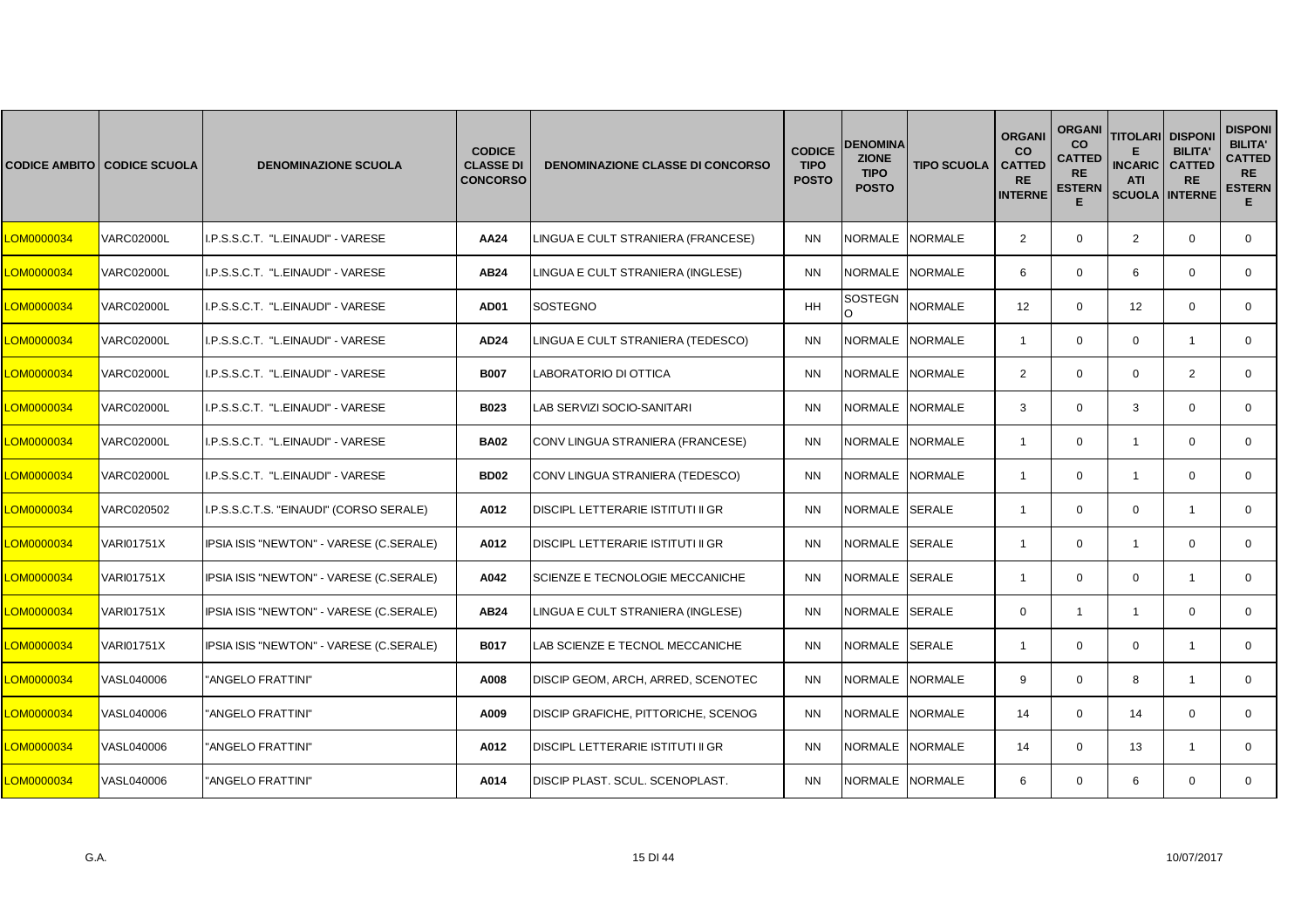|            | <b>CODICE AMBITO CODICE SCUOLA</b> | <b>DENOMINAZIONE SCUOLA</b>             | <b>CODICE</b><br><b>CLASSE DI</b><br><b>CONCORSO</b> | <b>DENOMINAZIONE CLASSE DI CONCORSO</b> | <b>CODICE</b><br><b>TIPO</b><br><b>POSTO</b> | <b>DENOMINA</b><br><b>ZIONE</b><br><b>TIPO</b><br><b>POSTO</b> | <b>TIPO SCUOLA</b> | <b>ORGANI</b><br><b>CO</b><br><b>CATTED</b><br><b>RE</b><br><b>INTERNE</b> | <b>ORGANI</b><br>co<br><b>CATTED</b><br><b>RE</b><br><b>ESTERN</b><br>E | <b>TITOLARI</b><br><b>INCARIC</b><br><b>ATI</b><br><b>SCUOLA INTERNE</b> | <b>DISPONI</b><br><b>BILITA'</b><br><b>CATTED</b><br><b>RE</b> | <b>DISPONI</b><br><b>BILITA'</b><br><b>CATTED</b><br><b>RE</b><br><b>ESTERN</b><br>E. |
|------------|------------------------------------|-----------------------------------------|------------------------------------------------------|-----------------------------------------|----------------------------------------------|----------------------------------------------------------------|--------------------|----------------------------------------------------------------------------|-------------------------------------------------------------------------|--------------------------------------------------------------------------|----------------------------------------------------------------|---------------------------------------------------------------------------------------|
| LOM0000034 | <b>VARC02000L</b>                  | I.P.S.S.C.T. "L.EINAUDI" - VARESE       | AA24                                                 | LINGUA E CULT STRANIERA (FRANCESE)      | <b>NN</b>                                    | NORMALE NORMALE                                                |                    | $\overline{2}$                                                             | $\mathbf 0$                                                             | $\overline{2}$                                                           | $\mathbf 0$                                                    | $\mathbf 0$                                                                           |
| LOM0000034 | <b>VARC02000L</b>                  | I.P.S.S.C.T. "L.EINAUDI" - VARESE       | AB24                                                 | LINGUA E CULT STRANIERA (INGLESE)       | <b>NN</b>                                    | NORMALE NORMALE                                                |                    | 6                                                                          | $\mathbf 0$                                                             | 6                                                                        | $\Omega$                                                       | $\mathbf{0}$                                                                          |
| LOM0000034 | <b>VARC02000L</b>                  | I.P.S.S.C.T. "L.EINAUDI" - VARESE       | <b>AD01</b>                                          | SOSTEGNO                                | <b>HH</b>                                    | SOSTEGN<br>O                                                   | <b>NORMALE</b>     | 12 <sup>2</sup>                                                            | $\Omega$                                                                | 12                                                                       | $\Omega$                                                       | $\Omega$                                                                              |
| LOM0000034 | <b>VARC02000L</b>                  | I.P.S.S.C.T. "L.EINAUDI" - VARESE       | AD <sub>24</sub>                                     | LINGUA E CULT STRANIERA (TEDESCO)       | <b>NN</b>                                    | NORMALE NORMALE                                                |                    | $\overline{1}$                                                             | $\mathbf 0$                                                             | $\mathbf 0$                                                              | $\overline{1}$                                                 | $\mathbf 0$                                                                           |
| LOM0000034 | <b>VARC02000L</b>                  | I.P.S.S.C.T. "L.EINAUDI" - VARESE       | <b>B007</b>                                          | LABORATORIO DI OTTICA                   | <b>NN</b>                                    | NORMALE NORMALE                                                |                    | $\overline{2}$                                                             | $\mathbf 0$                                                             | $\mathbf 0$                                                              | 2                                                              | $\mathbf 0$                                                                           |
| LOM0000034 | <b>VARC02000L</b>                  | I.P.S.S.C.T. "L.EINAUDI" - VARESE       | <b>B023</b>                                          | LAB SERVIZI SOCIO-SANITARI              | <b>NN</b>                                    | <b>NORMALE</b>                                                 | <b>NORMALE</b>     | 3                                                                          | $\mathbf{0}$                                                            | 3                                                                        | $\Omega$                                                       | $\mathbf{0}$                                                                          |
| LOM0000034 | <b>VARC02000L</b>                  | I.P.S.S.C.T. "L.EINAUDI" - VARESE       | <b>BA02</b>                                          | CONV LINGUA STRANIERA (FRANCESE)        | <b>NN</b>                                    | NORMALE                                                        | <b>NORMALE</b>     | $\overline{1}$                                                             | $\mathbf 0$                                                             | $\mathbf{1}$                                                             | $\mathbf 0$                                                    | $\mathbf 0$                                                                           |
| LOM0000034 | <b>VARC02000L</b>                  | I.P.S.S.C.T. "L.EINAUDI" - VARESE       | <b>BD02</b>                                          | CONV LINGUA STRANIERA (TEDESCO)         | <b>NN</b>                                    | NORMALE NORMALE                                                |                    | $\mathbf{1}$                                                               | $\mathbf 0$                                                             | $\overline{1}$                                                           | $\mathbf 0$                                                    | $\mathbf{0}$                                                                          |
| LOM0000034 | VARC020502                         | I.P.S.S.C.T.S. "EINAUDI" (CORSO SERALE) | A012                                                 | DISCIPL LETTERARIE ISTITUTI II GR       | <b>NN</b>                                    | NORMALE SERALE                                                 |                    | $\overline{1}$                                                             | $\Omega$                                                                | $\mathbf 0$                                                              | $\overline{1}$                                                 | $\mathbf 0$                                                                           |
| LOM0000034 | <b>VARI01751X</b>                  | IPSIA ISIS "NEWTON" - VARESE (C.SERALE) | A012                                                 | DISCIPL LETTERARIE ISTITUTI II GR       | <b>NN</b>                                    | NORMALE SERALE                                                 |                    | $\overline{1}$                                                             | $\mathbf 0$                                                             | $\mathbf{1}$                                                             | $\mathbf 0$                                                    | $\mathbf 0$                                                                           |
| LOM0000034 | <b>VARI01751X</b>                  | IPSIA ISIS "NEWTON" - VARESE (C.SERALE) | A042                                                 | SCIENZE E TECNOLOGIE MECCANICHE         | <b>NN</b>                                    | NORMALE SERALE                                                 |                    | $\mathbf{1}$                                                               | $\mathbf 0$                                                             | $\mathbf 0$                                                              | $\mathbf{1}$                                                   | $\mathbf{0}$                                                                          |
| LOM0000034 | <b>VARI01751X</b>                  | IPSIA ISIS "NEWTON" - VARESE (C.SERALE) | <b>AB24</b>                                          | LINGUA E CULT STRANIERA (INGLESE)       | <b>NN</b>                                    | NORMALE SERALE                                                 |                    | $\mathbf 0$                                                                | $\mathbf{1}$                                                            | $\overline{1}$                                                           | $\mathbf 0$                                                    | $\mathbf 0$                                                                           |
| LOM0000034 | VARI01751X                         | IPSIA ISIS "NEWTON" - VARESE (C.SERALE) | <b>B017</b>                                          | <b>LAB SCIENZE E TECNOL MECCANICHE</b>  | <b>NN</b>                                    | NORMALE SERALE                                                 |                    | $\overline{1}$                                                             | $\mathbf 0$                                                             | $\mathbf 0$                                                              | $\overline{1}$                                                 | $\mathbf 0$                                                                           |
| LOM0000034 | VASL040006                         | "ANGELO FRATTINI"                       | A008                                                 | DISCIP GEOM, ARCH, ARRED, SCENOTEC      | <b>NN</b>                                    | NORMALE NORMALE                                                |                    | 9                                                                          | $\mathbf 0$                                                             | 8                                                                        | $\overline{1}$                                                 | $\mathbf{0}$                                                                          |
| LOM0000034 | VASL040006                         | "ANGELO FRATTINI"                       | A009                                                 | DISCIP GRAFICHE, PITTORICHE, SCENOG     | <b>NN</b>                                    | NORMALE                                                        | <b>NORMALE</b>     | 14                                                                         | $\mathbf 0$                                                             | 14                                                                       | $\Omega$                                                       | $\mathbf{0}$                                                                          |
| LOM0000034 | VASL040006                         | "ANGELO FRATTINI"                       | A012                                                 | DISCIPL LETTERARIE ISTITUTI II GR       | <b>NN</b>                                    | NORMALE NORMALE                                                |                    | 14                                                                         | $\mathbf 0$                                                             | 13                                                                       | $\overline{1}$                                                 | $\mathbf 0$                                                                           |
| LOM0000034 | VASL040006                         | "ANGELO FRATTINI"                       | A014                                                 | DISCIP PLAST. SCUL. SCENOPLAST.         | <b>NN</b>                                    | NORMALE NORMALE                                                |                    | 6                                                                          | $\mathbf{0}$                                                            | 6                                                                        | $\mathbf 0$                                                    | $\mathbf{0}$                                                                          |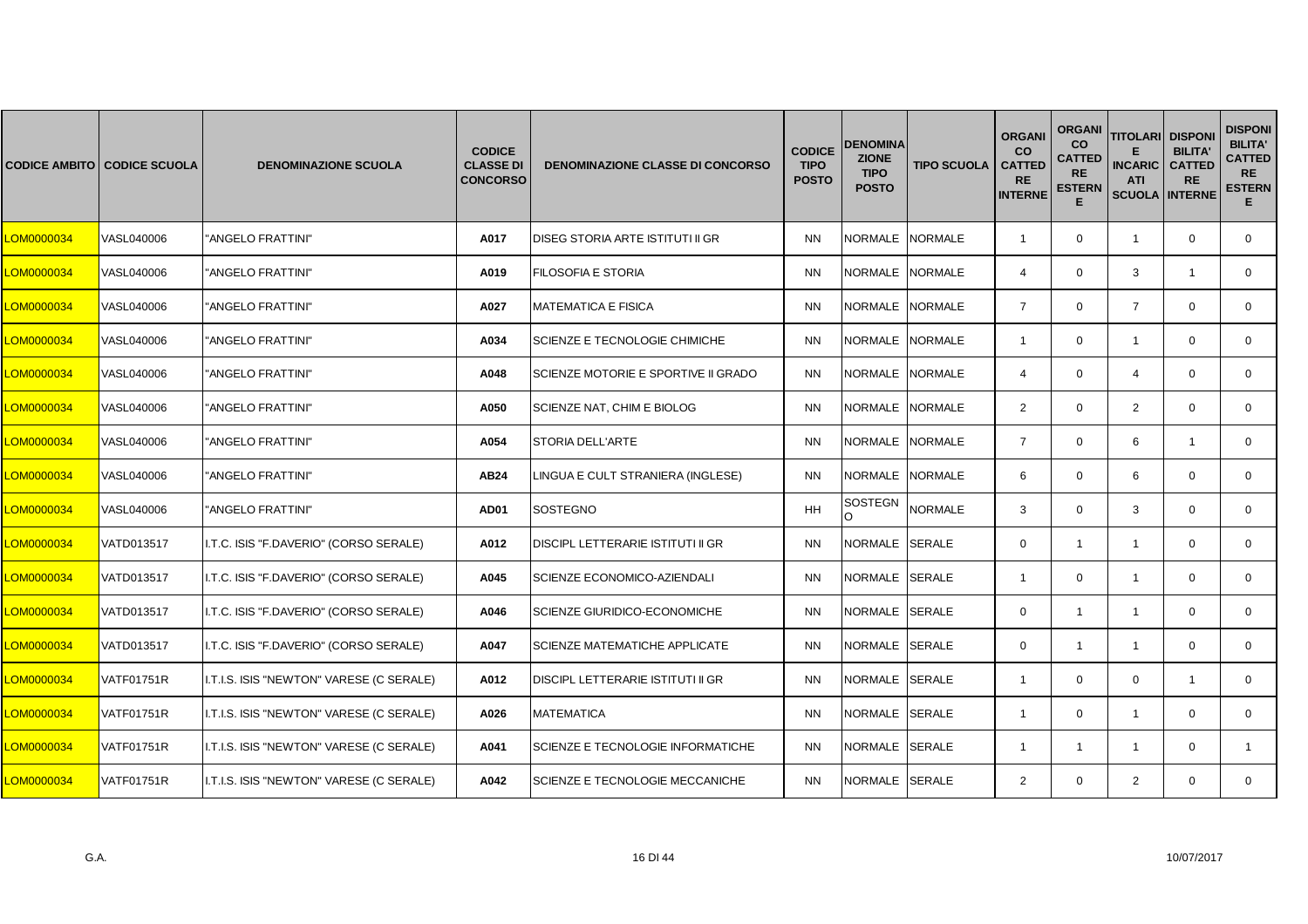|            | <b>CODICE AMBITO CODICE SCUOLA</b> | <b>DENOMINAZIONE SCUOLA</b>              | <b>CODICE</b><br><b>CLASSE DI</b><br><b>CONCORSO</b> | <b>DENOMINAZIONE CLASSE DI CONCORSO</b> | <b>CODICE</b><br><b>TIPO</b><br><b>POSTO</b> | <b>DENOMINA</b><br><b>ZIONE</b><br><b>TIPO</b><br><b>POSTO</b> | <b>TIPO SCUOLA</b> | <b>ORGANI</b><br><b>CO</b><br><b>CATTED</b><br><b>RE</b><br><b>INTERNE</b> | <b>ORGANI</b><br><b>CO</b><br><b>CATTED</b><br><b>RE</b><br><b>ESTERN</b><br>Е | <b>TITOLARI DISPONI</b><br><b>INCARIC</b><br><b>ATI</b><br><b>SCUOLA INTERNE</b> | <b>BILITA'</b><br><b>CATTED</b><br><b>RE</b> | <b>DISPONI</b><br><b>BILITA'</b><br><b>CATTED</b><br><b>RE</b><br><b>ESTERN</b><br>Е. |
|------------|------------------------------------|------------------------------------------|------------------------------------------------------|-----------------------------------------|----------------------------------------------|----------------------------------------------------------------|--------------------|----------------------------------------------------------------------------|--------------------------------------------------------------------------------|----------------------------------------------------------------------------------|----------------------------------------------|---------------------------------------------------------------------------------------|
| LOM0000034 | VASL040006                         | "ANGELO FRATTINI"                        | A017                                                 | DISEG STORIA ARTE ISTITUTI II GR        | <b>NN</b>                                    | <b>NORMALE</b>                                                 | <b>NORMALE</b>     | $\overline{1}$                                                             | $\mathbf 0$                                                                    | $\overline{1}$                                                                   | $\mathbf 0$                                  | $\mathbf{0}$                                                                          |
| LOM0000034 | VASL040006                         | "ANGELO FRATTINI"                        | A019                                                 | FILOSOFIA E STORIA                      | <b>NN</b>                                    | <b>NORMALE</b>                                                 | <b>NORMALE</b>     | $\overline{4}$                                                             | $\mathbf 0$                                                                    | 3                                                                                | $\mathbf{1}$                                 | $\mathbf{0}$                                                                          |
| LOM0000034 | VASL040006                         | "ANGELO FRATTINI"                        | A027                                                 | <b>MATEMATICA E FISICA</b>              | <b>NN</b>                                    | <b>NORMALE</b>                                                 | <b>NORMALE</b>     | $\overline{7}$                                                             | $\Omega$                                                                       | $\overline{7}$                                                                   | $\Omega$                                     | $\mathbf{0}$                                                                          |
| LOM0000034 | VASL040006                         | "ANGELO FRATTINI"                        | A034                                                 | SCIENZE E TECNOLOGIE CHIMICHE           | <b>NN</b>                                    | NORMALE NORMALE                                                |                    | $\overline{1}$                                                             | $\mathbf{0}$                                                                   | $\mathbf{1}$                                                                     | $\mathbf 0$                                  | $\mathbf{0}$                                                                          |
| LOM0000034 | VASL040006                         | "ANGELO FRATTINI"                        | A048                                                 | SCIENZE MOTORIE E SPORTIVE II GRADO     | <b>NN</b>                                    | NORMALE                                                        | <b>NORMALE</b>     | $\overline{4}$                                                             | $\mathbf 0$                                                                    | $\overline{4}$                                                                   | $\mathbf 0$                                  | $\mathbf{0}$                                                                          |
| LOM0000034 | VASL040006                         | "ANGELO FRATTINI"                        | A050                                                 | SCIENZE NAT, CHIM E BIOLOG              | <b>NN</b>                                    | <b>NORMALE</b>                                                 | <b>NORMALE</b>     | $\overline{2}$                                                             | $\Omega$                                                                       | 2                                                                                | $\Omega$                                     | $\mathbf{0}$                                                                          |
| LOM0000034 | VASL040006                         | "ANGELO FRATTINI"                        | A054                                                 | STORIA DELL'ARTE                        | <b>NN</b>                                    | NORMALE                                                        | <b>NORMALE</b>     | $\overline{7}$                                                             | $\mathbf{0}$                                                                   | 6                                                                                | $\overline{1}$                               | 0                                                                                     |
| LOM0000034 | VASL040006                         | "ANGELO FRATTINI"                        | AB24                                                 | LINGUA E CULT STRANIERA (INGLESE)       | <b>NN</b>                                    | <b>NORMALE</b>                                                 | <b>NORMALE</b>     | 6                                                                          | $\mathbf 0$                                                                    | 6                                                                                | $\mathbf 0$                                  | $\mathbf{0}$                                                                          |
| LOM0000034 | VASL040006                         | "ANGELO FRATTINI"                        | <b>AD01</b>                                          | <b>SOSTEGNO</b>                         | <b>HH</b>                                    | SOSTEGN<br>$\Omega$                                            | <b>NORMALE</b>     | 3                                                                          | $\Omega$                                                                       | 3                                                                                | $\Omega$                                     | $\Omega$                                                                              |
| LOM0000034 | VATD013517                         | I.T.C. ISIS "F.DAVERIO" (CORSO SERALE)   | A012                                                 | DISCIPL LETTERARIE ISTITUTI II GR       | <b>NN</b>                                    | NORMALE SERALE                                                 |                    | $\mathbf{0}$                                                               | $\mathbf{1}$                                                                   | $\mathbf{1}$                                                                     | $\mathbf 0$                                  | $\mathbf{0}$                                                                          |
| LOM0000034 | VATD013517                         | I.T.C. ISIS "F.DAVERIO" (CORSO SERALE)   | A045                                                 | SCIENZE ECONOMICO-AZIENDALI             | <b>NN</b>                                    | NORMALE SERALE                                                 |                    | $\overline{1}$                                                             | $\mathbf 0$                                                                    | $\overline{1}$                                                                   | $\mathbf 0$                                  | $\mathbf 0$                                                                           |
| LOM0000034 | VATD013517                         | I.T.C. ISIS "F.DAVERIO" (CORSO SERALE)   | A046                                                 | <b>SCIENZE GIURIDICO-ECONOMICHE</b>     | <b>NN</b>                                    | NORMALE SERALE                                                 |                    | $\Omega$                                                                   | $\mathbf{1}$                                                                   | $\overline{1}$                                                                   | $\Omega$                                     | $\Omega$                                                                              |
| LOM0000034 | VATD013517                         | I.T.C. ISIS "F.DAVERIO" (CORSO SERALE)   | A047                                                 | SCIENZE MATEMATICHE APPLICATE           | <b>NN</b>                                    | NORMALE SERALE                                                 |                    | $\mathbf{0}$                                                               | $\mathbf{1}$                                                                   | $\overline{1}$                                                                   | $\mathbf 0$                                  | $\mathbf{0}$                                                                          |
| LOM0000034 | VATF01751R                         | I.T.I.S. ISIS "NEWTON" VARESE (C SERALE) | A012                                                 | DISCIPL LETTERARIE ISTITUTI II GR       | <b>NN</b>                                    | NORMALE SERALE                                                 |                    | $\overline{1}$                                                             | $\mathbf 0$                                                                    | $\mathbf 0$                                                                      | $\overline{1}$                               | 0                                                                                     |
| LOM0000034 | <b>VATF01751R</b>                  | I.T.I.S. ISIS "NEWTON" VARESE (C SERALE) | A026                                                 | <b>MATEMATICA</b>                       | <b>NN</b>                                    | NORMALE SERALE                                                 |                    | $\mathbf{1}$                                                               | $\mathbf 0$                                                                    | $\overline{1}$                                                                   | $\Omega$                                     | $\mathbf{0}$                                                                          |
| LOM0000034 | VATF01751R                         | I.T.I.S. ISIS "NEWTON" VARESE (C SERALE) | A041                                                 | SCIENZE E TECNOLOGIE INFORMATICHE       | <b>NN</b>                                    | NORMALE SERALE                                                 |                    | -1                                                                         | 1                                                                              | $\overline{1}$                                                                   | $\Omega$                                     | 1                                                                                     |
| LOM0000034 | VATF01751R                         | I.T.I.S. ISIS "NEWTON" VARESE (C SERALE) | A042                                                 | SCIENZE E TECNOLOGIE MECCANICHE         | <b>NN</b>                                    | NORMALE SERALE                                                 |                    | $\overline{2}$                                                             | $\mathbf{0}$                                                                   | 2                                                                                | $\mathbf 0$                                  | $\mathbf{0}$                                                                          |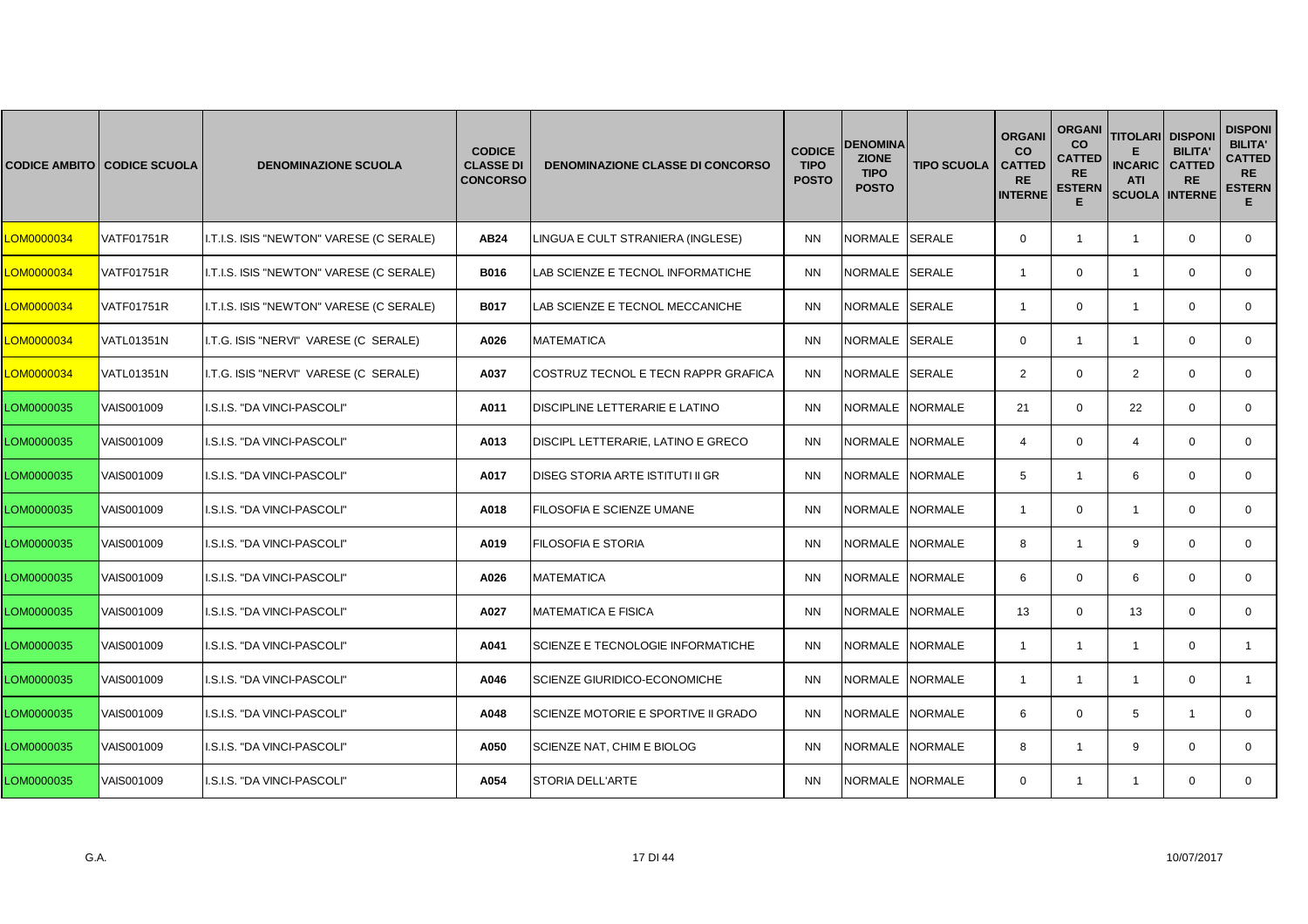|                   | <b>CODICE AMBITO CODICE SCUOLA</b> | <b>DENOMINAZIONE SCUOLA</b>              | <b>CODICE</b><br><b>CLASSE DI</b><br><b>CONCORSO</b> | <b>DENOMINAZIONE CLASSE DI CONCORSO</b> | <b>CODICE</b><br><b>TIPO</b><br><b>POSTO</b> | <b>DENOMINA</b><br><b>ZIONE</b><br><b>TIPO</b><br><b>POSTO</b> | <b>TIPO SCUOLA</b> | <b>ORGANI</b><br><b>CO</b><br><b>CATTED</b><br><b>RE</b><br><b>INTERNE</b> | <b>ORGANI</b><br><b>CO</b><br><b>CATTED</b><br><b>RE</b><br><b>ESTERN</b><br>E | <b>TITOLARI</b><br><b>INCARIC</b><br><b>ATI</b><br><b>SCUOLA INTERNE</b> | <b>DISPONI</b><br><b>BILITA'</b><br><b>CATTED</b><br><b>RE</b> | <b>DISPONI</b><br><b>BILITA'</b><br><b>CATTED</b><br><b>RE</b><br><b>ESTERN</b><br>E. |
|-------------------|------------------------------------|------------------------------------------|------------------------------------------------------|-----------------------------------------|----------------------------------------------|----------------------------------------------------------------|--------------------|----------------------------------------------------------------------------|--------------------------------------------------------------------------------|--------------------------------------------------------------------------|----------------------------------------------------------------|---------------------------------------------------------------------------------------|
| <b>_OM0000034</b> | <b>VATF01751R</b>                  | I.T.I.S. ISIS "NEWTON" VARESE (C SERALE) | AB24                                                 | LINGUA E CULT STRANIERA (INGLESE)       | <b>NN</b>                                    | NORMALE SERALE                                                 |                    | $\mathbf{0}$                                                               | $\mathbf{1}$                                                                   | $\overline{1}$                                                           | $\mathbf 0$                                                    | $\mathbf{0}$                                                                          |
| LOM0000034        | VATF01751R                         | I.T.I.S. ISIS "NEWTON" VARESE (C SERALE) | <b>B016</b>                                          | LAB SCIENZE E TECNOL INFORMATICHE       | <b>NN</b>                                    | NORMALE SERALE                                                 |                    | $\overline{1}$                                                             | $\mathbf 0$                                                                    | $\mathbf{1}$                                                             | $\mathbf 0$                                                    | $\mathbf{0}$                                                                          |
| LOM0000034        | <b>VATF01751R</b>                  | I.T.I.S. ISIS "NEWTON" VARESE (C SERALE) | <b>B017</b>                                          | LAB SCIENZE E TECNOL MECCANICHE         | <b>NN</b>                                    | NORMALE SERALE                                                 |                    | -1                                                                         | $\Omega$                                                                       | -1                                                                       | $\Omega$                                                       | $\Omega$                                                                              |
| <b>CM0000034</b>  | <b>VATL01351N</b>                  | I.T.G. ISIS "NERVI" VARESE (C SERALE)    | A026                                                 | <b>MATEMATICA</b>                       | <b>NN</b>                                    | NORMALE SERALE                                                 |                    | $\mathbf 0$                                                                | $\mathbf{1}$                                                                   | $\mathbf{1}$                                                             | $\mathbf 0$                                                    | $\mathbf{0}$                                                                          |
| LOM0000034        | <b>VATL01351N</b>                  | I.T.G. ISIS "NERVI" VARESE (C SERALE)    | A037                                                 | COSTRUZ TECNOL E TECN RAPPR GRAFICA     | <b>NN</b>                                    | NORMALE SERALE                                                 |                    | 2                                                                          | $\mathbf 0$                                                                    | $\overline{2}$                                                           | $\mathbf 0$                                                    | $\mathbf 0$                                                                           |
| LOM0000035        | VAIS001009                         | I.S.I.S. "DA VINCI-PASCOLI"              | A011                                                 | DISCIPLINE LETTERARIE E LATINO          | <b>NN</b>                                    | NORMALE                                                        | <b>NORMALE</b>     | 21                                                                         | $\Omega$                                                                       | 22                                                                       | $\Omega$                                                       | $\Omega$                                                                              |
| LOM0000035        | VAIS001009                         | I.S.I.S. "DA VINCI-PASCOLI"              | A013                                                 | DISCIPL LETTERARIE, LATINO E GRECO      | <b>NN</b>                                    | NORMALE NORMALE                                                |                    | $\overline{4}$                                                             | $\mathbf 0$                                                                    | $\overline{4}$                                                           | $\mathbf 0$                                                    | $\mathbf 0$                                                                           |
| LOM0000035        | VAIS001009                         | I.S.I.S. "DA VINCI-PASCOLI"              | A017                                                 | <b>DISEG STORIA ARTE ISTITUTI II GR</b> | <b>NN</b>                                    | NORMALE NORMALE                                                |                    | 5                                                                          | $\mathbf{1}$                                                                   | 6                                                                        | $\mathbf 0$                                                    | $\mathbf 0$                                                                           |
| LOM0000035        | VAIS001009                         | I.S.I.S. "DA VINCI-PASCOLI"              | A018                                                 | FILOSOFIA E SCIENZE UMANE               | <b>NN</b>                                    | NORMALE NORMALE                                                |                    | $\overline{1}$                                                             | $\Omega$                                                                       | $\overline{1}$                                                           | $\Omega$                                                       | $\Omega$                                                                              |
| LOM0000035        | VAIS001009                         | I.S.I.S. "DA VINCI-PASCOLI"              | A019                                                 | FILOSOFIA E STORIA                      | <b>NN</b>                                    | NORMALE NORMALE                                                |                    | 8                                                                          | 1                                                                              | 9                                                                        | $\Omega$                                                       | $\mathbf{0}$                                                                          |
| LOM0000035        | VAIS001009                         | I.S.I.S. "DA VINCI-PASCOLI"              | A026                                                 | <b>MATEMATICA</b>                       | <b>NN</b>                                    | NORMALE NORMALE                                                |                    | 6                                                                          | $\mathbf 0$                                                                    | 6                                                                        | $\mathbf 0$                                                    | $\mathbf 0$                                                                           |
| LOM0000035        | VAIS001009                         | I.S.I.S. "DA VINCI-PASCOLI"              | A027                                                 | <b>MATEMATICA E FISICA</b>              | <b>NN</b>                                    | NORMALE NORMALE                                                |                    | 13                                                                         | $\Omega$                                                                       | 13                                                                       | $\Omega$                                                       | $\Omega$                                                                              |
| LOM0000035        | VAIS001009                         | I.S.I.S. "DA VINCI-PASCOLI"              | A041                                                 | SCIENZE E TECNOLOGIE INFORMATICHE       | <b>NN</b>                                    | NORMALE NORMALE                                                |                    | $\overline{1}$                                                             | $\mathbf{1}$                                                                   | $\mathbf{1}$                                                             | $\mathbf 0$                                                    | $\mathbf{1}$                                                                          |
| LOM0000035        | VAIS001009                         | I.S.I.S. "DA VINCI-PASCOLI"              | A046                                                 | SCIENZE GIURIDICO-ECONOMICHE            | <b>NN</b>                                    | NORMALE NORMALE                                                |                    | $\overline{\mathbf{1}}$                                                    | $\mathbf{1}$                                                                   | $\mathbf{1}$                                                             | $\mathbf 0$                                                    | $\mathbf{1}$                                                                          |
| LOM0000035        | VAIS001009                         | I.S.I.S. "DA VINCI-PASCOLI"              | A048                                                 | SCIENZE MOTORIE E SPORTIVE II GRADO     | <b>NN</b>                                    | NORMALE NORMALE                                                |                    | 6                                                                          | $\mathbf 0$                                                                    | 5                                                                        | $\overline{1}$                                                 | $\mathbf{0}$                                                                          |
| LOM0000035        | VAIS001009                         | I.S.I.S. "DA VINCI-PASCOLI"              | A050                                                 | SCIENZE NAT, CHIM E BIOLOG              | <b>NN</b>                                    | NORMALE NORMALE                                                |                    | 8                                                                          | 1                                                                              | 9                                                                        | $\Omega$                                                       | $\Omega$                                                                              |
| LOM0000035        | <b>VAIS001009</b>                  | I.S.I.S. "DA VINCI-PASCOLI"              | A054                                                 | <b>STORIA DELL'ARTE</b>                 | <b>NN</b>                                    | NORMALE NORMALE                                                |                    | $\Omega$                                                                   | $\mathbf{1}$                                                                   | $\mathbf{1}$                                                             | $\mathbf 0$                                                    | $\mathbf{0}$                                                                          |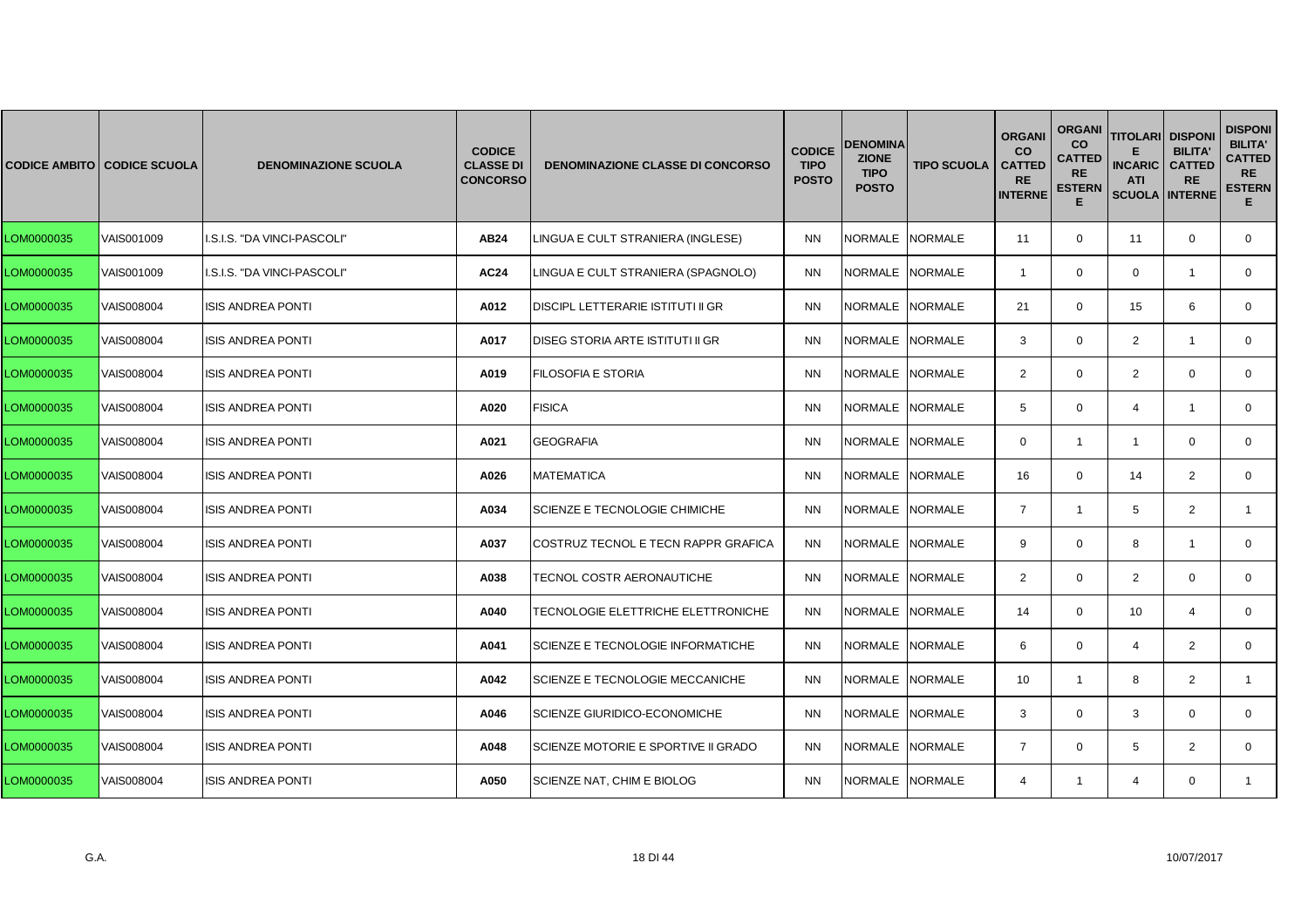|            | <b>CODICE AMBITO CODICE SCUOLA</b> | <b>DENOMINAZIONE SCUOLA</b> | <b>CODICE</b><br><b>CLASSE DI</b><br><b>CONCORSO</b> | <b>DENOMINAZIONE CLASSE DI CONCORSO</b>  | <b>CODICE</b><br><b>TIPO</b><br><b>POSTO</b> | <b>DENOMINA</b><br><b>ZIONE</b><br><b>TIPO</b><br><b>POSTO</b> | <b>TIPO SCUOLA</b> | <b>ORGANI</b><br><b>CO</b><br><b>CATTED</b><br><b>RE</b><br><b>INTERNE</b> | <b>ORGANI</b><br>co<br><b>CATTED</b><br><b>RE</b><br><b>ESTERN</b><br>Е | <b>TITOLARI</b><br><b>INCARIC</b><br><b>ATI</b><br><b>SCUOLA INTERNE</b> | <b>DISPONI</b><br><b>BILITA'</b><br><b>CATTED</b><br><b>RE</b> | <b>DISPONI</b><br><b>BILITA'</b><br><b>CATTED</b><br><b>RE</b><br><b>ESTERN</b><br>Е. |
|------------|------------------------------------|-----------------------------|------------------------------------------------------|------------------------------------------|----------------------------------------------|----------------------------------------------------------------|--------------------|----------------------------------------------------------------------------|-------------------------------------------------------------------------|--------------------------------------------------------------------------|----------------------------------------------------------------|---------------------------------------------------------------------------------------|
| LOM0000035 | VAIS001009                         | I.S.I.S. "DA VINCI-PASCOLI" | AB24                                                 | LINGUA E CULT STRANIERA (INGLESE)        | <b>NN</b>                                    | <b>NORMALE</b>                                                 | <b>NORMALE</b>     | 11                                                                         | $\mathbf 0$                                                             | 11                                                                       | $\mathbf 0$                                                    | $\mathbf 0$                                                                           |
| LOM0000035 | VAIS001009                         | I.S.I.S. "DA VINCI-PASCOLI" | <b>AC24</b>                                          | LINGUA E CULT STRANIERA (SPAGNOLO)       | <b>NN</b>                                    | NORMALE                                                        | <b>NORMALE</b>     | $\overline{1}$                                                             | $\mathbf{0}$                                                            | $\mathbf 0$                                                              | $\mathbf{1}$                                                   | $\mathbf{0}$                                                                          |
| LOM0000035 | VAIS008004                         | <b>ISIS ANDREA PONTI</b>    | A012                                                 | <b>DISCIPL LETTERARIE ISTITUTI II GR</b> | <b>NN</b>                                    | <b>NORMALE</b>                                                 | <b>NORMALE</b>     | 21                                                                         | $\Omega$                                                                | 15                                                                       | 6                                                              | $\mathbf{0}$                                                                          |
| LOM0000035 | VAIS008004                         | <b>ISIS ANDREA PONTI</b>    | A017                                                 | DISEG STORIA ARTE ISTITUTI II GR         | <b>NN</b>                                    | NORMALE NORMALE                                                |                    | 3                                                                          | $\mathbf 0$                                                             | $\overline{2}$                                                           | $\overline{1}$                                                 | $\mathbf 0$                                                                           |
| LOM0000035 | VAIS008004                         | <b>ISIS ANDREA PONTI</b>    | A019                                                 | FILOSOFIA E STORIA                       | <b>NN</b>                                    | NORMALE                                                        | <b>NORMALE</b>     | $\overline{2}$                                                             | $\mathbf{0}$                                                            | $\overline{2}$                                                           | $\mathbf 0$                                                    | $\mathbf{0}$                                                                          |
| LOM0000035 | VAIS008004                         | <b>ISIS ANDREA PONTI</b>    | A020                                                 | <b>FISICA</b>                            | <b>NN</b>                                    | <b>NORMALE</b>                                                 | <b>NORMALE</b>     | 5                                                                          | $\Omega$                                                                | $\overline{4}$                                                           | $\mathbf{1}$                                                   | $\mathbf{0}$                                                                          |
| LOM0000035 | VAIS008004                         | <b>ISIS ANDREA PONTI</b>    | A021                                                 | <b>GEOGRAFIA</b>                         | <b>NN</b>                                    | <b>NORMALE</b>                                                 | <b>NORMALE</b>     | $\mathbf{0}$                                                               | $\mathbf{1}$                                                            | $\mathbf{1}$                                                             | $\mathbf 0$                                                    | $\mathbf 0$                                                                           |
| LOM0000035 | VAIS008004                         | <b>ISIS ANDREA PONTI</b>    | A026                                                 | <b>MATEMATICA</b>                        | <b>NN</b>                                    | <b>NORMALE</b>                                                 | <b>NORMALE</b>     | 16                                                                         | $\mathbf{0}$                                                            | 14                                                                       | 2                                                              | $\mathbf{0}$                                                                          |
| LOM0000035 | VAIS008004                         | <b>ISIS ANDREA PONTI</b>    | A034                                                 | SCIENZE E TECNOLOGIE CHIMICHE            | <b>NN</b>                                    | <b>NORMALE</b>                                                 | <b>NORMALE</b>     | $\overline{7}$                                                             | $\mathbf{1}$                                                            | 5                                                                        | 2                                                              | $\mathbf{1}$                                                                          |
| LOM0000035 | VAIS008004                         | <b>ISIS ANDREA PONTI</b>    | A037                                                 | COSTRUZ TECNOL E TECN RAPPR GRAFICA      | <b>NN</b>                                    | NORMALE NORMALE                                                |                    | 9                                                                          | $\Omega$                                                                | 8                                                                        | $\overline{1}$                                                 | $\mathbf 0$                                                                           |
| LOM0000035 | VAIS008004                         | <b>ISIS ANDREA PONTI</b>    | A038                                                 | TECNOL COSTR AERONAUTICHE                | <b>NN</b>                                    | <b>NORMALE</b>                                                 | <b>NORMALE</b>     | $\overline{2}$                                                             | $\mathbf{0}$                                                            | $\overline{2}$                                                           | $\mathbf 0$                                                    | $\mathbf{0}$                                                                          |
| LOM0000035 | VAIS008004                         | <b>ISIS ANDREA PONTI</b>    | A040                                                 | TECNOLOGIE ELETTRICHE ELETTRONICHE       | <b>NN</b>                                    | <b>NORMALE</b>                                                 | <b>NORMALE</b>     | 14                                                                         | $\Omega$                                                                | 10                                                                       | $\overline{4}$                                                 | $\mathbf 0$                                                                           |
| LOM0000035 | VAIS008004                         | <b>ISIS ANDREA PONTI</b>    | A041                                                 | SCIENZE E TECNOLOGIE INFORMATICHE        | <b>NN</b>                                    | <b>NORMALE</b>                                                 | <b>NORMALE</b>     | 6                                                                          | $\Omega$                                                                | $\overline{4}$                                                           | 2                                                              | $\mathbf 0$                                                                           |
| LOM0000035 | VAIS008004                         | <b>ISIS ANDREA PONTI</b>    | A042                                                 | SCIENZE E TECNOLOGIE MECCANICHE          | <b>NN</b>                                    | <b>NORMALE</b>                                                 | <b>NORMALE</b>     | 10                                                                         | $\mathbf{1}$                                                            | 8                                                                        | 2                                                              | $\mathbf{1}$                                                                          |
| LOM0000035 | VAIS008004                         | <b>ISIS ANDREA PONTI</b>    | A046                                                 | <b>SCIENZE GIURIDICO-ECONOMICHE</b>      | <b>NN</b>                                    | NORMALE                                                        | <b>NORMALE</b>     | 3                                                                          | $\mathbf{0}$                                                            | 3                                                                        | $\Omega$                                                       | $\mathbf{0}$                                                                          |
| LOM0000035 | VAIS008004                         | <b>ISIS ANDREA PONTI</b>    | A048                                                 | SCIENZE MOTORIE E SPORTIVE II GRADO      | <b>NN</b>                                    | NORMALE NORMALE                                                |                    | $\overline{7}$                                                             | $\mathbf 0$                                                             | 5                                                                        | 2                                                              | $\mathbf{0}$                                                                          |
| LOM0000035 | VAIS008004                         | <b>ISIS ANDREA PONTI</b>    | A050                                                 | SCIENZE NAT, CHIM E BIOLOG               | <b>NN</b>                                    | NORMALE                                                        | <b>NORMALE</b>     | $\overline{4}$                                                             | $\mathbf{1}$                                                            | 4                                                                        | $\mathbf{0}$                                                   | $\mathbf{1}$                                                                          |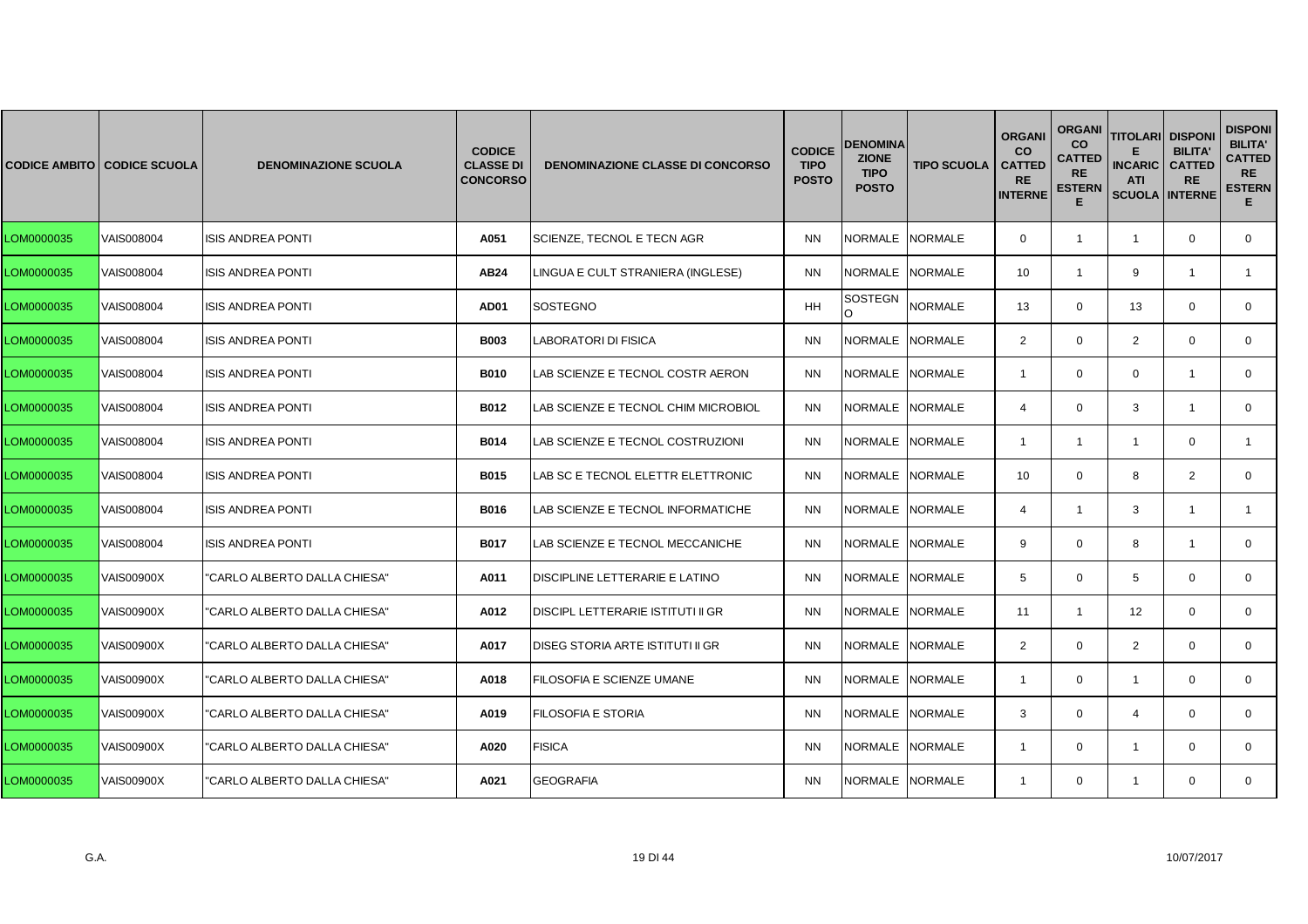|            | <b>CODICE AMBITO CODICE SCUOLA</b> | <b>DENOMINAZIONE SCUOLA</b>  | <b>CODICE</b><br><b>CLASSE DI</b><br><b>CONCORSO</b> | <b>DENOMINAZIONE CLASSE DI CONCORSO</b>  | <b>CODICE</b><br><b>TIPO</b><br><b>POSTO</b> | <b>DENOMINA</b><br><b>ZIONE</b><br><b>TIPO</b><br><b>POSTO</b> | <b>TIPO SCUOLA</b> | <b>ORGANI</b><br><b>CO</b><br><b>CATTED</b><br><b>RE</b><br><b>INTERNE</b> | <b>ORGANI</b><br>co<br><b>CATTED</b><br><b>RE</b><br><b>ESTERN</b><br>Е | <b>TITOLARI DISPONI</b><br><b>INCARIC</b><br><b>ATI</b><br><b>SCUOLA INTERNE</b> | <b>BILITA'</b><br><b>CATTED</b><br><b>RE</b> | <b>DISPONI</b><br><b>BILITA'</b><br><b>CATTED</b><br><b>RE</b><br><b>ESTERN</b><br>E. |
|------------|------------------------------------|------------------------------|------------------------------------------------------|------------------------------------------|----------------------------------------------|----------------------------------------------------------------|--------------------|----------------------------------------------------------------------------|-------------------------------------------------------------------------|----------------------------------------------------------------------------------|----------------------------------------------|---------------------------------------------------------------------------------------|
| LOM0000035 | VAIS008004                         | <b>ISIS ANDREA PONTI</b>     | A051                                                 | SCIENZE, TECNOL E TECN AGR               | <b>NN</b>                                    | <b>NORMALE</b>                                                 | <b>NORMALE</b>     | $\mathbf{0}$                                                               | $\mathbf{1}$                                                            | $\mathbf{1}$                                                                     | $\mathbf 0$                                  | $\mathbf 0$                                                                           |
| LOM0000035 | VAIS008004                         | <b>ISIS ANDREA PONTI</b>     | AB24                                                 | LINGUA E CULT STRANIERA (INGLESE)        | <b>NN</b>                                    | NORMALE NORMALE                                                |                    | 10                                                                         | $\mathbf{1}$                                                            | 9                                                                                | $\mathbf{1}$                                 | $\mathbf{1}$                                                                          |
| LOM0000035 | VAIS008004                         | <b>ISIS ANDREA PONTI</b>     | <b>AD01</b>                                          | <b>SOSTEGNO</b>                          | <b>HH</b>                                    | SOSTEGN<br>$\circ$                                             | <b>NORMALE</b>     | 13                                                                         | $\Omega$                                                                | 13                                                                               | $\Omega$                                     | $\mathbf{0}$                                                                          |
| LOM0000035 | VAIS008004                         | <b>ISIS ANDREA PONTI</b>     | <b>B003</b>                                          | LABORATORI DI FISICA                     | <b>NN</b>                                    | NORMALE NORMALE                                                |                    | $\overline{2}$                                                             | $\Omega$                                                                | $\overline{2}$                                                                   | $\mathbf 0$                                  | $\mathbf 0$                                                                           |
| LOM0000035 | VAIS008004                         | <b>ISIS ANDREA PONTI</b>     | <b>B010</b>                                          | LAB SCIENZE E TECNOL COSTR AERON         | <b>NN</b>                                    | <b>NORMALE</b>                                                 | <b>NORMALE</b>     | $\overline{1}$                                                             | $\mathbf{0}$                                                            | $\mathbf 0$                                                                      | $\mathbf{1}$                                 | $\mathbf{0}$                                                                          |
| LOM0000035 | VAIS008004                         | <b>ISIS ANDREA PONTI</b>     | <b>B012</b>                                          | LAB SCIENZE E TECNOL CHIM MICROBIOL      | <b>NN</b>                                    | <b>NORMALE</b>                                                 | <b>NORMALE</b>     | $\overline{4}$                                                             | $\Omega$                                                                | 3                                                                                | $\mathbf{1}$                                 | $\mathbf{0}$                                                                          |
| LOM0000035 | VAIS008004                         | <b>ISIS ANDREA PONTI</b>     | <b>B014</b>                                          | LAB SCIENZE E TECNOL COSTRUZIONI         | <b>NN</b>                                    | <b>NORMALE</b>                                                 | <b>NORMALE</b>     | $\overline{1}$                                                             | $\mathbf{1}$                                                            | $\mathbf{1}$                                                                     | $\mathbf 0$                                  | $\mathbf{1}$                                                                          |
| LOM0000035 | VAIS008004                         | <b>ISIS ANDREA PONTI</b>     | <b>B015</b>                                          | LAB SC E TECNOL ELETTR ELETTRONIC        | <b>NN</b>                                    | <b>NORMALE</b>                                                 | <b>NORMALE</b>     | 10 <sup>°</sup>                                                            | $\mathbf{0}$                                                            | 8                                                                                | 2                                            | $\mathbf{0}$                                                                          |
| LOM0000035 | VAIS008004                         | <b>ISIS ANDREA PONTI</b>     | B016                                                 | LAB SCIENZE E TECNOL INFORMATICHE        | <b>NN</b>                                    | <b>NORMALE</b>                                                 | <b>NORMALE</b>     | $\overline{4}$                                                             | $\mathbf{1}$                                                            | 3                                                                                | $\overline{1}$                               | $\mathbf{1}$                                                                          |
| LOM0000035 | VAIS008004                         | <b>ISIS ANDREA PONTI</b>     | <b>B017</b>                                          | LAB SCIENZE E TECNOL MECCANICHE          | <b>NN</b>                                    | NORMALE NORMALE                                                |                    | 9                                                                          | $\Omega$                                                                | 8                                                                                | $\overline{1}$                               | $\mathbf 0$                                                                           |
| LOM0000035 | <b>VAIS00900X</b>                  | "CARLO ALBERTO DALLA CHIESA" | A011                                                 | DISCIPLINE LETTERARIE E LATINO           | <b>NN</b>                                    | <b>NORMALE</b>                                                 | <b>NORMALE</b>     | 5                                                                          | $\mathbf{0}$                                                            | 5                                                                                | $\mathbf 0$                                  | $\mathbf{0}$                                                                          |
| LOM0000035 | <b>VAIS00900X</b>                  | "CARLO ALBERTO DALLA CHIESA" | A012                                                 | <b>DISCIPL LETTERARIE ISTITUTI II GR</b> | <b>NN</b>                                    | <b>NORMALE</b>                                                 | <b>NORMALE</b>     | 11                                                                         | $\mathbf{1}$                                                            | 12                                                                               | $\Omega$                                     | $\mathbf 0$                                                                           |
| LOM0000035 | <b>VAIS00900X</b>                  | "CARLO ALBERTO DALLA CHIESA" | A017                                                 | DISEG STORIA ARTE ISTITUTI II GR         | <b>NN</b>                                    | <b>NORMALE</b>                                                 | <b>NORMALE</b>     | $\overline{2}$                                                             | $\Omega$                                                                | $\overline{2}$                                                                   | $\mathbf 0$                                  | $\mathbf 0$                                                                           |
| LOM0000035 | <b>VAIS00900X</b>                  | "CARLO ALBERTO DALLA CHIESA" | A018                                                 | FILOSOFIA E SCIENZE UMANE                | <b>NN</b>                                    | <b>NORMALE</b>                                                 | <b>NORMALE</b>     | $\mathbf{1}$                                                               | $\mathbf{0}$                                                            | $\overline{1}$                                                                   | $\mathbf 0$                                  | $\mathbf{0}$                                                                          |
| LOM0000035 | <b>VAIS00900X</b>                  | "CARLO ALBERTO DALLA CHIESA" | A019                                                 | FILOSOFIA E STORIA                       | <b>NN</b>                                    | <b>NORMALE</b>                                                 | <b>NORMALE</b>     | 3                                                                          | $\mathbf{0}$                                                            | $\overline{4}$                                                                   | $\Omega$                                     | $\mathbf{0}$                                                                          |
| LOM0000035 | <b>VAIS00900X</b>                  | "CARLO ALBERTO DALLA CHIESA" | A020                                                 | <b>FISICA</b>                            | <b>NN</b>                                    | NORMALE NORMALE                                                |                    | -1                                                                         | $\mathbf{0}$                                                            | $\overline{1}$                                                                   | $\mathbf 0$                                  | $\mathbf{0}$                                                                          |
| LOM0000035 | <b>VAIS00900X</b>                  | "CARLO ALBERTO DALLA CHIESA" | A021                                                 | <b>GEOGRAFIA</b>                         | <b>NN</b>                                    | NORMALE                                                        | <b>NORMALE</b>     | $\mathbf{1}$                                                               | $\mathbf{0}$                                                            | $\mathbf{1}$                                                                     | $\mathbf{0}$                                 | $\mathbf{0}$                                                                          |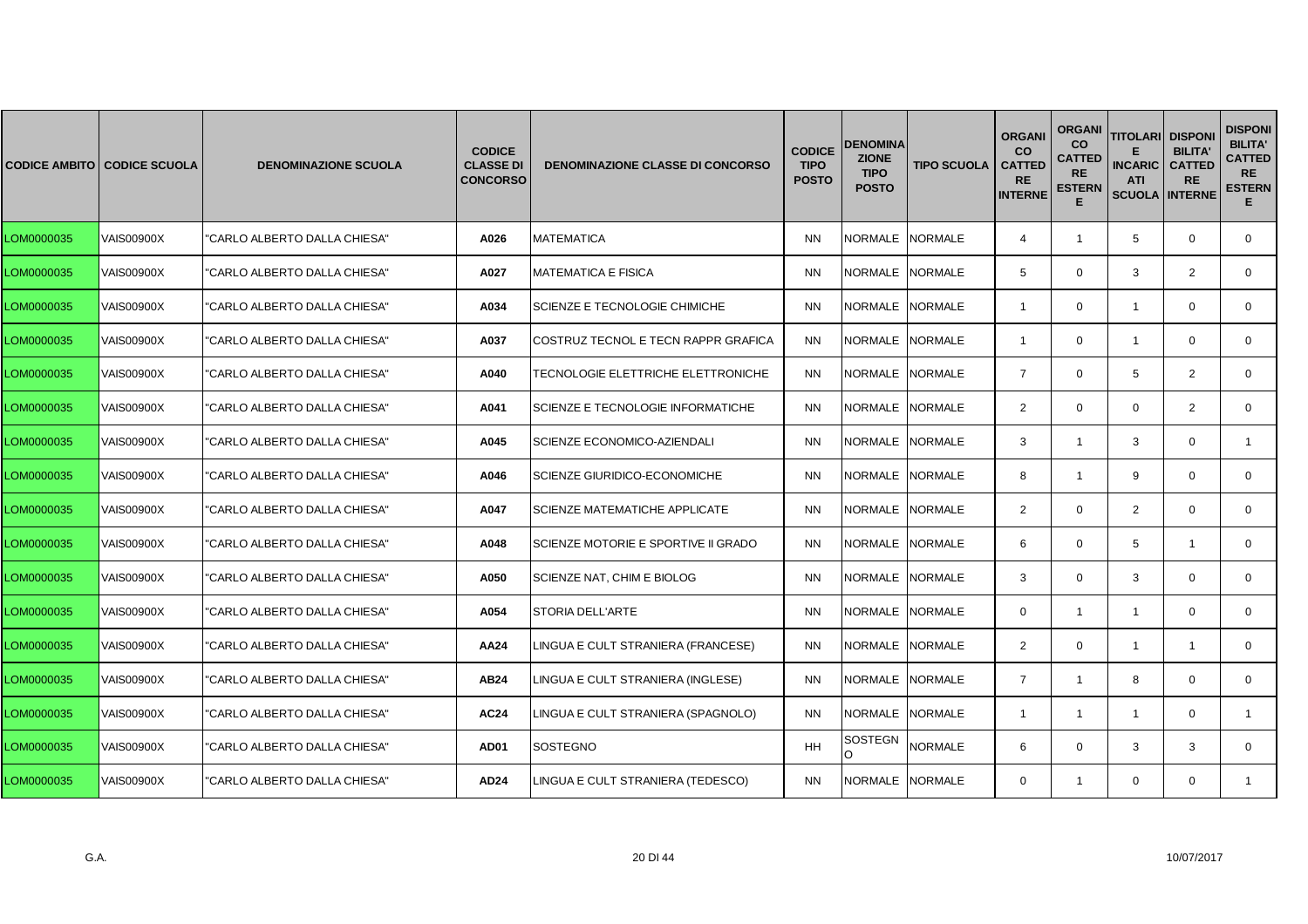|            | <b>CODICE AMBITO CODICE SCUOLA</b> | <b>DENOMINAZIONE SCUOLA</b>  | <b>CODICE</b><br><b>CLASSE DI</b><br><b>CONCORSO</b> | <b>DENOMINAZIONE CLASSE DI CONCORSO</b> | <b>CODICE</b><br><b>TIPO</b><br><b>POSTO</b> | <b>DENOMINA</b><br><b>ZIONE</b><br><b>TIPO</b><br><b>POSTO</b> | <b>TIPO SCUOLA</b> | <b>ORGAN</b><br><b>CO</b><br><b>CATTED</b><br><b>RE</b><br><b>INTERNE</b> | <b>ORGANI</b><br><b>CO</b><br><b>CATTED</b><br><b>RE</b><br><b>ESTERN</b><br>Е | <b>TITOLARI</b><br><b>INCARIC</b><br><b>ATI</b><br><b>SCUOLA INTERNE</b> | <b>DISPONI</b><br><b>BILITA'</b><br><b>CATTED</b><br><b>RE</b> | <b>DISPONI</b><br><b>BILITA'</b><br><b>CATTED</b><br><b>RE</b><br><b>ESTERN</b><br>Е. |
|------------|------------------------------------|------------------------------|------------------------------------------------------|-----------------------------------------|----------------------------------------------|----------------------------------------------------------------|--------------------|---------------------------------------------------------------------------|--------------------------------------------------------------------------------|--------------------------------------------------------------------------|----------------------------------------------------------------|---------------------------------------------------------------------------------------|
| LOM0000035 | <b>VAIS00900X</b>                  | "CARLO ALBERTO DALLA CHIESA" | A026                                                 | <b>MATEMATICA</b>                       | <b>NN</b>                                    | NORMALE NORMALE                                                |                    | $\overline{4}$                                                            | $\mathbf{1}$                                                                   | 5                                                                        | $\mathbf 0$                                                    | $\mathbf{0}$                                                                          |
| LOM0000035 | <b>VAIS00900X</b>                  | "CARLO ALBERTO DALLA CHIESA" | A027                                                 | <b>MATEMATICA E FISICA</b>              | <b>NN</b>                                    | NORMALE NORMALE                                                |                    | 5                                                                         | $\mathbf 0$                                                                    | 3                                                                        | 2                                                              | $\mathbf{0}$                                                                          |
| LOM0000035 | <b>VAIS00900X</b>                  | "CARLO ALBERTO DALLA CHIESA" | A034                                                 | SCIENZE E TECNOLOGIE CHIMICHE           | <b>NN</b>                                    | NORMALE                                                        | <b>NORMALE</b>     | -1                                                                        | $\mathbf 0$                                                                    | -1                                                                       | $\Omega$                                                       | $\mathbf{0}$                                                                          |
| LOM0000035 | <b>VAIS00900X</b>                  | "CARLO ALBERTO DALLA CHIESA" | A037                                                 | COSTRUZ TECNOL E TECN RAPPR GRAFICA     | <b>NN</b>                                    | NORMALE NORMALE                                                |                    | $\overline{1}$                                                            | $\mathbf 0$                                                                    | $\mathbf{1}$                                                             | $\mathbf 0$                                                    | $\Omega$                                                                              |
| LOM0000035 | <b>VAIS00900X</b>                  | "CARLO ALBERTO DALLA CHIESA" | A040                                                 | TECNOLOGIE ELETTRICHE ELETTRONICHE      | <b>NN</b>                                    | NORMALE INORMALE                                               |                    | $\overline{7}$                                                            | $\mathbf{0}$                                                                   | 5                                                                        | 2                                                              | $\Omega$                                                                              |
| LOM0000035 | <b>VAIS00900X</b>                  | "CARLO ALBERTO DALLA CHIESA" | A041                                                 | SCIENZE E TECNOLOGIE INFORMATICHE       | <b>NN</b>                                    | <b>NORMALE</b>                                                 | <b>NORMALE</b>     | 2                                                                         | $\mathbf 0$                                                                    | $\mathbf 0$                                                              | $\overline{2}$                                                 | $\mathbf{0}$                                                                          |
| LOM0000035 | <b>VAIS00900X</b>                  | "CARLO ALBERTO DALLA CHIESA" | A045                                                 | SCIENZE ECONOMICO-AZIENDALI             | <b>NN</b>                                    | <b>NORMALE</b>                                                 | <b>NORMALE</b>     | 3                                                                         | $\mathbf{1}$                                                                   | 3                                                                        | $\mathbf 0$                                                    | $\mathbf{1}$                                                                          |
| LOM0000035 | <b>VAIS00900X</b>                  | "CARLO ALBERTO DALLA CHIESA" | A046                                                 | <b>SCIENZE GIURIDICO-ECONOMICHE</b>     | <b>NN</b>                                    | NORMALE NORMALE                                                |                    | 8                                                                         | $\mathbf{1}$                                                                   | 9                                                                        | $\mathbf 0$                                                    | 0                                                                                     |
| LOM0000035 | <b>VAIS00900X</b>                  | "CARLO ALBERTO DALLA CHIESA" | A047                                                 | <b>SCIENZE MATEMATICHE APPLICATE</b>    | <b>NN</b>                                    | NORMALE                                                        | <b>NORMALE</b>     | 2                                                                         | $\mathbf 0$                                                                    | $\overline{2}$                                                           | $\mathbf 0$                                                    | $\mathbf{0}$                                                                          |
| LOM0000035 | <b>VAIS00900X</b>                  | "CARLO ALBERTO DALLA CHIESA" | A048                                                 | SCIENZE MOTORIE E SPORTIVE II GRADO     | <b>NN</b>                                    | NORMALE NORMALE                                                |                    | 6                                                                         | $\mathbf 0$                                                                    | 5                                                                        | -1                                                             | $\mathbf{0}$                                                                          |
| LOM0000035 | <b>VAIS00900X</b>                  | "CARLO ALBERTO DALLA CHIESA" | A050                                                 | SCIENZE NAT, CHIM E BIOLOG              | <b>NN</b>                                    | NORMALE NORMALE                                                |                    | 3                                                                         | $\mathbf{0}$                                                                   | 3                                                                        | $\mathbf 0$                                                    | $\mathbf{0}$                                                                          |
| LOM0000035 | <b>VAIS00900X</b>                  | "CARLO ALBERTO DALLA CHIESA" | A054                                                 | <b>STORIA DELL'ARTE</b>                 | <b>NN</b>                                    | NORMALE                                                        | <b>NORMALE</b>     | $\Omega$                                                                  | $\mathbf{1}$                                                                   | $\overline{1}$                                                           | $\mathbf 0$                                                    | $\mathbf{0}$                                                                          |
| LOM0000035 | <b>VAIS00900X</b>                  | "CARLO ALBERTO DALLA CHIESA" | AA24                                                 | LINGUA E CULT STRANIERA (FRANCESE)      | <b>NN</b>                                    | <b>NORMALE</b>                                                 | <b>NORMALE</b>     | $\overline{2}$                                                            | $\mathbf 0$                                                                    | $\overline{1}$                                                           | $\mathbf{1}$                                                   | $\mathbf{0}$                                                                          |
| LOM0000035 | <b>VAIS00900X</b>                  | "CARLO ALBERTO DALLA CHIESA" | <b>AB24</b>                                          | LINGUA E CULT STRANIERA (INGLESE)       | <b>NN</b>                                    | NORMALE NORMALE                                                |                    | $\overline{7}$                                                            | $\mathbf{1}$                                                                   | 8                                                                        | $\mathbf 0$                                                    | $\mathbf 0$                                                                           |
| LOM0000035 | <b>VAIS00900X</b>                  | "CARLO ALBERTO DALLA CHIESA" | <b>AC24</b>                                          | LINGUA E CULT STRANIERA (SPAGNOLO)      | <b>NN</b>                                    | <b>NORMALE</b>                                                 | <b>NORMALE</b>     | $\overline{1}$                                                            | $\mathbf{1}$                                                                   | $\overline{1}$                                                           | $\mathbf 0$                                                    | $\mathbf{1}$                                                                          |
| LOM0000035 | <b>VAIS00900X</b>                  | "CARLO ALBERTO DALLA CHIESA" | <b>AD01</b>                                          | <b>SOSTEGNO</b>                         | <b>HH</b>                                    | SOSTEGN<br>O                                                   | <b>NORMALE</b>     | 6                                                                         | $\Omega$                                                                       | 3                                                                        | 3                                                              | $\mathbf{0}$                                                                          |
| LOM0000035 | <b>VAIS00900X</b>                  | "CARLO ALBERTO DALLA CHIESA" | AD24                                                 | LINGUA E CULT STRANIERA (TEDESCO)       | <b>NN</b>                                    | NORMALE NORMALE                                                |                    | $\Omega$                                                                  | $\mathbf{1}$                                                                   | $\mathbf 0$                                                              | $\mathbf 0$                                                    |                                                                                       |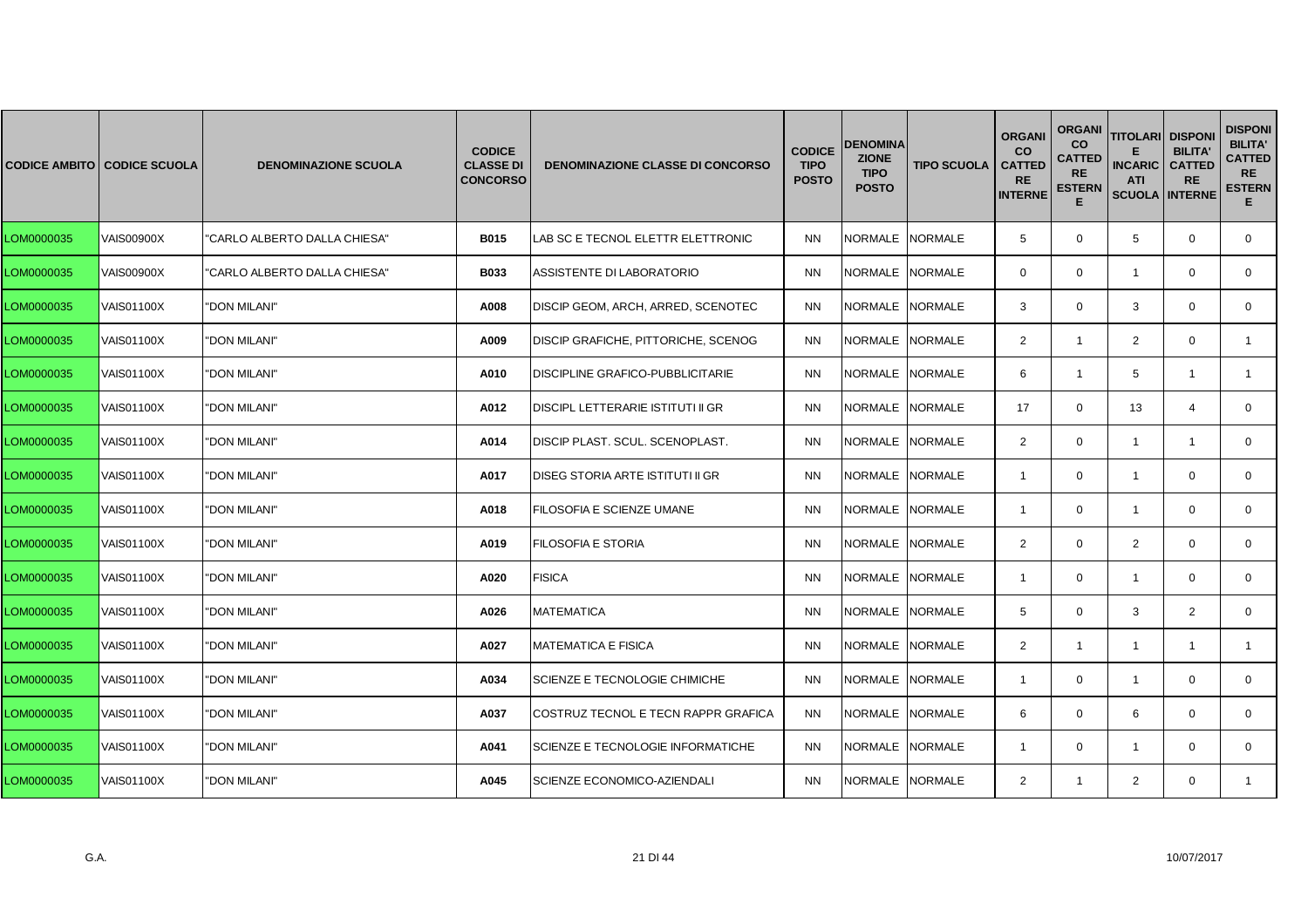|            | <b>CODICE AMBITO CODICE SCUOLA</b> | <b>DENOMINAZIONE SCUOLA</b>  | <b>CODICE</b><br><b>CLASSE DI</b><br><b>CONCORSO</b> | <b>DENOMINAZIONE CLASSE DI CONCORSO</b>  | <b>CODICE</b><br><b>TIPO</b><br><b>POSTO</b> | DENOMINA<br><b>ZIONE</b><br><b>TIPO</b><br><b>POSTO</b> | <b>TIPO SCUOLA</b> | <b>ORGANI</b><br><b>CO</b><br><b>CATTED</b><br><b>RE</b><br><b>INTERNE</b> | <b>ORGANI</b><br><b>CO</b><br><b>CATTED</b><br><b>RE</b><br><b>ESTERN</b><br>Е | <b>TITOLARI DISPONI</b><br><b>INCARIC</b><br><b>ATI</b><br><b>SCUOLA INTERNE</b> | <b>BILITA'</b><br><b>CATTED</b><br><b>RE</b> | <b>DISPONI</b><br><b>BILITA'</b><br><b>CATTED</b><br><b>RE</b><br><b>ESTERN</b><br>Е. |
|------------|------------------------------------|------------------------------|------------------------------------------------------|------------------------------------------|----------------------------------------------|---------------------------------------------------------|--------------------|----------------------------------------------------------------------------|--------------------------------------------------------------------------------|----------------------------------------------------------------------------------|----------------------------------------------|---------------------------------------------------------------------------------------|
| LOM0000035 | <b>VAIS00900X</b>                  | "CARLO ALBERTO DALLA CHIESA" | <b>B015</b>                                          | LAB SC E TECNOL ELETTR ELETTRONIC        | <b>NN</b>                                    | NORMALE NORMALE                                         |                    | 5                                                                          | $\mathbf{0}$                                                                   | 5                                                                                | $\mathbf 0$                                  | $\mathbf{0}$                                                                          |
| LOM0000035 | <b>VAIS00900X</b>                  | "CARLO ALBERTO DALLA CHIESA" | <b>B033</b>                                          | ASSISTENTE DI LABORATORIO                | <b>NN</b>                                    | NORMALE NORMALE                                         |                    | $\mathbf{0}$                                                               | $\mathbf{0}$                                                                   | $\mathbf{1}$                                                                     | $\mathbf 0$                                  | $\mathbf{0}$                                                                          |
| LOM0000035 | VAIS01100X                         | "DON MILANI"                 | A008                                                 | DISCIP GEOM, ARCH, ARRED, SCENOTEC       | <b>NN</b>                                    | NORMALE NORMALE                                         |                    | 3                                                                          | $\Omega$                                                                       | 3                                                                                | $\Omega$                                     | $\mathbf{0}$                                                                          |
| LOM0000035 | VAIS01100X                         | "DON MILANI"                 | A009                                                 | DISCIP GRAFICHE, PITTORICHE, SCENOG      | <b>NN</b>                                    | NORMALE NORMALE                                         |                    | $\overline{2}$                                                             | $\mathbf{1}$                                                                   | $\overline{2}$                                                                   | $\mathbf 0$                                  | $\mathbf{1}$                                                                          |
| LOM0000035 | <b>VAIS01100X</b>                  | "DON MILANI"                 | A010                                                 | <b>DISCIPLINE GRAFICO-PUBBLICITARIE</b>  | <b>NN</b>                                    | NORMALE NORMALE                                         |                    | 6                                                                          | $\mathbf{1}$                                                                   | 5                                                                                | $\overline{1}$                               | $\mathbf{1}$                                                                          |
| LOM0000035 | VAIS01100X                         | "DON MILANI"                 | A012                                                 | <b>DISCIPL LETTERARIE ISTITUTI II GR</b> | <b>NN</b>                                    | <b>NORMALE</b>                                          | NORMALE            | 17                                                                         | $\Omega$                                                                       | 13                                                                               | $\overline{4}$                               | $\mathbf{0}$                                                                          |
| LOM0000035 | VAIS01100X                         | "DON MILANI"                 | A014                                                 | DISCIP PLAST. SCUL. SCENOPLAST.          | <b>NN</b>                                    | <b>NORMALE</b>                                          | <b>NORMALE</b>     | 2                                                                          | $\mathbf{0}$                                                                   | $\overline{1}$                                                                   | $\mathbf{1}$                                 | 0                                                                                     |
| LOM0000035 | VAIS01100X                         | "DON MILANI"                 | A017                                                 | DISEG STORIA ARTE ISTITUTI II GR         | <b>NN</b>                                    | <b>NORMALE</b>                                          | <b>NORMALE</b>     | $\overline{1}$                                                             | $\mathbf{0}$                                                                   | $\overline{1}$                                                                   | $\mathbf 0$                                  | $\mathbf{0}$                                                                          |
| LOM0000035 | <b>VAIS01100X</b>                  | "DON MILANI"                 | A018                                                 | FILOSOFIA E SCIENZE UMANE                | <b>NN</b>                                    | NORMALE NORMALE                                         |                    | $\overline{1}$                                                             | $\mathbf 0$                                                                    | $\mathbf{1}$                                                                     | $\Omega$                                     | $\Omega$                                                                              |
| LOM0000035 | VAIS01100X                         | "DON MILANI"                 | A019                                                 | FILOSOFIA E STORIA                       | <b>NN</b>                                    | NORMALE NORMALE                                         |                    | 2                                                                          | $\mathbf{0}$                                                                   | $\overline{2}$                                                                   | $\mathbf{0}$                                 | $\mathbf{0}$                                                                          |
| LOM0000035 | VAIS01100X                         | "DON MILANI"                 | A020                                                 | <b>FISICA</b>                            | <b>NN</b>                                    | NORMALE NORMALE                                         |                    | -1                                                                         | $\mathbf 0$                                                                    | $\overline{1}$                                                                   | $\mathbf 0$                                  | $\overline{0}$                                                                        |
| LOM0000035 | <b>VAIS01100X</b>                  | "DON MILANI"                 | A026                                                 | <b>MATEMATICA</b>                        | <b>NN</b>                                    | <b>NORMALE</b>                                          | <b>NORMALE</b>     | 5                                                                          | $\Omega$                                                                       | 3                                                                                | 2                                            | $\Omega$                                                                              |
| LOM0000035 | VAIS01100X                         | "DON MILANI"                 | A027                                                 | <b>MATEMATICA E FISICA</b>               | <b>NN</b>                                    | <b>NORMALE</b>                                          | <b>NORMALE</b>     | $\overline{2}$                                                             | $\mathbf{1}$                                                                   | $\overline{1}$                                                                   | $\mathbf{1}$                                 | 1                                                                                     |
| LOM0000035 | VAIS01100X                         | "DON MILANI"                 | A034                                                 | SCIENZE E TECNOLOGIE CHIMICHE            | <b>NN</b>                                    | <b>NORMALE</b>                                          | <b>NORMALE</b>     | $\overline{1}$                                                             | $\mathbf{0}$                                                                   | $\mathbf{1}$                                                                     | $\mathbf 0$                                  | 0                                                                                     |
| LOM0000035 | <b>VAIS01100X</b>                  | "DON MILANI"                 | A037                                                 | COSTRUZ TECNOL E TECN RAPPR GRAFICA      | <b>NN</b>                                    | NORMALE NORMALE                                         |                    | 6                                                                          | $\mathbf{0}$                                                                   | 6                                                                                | $\Omega$                                     | $\mathbf{0}$                                                                          |
| LOM0000035 | <b>VAIS01100X</b>                  | "DON MILANI"                 | A041                                                 | SCIENZE E TECNOLOGIE INFORMATICHE        | <b>NN</b>                                    | <b>NORMALE</b>                                          | <b>NORMALE</b>     | -1                                                                         | $\Omega$                                                                       | -1                                                                               | $\Omega$                                     | $\mathbf{0}$                                                                          |
| LOM0000035 | VAIS01100X                         | "DON MILANI"                 | A045                                                 | SCIENZE ECONOMICO-AZIENDALI              | <b>NN</b>                                    | NORMALE NORMALE                                         |                    | $\overline{2}$                                                             | $\mathbf{1}$                                                                   | 2                                                                                | $\mathbf{0}$                                 | 1                                                                                     |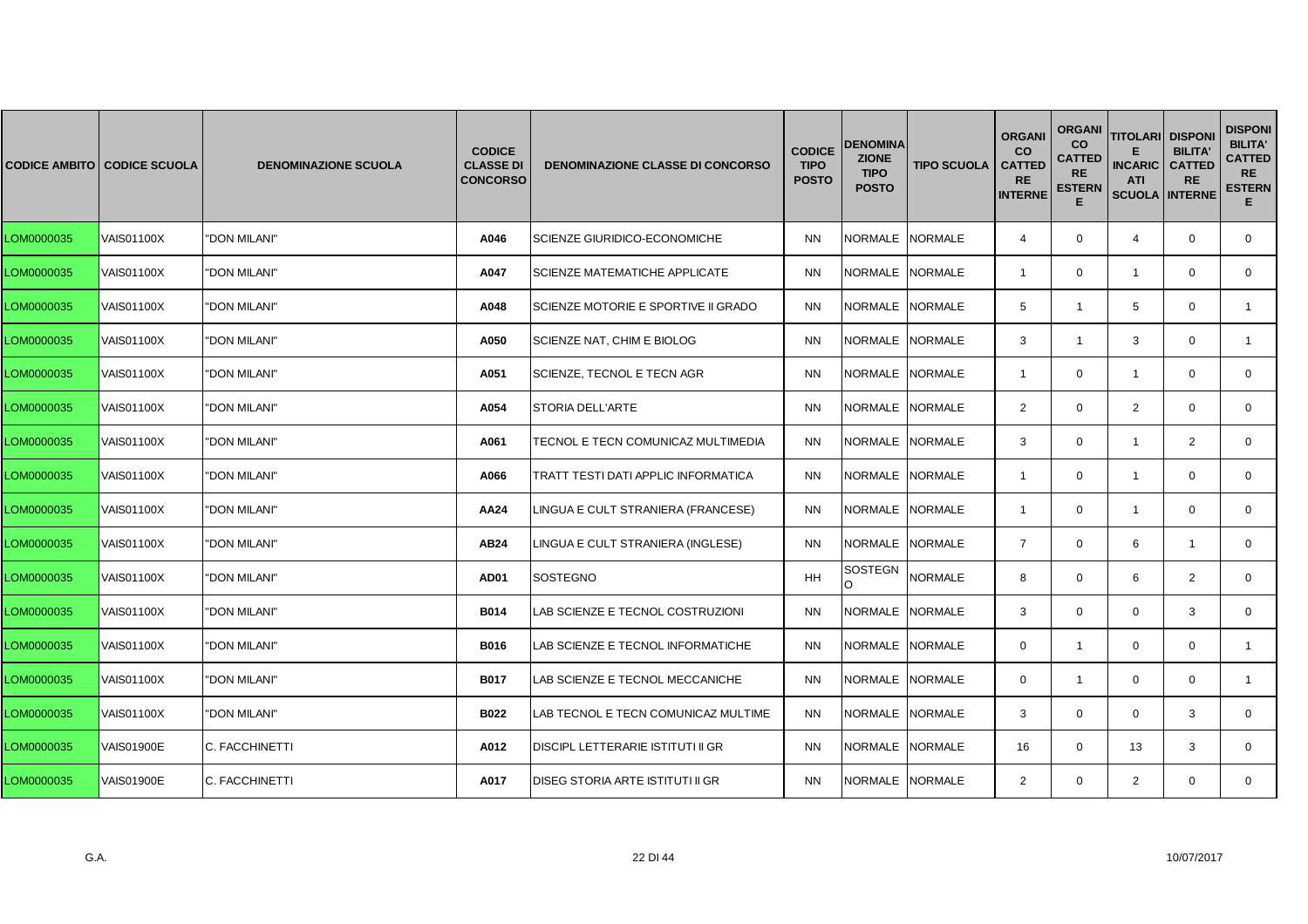|            | <b>CODICE AMBITO CODICE SCUOLA</b> | <b>DENOMINAZIONE SCUOLA</b> | <b>CODICE</b><br><b>CLASSE DI</b><br><b>CONCORSO</b> | <b>DENOMINAZIONE CLASSE DI CONCORSO</b>  | <b>CODICE</b><br><b>TIPO</b><br><b>POSTO</b> | <b>DENOMINA</b><br><b>ZIONE</b><br><b>TIPO</b><br><b>POSTO</b> | <b>TIPO SCUOLA</b> | <b>ORGANI</b><br><b>CO</b><br><b>CATTED</b><br><b>RE</b><br><b>INTERNE</b> | <b>ORGANI</b><br><b>CO</b><br><b>CATTED</b><br><b>RE</b><br><b>ESTERN</b><br>Е | <b>TITOLARI DISPONI</b><br><b>INCARIC</b><br><b>ATI</b><br><b>SCUOLA INTERNE</b> | <b>BILITA'</b><br><b>CATTED</b><br><b>RE</b> | <b>DISPONI</b><br><b>BILITA'</b><br><b>CATTED</b><br><b>RE</b><br><b>ESTERN</b><br>Е. |
|------------|------------------------------------|-----------------------------|------------------------------------------------------|------------------------------------------|----------------------------------------------|----------------------------------------------------------------|--------------------|----------------------------------------------------------------------------|--------------------------------------------------------------------------------|----------------------------------------------------------------------------------|----------------------------------------------|---------------------------------------------------------------------------------------|
| LOM0000035 | VAIS01100X                         | "DON MILANI"                | A046                                                 | SCIENZE GIURIDICO-ECONOMICHE             | <b>NN</b>                                    | NORMALE NORMALE                                                |                    | $\overline{4}$                                                             | $\mathbf{0}$                                                                   | $\overline{4}$                                                                   | $\mathbf 0$                                  | $\mathbf{0}$                                                                          |
| LOM0000035 | VAIS01100X                         | "DON MILANI"                | A047                                                 | <b>SCIENZE MATEMATICHE APPLICATE</b>     | <b>NN</b>                                    | NORMALE NORMALE                                                |                    | $\overline{1}$                                                             | $\mathbf{0}$                                                                   | $\mathbf{1}$                                                                     | $\mathbf 0$                                  | $\mathbf{0}$                                                                          |
| LOM0000035 | <b>VAIS01100X</b>                  | "DON MILANI"                | A048                                                 | SCIENZE MOTORIE E SPORTIVE II GRADO      | <b>NN</b>                                    | <b>NORMALE</b>                                                 | <b>NORMALE</b>     | 5                                                                          | 1                                                                              | 5                                                                                | $\Omega$                                     |                                                                                       |
| LOM0000035 | VAIS01100X                         | "DON MILANI"                | A050                                                 | SCIENZE NAT, CHIM E BIOLOG               | <b>NN</b>                                    | NORMALE NORMALE                                                |                    | 3                                                                          | $\mathbf{1}$                                                                   | 3                                                                                | $\mathbf 0$                                  | $\mathbf{1}$                                                                          |
| LOM0000035 | <b>VAIS01100X</b>                  | "DON MILANI"                | A051                                                 | SCIENZE, TECNOL E TECN AGR               | <b>NN</b>                                    | NORMALE NORMALE                                                |                    | $\overline{1}$                                                             | $\mathbf{0}$                                                                   | $\overline{1}$                                                                   | $\mathbf 0$                                  | $\mathbf{0}$                                                                          |
| LOM0000035 | VAIS01100X                         | "DON MILANI"                | A054                                                 | <b>STORIA DELL'ARTE</b>                  | <b>NN</b>                                    | <b>NORMALE</b>                                                 | <b>NORMALE</b>     | $\overline{2}$                                                             | $\mathbf{0}$                                                                   | 2                                                                                | $\Omega$                                     | $\mathbf{0}$                                                                          |
| LOM0000035 | VAIS01100X                         | "DON MILANI"                | A061                                                 | TECNOL E TECN COMUNICAZ MULTIMEDIA       | <b>NN</b>                                    | <b>NORMALE</b>                                                 | <b>NORMALE</b>     | 3                                                                          | $\mathbf{0}$                                                                   | $\mathbf{1}$                                                                     | 2                                            | $\mathbf{0}$                                                                          |
| LOM0000035 | <b>VAIS01100X</b>                  | "DON MILANI"                | A066                                                 | TRATT TESTI DATI APPLIC INFORMATICA      | <b>NN</b>                                    | <b>NORMALE</b>                                                 | <b>NORMALE</b>     | $\overline{1}$                                                             | $\mathbf{0}$                                                                   | $\overline{1}$                                                                   | $\mathbf 0$                                  | $\mathbf{0}$                                                                          |
| LOM0000035 | <b>VAIS01100X</b>                  | "DON MILANI"                | AA24                                                 | LINGUA E CULT STRANIERA (FRANCESE)       | <b>NN</b>                                    | NORMALE NORMALE                                                |                    | $\overline{1}$                                                             | $\mathbf 0$                                                                    | $\mathbf{1}$                                                                     | $\Omega$                                     | $\Omega$                                                                              |
| LOM0000035 | VAIS01100X                         | "DON MILANI"                | AB24                                                 | LINGUA E CULT STRANIERA (INGLESE)        | ΝN                                           | NORMALE                                                        | <b>NORMALE</b>     | $\overline{7}$                                                             | $\mathbf{0}$                                                                   | 6                                                                                | $\mathbf{1}$                                 | $\mathbf{0}$                                                                          |
| LOM0000035 | VAIS01100X                         | "DON MILANI"                | <b>AD01</b>                                          | <b>SOSTEGNO</b>                          | HH                                           | SOSTEGN<br>$\Omega$                                            | <b>NORMALE</b>     | 8                                                                          | $\mathbf 0$                                                                    | 6                                                                                | $\overline{2}$                               | $\overline{0}$                                                                        |
| LOM0000035 | <b>VAIS01100X</b>                  | "DON MILANI"                | <b>B014</b>                                          | LAB SCIENZE E TECNOL COSTRUZIONI         | <b>NN</b>                                    | <b>NORMALE</b>                                                 | <b>NORMALE</b>     | 3                                                                          | $\Omega$                                                                       | $\Omega$                                                                         | 3                                            | $\Omega$                                                                              |
| LOM0000035 | VAIS01100X                         | "DON MILANI"                | <b>B016</b>                                          | LAB SCIENZE E TECNOL INFORMATICHE        | <b>NN</b>                                    | <b>NORMALE</b>                                                 | <b>NORMALE</b>     | $\mathbf{0}$                                                               | $\mathbf{1}$                                                                   | 0                                                                                | $\mathbf 0$                                  | 1                                                                                     |
| LOM0000035 | VAIS01100X                         | "DON MILANI"                | <b>B017</b>                                          | AB SCIENZE E TECNOL MECCANICHE           | <b>NN</b>                                    | <b>NORMALE</b>                                                 | <b>NORMALE</b>     | $\mathbf{0}$                                                               | $\mathbf{1}$                                                                   | $\mathbf 0$                                                                      | $\mathbf 0$                                  | 1                                                                                     |
| LOM0000035 | <b>VAIS01100X</b>                  | "DON MILANI"                | B022                                                 | LAB TECNOL E TECN COMUNICAZ MULTIME      | <b>NN</b>                                    | NORMALE NORMALE                                                |                    | 3                                                                          | $\mathbf{0}$                                                                   | $\mathbf 0$                                                                      | 3                                            | $\mathbf{0}$                                                                          |
| LOM0000035 | <b>VAIS01900E</b>                  | C. FACCHINETTI              | A012                                                 | <b>DISCIPL LETTERARIE ISTITUTI II GR</b> | <b>NN</b>                                    | <b>NORMALE</b>                                                 | <b>NORMALE</b>     | 16                                                                         | $\Omega$                                                                       | 13                                                                               | 3                                            | $\mathbf{0}$                                                                          |
| LOM0000035 | VAIS01900E                         | C. FACCHINETTI              | A017                                                 | DISEG STORIA ARTE ISTITUTI II GR         | <b>NN</b>                                    | NORMALE NORMALE                                                |                    | $\overline{2}$                                                             | $\mathbf{0}$                                                                   | 2                                                                                | $\mathbf 0$                                  | $\mathbf{0}$                                                                          |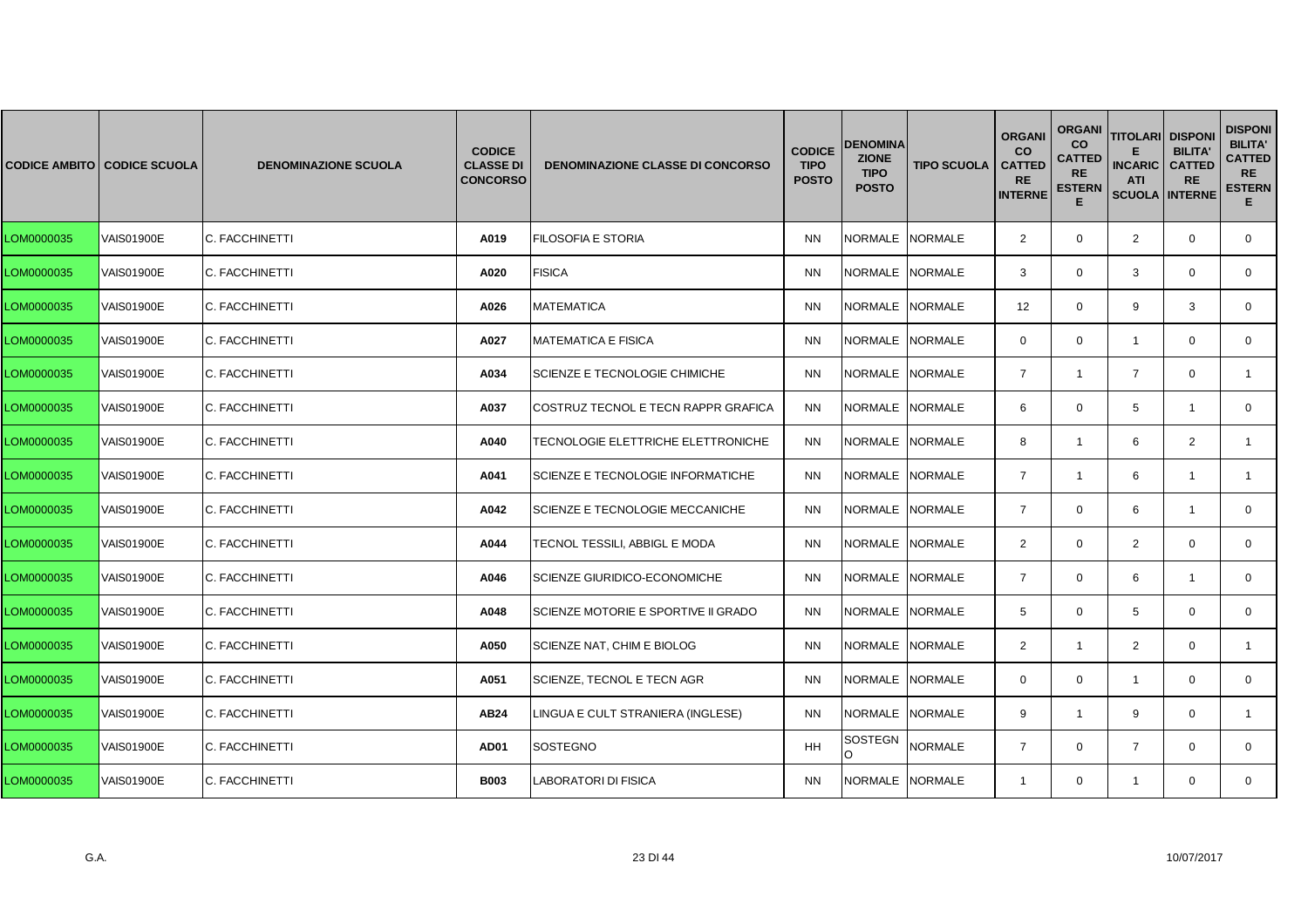|            | <b>CODICE AMBITO   CODICE SCUOLA</b> | <b>DENOMINAZIONE SCUOLA</b> | <b>CODICE</b><br><b>CLASSE DI</b><br><b>CONCORSO</b> | <b>DENOMINAZIONE CLASSE DI CONCORSO</b> | <b>CODICE</b><br><b>TIPO</b><br><b>POSTO</b> | <b>DENOMINA</b><br><b>ZIONE</b><br><b>TIPO</b><br><b>POSTO</b> | <b>TIPO SCUOLA</b> | <b>ORGANI</b><br><b>CO</b><br><b>CATTED</b><br><b>RE</b><br><b>INTERNE</b> | <b>ORGANI</b><br><b>CO</b><br><b>CATTED</b><br><b>RE</b><br><b>ESTERN</b><br>Е | <b>TITOLARI DISPONI</b><br><b>INCARIC</b><br><b>ATI</b><br><b>SCUOLA INTERNE</b> | <b>BILITA'</b><br><b>CATTED</b><br><b>RE</b> | <b>DISPONI</b><br><b>BILITA'</b><br><b>CATTED</b><br><b>RE</b><br><b>ESTERN</b><br>Е. |
|------------|--------------------------------------|-----------------------------|------------------------------------------------------|-----------------------------------------|----------------------------------------------|----------------------------------------------------------------|--------------------|----------------------------------------------------------------------------|--------------------------------------------------------------------------------|----------------------------------------------------------------------------------|----------------------------------------------|---------------------------------------------------------------------------------------|
| LOM0000035 | <b>VAIS01900E</b>                    | C. FACCHINETTI              | A019                                                 | <b>FILOSOFIA E STORIA</b>               | <b>NN</b>                                    | NORMALE NORMALE                                                |                    | $\overline{2}$                                                             | $\mathbf{0}$                                                                   | $\overline{2}$                                                                   | $\mathbf 0$                                  | $\overline{0}$                                                                        |
| LOM0000035 | <b>VAIS01900E</b>                    | C. FACCHINETTI              | A020                                                 | <b>FISICA</b>                           | <b>NN</b>                                    | NORMALE NORMALE                                                |                    | 3                                                                          | $\mathbf{0}$                                                                   | 3                                                                                | $\mathbf 0$                                  | $\mathbf{0}$                                                                          |
| LOM0000035 | VAIS01900E                           | C. FACCHINETTI              | A026                                                 | <b>MATEMATICA</b>                       | <b>NN</b>                                    | <b>NORMALE</b>                                                 | <b>NORMALE</b>     | 12                                                                         | $\mathbf{0}$                                                                   | 9                                                                                | 3                                            | $\mathbf{0}$                                                                          |
| LOM0000035 | VAIS01900E                           | C. FACCHINETTI              | A027                                                 | <b>MATEMATICA E FISICA</b>              | <b>NN</b>                                    | INORMALE INORMALE                                              |                    | $\mathbf{0}$                                                               | $\mathbf{0}$                                                                   | $\mathbf{1}$                                                                     | $\mathbf{0}$                                 | $\mathbf{0}$                                                                          |
| LOM0000035 | <b>VAIS01900E</b>                    | C. FACCHINETTI              | A034                                                 | SCIENZE E TECNOLOGIE CHIMICHE           | <b>NN</b>                                    | <b>NORMALE</b>                                                 | <b>NORMALE</b>     | $\overline{7}$                                                             | $\mathbf{1}$                                                                   | $\overline{7}$                                                                   | $\Omega$                                     | $\mathbf{1}$                                                                          |
| LOM0000035 | VAIS01900E                           | C. FACCHINETTI              | A037                                                 | COSTRUZ TECNOL E TECN RAPPR GRAFICA     | <b>NN</b>                                    | <b>NORMALE</b>                                                 | <b>NORMALE</b>     | 6                                                                          | $\mathbf{0}$                                                                   | 5                                                                                | $\overline{1}$                               | $\mathbf{0}$                                                                          |
| LOM0000035 | VAIS01900E                           | C. FACCHINETTI              | A040                                                 | TECNOLOGIE ELETTRICHE ELETTRONICHE      | ΝN                                           | NORMALE NORMALE                                                |                    | 8                                                                          | $\mathbf{1}$                                                                   | 6                                                                                | 2                                            | 1                                                                                     |
| LOM0000035 | <b>VAIS01900E</b>                    | C. FACCHINETTI              | A041                                                 | SCIENZE E TECNOLOGIE INFORMATICHE       | <b>NN</b>                                    | NORMALE NORMALE                                                |                    | $\overline{7}$                                                             | $\mathbf{1}$                                                                   | 6                                                                                | $\mathbf{1}$                                 | $\mathbf{1}$                                                                          |
| LOM0000035 | <b>VAIS01900E</b>                    | C. FACCHINETTI              | A042                                                 | SCIENZE E TECNOLOGIE MECCANICHE         | <b>NN</b>                                    | <b>NORMALE</b>                                                 | <b>NORMALE</b>     | $\overline{7}$                                                             | $\mathbf{0}$                                                                   | 6                                                                                | $\overline{1}$                               | $\mathbf{0}$                                                                          |
| LOM0000035 | VAIS01900E                           | C. FACCHINETTI              | A044                                                 | TECNOL TESSILI, ABBIGL E MODA           | <b>NN</b>                                    | NORMALE NORMALE                                                |                    | $\overline{2}$                                                             | $\mathbf{0}$                                                                   | 2                                                                                | $\mathbf 0$                                  | $\mathbf{0}$                                                                          |
| LOM0000035 | <b>VAIS01900E</b>                    | C. FACCHINETTI              | A046                                                 | <b>SCIENZE GIURIDICO-ECONOMICHE</b>     | <b>NN</b>                                    | <b>NORMALE</b>                                                 | <b>NORMALE</b>     | $\overline{7}$                                                             | $\Omega$                                                                       | 6                                                                                | $\mathbf{1}$                                 | $\Omega$                                                                              |
| LOM0000035 | <b>VAIS01900E</b>                    | C. FACCHINETTI              | A048                                                 | SCIENZE MOTORIE E SPORTIVE II GRADO     | <b>NN</b>                                    | <b>NORMALE</b>                                                 | <b>NORMALE</b>     | 5                                                                          | $\mathbf 0$                                                                    | 5                                                                                | $\mathbf 0$                                  | $\mathbf{0}$                                                                          |
| LOM0000035 | VAIS01900E                           | C. FACCHINETTI              | A050                                                 | SCIENZE NAT, CHIM E BIOLOG              | <b>NN</b>                                    | <b>NORMALE</b>                                                 | <b>NORMALE</b>     | $\overline{2}$                                                             | $\mathbf{1}$                                                                   | $\overline{2}$                                                                   | $\mathbf 0$                                  | $\mathbf{1}$                                                                          |
| LOM0000035 | VAIS01900E                           | C. FACCHINETTI              | A051                                                 | SCIENZE, TECNOL E TECN AGR              | <b>NN</b>                                    | <b>NORMALE</b>                                                 | <b>NORMALE</b>     | $\mathbf{0}$                                                               | $\mathbf{0}$                                                                   | $\mathbf{1}$                                                                     | $\mathbf 0$                                  | $\mathbf{0}$                                                                          |
| LOM0000035 | VAIS01900E                           | C. FACCHINETTI              | AB24                                                 | LINGUA E CULT STRANIERA (INGLESE)       | <b>NN</b>                                    | NORMALE                                                        | <b>NORMALE</b>     | 9                                                                          | $\mathbf{1}$                                                                   | 9                                                                                | $\mathbf 0$                                  | $\mathbf{1}$                                                                          |
| LOM0000035 | VAIS01900E                           | C. FACCHINETTI              | <b>AD01</b>                                          | <b>SOSTEGNO</b>                         | HH                                           | SOSTEGN<br>$\Omega$                                            | <b>NORMALE</b>     | $\overline{7}$                                                             | $\mathbf 0$                                                                    | $\overline{7}$                                                                   | $\mathbf 0$                                  | $\mathbf{0}$                                                                          |
| LOM0000035 | VAIS01900E                           | C. FACCHINETTI              | <b>B003</b>                                          | LABORATORI DI FISICA                    | <b>NN</b>                                    | NORMALE NORMALE                                                |                    | $\mathbf{1}$                                                               | $\mathbf{0}$                                                                   | $\mathbf{1}$                                                                     | $\mathbf{0}$                                 | $\mathbf{0}$                                                                          |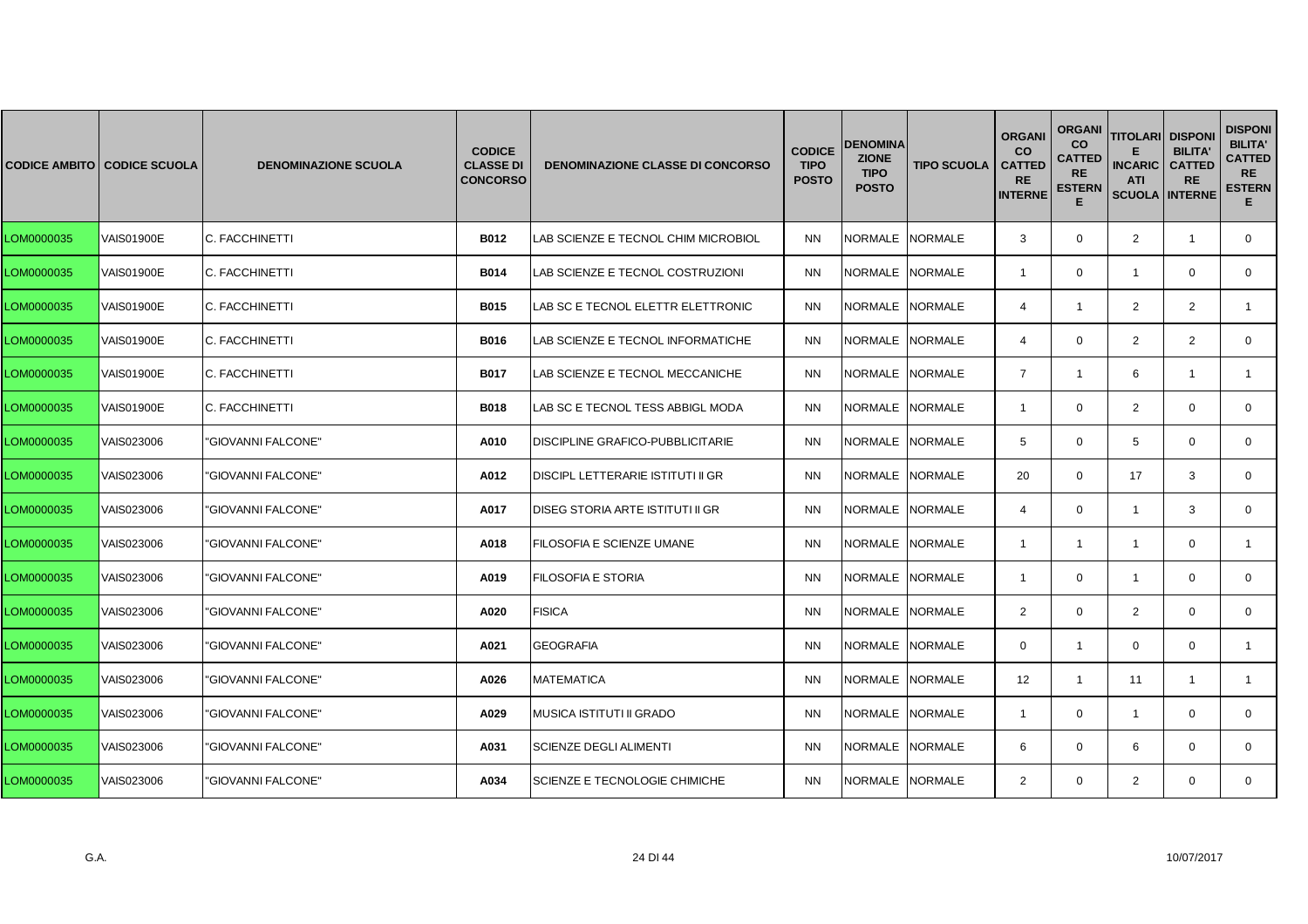|            | <b>CODICE AMBITO CODICE SCUOLA</b> | <b>DENOMINAZIONE SCUOLA</b> | <b>CODICE</b><br><b>CLASSE DI</b><br><b>CONCORSO</b> | <b>DENOMINAZIONE CLASSE DI CONCORSO</b>  | <b>CODICE</b><br><b>TIPO</b><br><b>POSTO</b> | <b>DENOMINA</b><br><b>ZIONE</b><br><b>TIPO</b><br><b>POSTO</b> | <b>TIPO SCUOLA</b> | <b>ORGANI</b><br><b>CO</b><br><b>CATTED</b><br><b>RE</b><br><b>INTERNE</b> | <b>ORGANI</b><br><b>CO</b><br><b>CATTED</b><br><b>RE</b><br><b>ESTERN</b><br>Е | <b>TITOLARI DISPONI</b><br><b>INCARIC</b><br><b>ATI</b><br><b>SCUOLA INTERNE</b> | <b>BILITA'</b><br><b>CATTED</b><br><b>RE</b> | <b>DISPONI</b><br><b>BILITA'</b><br><b>CATTED</b><br><b>RE</b><br><b>ESTERN</b><br>Е. |
|------------|------------------------------------|-----------------------------|------------------------------------------------------|------------------------------------------|----------------------------------------------|----------------------------------------------------------------|--------------------|----------------------------------------------------------------------------|--------------------------------------------------------------------------------|----------------------------------------------------------------------------------|----------------------------------------------|---------------------------------------------------------------------------------------|
| LOM0000035 | <b>VAIS01900E</b>                  | C. FACCHINETTI              | <b>B012</b>                                          | LAB SCIENZE E TECNOL CHIM MICROBIOL      | <b>NN</b>                                    | NORMALE NORMALE                                                |                    | 3                                                                          | $\mathbf{0}$                                                                   | 2                                                                                | $\overline{1}$                               | $\mathbf{0}$                                                                          |
| LOM0000035 | VAIS01900E                         | C. FACCHINETTI              | <b>B014</b>                                          | LAB SCIENZE E TECNOL COSTRUZIONI         | <b>NN</b>                                    | NORMALE NORMALE                                                |                    | $\overline{1}$                                                             | $\mathbf{0}$                                                                   | $\mathbf{1}$                                                                     | $\mathbf 0$                                  | $\overline{0}$                                                                        |
| LOM0000035 | <b>VAIS01900E</b>                  | C. FACCHINETTI              | <b>B015</b>                                          | LAB SC E TECNOL ELETTR ELETTRONIC        | <b>NN</b>                                    | <b>NORMALE</b>                                                 | <b>NORMALE</b>     | 4                                                                          | $\mathbf{1}$                                                                   | 2                                                                                | $\overline{2}$                               |                                                                                       |
| LOM0000035 | <b>VAIS01900E</b>                  | C. FACCHINETTI              | B016                                                 | LAB SCIENZE E TECNOL INFORMATICHE        | <b>NN</b>                                    | NORMALE NORMALE                                                |                    | $\overline{4}$                                                             | $\mathbf{0}$                                                                   | $\overline{2}$                                                                   | 2                                            | $\mathbf{0}$                                                                          |
| LOM0000035 | <b>VAIS01900E</b>                  | C. FACCHINETTI              | <b>B017</b>                                          | LAB SCIENZE E TECNOL MECCANICHE          | <b>NN</b>                                    | NORMALE NORMALE                                                |                    | $\overline{7}$                                                             | $\mathbf{1}$                                                                   | 6                                                                                | $\overline{1}$                               | $\mathbf{1}$                                                                          |
| LOM0000035 | VAIS01900E                         | C. FACCHINETTI              | <b>B018</b>                                          | LAB SC E TECNOL TESS ABBIGL MODA         | <b>NN</b>                                    | <b>NORMALE</b>                                                 | <b>NORMALE</b>     | $\overline{1}$                                                             | $\mathbf{0}$                                                                   | 2                                                                                | $\Omega$                                     | $\mathbf{0}$                                                                          |
| LOM0000035 | VAIS023006                         | 'GIOVANNI FALCONE"          | A010                                                 | DISCIPLINE GRAFICO-PUBBLICITARIE         | <b>NN</b>                                    | <b>NORMALE</b>                                                 | <b>NORMALE</b>     | 5                                                                          | $\mathbf{0}$                                                                   | 5                                                                                | $\mathbf 0$                                  | $\mathbf{0}$                                                                          |
| LOM0000035 | VAIS023006                         | "GIOVANNI FALCONE"          | A012                                                 | <b>DISCIPL LETTERARIE ISTITUTI II GR</b> | <b>NN</b>                                    | <b>NORMALE</b>                                                 | <b>NORMALE</b>     | 20                                                                         | $\mathbf{0}$                                                                   | 17                                                                               | 3                                            | $\mathbf{0}$                                                                          |
| LOM0000035 | VAIS023006                         | "GIOVANNI FALCONE"          | A017                                                 | <b>DISEG STORIA ARTE ISTITUTI II GR</b>  | <b>NN</b>                                    | <b>NORMALE</b>                                                 | <b>NORMALE</b>     | $\overline{4}$                                                             | $\Omega$                                                                       | $\mathbf{1}$                                                                     | 3                                            | $\Omega$                                                                              |
| LOM0000035 | VAIS023006                         | 'GIOVANNI FALCONE'          | A018                                                 | FILOSOFIA E SCIENZE UMANE                | <b>NN</b>                                    | NORMALE                                                        | <b>NORMALE</b>     | $\overline{1}$                                                             | $\mathbf{1}$                                                                   | $\mathbf{1}$                                                                     | $\mathbf 0$                                  | $\mathbf{1}$                                                                          |
| LOM0000035 | VAIS023006                         | "GIOVANNI FALCONE"          | A019                                                 | FILOSOFIA E STORIA                       | <b>NN</b>                                    | NORMALE                                                        | <b>NORMALE</b>     | -1                                                                         | $\mathbf 0$                                                                    | $\overline{1}$                                                                   | $\mathbf 0$                                  | $\mathbf 0$                                                                           |
| LOM0000035 | VAIS023006                         | "GIOVANNI FALCONE"          | A020                                                 | <b>FISICA</b>                            | <b>NN</b>                                    | <b>NORMALE</b>                                                 | <b>NORMALE</b>     | $\overline{2}$                                                             | $\mathbf 0$                                                                    | $\overline{2}$                                                                   | $\Omega$                                     | $\Omega$                                                                              |
| LOM0000035 | VAIS023006                         | 'GIOVANNI FALCONE'          | A021                                                 | GEOGRAFIA                                | <b>NN</b>                                    | <b>NORMALE</b>                                                 | <b>NORMALE</b>     | $\mathbf{0}$                                                               | $\mathbf{1}$                                                                   | $\mathbf 0$                                                                      | $\mathbf 0$                                  | 1                                                                                     |
| LOM0000035 | VAIS023006                         | 'GIOVANNI FALCONE"          | A026                                                 | <b>MATEMATICA</b>                        | <b>NN</b>                                    | NORMALE                                                        | <b>NORMALE</b>     | 12                                                                         | $\mathbf{1}$                                                                   | 11                                                                               | $\overline{1}$                               | 1                                                                                     |
| LOM0000035 | VAIS023006                         | "GIOVANNI FALCONE"          | A029                                                 | <b>MUSICA ISTITUTI II GRADO</b>          | <b>NN</b>                                    | NORMALE NORMALE                                                |                    | $\overline{1}$                                                             | $\mathbf{0}$                                                                   | $\overline{1}$                                                                   | $\Omega$                                     | $\mathbf{0}$                                                                          |
| LOM0000035 | VAIS023006                         | "GIOVANNI FALCONE"          | A031                                                 | <b>SCIENZE DEGLI ALIMENTI</b>            | <b>NN</b>                                    | <b>NORMALE</b>                                                 | <b>NORMALE</b>     | 6                                                                          | $\Omega$                                                                       | 6                                                                                | $\Omega$                                     | $\Omega$                                                                              |
| LOM0000035 | VAIS023006                         | "GIOVANNI FALCONE"          | A034                                                 | SCIENZE E TECNOLOGIE CHIMICHE            | <b>NN</b>                                    | NORMALE NORMALE                                                |                    | $\overline{2}$                                                             | $\mathbf{0}$                                                                   | 2                                                                                | $\mathbf{0}$                                 | $\mathbf{0}$                                                                          |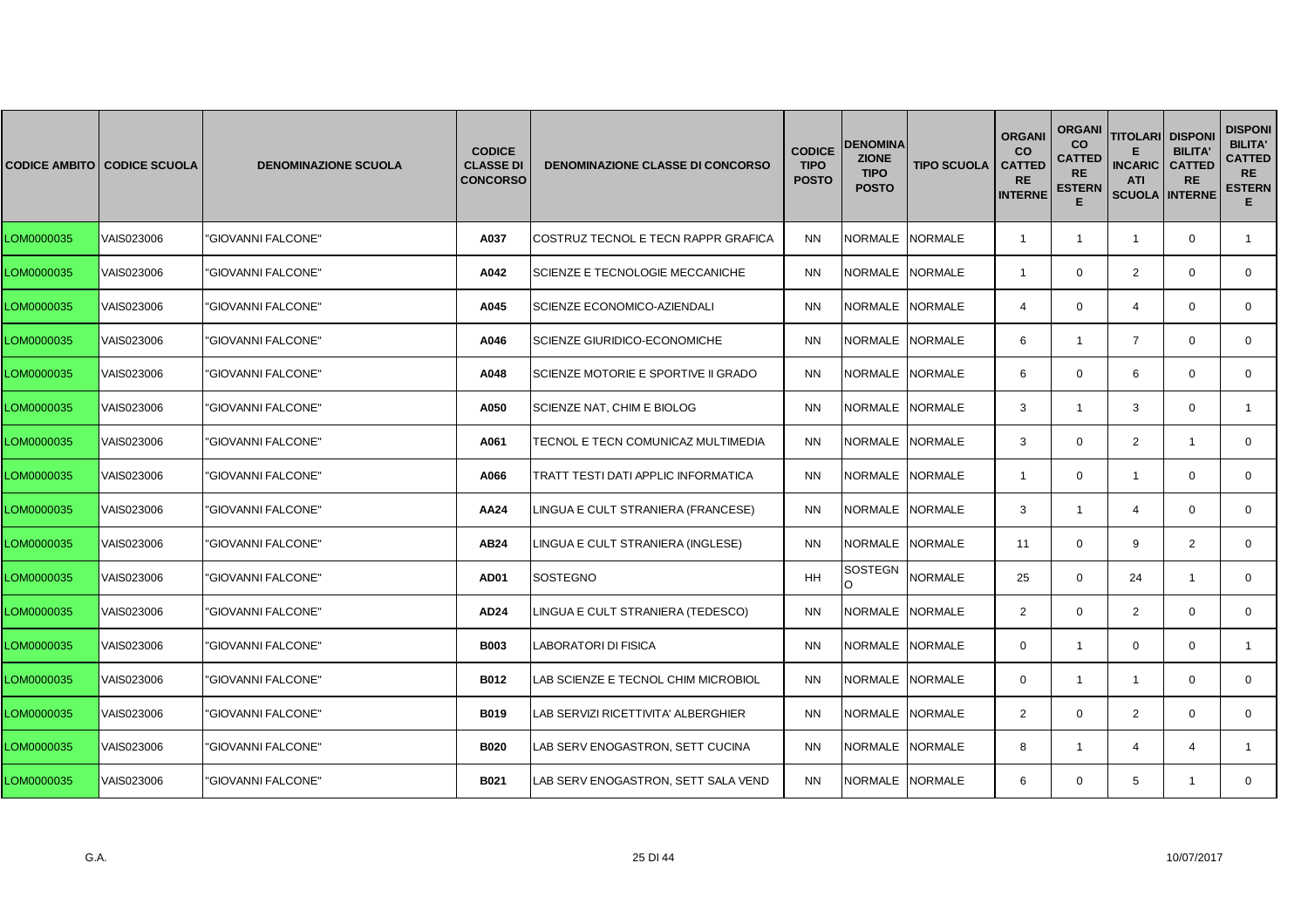|            | CODICE AMBITO   CODICE SCUOLA | <b>DENOMINAZIONE SCUOLA</b> | <b>CODICE</b><br><b>CLASSE DI</b><br><b>CONCORSO</b> | <b>DENOMINAZIONE CLASSE DI CONCORSO</b> | <b>CODICE</b><br><b>TIPO</b><br><b>POSTO</b> | <b>DENOMINA</b><br><b>ZIONE</b><br><b>TIPO</b><br><b>POSTO</b> | <b>TIPO SCUOLA</b> | <b>ORGANI</b><br><b>CO</b><br><b>CATTED</b><br><b>RE</b><br><b>INTERNE</b> | <b>ORGANI</b><br><b>CO</b><br><b>CATTED</b><br><b>RE</b><br><b>ESTERN</b><br>Е | <b>TITOLARI DISPONI</b><br><b>INCARIC</b><br><b>ATI</b><br><b>SCUOLA INTERNE</b> | <b>BILITA'</b><br><b>CATTED</b><br><b>RE</b> | <b>DISPONI</b><br><b>BILITA'</b><br><b>CATTED</b><br><b>RE</b><br><b>ESTERN</b><br>Е. |
|------------|-------------------------------|-----------------------------|------------------------------------------------------|-----------------------------------------|----------------------------------------------|----------------------------------------------------------------|--------------------|----------------------------------------------------------------------------|--------------------------------------------------------------------------------|----------------------------------------------------------------------------------|----------------------------------------------|---------------------------------------------------------------------------------------|
| LOM0000035 | VAIS023006                    | 'GIOVANNI FALCONE'          | A037                                                 | COSTRUZ TECNOL E TECN RAPPR GRAFICA     | <b>NN</b>                                    | <b>NORMALE</b>                                                 | <b>NORMALE</b>     | $\overline{1}$                                                             | $\mathbf{1}$                                                                   | $\overline{1}$                                                                   | $\mathbf 0$                                  | $\mathbf{1}$                                                                          |
| LOM0000035 | VAIS023006                    | "GIOVANNI FALCONE"          | A042                                                 | SCIENZE E TECNOLOGIE MECCANICHE         | <b>NN</b>                                    | <b>NORMALE</b>                                                 | <b>NORMALE</b>     | $\overline{1}$                                                             | $\mathbf{0}$                                                                   | $\overline{2}$                                                                   | $\mathbf 0$                                  | $\mathbf{0}$                                                                          |
| LOM0000035 | VAIS023006                    | 'GIOVANNI FALCONE'          | A045                                                 | SCIENZE ECONOMICO-AZIENDALI             | <b>NN</b>                                    | <b>NORMALE</b>                                                 | <b>NORMALE</b>     | $\overline{4}$                                                             | $\Omega$                                                                       | $\overline{4}$                                                                   | $\Omega$                                     | $\mathbf{0}$                                                                          |
| LOM0000035 | VAIS023006                    | "GIOVANNI FALCONE"          | A046                                                 | SCIENZE GIURIDICO-ECONOMICHE            | <b>NN</b>                                    | <b>NORMALE</b>                                                 | <b>NORMALE</b>     | 6                                                                          | $\mathbf{1}$                                                                   | $\overline{7}$                                                                   | $\mathbf 0$                                  | $\mathbf{0}$                                                                          |
| LOM0000035 | VAIS023006                    | "GIOVANNI FALCONE"          | A048                                                 | SCIENZE MOTORIE E SPORTIVE II GRADO     | <b>NN</b>                                    | <b>NORMALE</b>                                                 | <b>NORMALE</b>     | 6                                                                          | $\mathbf 0$                                                                    | 6                                                                                | $\mathbf 0$                                  | $\mathbf{0}$                                                                          |
| LOM0000035 | VAIS023006                    | 'GIOVANNI FALCONE"          | A050                                                 | SCIENZE NAT, CHIM E BIOLOG              | <b>NN</b>                                    | <b>NORMALE</b>                                                 | <b>NORMALE</b>     | 3                                                                          | $\mathbf{1}$                                                                   | 3                                                                                | $\Omega$                                     | $\mathbf{1}$                                                                          |
| LOM0000035 | VAIS023006                    | 'GIOVANNI FALCONE"          | A061                                                 | TECNOL E TECN COMUNICAZ MULTIMEDIA      | <b>NN</b>                                    | <b>NORMALE</b>                                                 | <b>NORMALE</b>     | 3                                                                          | $\mathbf 0$                                                                    | $\overline{2}$                                                                   | $\overline{1}$                               | 0                                                                                     |
| LOM0000035 | VAIS023006                    | "GIOVANNI FALCONE"          | A066                                                 | TRATT TESTI DATI APPLIC INFORMATICA     | <b>NN</b>                                    | <b>NORMALE</b>                                                 | <b>NORMALE</b>     | $\overline{1}$                                                             | $\mathbf 0$                                                                    | $\overline{1}$                                                                   | $\mathbf 0$                                  | $\mathbf{0}$                                                                          |
| LOM0000035 | VAIS023006                    | "GIOVANNI FALCONE"          | AA24                                                 | INGUA E CULT STRANIERA (FRANCESE)       | <b>NN</b>                                    | <b>NORMALE</b>                                                 | <b>NORMALE</b>     | 3                                                                          | $\mathbf{1}$                                                                   | $\overline{4}$                                                                   | $\Omega$                                     | $\Omega$                                                                              |
| LOM0000035 | VAIS023006                    | 'GIOVANNI FALCONE"          | AB24                                                 | LINGUA E CULT STRANIERA (INGLESE)       | <b>NN</b>                                    | <b>NORMALE</b>                                                 | <b>NORMALE</b>     | 11                                                                         | $\mathbf 0$                                                                    | 9                                                                                | 2                                            | $\mathbf{0}$                                                                          |
| LOM0000035 | VAIS023006                    | "GIOVANNI FALCONE"          | <b>AD01</b>                                          | <b>SOSTEGNO</b>                         | HH                                           | SOSTEGN<br>$\Omega$                                            | <b>NORMALE</b>     | 25                                                                         | $\mathbf 0$                                                                    | 24                                                                               | $\overline{1}$                               | $\mathbf 0$                                                                           |
| LOM0000035 | VAIS023006                    | "GIOVANNI FALCONE"          | AD24                                                 | LINGUA E CULT STRANIERA (TEDESCO)       | <b>NN</b>                                    | <b>NORMALE</b>                                                 | <b>NORMALE</b>     | $\overline{2}$                                                             | $\Omega$                                                                       | $\overline{2}$                                                                   | $\Omega$                                     | $\Omega$                                                                              |
| LOM0000035 | VAIS023006                    | 'GIOVANNI FALCONE"          | <b>B003</b>                                          | ABORATORI DI FISICA.                    | <b>NN</b>                                    | <b>NORMALE</b>                                                 | <b>NORMALE</b>     | $\mathbf{0}$                                                               | $\mathbf{1}$                                                                   | $\mathbf 0$                                                                      | $\mathbf 0$                                  | $\mathbf{1}$                                                                          |
| LOM0000035 | VAIS023006                    | 'GIOVANNI FALCONE"          | <b>B012</b>                                          | AB SCIENZE E TECNOL CHIM MICROBIOL      | <b>NN</b>                                    | <b>NORMALE</b>                                                 | <b>NORMALE</b>     | $\mathbf{0}$                                                               | $\mathbf{1}$                                                                   | $\mathbf{1}$                                                                     | $\mathbf 0$                                  | 0                                                                                     |
| LOM0000035 | VAIS023006                    | "GIOVANNI FALCONE"          | B019                                                 | LAB SERVIZI RICETTIVITA' ALBERGHIER     | <b>NN</b>                                    | <b>NORMALE</b>                                                 | <b>NORMALE</b>     | 2                                                                          | $\mathbf 0$                                                                    | $\overline{2}$                                                                   | $\Omega$                                     | $\mathbf{0}$                                                                          |
| LOM0000035 | VAIS023006                    | "GIOVANNI FALCONE"          | <b>B020</b>                                          | LAB SERV ENOGASTRON, SETT CUCINA        | <b>NN</b>                                    | <b>NORMALE</b>                                                 | <b>NORMALE</b>     | 8                                                                          | 1                                                                              | $\overline{4}$                                                                   | $\boldsymbol{\Lambda}$                       | 1                                                                                     |
| LOM0000035 | VAIS023006                    | "GIOVANNI FALCONE"          | <b>B021</b>                                          | LAB SERV ENOGASTRON, SETT SALA VEND     | <b>NN</b>                                    | <b>NORMALE</b>                                                 | <b>NORMALE</b>     | 6                                                                          | $\mathbf{0}$                                                                   | 5                                                                                | $\mathbf{1}$                                 | $\mathbf{0}$                                                                          |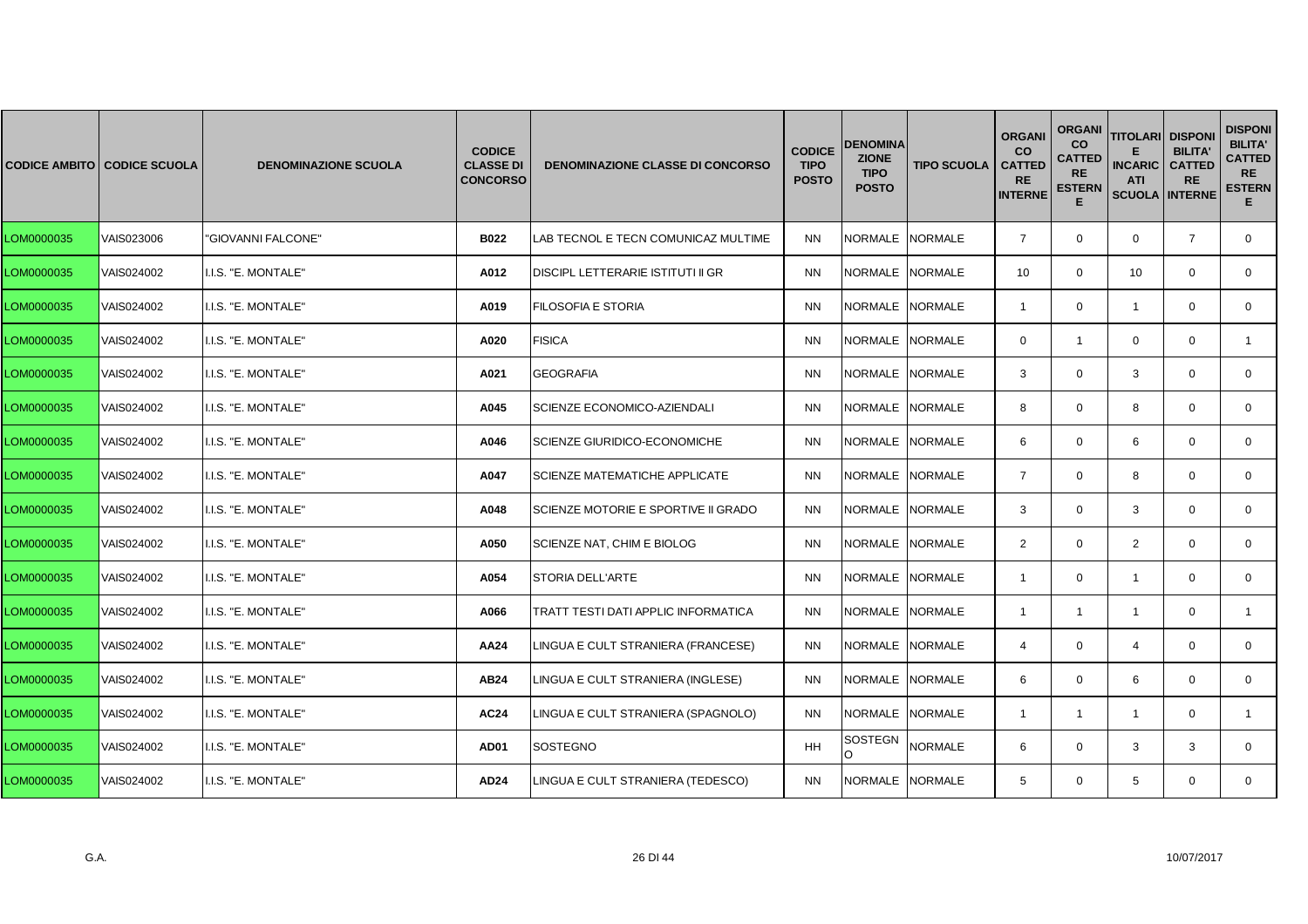|            | <b>CODICE AMBITO CODICE SCUOLA</b> | <b>DENOMINAZIONE SCUOLA</b> | <b>CODICE</b><br><b>CLASSE DI</b><br><b>CONCORSO</b> | <b>DENOMINAZIONE CLASSE DI CONCORSO</b>    | <b>CODICE</b><br><b>TIPO</b><br><b>POSTO</b> | DENOMINA<br><b>ZIONE</b><br><b>TIPO</b><br><b>POSTO</b> | <b>TIPO SCUOLA</b> | <b>ORGANI</b><br><b>CO</b><br><b>CATTED</b><br><b>RE</b><br><b>INTERNE</b> | <b>ORGANI</b><br><b>CO</b><br><b>CATTED</b><br><b>RE</b><br><b>ESTERN</b><br>Е | <b>TITOLARI DISPONI</b><br><b>INCARIC</b><br><b>ATI</b><br><b>SCUOLA INTERNE</b> | <b>BILITA'</b><br><b>CATTED</b><br><b>RE</b> | <b>DISPONI</b><br><b>BILITA'</b><br><b>CATTED</b><br><b>RE</b><br><b>ESTERN</b><br>Е. |
|------------|------------------------------------|-----------------------------|------------------------------------------------------|--------------------------------------------|----------------------------------------------|---------------------------------------------------------|--------------------|----------------------------------------------------------------------------|--------------------------------------------------------------------------------|----------------------------------------------------------------------------------|----------------------------------------------|---------------------------------------------------------------------------------------|
| LOM0000035 | VAIS023006                         | "GIOVANNI FALCONE"          | <b>B022</b>                                          | LAB TECNOL E TECN COMUNICAZ MULTIME        | <b>NN</b>                                    | NORMALE NORMALE                                         |                    | $\overline{7}$                                                             | $\mathbf{0}$                                                                   | $\mathbf 0$                                                                      | $\overline{7}$                               | $\mathbf{0}$                                                                          |
| LOM0000035 | VAIS024002                         | I.I.S. "E. MONTALE"         | A012                                                 | DISCIPL LETTERARIE ISTITUTI II GR          | <b>NN</b>                                    | NORMALE NORMALE                                         |                    | 10                                                                         | $\mathbf{0}$                                                                   | 10                                                                               | $\mathbf 0$                                  | $\mathbf{0}$                                                                          |
| LOM0000035 | VAIS024002                         | I.I.S. "E. MONTALE"         | A019                                                 | FILOSOFIA E STORIA                         | <b>NN</b>                                    | <b>NORMALE</b>                                          | <b>NORMALE</b>     | -1                                                                         | $\Omega$                                                                       | -1                                                                               | $\Omega$                                     | $\mathbf{0}$                                                                          |
| LOM0000035 | VAIS024002                         | I.I.S. "E. MONTALE"         | A020                                                 | <b>FISICA</b>                              | <b>NN</b>                                    | NORMALE NORMALE                                         |                    | $\mathbf{0}$                                                               | $\mathbf{1}$                                                                   | $\mathbf 0$                                                                      | $\mathbf 0$                                  | $\mathbf{1}$                                                                          |
| LOM0000035 | VAIS024002                         | I.I.S. "E. MONTALE"         | A021                                                 | <b>GEOGRAFIA</b>                           | <b>NN</b>                                    | <b>NORMALE</b>                                          | <b>NORMALE</b>     | 3                                                                          | $\mathbf 0$                                                                    | 3                                                                                | $\mathbf 0$                                  | $\mathbf{0}$                                                                          |
| LOM0000035 | VAIS024002                         | I.I.S. "E. MONTALE"         | A045                                                 | SCIENZE ECONOMICO-AZIENDALI                | <b>NN</b>                                    | <b>NORMALE</b>                                          | <b>NORMALE</b>     | 8                                                                          | $\Omega$                                                                       | 8                                                                                | $\Omega$                                     | $\mathbf{0}$                                                                          |
| LOM0000035 | VAIS024002                         | I.I.S. "E. MONTALE"         | A046                                                 | SCIENZE GIURIDICO-ECONOMICHE               | <b>NN</b>                                    | NORMALE                                                 | <b>NORMALE</b>     | 6                                                                          | $\mathbf{0}$                                                                   | 6                                                                                | $\mathbf 0$                                  | $\mathbf{0}$                                                                          |
| LOM0000035 | VAIS024002                         | I.I.S. "E. MONTALE"         | A047                                                 | <b>SCIENZE MATEMATICHE APPLICATE</b>       | <b>NN</b>                                    | <b>NORMALE</b>                                          | <b>NORMALE</b>     | $\overline{7}$                                                             | $\mathbf 0$                                                                    | 8                                                                                | $\mathbf 0$                                  | $\mathbf{0}$                                                                          |
| LOM0000035 | VAIS024002                         | I.I.S. "E. MONTALE"         | A048                                                 | SCIENZE MOTORIE E SPORTIVE II GRADO        | <b>NN</b>                                    | <b>NORMALE</b>                                          | <b>NORMALE</b>     | 3                                                                          | $\Omega$                                                                       | 3                                                                                | $\Omega$                                     | $\Omega$                                                                              |
| LOM0000035 | VAIS024002                         | I.I.S. "E. MONTALE"         | A050                                                 | SCIENZE NAT, CHIM E BIOLOG                 | <b>NN</b>                                    | NORMALE                                                 | <b>NORMALE</b>     | $\overline{2}$                                                             | $\mathbf{0}$                                                                   | $\overline{2}$                                                                   | $\mathbf 0$                                  | $\mathbf{0}$                                                                          |
| LOM0000035 | VAIS024002                         | I.I.S. "E. MONTALE"         | A054                                                 | <b>STORIA DELL'ARTE</b>                    | <b>NN</b>                                    | NORMALE                                                 | <b>NORMALE</b>     | $\overline{1}$                                                             | $\mathbf 0$                                                                    | $\overline{1}$                                                                   | $\mathbf 0$                                  | $\mathbf 0$                                                                           |
| LOM0000035 | VAIS024002                         | I.I.S. "E. MONTALE"         | A066                                                 | <b>TRATT TESTI DATI APPLIC INFORMATICA</b> | <b>NN</b>                                    | <b>NORMALE</b>                                          | <b>NORMALE</b>     | $\mathbf{1}$                                                               | $\mathbf{1}$                                                                   | $\mathbf{1}$                                                                     | $\Omega$                                     | $\mathbf{1}$                                                                          |
| LOM0000035 | VAIS024002                         | I.I.S. "E. MONTALE"         | AA24                                                 | LINGUA E CULT STRANIERA (FRANCESE)         | <b>NN</b>                                    | <b>NORMALE</b>                                          | <b>NORMALE</b>     | $\overline{4}$                                                             | $\mathbf{0}$                                                                   | 4                                                                                | $\mathbf 0$                                  | $\mathbf{0}$                                                                          |
| LOM0000035 | VAIS024002                         | I.I.S. "E. MONTALE"         | AB24                                                 | INGUA E CULT STRANIERA (INGLESE).          | <b>NN</b>                                    | NORMALE                                                 | <b>NORMALE</b>     | 6                                                                          | $\mathbf 0$                                                                    | 6                                                                                | $\mathbf 0$                                  | 0                                                                                     |
| LOM0000035 | VAIS024002                         | I.I.S. "E. MONTALE"         | <b>AC24</b>                                          | LINGUA E CULT STRANIERA (SPAGNOLO)         | <b>NN</b>                                    | NORMALE NORMALE                                         |                    | $\overline{1}$                                                             | $\mathbf{1}$                                                                   | $\overline{1}$                                                                   | $\Omega$                                     | $\mathbf{1}$                                                                          |
| LOM0000035 | VAIS024002                         | I.I.S. "E. MONTALE"         | <b>AD01</b>                                          | SOSTEGNO                                   | <b>HH</b>                                    | SOSTEGN<br>$\Omega$                                     | <b>NORMALE</b>     | 6                                                                          | $\Omega$                                                                       | 3                                                                                | 3                                            | $\Omega$                                                                              |
| LOM0000035 | VAIS024002                         | I.I.S. "E. MONTALE"         | AD24                                                 | LINGUA E CULT STRANIERA (TEDESCO)          | <b>NN</b>                                    | NORMALE NORMALE                                         |                    | 5                                                                          | $\mathbf{0}$                                                                   | 5                                                                                | $\mathbf 0$                                  | $\mathbf{0}$                                                                          |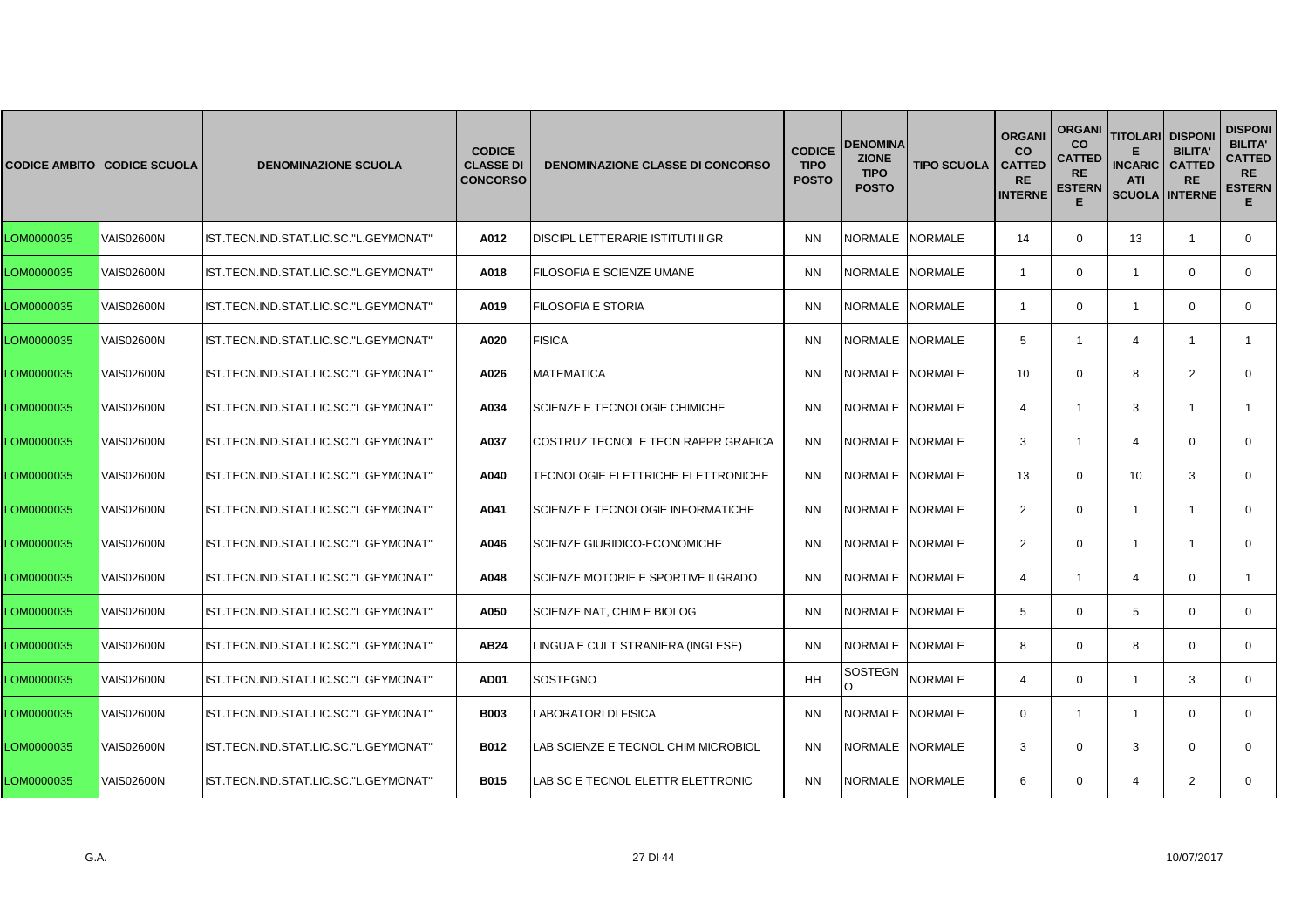|            | <b>CODICE AMBITO CODICE SCUOLA</b> | <b>DENOMINAZIONE SCUOLA</b>           | <b>CODICE</b><br><b>CLASSE DI</b><br><b>CONCORSO</b> | <b>DENOMINAZIONE CLASSE DI CONCORSO</b> | <b>CODICE</b><br><b>TIPO</b><br><b>POSTO</b> | <b>DENOMINA</b><br><b>ZIONE</b><br><b>TIPO</b><br><b>POSTO</b> | <b>TIPO SCUOLA</b> | <b>ORGAN</b><br><b>CO</b><br><b>CATTED</b><br><b>RE</b><br><b>INTERNE</b> | <b>ORGANI</b><br><b>CO</b><br><b>CATTED</b><br><b>RE</b><br><b>ESTERN</b><br>Е | <b>TITOLARI</b><br><b>INCARIC</b><br><b>ATI</b><br><b>SCUOLA INTERNE</b> | <b>DISPONI</b><br><b>BILITA'</b><br><b>CATTED</b><br><b>RE</b> | <b>DISPONI</b><br><b>BILITA'</b><br><b>CATTED</b><br><b>RE</b><br><b>ESTERN</b><br>Е. |
|------------|------------------------------------|---------------------------------------|------------------------------------------------------|-----------------------------------------|----------------------------------------------|----------------------------------------------------------------|--------------------|---------------------------------------------------------------------------|--------------------------------------------------------------------------------|--------------------------------------------------------------------------|----------------------------------------------------------------|---------------------------------------------------------------------------------------|
| LOM0000035 | <b>VAIS02600N</b>                  | IST.TECN.IND.STAT.LIC.SC."L.GEYMONAT" | A012                                                 | DISCIPL LETTERARIE ISTITUTI II GR       | <b>NN</b>                                    | NORMALE NORMALE                                                |                    | 14                                                                        | $\mathbf{0}$                                                                   | 13                                                                       | $\overline{1}$                                                 | $\mathbf{0}$                                                                          |
| LOM0000035 | <b>VAIS02600N</b>                  | IST.TECN.IND.STAT.LIC.SC."L.GEYMONAT" | A018                                                 | FILOSOFIA E SCIENZE UMANE               | <b>NN</b>                                    | NORMALE NORMALE                                                |                    | $\overline{1}$                                                            | $\mathbf 0$                                                                    | $\mathbf{1}$                                                             | $\mathbf 0$                                                    | $\mathbf{0}$                                                                          |
| LOM0000035 | <b>VAIS02600N</b>                  | IST.TECN.IND.STAT.LIC.SC."L.GEYMONAT" | A019                                                 | <b>FILOSOFIA E STORIA</b>               | <b>NN</b>                                    | NORMALE                                                        | <b>NORMALE</b>     | -1                                                                        | $\Omega$                                                                       | -1                                                                       | $\Omega$                                                       | $\mathbf{0}$                                                                          |
| LOM0000035 | <b>VAIS02600N</b>                  | IST.TECN.IND.STAT.LIC.SC."L.GEYMONAT" | A020                                                 | <b>FISICA</b>                           | <b>NN</b>                                    | NORMALE NORMALE                                                |                    | 5                                                                         | $\mathbf{1}$                                                                   | $\overline{4}$                                                           | -1                                                             | $\mathbf{1}$                                                                          |
| LOM0000035 | <b>VAIS02600N</b>                  | IST.TECN.IND.STAT.LIC.SC."L.GEYMONAT" | A026                                                 | <b>MATEMATICA</b>                       | <b>NN</b>                                    | NORMALE NORMALE                                                |                    | 10                                                                        | $\mathbf 0$                                                                    | 8                                                                        | 2                                                              | $\mathbf{0}$                                                                          |
| LOM0000035 | VAIS02600N                         | IST.TECN.IND.STAT.LIC.SC."L.GEYMONAT" | A034                                                 | SCIENZE E TECNOLOGIE CHIMICHE           | <b>NN</b>                                    | <b>NORMALE</b>                                                 | <b>NORMALE</b>     | $\overline{4}$                                                            | $\mathbf{1}$                                                                   | 3                                                                        | -1                                                             | $\mathbf{1}$                                                                          |
| LOM0000035 | <b>VAIS02600N</b>                  | IST.TECN.IND.STAT.LIC.SC."L.GEYMONAT" | A037                                                 | COSTRUZ TECNOL E TECN RAPPR GRAFICA     | <b>NN</b>                                    | NORMALE NORMALE                                                |                    | 3                                                                         | $\mathbf{1}$                                                                   | $\overline{4}$                                                           | $\mathbf 0$                                                    | $\mathbf{0}$                                                                          |
| LOM0000035 | <b>VAIS02600N</b>                  | IST.TECN.IND.STAT.LIC.SC."L.GEYMONAT" | A040                                                 | TECNOLOGIE ELETTRICHE ELETTRONICHE      | <b>NN</b>                                    | <b>NORMALE</b>                                                 | <b>NORMALE</b>     | 13                                                                        | $\mathbf 0$                                                                    | 10                                                                       | 3                                                              | $\mathbf{0}$                                                                          |
| LOM0000035 | <b>VAIS02600N</b>                  | IST.TECN.IND.STAT.LIC.SC."L.GEYMONAT" | A041                                                 | SCIENZE E TECNOLOGIE INFORMATICHE       | <b>NN</b>                                    | <b>NORMALE</b>                                                 | <b>NORMALE</b>     | 2                                                                         | $\Omega$                                                                       | $\mathbf{1}$                                                             | $\mathbf{1}$                                                   | $\Omega$                                                                              |
| LOM0000035 | VAIS02600N                         | IST.TECN.IND.STAT.LIC.SC."L.GEYMONAT" | A046                                                 | <b>SCIENZE GIURIDICO-ECONOMICHE</b>     | <b>NN</b>                                    | NORMALE                                                        | <b>NORMALE</b>     | 2                                                                         | $\mathbf{0}$                                                                   | $\mathbf{1}$                                                             | $\mathbf{1}$                                                   | $\mathbf{0}$                                                                          |
| LOM0000035 | <b>VAIS02600N</b>                  | IST.TECN.IND.STAT.LIC.SC."L.GEYMONAT" | A048                                                 | SCIENZE MOTORIE E SPORTIVE II GRADO     | <b>NN</b>                                    | NORMALE NORMALE                                                |                    | $\overline{4}$                                                            | $\mathbf{1}$                                                                   | $\overline{4}$                                                           | $\mathbf 0$                                                    |                                                                                       |
| LOM0000035 | <b>VAIS02600N</b>                  | IST.TECN.IND.STAT.LIC.SC."L.GEYMONAT" | A050                                                 | SCIENZE NAT, CHIM E BIOLOG              | <b>NN</b>                                    | NORMALE NORMALE                                                |                    | 5                                                                         | $\Omega$                                                                       | 5                                                                        | $\Omega$                                                       | $\Omega$                                                                              |
| LOM0000035 | <b>VAIS02600N</b>                  | IST.TECN.IND.STAT.LIC.SC."L.GEYMONAT" | AB24                                                 | LINGUA E CULT STRANIERA (INGLESE)       | <b>NN</b>                                    | NORMALE                                                        | <b>NORMALE</b>     | 8                                                                         | $\mathbf 0$                                                                    | 8                                                                        | $\mathbf 0$                                                    | $\mathbf{0}$                                                                          |
| LOM0000035 | <b>VAIS02600N</b>                  | IST.TECN.IND.STAT.LIC.SC."L.GEYMONAT" | <b>AD01</b>                                          | SOSTEGNO                                | HH                                           | <b>SOSTEGN</b>                                                 | <b>NORMALE</b>     | $\overline{4}$                                                            | $\mathbf 0$                                                                    | $\mathbf{1}$                                                             | 3                                                              | 0                                                                                     |
| LOM0000035 | <b>VAIS02600N</b>                  | IST.TECN.IND.STAT.LIC.SC."L.GEYMONAT" | <b>B003</b>                                          | LABORATORI DI FISICA                    | <b>NN</b>                                    | NORMALE NORMALE                                                |                    | $\Omega$                                                                  | $\mathbf{1}$                                                                   | $\overline{1}$                                                           | $\Omega$                                                       | $\mathbf{0}$                                                                          |
| LOM0000035 | <b>VAIS02600N</b>                  | IST.TECN.IND.STAT.LIC.SC."L.GEYMONAT" | <b>B012</b>                                          | LAB SCIENZE E TECNOL CHIM MICROBIOL     | <b>NN</b>                                    | NORMALE                                                        | <b>NORMALE</b>     | 3                                                                         | $\Omega$                                                                       | 3                                                                        | $\Omega$                                                       | $\Omega$                                                                              |
| LOM0000035 | <b>VAIS02600N</b>                  | IST.TECN.IND.STAT.LIC.SC."L.GEYMONAT" | <b>B015</b>                                          | LAB SC E TECNOL ELETTR ELETTRONIC       | <b>NN</b>                                    | NORMALE NORMALE                                                |                    | 6                                                                         | $\mathbf 0$                                                                    | 4                                                                        | 2                                                              | $\mathbf{0}$                                                                          |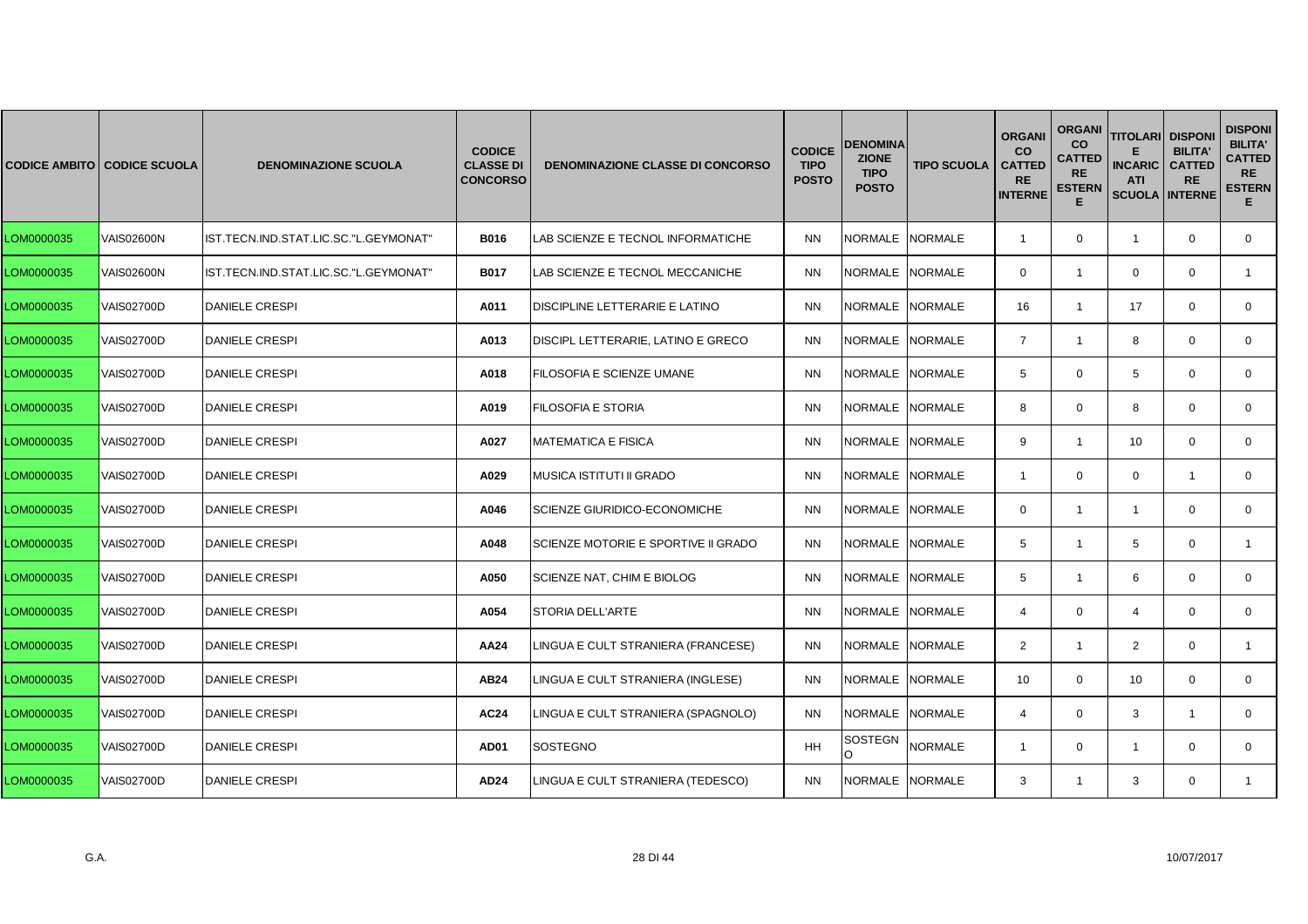|            | <b>CODICE AMBITO CODICE SCUOLA</b> | <b>DENOMINAZIONE SCUOLA</b>           | <b>CODICE</b><br><b>CLASSE DI</b><br><b>CONCORSO</b> | <b>DENOMINAZIONE CLASSE DI CONCORSO</b> | <b>CODICE</b><br><b>TIPO</b><br><b>POSTO</b> | DENOMINA<br><b>ZIONE</b><br><b>TIPO</b><br><b>POSTO</b> | <b>TIPO SCUOLA</b> | <b>ORGANI</b><br><b>CO</b><br><b>CATTED</b><br><b>RE</b><br><b>INTERNE</b> | <b>ORGANI</b><br><b>CO</b><br><b>CATTED</b><br><b>RE</b><br><b>ESTERN</b><br>Е | <b>TITOLARI DISPONI</b><br><b>INCARIC</b><br><b>ATI</b><br><b>SCUOLA INTERNE</b> | <b>BILITA'</b><br><b>CATTED</b><br><b>RE</b> | <b>DISPONI</b><br><b>BILITA'</b><br><b>CATTED</b><br><b>RE</b><br><b>ESTERN</b><br>Е. |
|------------|------------------------------------|---------------------------------------|------------------------------------------------------|-----------------------------------------|----------------------------------------------|---------------------------------------------------------|--------------------|----------------------------------------------------------------------------|--------------------------------------------------------------------------------|----------------------------------------------------------------------------------|----------------------------------------------|---------------------------------------------------------------------------------------|
| LOM0000035 | <b>VAIS02600N</b>                  | IST.TECN.IND.STAT.LIC.SC."L.GEYMONAT" | <b>B016</b>                                          | LAB SCIENZE E TECNOL INFORMATICHE       | <b>NN</b>                                    | NORMALE NORMALE                                         |                    | $\overline{1}$                                                             | $\mathbf 0$                                                                    | $\overline{1}$                                                                   | $\mathbf 0$                                  | $\mathbf{0}$                                                                          |
| LOM0000035 | <b>VAIS02600N</b>                  | IST.TECN.IND.STAT.LIC.SC."L.GEYMONAT" | <b>B017</b>                                          | LAB SCIENZE E TECNOL MECCANICHE         | <b>NN</b>                                    | NORMALE NORMALE                                         |                    | $\mathbf{0}$                                                               | $\mathbf{1}$                                                                   | $\mathbf 0$                                                                      | $\mathbf 0$                                  | $\mathbf{1}$                                                                          |
| LOM0000035 | <b>VAIS02700D</b>                  | <b>DANIELE CRESPI</b>                 | A011                                                 | DISCIPLINE LETTERARIE E LATINO          | <b>NN</b>                                    | <b>NORMALE</b>                                          | <b>NORMALE</b>     | 16                                                                         | $\mathbf{1}$                                                                   | 17                                                                               | $\Omega$                                     | $\mathbf{0}$                                                                          |
| LOM0000035 | <b>VAIS02700D</b>                  | <b>DANIELE CRESPI</b>                 | A013                                                 | DISCIPL LETTERARIE, LATINO E GRECO      | <b>NN</b>                                    | NORMALE NORMALE                                         |                    | $\overline{7}$                                                             | $\mathbf{1}$                                                                   | 8                                                                                | $\mathbf 0$                                  | $\mathbf{0}$                                                                          |
| LOM0000035 | <b>VAIS02700D</b>                  | <b>DANIELE CRESPI</b>                 | A018                                                 | FILOSOFIA E SCIENZE UMANE               | <b>NN</b>                                    | <b>NORMALE</b>                                          | <b>NORMALE</b>     | 5                                                                          | $\mathbf 0$                                                                    | 5                                                                                | $\mathbf 0$                                  | $\mathbf{0}$                                                                          |
| LOM0000035 | <b>VAIS02700D</b>                  | <b>DANIELE CRESPI</b>                 | A019                                                 | <b>FILOSOFIA E STORIA</b>               | <b>NN</b>                                    | <b>NORMALE</b>                                          | <b>NORMALE</b>     | 8                                                                          | $\Omega$                                                                       | 8                                                                                | $\Omega$                                     | $\mathbf{0}$                                                                          |
| LOM0000035 | <b>VAIS02700D</b>                  | <b>DANIELE CRESPI</b>                 | A027                                                 | <b>MATEMATICA E FISICA</b>              | <b>NN</b>                                    | <b>NORMALE</b>                                          | <b>NORMALE</b>     | 9                                                                          | $\mathbf{1}$                                                                   | 10                                                                               | $\mathbf 0$                                  | $\mathbf{0}$                                                                          |
| LOM0000035 | <b>VAIS02700D</b>                  | <b>DANIELE CRESPI</b>                 | A029                                                 | <b>MUSICA ISTITUTI II GRADO</b>         | <b>NN</b>                                    | <b>NORMALE</b>                                          | <b>NORMALE</b>     | $\overline{1}$                                                             | $\mathbf 0$                                                                    | $\mathbf 0$                                                                      | $\overline{1}$                               | $\mathbf{0}$                                                                          |
| LOM0000035 | <b>VAIS02700D</b>                  | <b>DANIELE CRESPI</b>                 | A046                                                 | <b>SCIENZE GIURIDICO-ECONOMICHE</b>     | <b>NN</b>                                    | <b>NORMALE</b>                                          | <b>NORMALE</b>     | $\Omega$                                                                   | $\mathbf{1}$                                                                   | $\mathbf{1}$                                                                     | $\Omega$                                     | $\Omega$                                                                              |
| LOM0000035 | <b>VAIS02700D</b>                  | <b>DANIELE CRESPI</b>                 | A048                                                 | SCIENZE MOTORIE E SPORTIVE II GRADO     | ΝN                                           | NORMALE                                                 | <b>NORMALE</b>     | 5                                                                          | $\mathbf{1}$                                                                   | 5                                                                                | $\mathbf 0$                                  | $\mathbf{1}$                                                                          |
| LOM0000035 | <b>VAIS02700D</b>                  | <b>DANIELE CRESPI</b>                 | A050                                                 | SCIENZE NAT, CHIM E BIOLOG              | <b>NN</b>                                    | NORMALE                                                 | <b>NORMALE</b>     | 5                                                                          | $\mathbf{1}$                                                                   | 6                                                                                | $\mathbf 0$                                  | $\mathbf 0$                                                                           |
| LOM0000035 | <b>VAIS02700D</b>                  | <b>DANIELE CRESPI</b>                 | A054                                                 | <b>STORIA DELL'ARTE</b>                 | <b>NN</b>                                    | <b>NORMALE</b>                                          | <b>NORMALE</b>     | $\overline{4}$                                                             | $\Omega$                                                                       | $\overline{4}$                                                                   | $\Omega$                                     | $\Omega$                                                                              |
| LOM0000035 | <b>VAIS02700D</b>                  | <b>DANIELE CRESPI</b>                 | AA24                                                 | LINGUA E CULT STRANIERA (FRANCESE)      | <b>NN</b>                                    | <b>NORMALE</b>                                          | <b>NORMALE</b>     | $\overline{2}$                                                             | $\mathbf{1}$                                                                   | $\overline{2}$                                                                   | $\mathbf 0$                                  | 1                                                                                     |
| LOM0000035 | <b>VAIS02700D</b>                  | <b>DANIELE CRESPI</b>                 | AB24                                                 | INGUA E CULT STRANIERA (INGLESE).       | <b>NN</b>                                    | NORMALE                                                 | <b>NORMALE</b>     | 10                                                                         | $\mathbf 0$                                                                    | 10                                                                               | $\mathbf 0$                                  | 0                                                                                     |
| LOM0000035 | <b>VAIS02700D</b>                  | <b>DANIELE CRESPI</b>                 | <b>AC24</b>                                          | LINGUA E CULT STRANIERA (SPAGNOLO)      | <b>NN</b>                                    | NORMALE NORMALE                                         |                    | $\overline{4}$                                                             | $\Omega$                                                                       | 3                                                                                | $\overline{1}$                               | $\mathbf{0}$                                                                          |
| LOM0000035 | <b>VAIS02700D</b>                  | <b>DANIELE CRESPI</b>                 | <b>AD01</b>                                          | SOSTEGNO                                | <b>HH</b>                                    | SOSTEGN<br>$\Omega$                                     | <b>NORMALE</b>     | -1                                                                         | $\Omega$                                                                       | $\overline{1}$                                                                   | $\Omega$                                     | $\Omega$                                                                              |
| LOM0000035 | <b>VAIS02700D</b>                  | <b>DANIELE CRESPI</b>                 | AD24                                                 | LINGUA E CULT STRANIERA (TEDESCO)       | <b>NN</b>                                    | NORMALE NORMALE                                         |                    | 3                                                                          | $\mathbf{1}$                                                                   | 3                                                                                | $\mathbf 0$                                  | 1                                                                                     |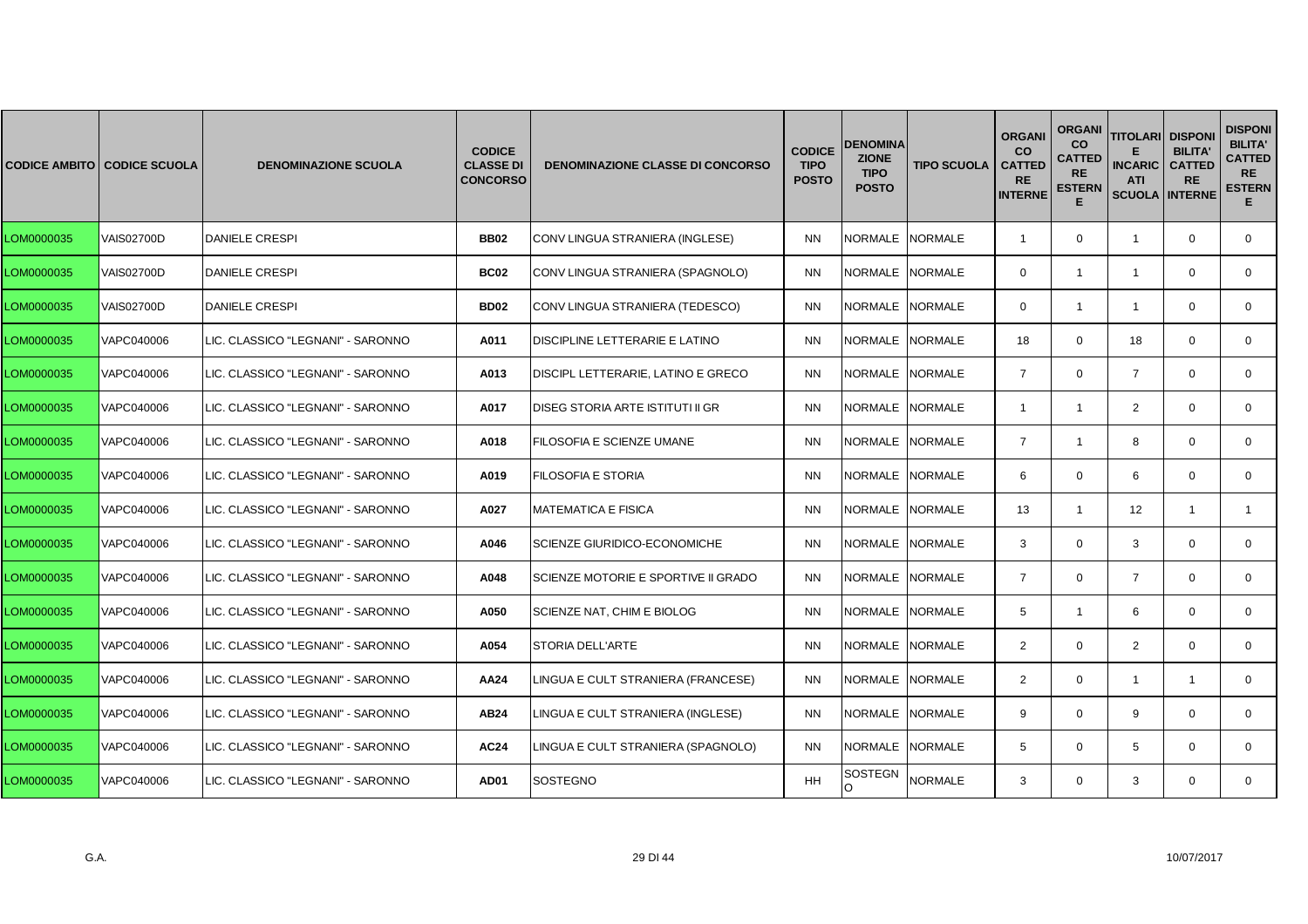|            | <b>CODICE AMBITO CODICE SCUOLA</b> | <b>DENOMINAZIONE SCUOLA</b>       | <b>CODICE</b><br><b>CLASSE DI</b><br><b>CONCORSO</b> | <b>DENOMINAZIONE CLASSE DI CONCORSO</b> | <b>CODICE</b><br><b>TIPO</b><br><b>POSTO</b> | <b>DENOMINA</b><br><b>ZIONE</b><br><b>TIPO</b><br><b>POSTO</b> | <b>TIPO SCUOLA</b> | <b>ORGANI</b><br><b>CO</b><br><b>CATTED</b><br><b>RE</b><br><b>INTERNE</b> | <b>ORGANI</b><br>co<br><b>CATTED</b><br><b>RE</b><br><b>ESTERN</b><br>Е | <b>TITOLARI</b><br><b>INCARIC</b><br><b>ATI</b><br><b>SCUOLA INTERNE</b> | <b>DISPON</b><br><b>BILITA'</b><br><b>CATTED</b><br><b>RE</b> | <b>DISPONI</b><br><b>BILITA'</b><br><b>CATTED</b><br><b>RE</b><br><b>ESTERN</b><br>Е. |
|------------|------------------------------------|-----------------------------------|------------------------------------------------------|-----------------------------------------|----------------------------------------------|----------------------------------------------------------------|--------------------|----------------------------------------------------------------------------|-------------------------------------------------------------------------|--------------------------------------------------------------------------|---------------------------------------------------------------|---------------------------------------------------------------------------------------|
| LOM0000035 | <b>VAIS02700D</b>                  | <b>DANIELE CRESPI</b>             | <b>BB02</b>                                          | CONV LINGUA STRANIERA (INGLESE)         | <b>NN</b>                                    | NORMALE NORMALE                                                |                    | $\overline{1}$                                                             | $\mathbf 0$                                                             | $\mathbf{1}$                                                             | $\mathbf 0$                                                   | $\mathbf 0$                                                                           |
| LOM0000035 | <b>VAIS02700D</b>                  | <b>DANIELE CRESPI</b>             | <b>BC02</b>                                          | CONV LINGUA STRANIERA (SPAGNOLO)        | <b>NN</b>                                    | NORMALE NORMALE                                                |                    | $\Omega$                                                                   | $\mathbf{1}$                                                            | $\mathbf{1}$                                                             | $\mathbf 0$                                                   | $\mathbf{0}$                                                                          |
| LOM0000035 | <b>VAIS02700D</b>                  | <b>DANIELE CRESPI</b>             | <b>BD02</b>                                          | CONV LINGUA STRANIERA (TEDESCO)         | <b>NN</b>                                    | NORMALE                                                        | <b>NORMALE</b>     | $\Omega$                                                                   | $\mathbf{1}$                                                            | $\overline{1}$                                                           | $\Omega$                                                      | $\Omega$                                                                              |
| LOM0000035 | VAPC040006                         | LIC. CLASSICO "LEGNANI" - SARONNO | A011                                                 | DISCIPLINE LETTERARIE E LATINO          | <b>NN</b>                                    | NORMALE NORMALE                                                |                    | 18                                                                         | $\mathbf 0$                                                             | 18                                                                       | $\mathbf 0$                                                   | $\mathbf 0$                                                                           |
| LOM0000035 | VAPC040006                         | LIC. CLASSICO "LEGNANI" - SARONNO | A013                                                 | DISCIPL LETTERARIE, LATINO E GRECO      | <b>NN</b>                                    | NORMALE NORMALE                                                |                    | $\overline{7}$                                                             | $\mathbf 0$                                                             | $\overline{7}$                                                           | $\Omega$                                                      | $\mathbf{0}$                                                                          |
| LOM0000035 | VAPC040006                         | LIC. CLASSICO "LEGNANI" - SARONNO | A017                                                 | DISEG STORIA ARTE ISTITUTI II GR        | <b>NN</b>                                    | <b>NORMALE</b>                                                 | NORMALE            | $\mathbf{1}$                                                               | $\mathbf{1}$                                                            | 2                                                                        | $\Omega$                                                      | $\mathbf{0}$                                                                          |
| LOM0000035 | VAPC040006                         | LIC. CLASSICO "LEGNANI" - SARONNO | A018                                                 | FILOSOFIA E SCIENZE UMANE               | <b>NN</b>                                    | <b>NORMALE</b>                                                 | <b>NORMALE</b>     | $\overline{7}$                                                             | $\mathbf{1}$                                                            | 8                                                                        | $\mathbf 0$                                                   | $\mathbf 0$                                                                           |
| LOM0000035 | VAPC040006                         | LIC. CLASSICO "LEGNANI" - SARONNO | A019                                                 | FILOSOFIA E STORIA                      | <b>NN</b>                                    | NORMALE NORMALE                                                |                    | 6                                                                          | $\mathbf{0}$                                                            | 6                                                                        | $\mathbf 0$                                                   | $\mathbf{0}$                                                                          |
| LOM0000035 | VAPC040006                         | LIC. CLASSICO "LEGNANI" - SARONNO | A027                                                 | <b>MATEMATICA E FISICA</b>              | <b>NN</b>                                    | <b>NORMALE</b>                                                 | <b>NORMALE</b>     | 13                                                                         | $\mathbf{1}$                                                            | 12                                                                       | $\overline{1}$                                                | $\overline{1}$                                                                        |
| LOM0000035 | VAPC040006                         | LIC. CLASSICO "LEGNANI" - SARONNO | A046                                                 | SCIENZE GIURIDICO-ECONOMICHE            | <b>NN</b>                                    | NORMALE NORMALE                                                |                    | 3                                                                          | $\mathbf 0$                                                             | 3                                                                        | $\mathbf 0$                                                   | $\mathbf 0$                                                                           |
| LOM0000035 | VAPC040006                         | LIC. CLASSICO "LEGNANI" - SARONNO | A048                                                 | SCIENZE MOTORIE E SPORTIVE II GRADO     | <b>NN</b>                                    | NORMALE                                                        | <b>NORMALE</b>     | $\overline{7}$                                                             | $\mathbf{0}$                                                            | $\overline{7}$                                                           | $\mathbf 0$                                                   | $\mathbf{0}$                                                                          |
| LOM0000035 | VAPC040006                         | LIC. CLASSICO "LEGNANI" - SARONNO | A050                                                 | SCIENZE NAT, CHIM E BIOLOG              | <b>NN</b>                                    | <b>NORMALE</b>                                                 | <b>NORMALE</b>     | 5                                                                          | $\mathbf{1}$                                                            | 6                                                                        | $\mathbf 0$                                                   | $\mathbf{0}$                                                                          |
| LOM0000035 | VAPC040006                         | LIC. CLASSICO "LEGNANI" - SARONNO | A054                                                 | <b>STORIA DELL'ARTE</b>                 | <b>NN</b>                                    | <b>NORMALE</b>                                                 | <b>NORMALE</b>     | $\overline{2}$                                                             | $\Omega$                                                                | $\overline{2}$                                                           | $\mathbf 0$                                                   | $\mathbf 0$                                                                           |
| LOM0000035 | VAPC040006                         | LIC. CLASSICO "LEGNANI" - SARONNO | AA24                                                 | LINGUA E CULT STRANIERA (FRANCESE)      | <b>NN</b>                                    | NORMALE                                                        | <b>NORMALE</b>     | 2                                                                          | $\mathbf{0}$                                                            | $\overline{1}$                                                           | $\mathbf{1}$                                                  | $\mathbf{0}$                                                                          |
| LOM0000035 | VAPC040006                         | LIC. CLASSICO "LEGNANI" - SARONNO | AB24                                                 | LINGUA E CULT STRANIERA (INGLESE)       | <b>NN</b>                                    | NORMALE                                                        | <b>NORMALE</b>     | 9                                                                          | $\Omega$                                                                | 9                                                                        | $\Omega$                                                      | $\mathbf{0}$                                                                          |
| LOM0000035 | VAPC040006                         | LIC. CLASSICO "LEGNANI" - SARONNO | <b>AC24</b>                                          | LINGUA E CULT STRANIERA (SPAGNOLO)      | <b>NN</b>                                    | NORMALE NORMALE                                                |                    | 5                                                                          | $\mathbf 0$                                                             | 5                                                                        | $\mathbf 0$                                                   | $\mathbf 0$                                                                           |
| LOM0000035 | VAPC040006                         | LIC. CLASSICO "LEGNANI" - SARONNO | AD01                                                 | SOSTEGNO                                | HH                                           | <b>SOSTEGN</b><br>O                                            | <b>NORMALE</b>     | 3                                                                          | $\mathbf{0}$                                                            | 3                                                                        | $\mathbf 0$                                                   | $\mathbf{0}$                                                                          |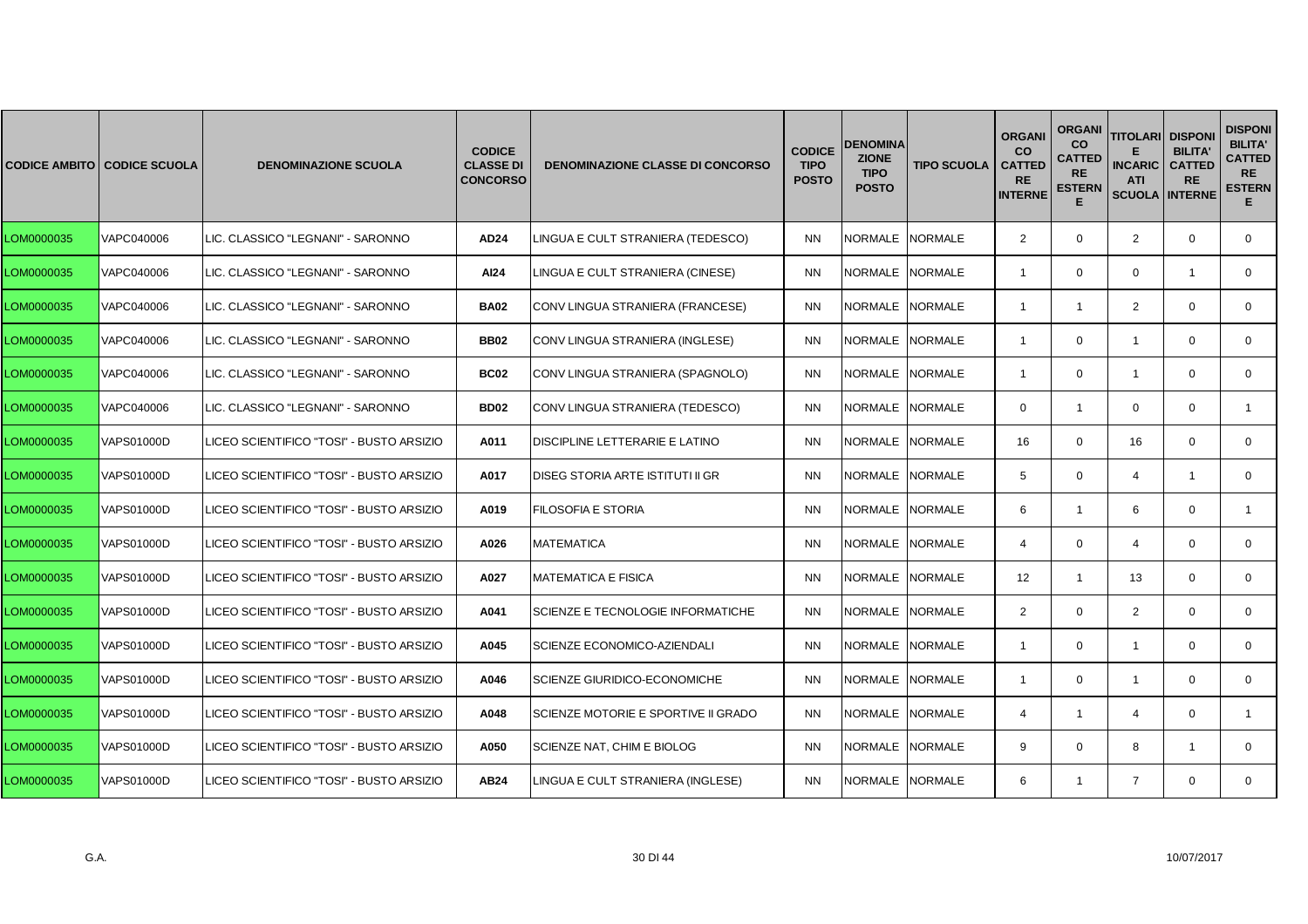|            | <b>CODICE AMBITO CODICE SCUOLA</b> | <b>DENOMINAZIONE SCUOLA</b>              | <b>CODICE</b><br><b>CLASSE DI</b><br><b>CONCORSO</b> | <b>DENOMINAZIONE CLASSE DI CONCORSO</b> | <b>CODICE</b><br><b>TIPO</b><br><b>POSTO</b> | <b>DENOMINA</b><br><b>ZIONE</b><br><b>TIPO</b><br><b>POSTO</b> | <b>TIPO SCUOLA</b> | <b>ORGANI</b><br><b>CO</b><br><b>CATTED</b><br><b>RE</b><br><b>INTERNE</b> | <b>ORGANI</b><br>CO<br>CATTED<br><b>RE</b><br><b>ESTERN</b><br>E | <b>TITOLARI</b><br><b>INCARIC</b><br><b>ATI</b><br><b>SCUOLA</b> | <b>DISPON</b><br><b>BILITA'</b><br><b>CATTED</b><br><b>RE</b><br><b>INTERNE</b> | <b>DISPONI</b><br><b>BILITA'</b><br><b>CATTED</b><br><b>RE</b><br><b>ESTERN</b><br>E. |
|------------|------------------------------------|------------------------------------------|------------------------------------------------------|-----------------------------------------|----------------------------------------------|----------------------------------------------------------------|--------------------|----------------------------------------------------------------------------|------------------------------------------------------------------|------------------------------------------------------------------|---------------------------------------------------------------------------------|---------------------------------------------------------------------------------------|
| LOM0000035 | VAPC040006                         | LIC. CLASSICO "LEGNANI" - SARONNO        | AD24                                                 | LINGUA E CULT STRANIERA (TEDESCO)       | <b>NN</b>                                    | NORMALE NORMALE                                                |                    | $\overline{2}$                                                             | $\mathbf 0$                                                      | $\overline{2}$                                                   | $\mathbf 0$                                                                     | $\mathbf 0$                                                                           |
| LOM0000035 | VAPC040006                         | LIC. CLASSICO "LEGNANI" - SARONNO        | AI24                                                 | LINGUA E CULT STRANIERA (CINESE)        | <b>NN</b>                                    | NORMALE NORMALE                                                |                    | $\overline{\mathbf{1}}$                                                    | $\mathbf 0$                                                      | $\mathbf 0$                                                      | $\overline{1}$                                                                  | $\mathbf{0}$                                                                          |
| LOM0000035 | VAPC040006                         | LIC. CLASSICO "LEGNANI" - SARONNO        | <b>BA02</b>                                          | CONV LINGUA STRANIERA (FRANCESE)        | <b>NN</b>                                    | NORMALE NORMALE                                                |                    | -1                                                                         | $\mathbf{1}$                                                     | $\overline{2}$                                                   | $\mathbf 0$                                                                     | $\mathbf{0}$                                                                          |
| LOM0000035 | VAPC040006                         | LIC. CLASSICO "LEGNANI" - SARONNO        | <b>BB02</b>                                          | CONV LINGUA STRANIERA (INGLESE)         | <b>NN</b>                                    | NORMALE NORMALE                                                |                    | -1                                                                         | $\mathbf 0$                                                      | $\overline{1}$                                                   | $\mathbf 0$                                                                     | $\mathbf{0}$                                                                          |
| LOM0000035 | VAPC040006                         | LIC. CLASSICO "LEGNANI" - SARONNO        | <b>BC02</b>                                          | CONV LINGUA STRANIERA (SPAGNOLO)        | <b>NN</b>                                    | NORMALE INORMALE                                               |                    | $\overline{\mathbf{1}}$                                                    | $\mathbf 0$                                                      | $\overline{1}$                                                   | $\mathbf 0$                                                                     | $\mathbf{0}$                                                                          |
| LOM0000035 | VAPC040006                         | LIC. CLASSICO "LEGNANI" - SARONNO        | <b>BD02</b>                                          | CONV LINGUA STRANIERA (TEDESCO)         | <b>NN</b>                                    | NORMALE                                                        | <b>NORMALE</b>     | $\Omega$                                                                   | $\mathbf{1}$                                                     | $\mathbf 0$                                                      | $\mathbf{0}$                                                                    | $\mathbf{1}$                                                                          |
| LOM0000035 | VAPS01000D                         | LICEO SCIENTIFICO "TOSI" - BUSTO ARSIZIO | A011                                                 | DISCIPLINE LETTERARIE E LATINO          | <b>NN</b>                                    | NORMALE NORMALE                                                |                    | 16                                                                         | $\mathbf{0}$                                                     | 16                                                               | $\mathbf 0$                                                                     | $\mathbf{0}$                                                                          |
| LOM0000035 | VAPS01000D                         | LICEO SCIENTIFICO "TOSI" - BUSTO ARSIZIO | A017                                                 | DISEG STORIA ARTE ISTITUTI II GR        | <b>NN</b>                                    | NORMALE NORMALE                                                |                    | 5                                                                          | 0                                                                | $\overline{4}$                                                   | $\overline{\mathbf{1}}$                                                         | 0                                                                                     |
| LOM0000035 | VAPS01000D                         | LICEO SCIENTIFICO "TOSI" - BUSTO ARSIZIO | A019                                                 | FILOSOFIA E STORIA                      | <b>NN</b>                                    | NORMALE                                                        | <b>NORMALE</b>     | 6                                                                          | $\mathbf{1}$                                                     | 6                                                                | $\mathbf 0$                                                                     | $\mathbf{1}$                                                                          |
| LOM0000035 | VAPS01000D                         | LICEO SCIENTIFICO "TOSI" - BUSTO ARSIZIO | A026                                                 | <b>MATEMATICA</b>                       | <b>NN</b>                                    | NORMALE NORMALE                                                |                    | 4                                                                          | $\mathbf 0$                                                      | $\overline{4}$                                                   | $\Omega$                                                                        | $\mathbf{0}$                                                                          |
| LOM0000035 | VAPS01000D                         | LICEO SCIENTIFICO "TOSI" - BUSTO ARSIZIO | A027                                                 | <b>MATEMATICA E FISICA</b>              | <b>NN</b>                                    | NORMALE NORMALE                                                |                    | 12                                                                         | $\mathbf{1}$                                                     | 13                                                               | $\mathbf 0$                                                                     | 0                                                                                     |
| LOM0000035 | VAPS01000D                         | LICEO SCIENTIFICO "TOSI" - BUSTO ARSIZIO | A041                                                 | SCIENZE E TECNOLOGIE INFORMATICHE       | <b>NN</b>                                    | NORMALE                                                        | <b>NORMALE</b>     | $\overline{2}$                                                             | $\mathbf 0$                                                      | $\overline{2}$                                                   | $\mathbf{0}$                                                                    | $\mathbf{0}$                                                                          |
| LOM0000035 | VAPS01000D                         | LICEO SCIENTIFICO "TOSI" - BUSTO ARSIZIO | A045                                                 | SCIENZE ECONOMICO-AZIENDALI             | <b>NN</b>                                    | NORMALE NORMALE                                                |                    | $\overline{\mathbf{1}}$                                                    | $\mathbf 0$                                                      | $\overline{1}$                                                   | $\mathbf 0$                                                                     | $\mathbf{0}$                                                                          |
| LOM0000035 | VAPS01000D                         | LICEO SCIENTIFICO "TOSI" - BUSTO ARSIZIO | A046                                                 | <b>SCIENZE GIURIDICO-ECONOMICHE</b>     | <b>NN</b>                                    | NORMALE NORMALE                                                |                    | $\overline{1}$                                                             | $\mathbf 0$                                                      | $\overline{1}$                                                   | $\mathbf 0$                                                                     | 0                                                                                     |
| LOM0000035 | <b>VAPS01000D</b>                  | LICEO SCIENTIFICO "TOSI" - BUSTO ARSIZIO | A048                                                 | SCIENZE MOTORIE E SPORTIVE II GRADO     | <b>NN</b>                                    | NORMALE INORMALE                                               |                    | 4                                                                          | $\mathbf{1}$                                                     | $\overline{4}$                                                   | $\mathbf 0$                                                                     | $\mathbf{1}$                                                                          |
| LOM0000035 | <b>VAPS01000D</b>                  | LICEO SCIENTIFICO "TOSI" - BUSTO ARSIZIO | A050                                                 | SCIENZE NAT, CHIM E BIOLOG              | <b>NN</b>                                    | NORMALE INORMALE                                               |                    | 9                                                                          | $\mathbf 0$                                                      | 8                                                                | -1                                                                              | $\mathbf{0}$                                                                          |
| LOM0000035 | <b>VAPS01000D</b>                  | LICEO SCIENTIFICO "TOSI" - BUSTO ARSIZIO | AB24                                                 | LINGUA E CULT STRANIERA (INGLESE)       | <b>NN</b>                                    | NORMALE NORMALE                                                |                    | 6                                                                          | $\mathbf{1}$                                                     | $\overline{7}$                                                   | $\mathbf 0$                                                                     | $\mathbf 0$                                                                           |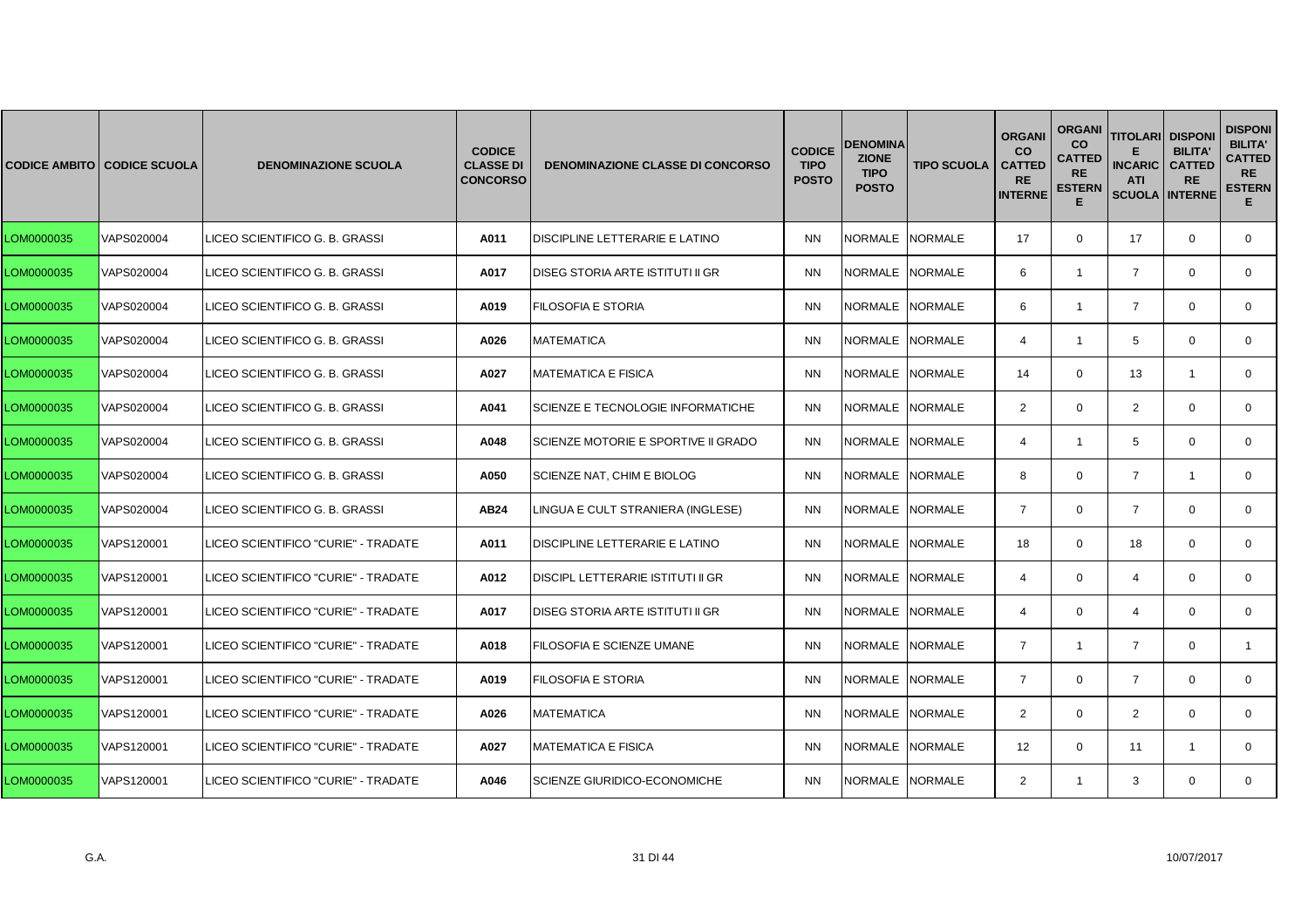|            | <b>CODICE AMBITO CODICE SCUOLA</b> | <b>DENOMINAZIONE SCUOLA</b>         | <b>CODICE</b><br><b>CLASSE DI</b><br><b>CONCORSO</b> | <b>DENOMINAZIONE CLASSE DI CONCORSO</b> | <b>CODICE</b><br><b>TIPO</b><br><b>POSTO</b> | <b>DENOMINA</b><br><b>ZIONE</b><br><b>TIPO</b><br><b>POSTO</b> | <b>TIPO SCUOLA</b> | <b>ORGANI</b><br><b>CO</b><br><b>CATTED</b><br><b>RE</b><br><b>INTERNE</b> | <b>ORGANI</b><br><b>CO</b><br><b>CATTED</b><br><b>RE</b><br><b>ESTERN</b><br>Е | <b>TITOLARI</b><br><b>INCARIC</b><br><b>ATI</b><br><b>SCUOLA</b> | <b>DISPONI</b><br><b>BILITA'</b><br><b>CATTED</b><br><b>RE</b><br><b>INTERNE</b> | <b>DISPONI</b><br><b>BILITA'</b><br><b>CATTED</b><br><b>RE</b><br><b>ESTERN</b><br>Е. |
|------------|------------------------------------|-------------------------------------|------------------------------------------------------|-----------------------------------------|----------------------------------------------|----------------------------------------------------------------|--------------------|----------------------------------------------------------------------------|--------------------------------------------------------------------------------|------------------------------------------------------------------|----------------------------------------------------------------------------------|---------------------------------------------------------------------------------------|
| LOM0000035 | VAPS020004                         | LICEO SCIENTIFICO G. B. GRASSI      | A011                                                 | DISCIPLINE LETTERARIE E LATINO          | <b>NN</b>                                    | NORMALE NORMALE                                                |                    | 17                                                                         | $\mathbf 0$                                                                    | 17                                                               | $\mathbf 0$                                                                      | $\mathbf{0}$                                                                          |
| LOM0000035 | VAPS020004                         | LICEO SCIENTIFICO G. B. GRASSI      | A017                                                 | <b>DISEG STORIA ARTE ISTITUTI II GR</b> | <b>NN</b>                                    | NORMALE NORMALE                                                |                    | 6                                                                          | $\mathbf{1}$                                                                   | $\overline{7}$                                                   | $\Omega$                                                                         | $\mathbf 0$                                                                           |
| LOM0000035 | VAPS020004                         | LICEO SCIENTIFICO G. B. GRASSI      | A019                                                 | <b>FILOSOFIA E STORIA</b>               | <b>NN</b>                                    | NORMALE                                                        | <b>NORMALE</b>     | 6                                                                          | $\mathbf{1}$                                                                   | $\overline{7}$                                                   | $\mathbf 0$                                                                      | $\mathbf{0}$                                                                          |
| LOM0000035 | VAPS020004                         | LICEO SCIENTIFICO G. B. GRASSI      | A026                                                 | <b>MATEMATICA</b>                       | <b>NN</b>                                    | NORMALE NORMALE                                                |                    | $\overline{4}$                                                             | $\mathbf{1}$                                                                   | 5                                                                | $\mathbf 0$                                                                      | $\mathbf{0}$                                                                          |
| LOM0000035 | VAPS020004                         | LICEO SCIENTIFICO G. B. GRASSI      | A027                                                 | <b>MATEMATICA E FISICA</b>              | <b>NN</b>                                    | <b>NORMALE</b>                                                 | <b>NORMALE</b>     | 14                                                                         | $\Omega$                                                                       | 13                                                               | $\overline{1}$                                                                   | $\Omega$                                                                              |
| LOM0000035 | VAPS020004                         | LICEO SCIENTIFICO G. B. GRASSI      | A041                                                 | SCIENZE E TECNOLOGIE INFORMATICHE       | <b>NN</b>                                    | <b>NORMALE</b>                                                 | <b>NORMALE</b>     | 2                                                                          | $\mathbf{0}$                                                                   | 2                                                                | $\mathbf 0$                                                                      | $\mathbf{0}$                                                                          |
| LOM0000035 | VAPS020004                         | LICEO SCIENTIFICO G. B. GRASSI      | A048                                                 | SCIENZE MOTORIE E SPORTIVE II GRADO     | <b>NN</b>                                    | NORMALE NORMALE                                                |                    | $\overline{4}$                                                             | $\mathbf{1}$                                                                   | 5                                                                | $\Omega$                                                                         | $\mathbf{0}$                                                                          |
| LOM0000035 | VAPS020004                         | LICEO SCIENTIFICO G. B. GRASSI      | A050                                                 | SCIENZE NAT, CHIM E BIOLOG              | <b>NN</b>                                    | NORMALE NORMALE                                                |                    | 8                                                                          | $\mathbf 0$                                                                    | $\overline{7}$                                                   | $\mathbf{1}$                                                                     | $\mathbf{0}$                                                                          |
| LOM0000035 | VAPS020004                         | LICEO SCIENTIFICO G. B. GRASSI      | AB24                                                 | LINGUA E CULT STRANIERA (INGLESE)       | <b>NN</b>                                    | NORMALE NORMALE                                                |                    | $\overline{7}$                                                             | $\mathbf{0}$                                                                   | $\overline{7}$                                                   | $\mathbf 0$                                                                      | $\mathbf{0}$                                                                          |
| LOM0000035 | VAPS120001                         | LICEO SCIENTIFICO "CURIE" - TRADATE | A011                                                 | DISCIPLINE LETTERARIE E LATINO          | <b>NN</b>                                    | NORMALE NORMALE                                                |                    | 18                                                                         | $\mathbf 0$                                                                    | 18                                                               | $\Omega$                                                                         | $\mathbf{0}$                                                                          |
| LOM0000035 | VAPS120001                         | LICEO SCIENTIFICO "CURIE" - TRADATE | A012                                                 | DISCIPL LETTERARIE ISTITUTI II GR       | <b>NN</b>                                    | NORMALE NORMALE                                                |                    | $\overline{4}$                                                             | $\mathbf 0$                                                                    | $\overline{4}$                                                   | $\mathbf 0$                                                                      | $\mathbf 0$                                                                           |
| LOM0000035 | VAPS120001                         | LICEO SCIENTIFICO "CURIE" - TRADATE | A017                                                 | DISEG STORIA ARTE ISTITUTI II GR        | <b>NN</b>                                    | NORMALE NORMALE                                                |                    | $\overline{4}$                                                             | $\mathbf 0$                                                                    | $\overline{4}$                                                   | $\Omega$                                                                         | $\mathbf{0}$                                                                          |
| LOM0000035 | VAPS120001                         | LICEO SCIENTIFICO "CURIE" - TRADATE | A018                                                 | FILOSOFIA E SCIENZE UMANE               | <b>NN</b>                                    | <b>NORMALE</b>                                                 | <b>NORMALE</b>     | $\overline{7}$                                                             | $\mathbf{1}$                                                                   | $\overline{7}$                                                   | $\Omega$                                                                         | $\mathbf{1}$                                                                          |
| LOM0000035 | VAPS120001                         | LICEO SCIENTIFICO "CURIE" - TRADATE | A019                                                 | <b>FILOSOFIA E STORIA</b>               | <b>NN</b>                                    | NORMALE                                                        | <b>NORMALE</b>     | $\overline{7}$                                                             | $\mathbf 0$                                                                    | $\overline{7}$                                                   | $\mathbf 0$                                                                      | 0                                                                                     |
| LOM0000035 | VAPS120001                         | LICEO SCIENTIFICO "CURIE" - TRADATE | A026                                                 | <b>MATEMATICA</b>                       | <b>NN</b>                                    | NORMALE NORMALE                                                |                    | 2                                                                          | $\mathbf 0$                                                                    | $\overline{2}$                                                   | $\Omega$                                                                         | $\mathbf{0}$                                                                          |
| LOM0000035 | VAPS120001                         | LICEO SCIENTIFICO "CURIE" - TRADATE | A027                                                 | <b>MATEMATICA E FISICA</b>              | <b>NN</b>                                    | NORMALE                                                        | <b>NORMALE</b>     | 12                                                                         | $\Omega$                                                                       | 11                                                               | -1                                                                               | $\Omega$                                                                              |
| LOM0000035 | VAPS120001                         | LICEO SCIENTIFICO "CURIE" - TRADATE | A046                                                 | <b>SCIENZE GIURIDICO-ECONOMICHE</b>     | <b>NN</b>                                    | NORMALE NORMALE                                                |                    | $\overline{2}$                                                             | $\mathbf{1}$                                                                   | 3                                                                | $\mathbf 0$                                                                      | $\mathbf{0}$                                                                          |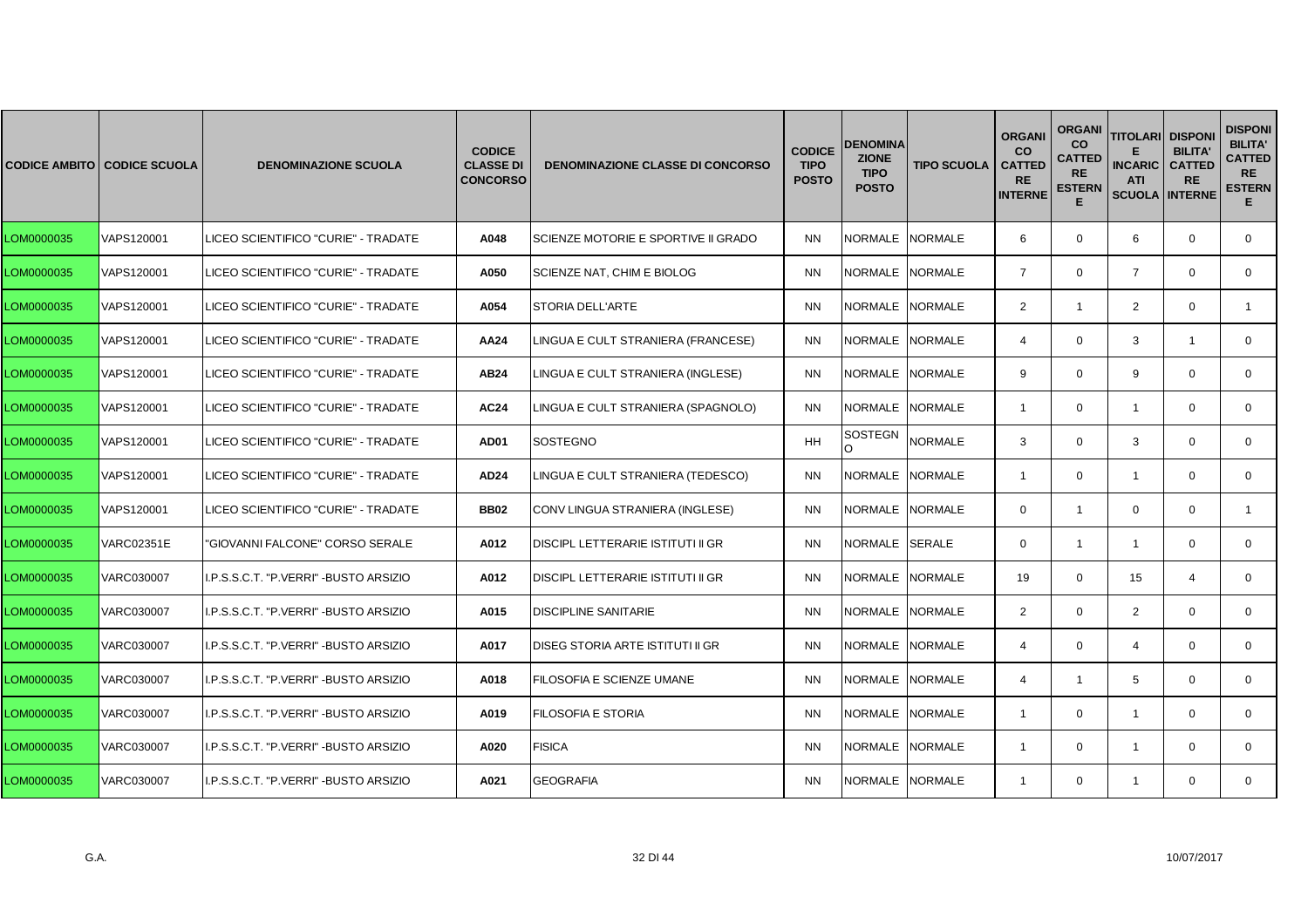|            | <b>CODICE AMBITO CODICE SCUOLA</b> | <b>DENOMINAZIONE SCUOLA</b>           | <b>CODICE</b><br><b>CLASSE DI</b><br><b>CONCORSO</b> | <b>DENOMINAZIONE CLASSE DI CONCORSO</b>  | <b>CODICE</b><br><b>TIPO</b><br><b>POSTO</b> | <b>DENOMINA</b><br><b>ZIONE</b><br><b>TIPO</b><br><b>POSTO</b> | <b>TIPO SCUOLA</b> | <b>ORGANI</b><br><b>CO</b><br><b>CATTED</b><br><b>RE</b><br><b>INTERNE</b> | <b>ORGANI</b><br>co<br>CATTED<br><b>RE</b><br><b>ESTERN</b><br>E | <b>TITOLARI</b><br><b>INCARIC</b><br><b>ATI</b><br><b>SCUOLA INTERNE</b> | <b>DISPONI</b><br><b>BILITA'</b><br><b>CATTED</b><br><b>RE</b> | <b>DISPONI</b><br><b>BILITA'</b><br><b>CATTED</b><br><b>RE</b><br><b>ESTERN</b><br>E. |
|------------|------------------------------------|---------------------------------------|------------------------------------------------------|------------------------------------------|----------------------------------------------|----------------------------------------------------------------|--------------------|----------------------------------------------------------------------------|------------------------------------------------------------------|--------------------------------------------------------------------------|----------------------------------------------------------------|---------------------------------------------------------------------------------------|
| LOM0000035 | VAPS120001                         | LICEO SCIENTIFICO "CURIE" - TRADATE   | A048                                                 | SCIENZE MOTORIE E SPORTIVE II GRADO      | <b>NN</b>                                    | NORMALE NORMALE                                                |                    | 6                                                                          | $\mathbf 0$                                                      | 6                                                                        | $\mathbf 0$                                                    | $\mathbf 0$                                                                           |
| LOM0000035 | VAPS120001                         | LICEO SCIENTIFICO "CURIE" - TRADATE   | A050                                                 | SCIENZE NAT, CHIM E BIOLOG               | <b>NN</b>                                    | NORMALE NORMALE                                                |                    | $\overline{7}$                                                             | $\mathbf 0$                                                      | $\overline{7}$                                                           | $\Omega$                                                       | $\mathbf{0}$                                                                          |
| LOM0000035 | VAPS120001                         | LICEO SCIENTIFICO "CURIE" - TRADATE   | A054                                                 | <b>STORIA DELL'ARTE</b>                  | <b>NN</b>                                    | NORMALE INORMALE                                               |                    | $\overline{2}$                                                             | $\mathbf{1}$                                                     | 2                                                                        | $\Omega$                                                       | 1                                                                                     |
| LOM0000035 | VAPS120001                         | LICEO SCIENTIFICO "CURIE" - TRADATE   | AA24                                                 | LINGUA E CULT STRANIERA (FRANCESE)       | <b>NN</b>                                    | NORMALE NORMALE                                                |                    | $\overline{\mathcal{L}}$                                                   | $\mathbf 0$                                                      | 3                                                                        | $\overline{1}$                                                 | $\mathbf 0$                                                                           |
| LOM0000035 | VAPS120001                         | LICEO SCIENTIFICO "CURIE" - TRADATE   | AB24                                                 | LINGUA E CULT STRANIERA (INGLESE)        | <b>NN</b>                                    | NORMALE NORMALE                                                |                    | 9                                                                          | $\mathbf 0$                                                      | 9                                                                        | $\Omega$                                                       | $\mathbf{0}$                                                                          |
| LOM0000035 | VAPS120001                         | LICEO SCIENTIFICO "CURIE" - TRADATE   | <b>AC24</b>                                          | LINGUA E CULT STRANIERA (SPAGNOLO)       | <b>NN</b>                                    | NORMALE INORMALE                                               |                    | $\overline{1}$                                                             | $\mathbf 0$                                                      | $\overline{1}$                                                           | $\Omega$                                                       | $\mathbf{0}$                                                                          |
| LOM0000035 | VAPS120001                         | LICEO SCIENTIFICO "CURIE" - TRADATE   | AD01                                                 | SOSTEGNO                                 | <b>HH</b>                                    | SOSTEGN                                                        | <b>NORMALE</b>     | 3                                                                          | $\mathbf 0$                                                      | 3                                                                        | $\mathbf 0$                                                    | $\mathbf 0$                                                                           |
| LOM0000035 | VAPS120001                         | LICEO SCIENTIFICO "CURIE" - TRADATE   | AD24                                                 | LINGUA E CULT STRANIERA (TEDESCO)        | <b>NN</b>                                    | NORMALE NORMALE                                                |                    | $\overline{1}$                                                             | $\mathbf 0$                                                      | $\overline{1}$                                                           | $\mathbf 0$                                                    | $\mathbf{0}$                                                                          |
| LOM0000035 | VAPS120001                         | LICEO SCIENTIFICO "CURIE" - TRADATE   | <b>BB02</b>                                          | CONV LINGUA STRANIERA (INGLESE)          | <b>NN</b>                                    | NORMALE INORMALE                                               |                    | $\Omega$                                                                   | $\mathbf{1}$                                                     | $\mathbf 0$                                                              | $\Omega$                                                       | $\mathbf{1}$                                                                          |
| LOM0000035 | <b>VARC02351E</b>                  | "GIOVANNI FALCONE" CORSO SERALE       | A012                                                 | <b>DISCIPL LETTERARIE ISTITUTI II GR</b> | <b>NN</b>                                    | NORMALE SERALE                                                 |                    | $\mathbf 0$                                                                | $\mathbf{1}$                                                     | $\mathbf{1}$                                                             | $\mathbf 0$                                                    | $\mathbf 0$                                                                           |
| LOM0000035 | <b>VARC030007</b>                  | I.P.S.S.C.T. "P.VERRI" -BUSTO ARSIZIO | A012                                                 | <b>DISCIPL LETTERARIE ISTITUTI II GR</b> | <b>NN</b>                                    | NORMALE NORMALE                                                |                    | 19                                                                         | $\mathbf 0$                                                      | 15                                                                       | $\overline{4}$                                                 | $\mathbf{0}$                                                                          |
| LOM0000035 | VARC030007                         | I.P.S.S.C.T. "P.VERRI" -BUSTO ARSIZIO | A015                                                 | <b>DISCIPLINE SANITARIE</b>              | <b>NN</b>                                    | NORMALE INORMALE                                               |                    | 2                                                                          | $\mathbf 0$                                                      | $\overline{2}$                                                           | $\Omega$                                                       | $\mathbf 0$                                                                           |
| LOM0000035 | VARC030007                         | I.P.S.S.C.T. "P.VERRI" -BUSTO ARSIZIO | A017                                                 | DISEG STORIA ARTE ISTITUTI II GR         | <b>NN</b>                                    | NORMALE NORMALE                                                |                    | $\overline{4}$                                                             | $\mathbf 0$                                                      | $\overline{4}$                                                           | $\mathbf 0$                                                    | $\mathbf 0$                                                                           |
| LOM0000035 | <b>VARC030007</b>                  | I.P.S.S.C.T. "P.VERRI" -BUSTO ARSIZIO | A018                                                 | FILOSOFIA E SCIENZE UMANE                | <b>NN</b>                                    | NORMALE NORMALE                                                |                    | $\overline{\mathcal{L}}$                                                   | $\mathbf{1}$                                                     | 5                                                                        | $\mathbf 0$                                                    | $\mathbf{0}$                                                                          |
| LOM0000035 | <b>VARC030007</b>                  | I.P.S.S.C.T. "P.VERRI" -BUSTO ARSIZIO | A019                                                 | <b>FILOSOFIA E STORIA</b>                | <b>NN</b>                                    | NORMALE NORMALE                                                |                    | $\overline{1}$                                                             | $\Omega$                                                         | $\overline{1}$                                                           | $\Omega$                                                       | $\Omega$                                                                              |
| LOM0000035 | <b>VARC030007</b>                  | I.P.S.S.C.T. "P.VERRI" -BUSTO ARSIZIO | A020                                                 | <b>FISICA</b>                            | <b>NN</b>                                    | NORMALE NORMALE                                                |                    | $\overline{\mathbf{1}}$                                                    | $\mathbf 0$                                                      | $\overline{1}$                                                           | $\mathbf 0$                                                    | $\mathbf 0$                                                                           |
| LOM0000035 | <b>VARC030007</b>                  | I.P.S.S.C.T. "P.VERRI" -BUSTO ARSIZIO | A021                                                 | <b>GEOGRAFIA</b>                         | <b>NN</b>                                    | NORMALE NORMALE                                                |                    | $\overline{1}$                                                             | $\mathbf 0$                                                      | $\mathbf{1}$                                                             | $\mathbf 0$                                                    | $\mathbf{0}$                                                                          |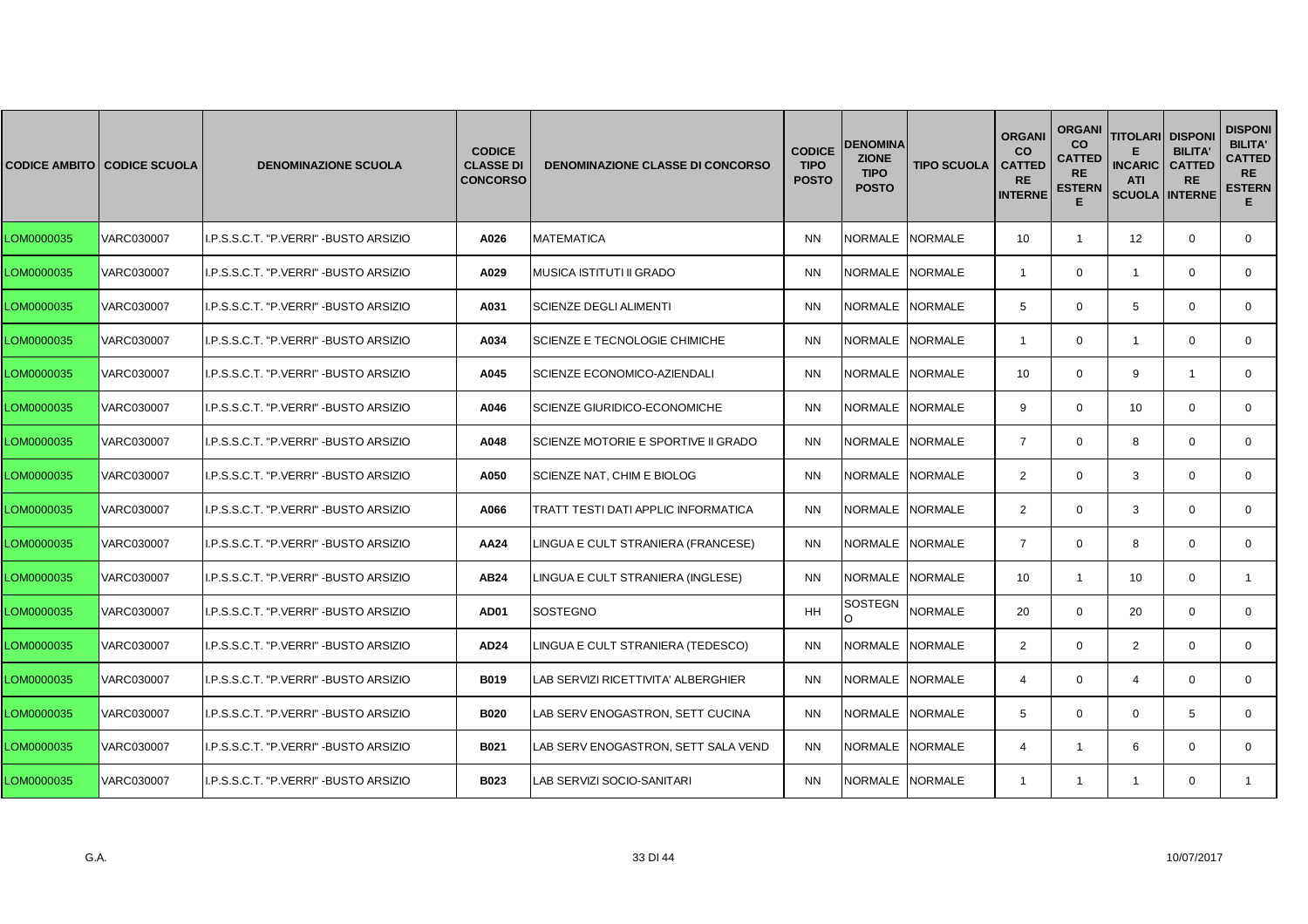|            | <b>CODICE AMBITO CODICE SCUOLA</b> | <b>DENOMINAZIONE SCUOLA</b>            | <b>CODICE</b><br><b>CLASSE DI</b><br><b>CONCORSO</b> | <b>DENOMINAZIONE CLASSE DI CONCORSO</b> | <b>CODICE</b><br><b>TIPO</b><br><b>POSTO</b> | <b>DENOMINA</b><br><b>ZIONE</b><br><b>TIPO</b><br><b>POSTO</b> | <b>TIPO SCUOLA</b> | <b>ORGANI</b><br><b>CO</b><br><b>CATTED</b><br><b>RE</b><br><b>INTERNE</b> | <b>ORGANI</b><br>CO<br>CATTED<br><b>RE</b><br><b>ESTERN</b><br>Е | <b>TITOLARI</b><br><b>INCARIC</b><br><b>ATI</b><br><b>SCUOLA</b> | <b>DISPON</b><br><b>BILITA</b><br><b>CATTED</b><br><b>RE</b><br><b>INTERNE</b> | <b>DISPONI</b><br><b>BILITA'</b><br><b>CATTED</b><br><b>RE</b><br><b>ESTERN</b><br>Е. |
|------------|------------------------------------|----------------------------------------|------------------------------------------------------|-----------------------------------------|----------------------------------------------|----------------------------------------------------------------|--------------------|----------------------------------------------------------------------------|------------------------------------------------------------------|------------------------------------------------------------------|--------------------------------------------------------------------------------|---------------------------------------------------------------------------------------|
| LOM0000035 | VARC030007                         | I.P.S.S.C.T. "P.VERRI" - BUSTO ARSIZIO | A026                                                 | <b>MATEMATICA</b>                       | <b>NN</b>                                    | NORMALE NORMALE                                                |                    | 10                                                                         | $\mathbf{1}$                                                     | 12                                                               | $\mathbf{0}$                                                                   | $\mathbf 0$                                                                           |
| LOM0000035 | VARC030007                         | I.P.S.S.C.T. "P.VERRI" - BUSTO ARSIZIO | A029                                                 | MUSICA ISTITUTI II GRADO                | <b>NN</b>                                    | NORMALE NORMALE                                                |                    | $\overline{\mathbf{1}}$                                                    | $\mathbf 0$                                                      | $\overline{1}$                                                   | $\mathbf 0$                                                                    | $\mathbf{0}$                                                                          |
| LOM0000035 | VARC030007                         | I.P.S.S.C.T. "P.VERRI" - BUSTO ARSIZIO | A031                                                 | <b>SCIENZE DEGLI ALIMENTI</b>           | <b>NN</b>                                    | NORMALE INORMALE                                               |                    | 5                                                                          | $\mathbf 0$                                                      | 5                                                                | $\Omega$                                                                       | $\mathbf{0}$                                                                          |
| LOM0000035 | VARC030007                         | I.P.S.S.C.T. "P.VERRI" - BUSTO ARSIZIO | A034                                                 | SCIENZE E TECNOLOGIE CHIMICHE           | <b>NN</b>                                    | NORMALE NORMALE                                                |                    | -1                                                                         | $\mathbf{0}$                                                     | $\overline{1}$                                                   | $\mathbf{0}$                                                                   | $\mathbf{0}$                                                                          |
| LOM0000035 | VARC030007                         | I.P.S.S.C.T. "P.VERRI" - BUSTO ARSIZIO | A045                                                 | SCIENZE ECONOMICO-AZIENDALI             | <b>NN</b>                                    | NORMALE NORMALE                                                |                    | 10                                                                         | $\mathbf 0$                                                      | 9                                                                | $\overline{1}$                                                                 | $\mathbf{0}$                                                                          |
| LOM0000035 | VARC030007                         | I.P.S.S.C.T. "P.VERRI" - BUSTO ARSIZIO | A046                                                 | <b>SCIENZE GIURIDICO-ECONOMICHE</b>     | <b>NN</b>                                    | NORMALE                                                        | <b>NORMALE</b>     | 9                                                                          | $\mathbf 0$                                                      | 10 <sup>°</sup>                                                  | $\Omega$                                                                       | $\mathbf{0}$                                                                          |
| LOM0000035 | VARC030007                         | I.P.S.S.C.T. "P.VERRI" - BUSTO ARSIZIO | A048                                                 | SCIENZE MOTORIE E SPORTIVE II GRADO     | <b>NN</b>                                    | NORMALE NORMALE                                                |                    | $\overline{7}$                                                             | $\mathbf 0$                                                      | 8                                                                | $\mathbf{0}$                                                                   | 0                                                                                     |
| LOM0000035 | VARC030007                         | I.P.S.S.C.T. "P.VERRI" - BUSTO ARSIZIO | A050                                                 | SCIENZE NAT, CHIM E BIOLOG              | <b>NN</b>                                    | NORMALE NORMALE                                                |                    | $\overline{2}$                                                             | $\mathbf 0$                                                      | 3                                                                | $\mathbf 0$                                                                    | $\mathbf 0$                                                                           |
| LOM0000035 | VARC030007                         | I.P.S.S.C.T. "P.VERRI" - BUSTO ARSIZIO | A066                                                 | TRATT TESTI DATI APPLIC INFORMATICA     | <b>NN</b>                                    | NORMALE NORMALE                                                |                    | $\overline{2}$                                                             | $\mathbf 0$                                                      | 3                                                                | $\Omega$                                                                       | $\mathbf 0$                                                                           |
| LOM0000035 | VARC030007                         | I.P.S.S.C.T. "P.VERRI" - BUSTO ARSIZIO | AA24                                                 | LINGUA E CULT STRANIERA (FRANCESE)      | <b>NN</b>                                    | NORMALE NORMALE                                                |                    | $\overline{7}$                                                             | 0                                                                | 8                                                                | $\mathbf 0$                                                                    | 0                                                                                     |
| LOM0000035 | VARC030007                         | I.P.S.S.C.T. "P.VERRI" - BUSTO ARSIZIO | AB24                                                 | LINGUA E CULT STRANIERA (INGLESE)       | <b>NN</b>                                    | NORMALE NORMALE                                                |                    | 10                                                                         | $\mathbf{1}$                                                     | 10                                                               | $\mathbf 0$                                                                    | $\mathbf{1}$                                                                          |
| LOM0000035 | VARC030007                         | I.P.S.S.C.T. "P.VERRI" - BUSTO ARSIZIO | <b>AD01</b>                                          | <b>SOSTEGNO</b>                         | <b>HH</b>                                    | SOSTEGN<br>O                                                   | <b>NORMALE</b>     | 20                                                                         | $\mathbf 0$                                                      | 20                                                               | $\Omega$                                                                       | $\Omega$                                                                              |
| LOM0000035 | VARC030007                         | I.P.S.S.C.T. "P.VERRI" - BUSTO ARSIZIO | AD24                                                 | LINGUA E CULT STRANIERA (TEDESCO)       | <b>NN</b>                                    | NORMALE                                                        | <b>NORMALE</b>     | $\overline{2}$                                                             | 0                                                                | 2                                                                | $\mathbf 0$                                                                    | 0                                                                                     |
| LOM0000035 | VARC030007                         | I.P.S.S.C.T. "P.VERRI" - BUSTO ARSIZIO | <b>B019</b>                                          | AB SERVIZI RICETTIVITA' ALBERGHIER      | <b>NN</b>                                    | NORMALE NORMALE                                                |                    | 4                                                                          | $\mathbf 0$                                                      | $\overline{4}$                                                   | $\mathbf 0$                                                                    | 0                                                                                     |
| LOM0000035 | VARC030007                         | I.P.S.S.C.T. "P.VERRI" - BUSTO ARSIZIO | <b>B020</b>                                          | LAB SERV ENOGASTRON, SETT CUCINA        | <b>NN</b>                                    | NORMALE INORMALE                                               |                    | 5                                                                          | $\mathbf 0$                                                      | $\mathbf{0}$                                                     | 5                                                                              | $\mathbf 0$                                                                           |
| LOM0000035 | VARC030007                         | I.P.S.S.C.T. "P.VERRI" - BUSTO ARSIZIO | B021                                                 | LAB SERV ENOGASTRON, SETT SALA VEND     | <b>NN</b>                                    | NORMALE INORMALE                                               |                    | 4                                                                          | -1                                                               | 6                                                                | $\Omega$                                                                       | $\mathbf 0$                                                                           |
| LOM0000035 | <b>VARC030007</b>                  | I.P.S.S.C.T. "P.VERRI" - BUSTO ARSIZIO | <b>B023</b>                                          | LAB SERVIZI SOCIO-SANITARI              | <b>NN</b>                                    | NORMALE NORMALE                                                |                    | -1                                                                         | 1                                                                | -1                                                               | $\mathbf 0$                                                                    | -1                                                                                    |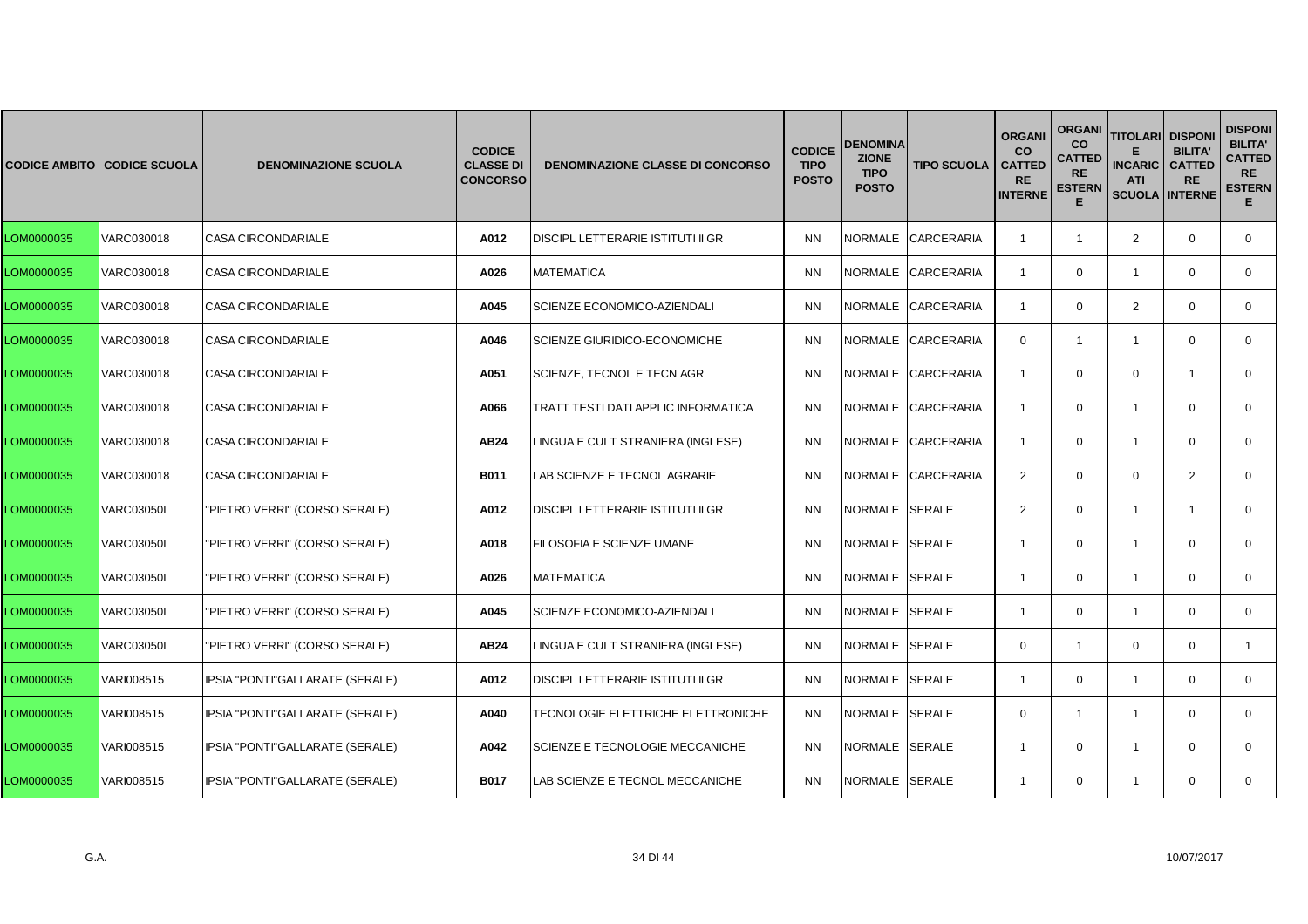|            | <b>CODICE AMBITO CODICE SCUOLA</b> | <b>DENOMINAZIONE SCUOLA</b>     | <b>CODICE</b><br><b>CLASSE DI</b><br><b>CONCORSO</b> | <b>DENOMINAZIONE CLASSE DI CONCORSO</b>  | <b>CODICE</b><br><b>TIPO</b><br><b>POSTO</b> | <b>DENOMINA</b><br><b>ZIONE</b><br><b>TIPO</b><br><b>POSTO</b> | <b>TIPO SCUOLA</b> | <b>ORGANI</b><br><b>CO</b><br><b>CATTED</b><br><b>RE</b><br><b>INTERNE</b> | <b>ORGANI</b><br><b>CO</b><br><b>CATTED</b><br><b>RE</b><br><b>ESTERN</b><br>Е | <b>TITOLARI DISPONI</b><br><b>INCARIC</b><br><b>ATI</b><br><b>SCUOLA INTERNE</b> | <b>BILITA'</b><br><b>CATTED</b><br><b>RE</b> | <b>DISPONI</b><br><b>BILITA'</b><br><b>CATTED</b><br><b>RE</b><br><b>ESTERN</b><br>Е. |
|------------|------------------------------------|---------------------------------|------------------------------------------------------|------------------------------------------|----------------------------------------------|----------------------------------------------------------------|--------------------|----------------------------------------------------------------------------|--------------------------------------------------------------------------------|----------------------------------------------------------------------------------|----------------------------------------------|---------------------------------------------------------------------------------------|
| LOM0000035 | VARC030018                         | <b>CASA CIRCONDARIALE</b>       | A012                                                 | DISCIPL LETTERARIE ISTITUTI II GR        | <b>NN</b>                                    |                                                                | NORMALE CARCERARIA | $\overline{1}$                                                             | $\mathbf{1}$                                                                   | $\overline{2}$                                                                   | $\mathbf 0$                                  | 0                                                                                     |
| LOM0000035 | VARC030018                         | <b>CASA CIRCONDARIALE</b>       | A026                                                 | <b>MATEMATICA</b>                        | <b>NN</b>                                    |                                                                | NORMALE CARCERARIA | $\overline{1}$                                                             | $\mathbf{0}$                                                                   | $\overline{1}$                                                                   | $\mathbf 0$                                  | $\mathbf{0}$                                                                          |
| LOM0000035 | VARC030018                         | <b>CASA CIRCONDARIALE</b>       | A045                                                 | SCIENZE ECONOMICO-AZIENDALI              | <b>NN</b>                                    |                                                                | NORMALE CARCERARIA | -1                                                                         | $\Omega$                                                                       | 2                                                                                | $\Omega$                                     | $\mathbf{0}$                                                                          |
| LOM0000035 | VARC030018                         | <b>CASA CIRCONDARIALE</b>       | A046                                                 | SCIENZE GIURIDICO-ECONOMICHE             | <b>NN</b>                                    |                                                                | NORMALE CARCERARIA | $\mathbf{0}$                                                               | $\mathbf{1}$                                                                   | $\mathbf{1}$                                                                     | $\mathbf 0$                                  | $\mathbf{0}$                                                                          |
| LOM0000035 | VARC030018                         | CASA CIRCONDARIALE              | A051                                                 | SCIENZE, TECNOL E TECN AGR               | <b>NN</b>                                    |                                                                | NORMALE CARCERARIA | $\mathbf{1}$                                                               | $\mathbf 0$                                                                    | $\mathbf 0$                                                                      | $\overline{1}$                               | $\mathbf{0}$                                                                          |
| LOM0000035 | VARC030018                         | <b>CASA CIRCONDARIALE</b>       | A066                                                 | TRATT TESTI DATI APPLIC INFORMATICA      | <b>NN</b>                                    | <b>NORMALE</b>                                                 | <b>CARCERARIA</b>  | $\overline{1}$                                                             | $\mathbf{0}$                                                                   | $\overline{1}$                                                                   | $\Omega$                                     | $\mathbf{0}$                                                                          |
| LOM0000035 | VARC030018                         | <b>CASA CIRCONDARIALE</b>       | AB24                                                 | LINGUA E CULT STRANIERA (INGLESE)        | <b>NN</b>                                    | NORMALE                                                        | <b>CARCERARIA</b>  | $\overline{1}$                                                             | $\mathbf{0}$                                                                   | $\mathbf{1}$                                                                     | $\mathbf 0$                                  | 0                                                                                     |
| LOM0000035 | VARC030018                         | <b>CASA CIRCONDARIALE</b>       | <b>B011</b>                                          | LAB SCIENZE E TECNOL AGRARIE             | <b>NN</b>                                    |                                                                | NORMALE CARCERARIA | 2                                                                          | $\mathbf 0$                                                                    | $\mathbf 0$                                                                      | 2                                            | $\mathbf{0}$                                                                          |
| LOM0000035 | <b>VARC03050L</b>                  | "PIETRO VERRI" (CORSO SERALE)   | A012                                                 | <b>DISCIPL LETTERARIE ISTITUTI II GR</b> | <b>NN</b>                                    | NORMALE SERALE                                                 |                    | $\overline{2}$                                                             | $\mathbf 0$                                                                    | $\overline{1}$                                                                   | $\mathbf{1}$                                 | $\mathbf 0$                                                                           |
| LOM0000035 | VARC03050L                         | 'PIETRO VERRI" (CORSO SERALE)   | A018                                                 | FILOSOFIA E SCIENZE UMANE                | <b>NN</b>                                    | NORMALE SERALE                                                 |                    | $\mathbf{1}$                                                               | $\mathbf{0}$                                                                   | $\overline{1}$                                                                   | $\mathbf 0$                                  | $\mathbf{0}$                                                                          |
| LOM0000035 | <b>VARC03050L</b>                  | "PIETRO VERRI" (CORSO SERALE)   | A026                                                 | <b>MATEMATICA</b>                        | <b>NN</b>                                    | NORMALE SERALE                                                 |                    | $\overline{1}$                                                             | $\mathbf 0$                                                                    | $\overline{1}$                                                                   | $\mathbf 0$                                  | $\mathbf 0$                                                                           |
| LOM0000035 | <b>VARC03050L</b>                  | "PIETRO VERRI" (CORSO SERALE)   | A045                                                 | SCIENZE ECONOMICO-AZIENDALI              | <b>NN</b>                                    | NORMALE SERALE                                                 |                    | $\mathbf{1}$                                                               | $\mathbf 0$                                                                    | $\overline{1}$                                                                   | $\Omega$                                     | $\mathbf 0$                                                                           |
| LOM0000035 | <b>VARC03050L</b>                  | 'PIETRO VERRI" (CORSO SERALE)   | AB24                                                 | LINGUA E CULT STRANIERA (INGLESE)        | <b>NN</b>                                    | NORMALE                                                        | <b>SERALE</b>      | $\mathbf{0}$                                                               | $\mathbf{1}$                                                                   | $\mathbf 0$                                                                      | $\mathbf 0$                                  | $\mathbf{1}$                                                                          |
| LOM0000035 | VARI008515                         | IPSIA "PONTI"GALLARATE (SERALE) | A012                                                 | DISCIPL LETTERARIE ISTITUTI II GR        | <b>NN</b>                                    | NORMALE SERALE                                                 |                    | -1                                                                         | $\mathbf 0$                                                                    | $\overline{1}$                                                                   | $\mathbf 0$                                  | 0                                                                                     |
| LOM0000035 | VARI008515                         | IPSIA "PONTI"GALLARATE (SERALE) | A040                                                 | TECNOLOGIE ELETTRICHE ELETTRONICHE       | <b>NN</b>                                    | NORMALE SERALE                                                 |                    | $\Omega$                                                                   | $\mathbf{1}$                                                                   | $\overline{1}$                                                                   | $\mathbf 0$                                  | $\mathbf{0}$                                                                          |
| LOM0000035 | VARI008515                         | IPSIA "PONTI"GALLARATE (SERALE) | A042                                                 | SCIENZE E TECNOLOGIE MECCANICHE          | <b>NN</b>                                    | NORMALE SERALE                                                 |                    | -1                                                                         | $\Omega$                                                                       | $\overline{1}$                                                                   | $\Omega$                                     | $\mathbf{0}$                                                                          |
| LOM0000035 | VARI008515                         | IPSIA "PONTI"GALLARATE (SERALE) | <b>B017</b>                                          | LAB SCIENZE E TECNOL MECCANICHE          | <b>NN</b>                                    | NORMALE SERALE                                                 |                    | $\overline{1}$                                                             | $\mathbf{0}$                                                                   | $\mathbf{1}$                                                                     | $\mathbf{0}$                                 | $\mathbf{0}$                                                                          |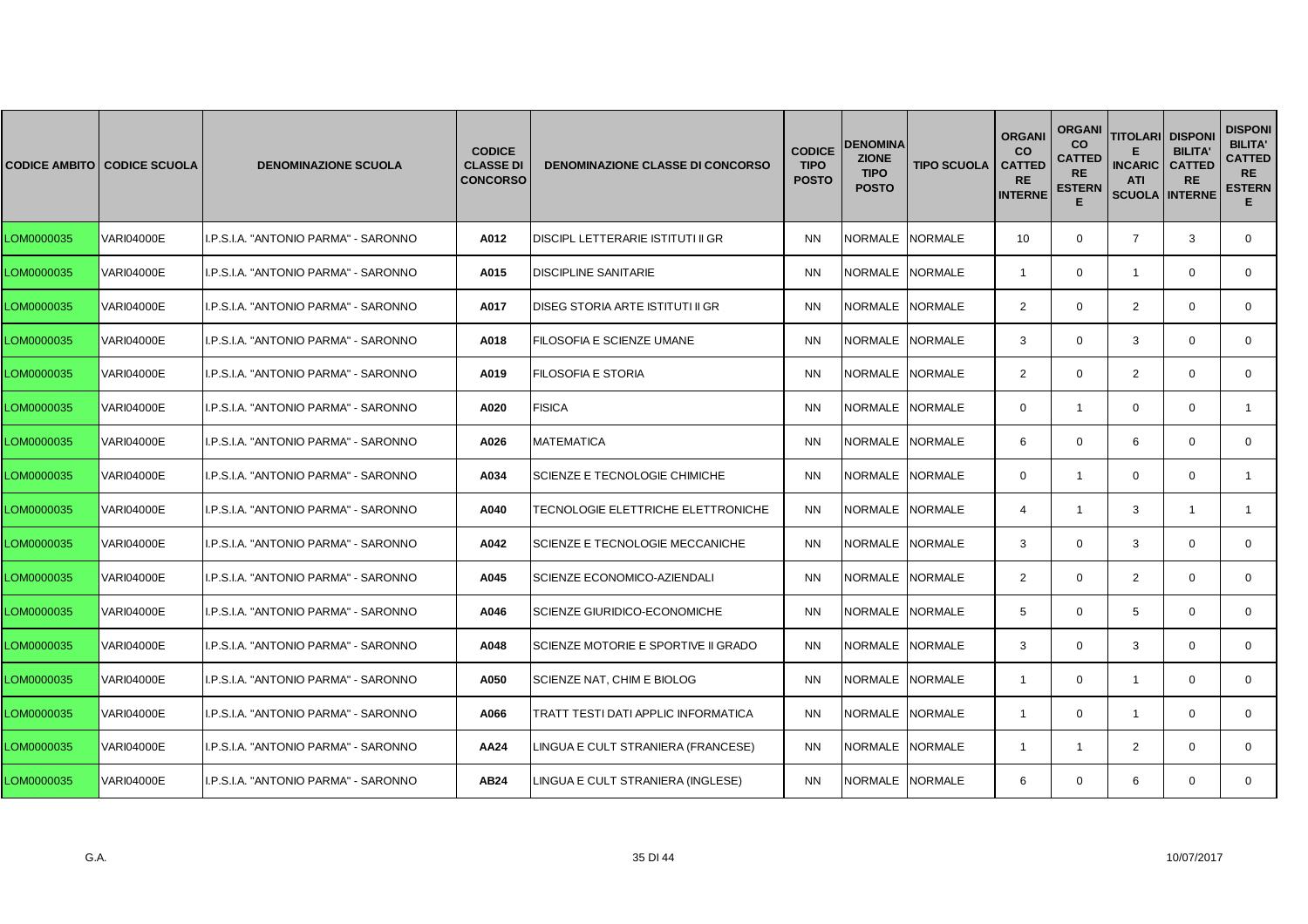|            | <b>CODICE AMBITO CODICE SCUOLA</b> | <b>DENOMINAZIONE SCUOLA</b>          | <b>CODICE</b><br><b>CLASSE DI</b><br><b>CONCORSO</b> | <b>DENOMINAZIONE CLASSE DI CONCORSO</b>    | <b>CODICE</b><br><b>TIPO</b><br><b>POSTO</b> | <b>DENOMINA</b><br><b>ZIONE</b><br><b>TIPO</b><br><b>POSTO</b> | <b>TIPO SCUOLA</b> | <b>ORGANI</b><br><b>CO</b><br><b>CATTED</b><br><b>RE</b><br><b>INTERNE</b> | <b>ORGANI</b><br>CO<br>CATTED<br><b>RE</b><br><b>ESTERN</b><br>Е | <b>TITOLARI</b><br><b>INCARIC</b><br><b>ATI</b><br><b>SCUOLA</b> | <b>DISPON</b><br><b>BILITA</b><br><b>CATTED</b><br><b>RE</b><br><b>INTERNE</b> | <b>DISPONI</b><br><b>BILITA'</b><br><b>CATTED</b><br><b>RE</b><br><b>ESTERN</b><br>Е. |
|------------|------------------------------------|--------------------------------------|------------------------------------------------------|--------------------------------------------|----------------------------------------------|----------------------------------------------------------------|--------------------|----------------------------------------------------------------------------|------------------------------------------------------------------|------------------------------------------------------------------|--------------------------------------------------------------------------------|---------------------------------------------------------------------------------------|
| LOM0000035 | <b>VARI04000E</b>                  | I.P.S.I.A. "ANTONIO PARMA" - SARONNO | A012                                                 | DISCIPL LETTERARIE ISTITUTI II GR          | <b>NN</b>                                    | NORMALE NORMALE                                                |                    | 10                                                                         | $\mathbf 0$                                                      | $\overline{7}$                                                   | 3                                                                              | 0                                                                                     |
| LOM0000035 | <b>VARI04000E</b>                  | I.P.S.I.A. "ANTONIO PARMA" - SARONNO | A015                                                 | <b>DISCIPLINE SANITARIE</b>                | <b>NN</b>                                    | NORMALE NORMALE                                                |                    | $\overline{1}$                                                             | $\mathbf 0$                                                      | $\overline{1}$                                                   | $\mathbf 0$                                                                    | $\mathbf{0}$                                                                          |
| LOM0000035 | <b>VARI04000E</b>                  | I.P.S.I.A. "ANTONIO PARMA" - SARONNO | A017                                                 | DISEG STORIA ARTE ISTITUTI II GR           | <b>NN</b>                                    | NORMALE INORMALE                                               |                    | $\overline{2}$                                                             | $\mathbf 0$                                                      | $\overline{2}$                                                   | $\Omega$                                                                       | $\mathbf 0$                                                                           |
| LOM0000035 | <b>VARI04000E</b>                  | I.P.S.I.A. "ANTONIO PARMA" - SARONNO | A018                                                 | FILOSOFIA E SCIENZE UMANE                  | <b>NN</b>                                    | NORMALE NORMALE                                                |                    | 3                                                                          | $\mathbf 0$                                                      | 3                                                                | $\mathbf{0}$                                                                   | $\mathbf 0$                                                                           |
| LOM0000035 | <b>VARI04000E</b>                  | I.P.S.I.A. "ANTONIO PARMA" - SARONNO | A019                                                 | <b>FILOSOFIA E STORIA</b>                  | <b>NN</b>                                    | NORMALE NORMALE                                                |                    | 2                                                                          | $\mathbf 0$                                                      | $\overline{2}$                                                   | $\mathbf 0$                                                                    | $\mathbf 0$                                                                           |
| LOM0000035 | VARI04000E                         | I.P.S.I.A. "ANTONIO PARMA" - SARONNO | A020                                                 | <b>FISICA</b>                              | <b>NN</b>                                    | NORMALE                                                        | <b>NORMALE</b>     | $\Omega$                                                                   | $\mathbf{1}$                                                     | $\mathbf 0$                                                      | $\Omega$                                                                       | $\mathbf{1}$                                                                          |
| LOM0000035 | <b>VARI04000E</b>                  | I.P.S.I.A. "ANTONIO PARMA" - SARONNO | A026                                                 | <b>MATEMATICA</b>                          | <b>NN</b>                                    | NORMALE NORMALE                                                |                    | 6                                                                          | $\mathbf 0$                                                      | 6                                                                | $\mathbf{0}$                                                                   | 0                                                                                     |
| LOM0000035 | <b>VARI04000E</b>                  | I.P.S.I.A. "ANTONIO PARMA" - SARONNO | A034                                                 | <b>SCIENZE E TECNOLOGIE CHIMICHE</b>       | <b>NN</b>                                    | NORMALE NORMALE                                                |                    | $\mathbf 0$                                                                | $\mathbf{1}$                                                     | $\mathbf 0$                                                      | $\mathbf 0$                                                                    | $\mathbf{1}$                                                                          |
| LOM0000035 | <b>VARI04000E</b>                  | I.P.S.I.A. "ANTONIO PARMA" - SARONNO | A040                                                 | TECNOLOGIE ELETTRICHE ELETTRONICHE         | <b>NN</b>                                    | NORMALE INORMALE                                               |                    | 4                                                                          | $\mathbf{1}$                                                     | 3                                                                | $\overline{\mathbf{1}}$                                                        | $\mathbf{1}$                                                                          |
| LOM0000035 | VARI04000E                         | I.P.S.I.A. "ANTONIO PARMA" - SARONNO | A042                                                 | SCIENZE E TECNOLOGIE MECCANICHE            | <b>NN</b>                                    | NORMALE NORMALE                                                |                    | 3                                                                          | 0                                                                | 3                                                                | $\mathbf 0$                                                                    | 0                                                                                     |
| LOM0000035 | <b>VARI04000E</b>                  | I.P.S.I.A. "ANTONIO PARMA" - SARONNO | A045                                                 | SCIENZE ECONOMICO-AZIENDALI                | <b>NN</b>                                    | NORMALE NORMALE                                                |                    | $\mathbf{2}$                                                               | $\mathbf 0$                                                      | $\overline{2}$                                                   | $\mathbf 0$                                                                    | $\mathbf 0$                                                                           |
| LOM0000035 | <b>VARI04000E</b>                  | I.P.S.I.A. "ANTONIO PARMA" - SARONNO | A046                                                 | <b>SCIENZE GIURIDICO-ECONOMICHE</b>        | <b>NN</b>                                    | NORMALE NORMALE                                                |                    | 5                                                                          | $\mathbf 0$                                                      | 5                                                                | $\Omega$                                                                       | $\Omega$                                                                              |
| LOM0000035 | <b>VARI04000E</b>                  | I.P.S.I.A. "ANTONIO PARMA" - SARONNO | A048                                                 | SCIENZE MOTORIE E SPORTIVE II GRADO        | <b>NN</b>                                    | NORMALE                                                        | <b>NORMALE</b>     | 3                                                                          | 0                                                                | 3                                                                | $\mathbf{0}$                                                                   | 0                                                                                     |
| LOM0000035 | <b>VARI04000E</b>                  | I.P.S.I.A. "ANTONIO PARMA" - SARONNO | A050                                                 | SCIENZE NAT, CHIM E BIOLOG                 | <b>NN</b>                                    | NORMALE NORMALE                                                |                    | -1                                                                         | $\mathbf 0$                                                      | $\overline{1}$                                                   | $\mathbf 0$                                                                    | 0                                                                                     |
| LOM0000035 | <b>VARI04000E</b>                  | I.P.S.I.A. "ANTONIO PARMA" - SARONNO | A066                                                 | <b>TRATT TESTI DATI APPLIC INFORMATICA</b> | <b>NN</b>                                    | NORMALE INORMALE                                               |                    | -1                                                                         | $\mathbf 0$                                                      | $\overline{1}$                                                   | $\Omega$                                                                       | $\mathbf 0$                                                                           |
| LOM0000035 | <b>VARI04000E</b>                  | I.P.S.I.A. "ANTONIO PARMA" - SARONNO | AA24                                                 | LINGUA E CULT STRANIERA (FRANCESE)         | <b>NN</b>                                    | NORMALE INORMALE                                               |                    | -1                                                                         | -1                                                               | 2                                                                | $\Omega$                                                                       | $\mathbf 0$                                                                           |
| LOM0000035 | <b>VARI04000E</b>                  | I.P.S.I.A. "ANTONIO PARMA" - SARONNO | AB24                                                 | LINGUA E CULT STRANIERA (INGLESE)          | <b>NN</b>                                    | NORMALE NORMALE                                                |                    | 6                                                                          | $\mathbf 0$                                                      | 6                                                                | $\mathbf 0$                                                                    | $\mathbf{0}$                                                                          |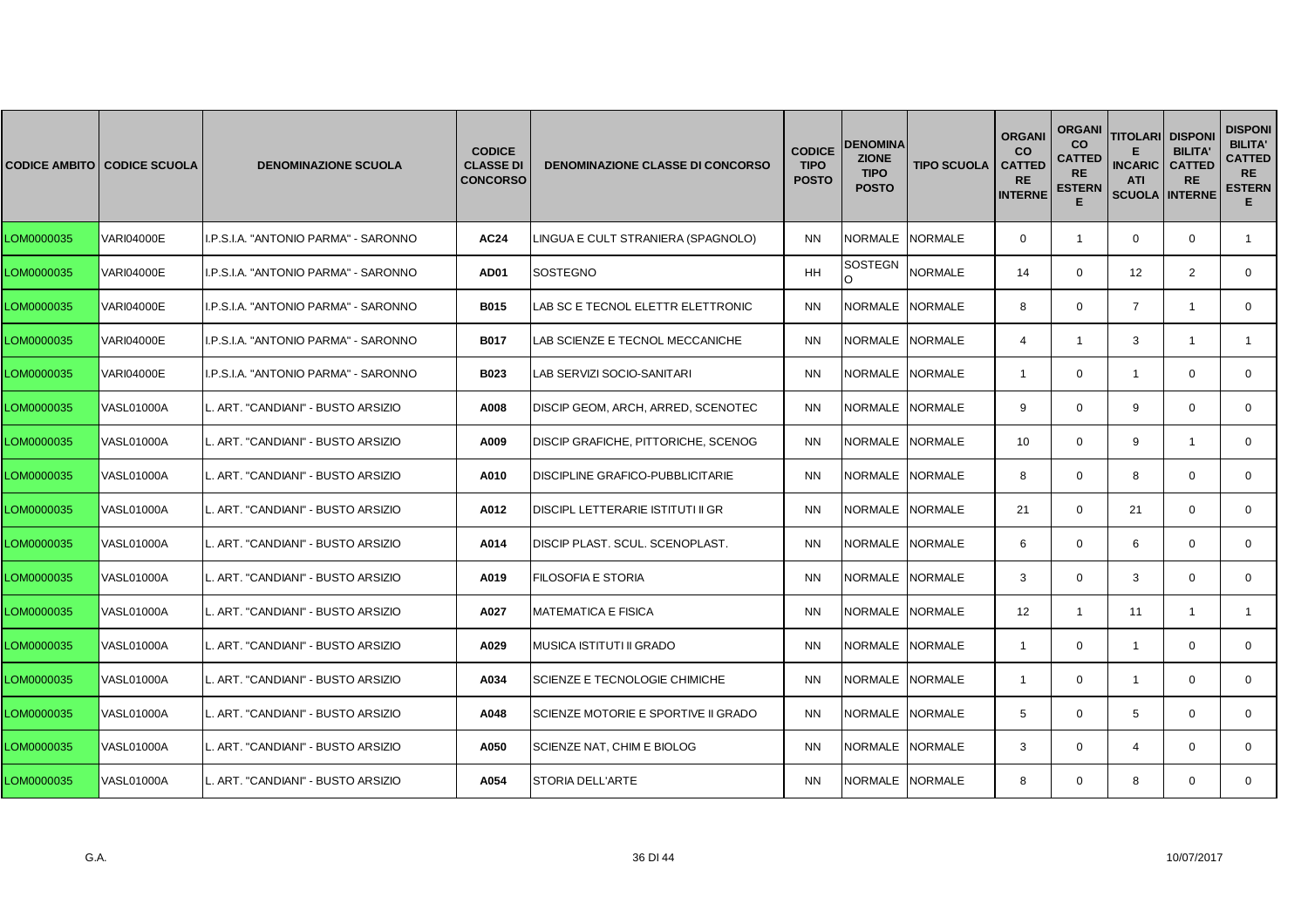|            | <b>CODICE AMBITO CODICE SCUOLA</b> | <b>DENOMINAZIONE SCUOLA</b>          | <b>CODICE</b><br><b>CLASSE DI</b><br><b>CONCORSO</b> | <b>DENOMINAZIONE CLASSE DI CONCORSO</b> | <b>CODICE</b><br><b>TIPO</b><br><b>POSTO</b> | <b>DENOMINA</b><br><b>ZIONE</b><br><b>TIPO</b><br><b>POSTO</b> | <b>TIPO SCUOLA</b> | <b>ORGANI</b><br><b>CO</b><br><b>CATTED</b><br><b>RE</b><br><b>INTERNE</b> | <b>ORGANI</b><br>co<br><b>CATTED</b><br><b>RE</b><br><b>ESTERN</b><br>Е | <b>TITOLARI</b><br><b>INCARIC</b><br><b>ATI</b><br><b>SCUOLA INTERNE</b> | <b>DISPONI</b><br><b>BILITA'</b><br><b>CATTED</b><br><b>RE</b> | <b>DISPONI</b><br><b>BILITA'</b><br><b>CATTED</b><br><b>RE</b><br><b>ESTERN</b><br>Е. |
|------------|------------------------------------|--------------------------------------|------------------------------------------------------|-----------------------------------------|----------------------------------------------|----------------------------------------------------------------|--------------------|----------------------------------------------------------------------------|-------------------------------------------------------------------------|--------------------------------------------------------------------------|----------------------------------------------------------------|---------------------------------------------------------------------------------------|
| LOM0000035 | <b>VARI04000E</b>                  | I.P.S.I.A. "ANTONIO PARMA" - SARONNO | <b>AC24</b>                                          | LINGUA E CULT STRANIERA (SPAGNOLO)      | <b>NN</b>                                    | NORMALE NORMALE                                                |                    | $\mathbf 0$                                                                | $\mathbf{1}$                                                            | $\mathbf 0$                                                              | $\mathbf 0$                                                    | $\mathbf{1}$                                                                          |
| LOM0000035 | <b>VARI04000E</b>                  | I.P.S.I.A. "ANTONIO PARMA" - SARONNO | AD01                                                 | <b>SOSTEGNO</b>                         | <b>HH</b>                                    | <b>SOSTEGN</b><br>O                                            | <b>NORMALE</b>     | 14                                                                         | $\mathbf 0$                                                             | 12                                                                       | 2                                                              | $\mathbf{0}$                                                                          |
| LOM0000035 | <b>VARI04000E</b>                  | I.P.S.I.A. "ANTONIO PARMA" - SARONNO | <b>B015</b>                                          | LAB SC E TECNOL ELETTR ELETTRONIC       | <b>NN</b>                                    | NORMALE                                                        | <b>NORMALE</b>     | 8                                                                          | $\Omega$                                                                | $\overline{7}$                                                           | -1                                                             | $\Omega$                                                                              |
| LOM0000035 | <b>VARI04000E</b>                  | I.P.S.I.A. "ANTONIO PARMA" - SARONNO | <b>B017</b>                                          | LAB SCIENZE E TECNOL MECCANICHE         | <b>NN</b>                                    | NORMALE NORMALE                                                |                    | $\overline{4}$                                                             | $\mathbf{1}$                                                            | 3                                                                        | $\overline{1}$                                                 |                                                                                       |
| LOM0000035 | <b>VARI04000E</b>                  | I.P.S.I.A. "ANTONIO PARMA" - SARONNO | B023                                                 | LAB SERVIZI SOCIO-SANITARI              | <b>NN</b>                                    | NORMALE NORMALE                                                |                    | $\overline{1}$                                                             | $\mathbf 0$                                                             | $\mathbf{1}$                                                             | $\Omega$                                                       | $\mathbf{0}$                                                                          |
| LOM0000035 | <b>VASL01000A</b>                  | ART. "CANDIANI" - BUSTO ARSIZIO      | A008                                                 | DISCIP GEOM, ARCH, ARRED, SCENOTEC      | <b>NN</b>                                    | <b>NORMALE</b>                                                 | NORMALE            | 9                                                                          | $\Omega$                                                                | 9                                                                        | $\Omega$                                                       | $\mathbf{0}$                                                                          |
| LOM0000035 | <b>VASL01000A</b>                  | ART. "CANDIANI" - BUSTO ARSIZIO      | A009                                                 | DISCIP GRAFICHE, PITTORICHE, SCENOG     | <b>NN</b>                                    | <b>NORMALE</b>                                                 | <b>NORMALE</b>     | 10                                                                         | $\mathbf 0$                                                             | 9                                                                        | $\overline{1}$                                                 | $\mathbf 0$                                                                           |
| LOM0000035 | <b>VASL01000A</b>                  | L. ART. "CANDIANI" - BUSTO ARSIZIO   | A010                                                 | DISCIPLINE GRAFICO-PUBBLICITARIE        | <b>NN</b>                                    | NORMALE NORMALE                                                |                    | 8                                                                          | $\mathbf{0}$                                                            | 8                                                                        | $\mathbf 0$                                                    | $\mathbf{0}$                                                                          |
| LOM0000035 | <b>VASL01000A</b>                  | ART. "CANDIANI" - BUSTO ARSIZIO      | A012                                                 | DISCIPL LETTERARIE ISTITUTI II GR       | <b>NN</b>                                    | <b>NORMALE</b>                                                 | <b>NORMALE</b>     | 21                                                                         | $\Omega$                                                                | 21                                                                       | $\Omega$                                                       | $\mathbf{0}$                                                                          |
| LOM0000035 | <b>VASL01000A</b>                  | ART. "CANDIANI" - BUSTO ARSIZIO      | A014                                                 | DISCIP PLAST. SCUL. SCENOPLAST.         | <b>NN</b>                                    | NORMALE NORMALE                                                |                    | 6                                                                          | $\mathbf 0$                                                             | 6                                                                        | $\mathbf 0$                                                    | $\mathbf 0$                                                                           |
| LOM0000035 | <b>VASL01000A</b>                  | L. ART. "CANDIANI" - BUSTO ARSIZIO   | A019                                                 | FILOSOFIA E STORIA                      | <b>NN</b>                                    | <b>NORMALE</b>                                                 | <b>NORMALE</b>     | 3                                                                          | $\mathbf{0}$                                                            | 3                                                                        | $\mathbf 0$                                                    | $\mathbf{0}$                                                                          |
| LOM0000035 | <b>VASL01000A</b>                  | ART. "CANDIANI" - BUSTO ARSIZIO      | A027                                                 | <b>MATEMATICA E FISICA</b>              | <b>NN</b>                                    | <b>NORMALE</b>                                                 | <b>NORMALE</b>     | 12                                                                         | $\mathbf{1}$                                                            | 11                                                                       | $\mathbf{1}$                                                   | $\mathbf{1}$                                                                          |
| LOM0000035 | <b>VASL01000A</b>                  | ART. "CANDIANI" - BUSTO ARSIZIO      | A029                                                 | MUSICA ISTITUTI II GRADO                | <b>NN</b>                                    | <b>NORMALE</b>                                                 | <b>NORMALE</b>     | $\overline{1}$                                                             | $\mathbf 0$                                                             | $\mathbf{1}$                                                             | $\mathbf 0$                                                    | $\mathbf 0$                                                                           |
| LOM0000035 | <b>VASL01000A</b>                  | L. ART. "CANDIANI" - BUSTO ARSIZIO   | A034                                                 | SCIENZE E TECNOLOGIE CHIMICHE           | <b>NN</b>                                    | <b>NORMALE</b>                                                 | <b>NORMALE</b>     | $\overline{1}$                                                             | $\mathbf{0}$                                                            | $\overline{1}$                                                           | $\mathbf 0$                                                    | $\mathbf{0}$                                                                          |
| LOM0000035 | VASL01000A                         | ART. "CANDIANI" - BUSTO ARSIZIO      | A048                                                 | SCIENZE MOTORIE E SPORTIVE II GRADO     | <b>NN</b>                                    | NORMALE                                                        | <b>NORMALE</b>     | 5                                                                          | $\Omega$                                                                | 5                                                                        | $\Omega$                                                       | $\mathbf{0}$                                                                          |
| LOM0000035 | <b>VASL01000A</b>                  | ART. "CANDIANI" - BUSTO ARSIZIO      | A050                                                 | SCIENZE NAT, CHIM E BIOLOG              | <b>NN</b>                                    | NORMALE NORMALE                                                |                    | 3                                                                          | $\mathbf 0$                                                             | $\overline{4}$                                                           | $\mathbf 0$                                                    | $\mathbf{0}$                                                                          |
| LOM0000035 | <b>VASL01000A</b>                  | L. ART. "CANDIANI" - BUSTO ARSIZIO   | A054                                                 | <b>STORIA DELL'ARTE</b>                 | <b>NN</b>                                    | NORMALE NORMALE                                                |                    | 8                                                                          | $\mathbf{0}$                                                            | 8                                                                        | $\mathbf 0$                                                    | $\mathbf{0}$                                                                          |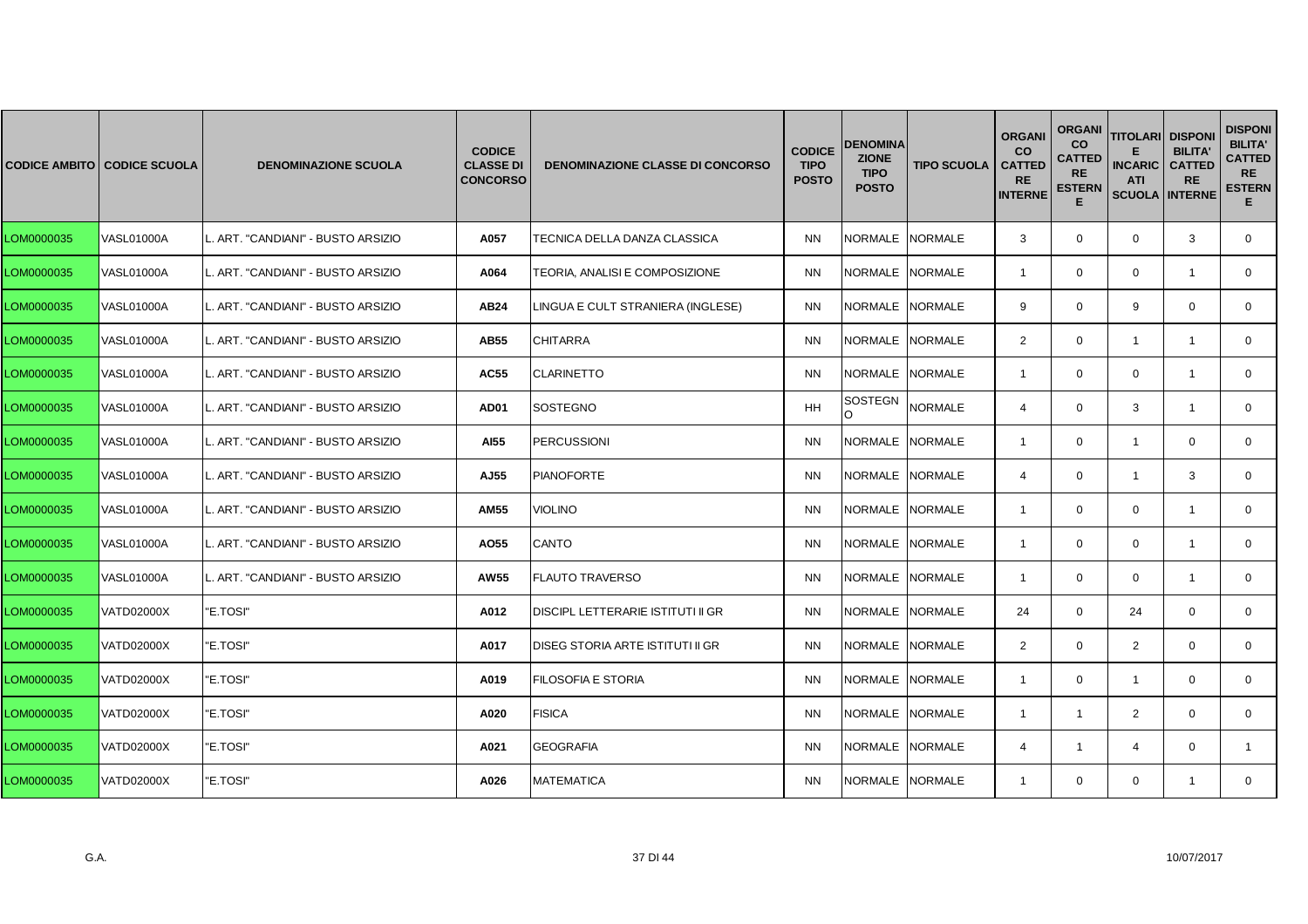|            | <b>CODICE AMBITO CODICE SCUOLA</b> | <b>DENOMINAZIONE SCUOLA</b>        | <b>CODICE</b><br><b>CLASSE DI</b><br><b>CONCORSO</b> | <b>DENOMINAZIONE CLASSE DI CONCORSO</b>  | <b>CODICE</b><br><b>TIPO</b><br><b>POSTO</b> | DENOMINA<br><b>ZIONE</b><br><b>TIPO</b><br><b>POSTO</b> | <b>TIPO SCUOLA</b> | <b>ORGANI</b><br><b>CO</b><br><b>CATTED</b><br><b>RE</b><br><b>INTERNE</b> | <b>ORGANI</b><br>co<br><b>CATTED</b><br><b>RE</b><br><b>ESTERN</b><br>Е | <b>TITOLARI</b><br><b>INCARIC</b><br><b>ATI</b><br><b>SCUOLA INTERNE</b> | <b>DISPONI</b><br><b>BILITA'</b><br><b>CATTED</b><br><b>RE</b> | <b>DISPONI</b><br><b>BILITA'</b><br><b>CATTED</b><br><b>RE</b><br><b>ESTERN</b><br>E. |
|------------|------------------------------------|------------------------------------|------------------------------------------------------|------------------------------------------|----------------------------------------------|---------------------------------------------------------|--------------------|----------------------------------------------------------------------------|-------------------------------------------------------------------------|--------------------------------------------------------------------------|----------------------------------------------------------------|---------------------------------------------------------------------------------------|
| LOM0000035 | <b>VASL01000A</b>                  | ART. "CANDIANI" - BUSTO ARSIZIO    | A057                                                 | TECNICA DELLA DANZA CLASSICA             | <b>NN</b>                                    | NORMALE NORMALE                                         |                    | 3                                                                          | $\mathbf 0$                                                             | $\mathbf 0$                                                              | 3                                                              | $\mathbf 0$                                                                           |
| LOM0000035 | <b>VASL01000A</b>                  | L. ART. "CANDIANI" - BUSTO ARSIZIO | A064                                                 | TEORIA, ANALISI E COMPOSIZIONE           | <b>NN</b>                                    | NORMALE NORMALE                                         |                    | $\overline{1}$                                                             | $\mathbf{0}$                                                            | $\mathbf 0$                                                              | $\mathbf{1}$                                                   | 0                                                                                     |
| LOM0000035 | <b>VASL01000A</b>                  | ART. "CANDIANI" - BUSTO ARSIZIO    | <b>AB24</b>                                          | LINGUA E CULT STRANIERA (INGLESE)        | <b>NN</b>                                    | NORMALE INORMALE                                        |                    | 9                                                                          | $\mathbf{0}$                                                            | 9                                                                        | $\mathbf 0$                                                    | $\mathbf{0}$                                                                          |
| LOM0000035 | <b>VASL01000A</b>                  | ART. "CANDIANI" - BUSTO ARSIZIO    | AB55                                                 | <b>CHITARRA</b>                          | <b>NN</b>                                    | NORMALE NORMALE                                         |                    | 2                                                                          | $\mathbf 0$                                                             | $\mathbf{1}$                                                             | $\mathbf{1}$                                                   | $\mathbf 0$                                                                           |
| LOM0000035 | <b>VASL01000A</b>                  | L. ART. "CANDIANI" - BUSTO ARSIZIO | <b>AC55</b>                                          | <b>CLARINETTO</b>                        | <b>NN</b>                                    | NORMALE NORMALE                                         |                    | $\overline{1}$                                                             | $\mathbf 0$                                                             | $\mathbf 0$                                                              | $\overline{1}$                                                 | $\mathbf{0}$                                                                          |
| LOM0000035 | <b>VASL01000A</b>                  | ART. "CANDIANI" - BUSTO ARSIZIO    | AD <sub>01</sub>                                     | SOSTEGNO                                 | <b>HH</b>                                    | SOSTEGN<br>O                                            | <b>NORMALE</b>     | $\overline{4}$                                                             | $\mathbf{0}$                                                            | 3                                                                        | $\mathbf{1}$                                                   | $\mathbf{0}$                                                                          |
| LOM0000035 | <b>VASL01000A</b>                  | ART. "CANDIANI" - BUSTO ARSIZIO    | AI55                                                 | <b>PERCUSSIONI</b>                       | <b>NN</b>                                    | NORMALE NORMALE                                         |                    | $\overline{1}$                                                             | $\mathbf 0$                                                             | $\mathbf{1}$                                                             | $\mathbf 0$                                                    | $\mathbf 0$                                                                           |
| LOM0000035 | <b>VASL01000A</b>                  | L. ART. "CANDIANI" - BUSTO ARSIZIO | AJ55                                                 | <b>PIANOFORTE</b>                        | <b>NN</b>                                    | NORMALE NORMALE                                         |                    | $\overline{4}$                                                             | $\mathbf{0}$                                                            | $\mathbf{1}$                                                             | 3                                                              | $\mathbf{0}$                                                                          |
| LOM0000035 | <b>VASL01000A</b>                  | ART. "CANDIANI" - BUSTO ARSIZIO    | <b>AM55</b>                                          | <b>VIOLINO</b>                           | <b>NN</b>                                    | <b>NORMALE</b>                                          | <b>NORMALE</b>     | $\overline{1}$                                                             | $\mathbf 0$                                                             | $\mathbf 0$                                                              | $\overline{1}$                                                 | $\mathbf{0}$                                                                          |
| LOM0000035 | <b>VASL01000A</b>                  | ART. "CANDIANI" - BUSTO ARSIZIO    | AO55                                                 | CANTO                                    | <b>NN</b>                                    | NORMALE NORMALE                                         |                    | $\overline{1}$                                                             | $\mathbf 0$                                                             | $\mathbf 0$                                                              | $\overline{1}$                                                 | $\mathbf 0$                                                                           |
| LOM0000035 | <b>VASL01000A</b>                  | L. ART. "CANDIANI" - BUSTO ARSIZIO | AW55                                                 | <b>FLAUTO TRAVERSO</b>                   | <b>NN</b>                                    | NORMALE NORMALE                                         |                    | $\overline{1}$                                                             | $\mathbf{0}$                                                            | $\mathbf 0$                                                              | $\overline{1}$                                                 | $\mathbf{0}$                                                                          |
| LOM0000035 | <b>VATD02000X</b>                  | "E.TOSI"                           | A012                                                 | <b>DISCIPL LETTERARIE ISTITUTI II GR</b> | <b>NN</b>                                    | <b>NORMALE</b>                                          | <b>NORMALE</b>     | 24                                                                         | $\mathbf 0$                                                             | 24                                                                       | $\mathbf 0$                                                    | $\mathbf{0}$                                                                          |
| LOM0000035 | <b>VATD02000X</b>                  | "E.TOSI"                           | A017                                                 | DISEG STORIA ARTE ISTITUTI II GR         | <b>NN</b>                                    | NORMALE NORMALE                                         |                    | 2                                                                          | $\mathbf 0$                                                             | $\overline{2}$                                                           | $\mathbf 0$                                                    | $\mathbf 0$                                                                           |
| LOM0000035 | VATD02000X                         | "E.TOSI"                           | A019                                                 | FILOSOFIA E STORIA                       | <b>NN</b>                                    | NORMALE NORMALE                                         |                    | $\overline{1}$                                                             | $\mathbf{0}$                                                            | $\mathbf{1}$                                                             | $\mathbf 0$                                                    | $\mathbf{0}$                                                                          |
| LOM0000035 | VATD02000X                         | "E.TOSI"                           | A020                                                 | <b>FISICA</b>                            | <b>NN</b>                                    | NORMALE NORMALE                                         |                    | $\overline{1}$                                                             | $\mathbf{1}$                                                            | 2                                                                        | $\mathbf 0$                                                    | $\mathbf{0}$                                                                          |
| LOM0000035 | VATD02000X                         | "E.TOSI"                           | A021                                                 | <b>GEOGRAFIA</b>                         | <b>NN</b>                                    | NORMALE NORMALE                                         |                    | $\overline{4}$                                                             | $\mathbf{1}$                                                            | $\overline{4}$                                                           | $\mathbf 0$                                                    |                                                                                       |
| LOM0000035 | VATD02000X                         | "E.TOSI"                           | A026                                                 | <b>MATEMATICA</b>                        | <b>NN</b>                                    | NORMALE NORMALE                                         |                    | $\mathbf{1}$                                                               | $\mathbf{0}$                                                            | $\mathbf 0$                                                              | $\mathbf{1}$                                                   | $\mathbf{0}$                                                                          |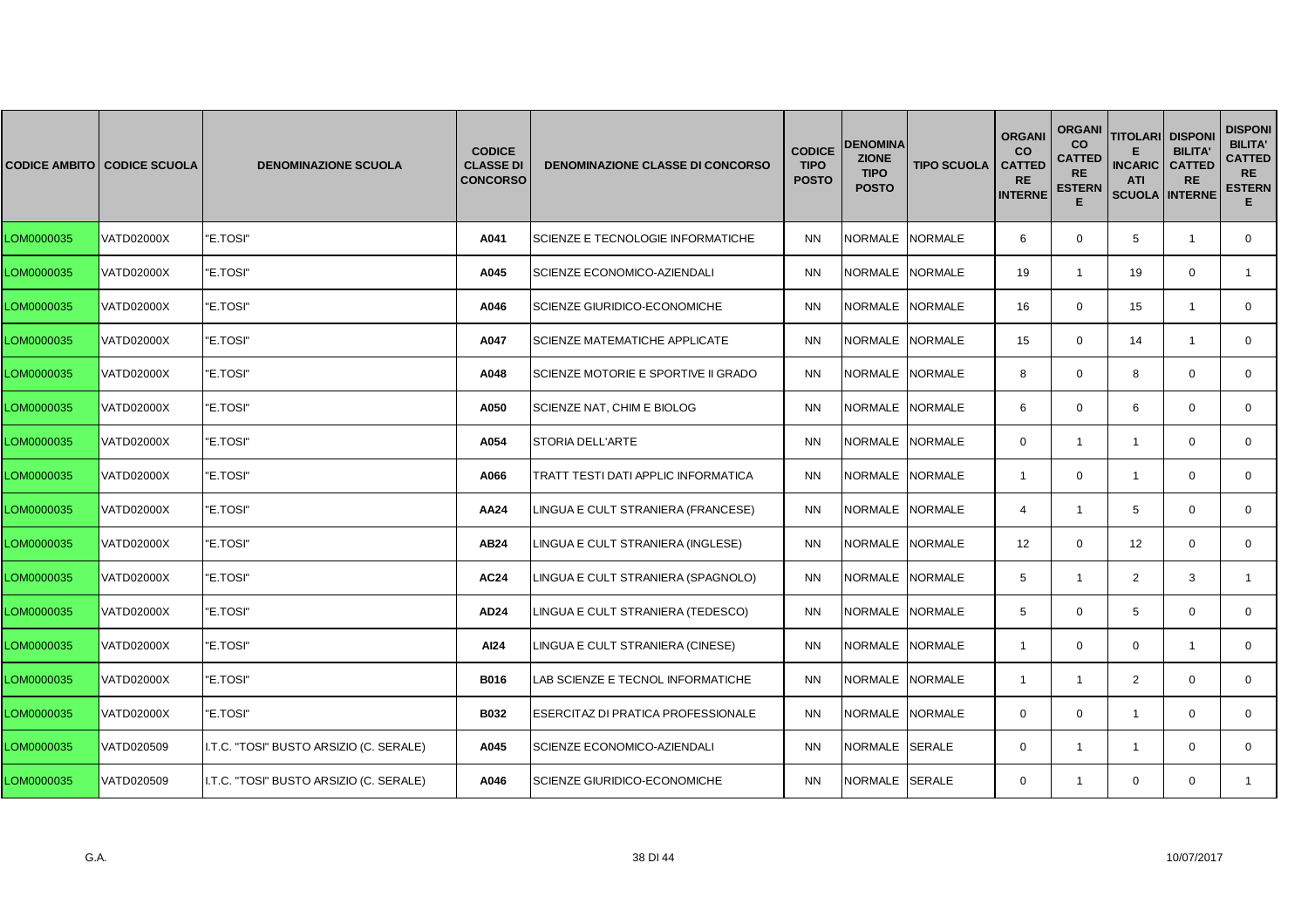|            | <b>CODICE AMBITO CODICE SCUOLA</b> | <b>DENOMINAZIONE SCUOLA</b>             | <b>CODICE</b><br><b>CLASSE DI</b><br><b>CONCORSO</b> | <b>DENOMINAZIONE CLASSE DI CONCORSO</b> | <b>CODICE</b><br><b>TIPO</b><br><b>POSTO</b> | DENOMINA<br><b>ZIONE</b><br><b>TIPO</b><br><b>POSTO</b> | <b>TIPO SCUOLA</b> | <b>ORGANI</b><br><b>CO</b><br><b>CATTED</b><br><b>RE</b><br><b>INTERNE</b> | <b>ORGANI</b><br><b>CO</b><br><b>CATTED</b><br><b>RE</b><br><b>ESTERN</b><br>Е | <b>TITOLARI DISPONI</b><br><b>INCARIC</b><br><b>ATI</b><br><b>SCUOLA INTERNE</b> | <b>BILITA'</b><br><b>CATTED</b><br><b>RE</b> | <b>DISPONI</b><br><b>BILITA'</b><br><b>CATTED</b><br><b>RE</b><br><b>ESTERN</b><br>E. |
|------------|------------------------------------|-----------------------------------------|------------------------------------------------------|-----------------------------------------|----------------------------------------------|---------------------------------------------------------|--------------------|----------------------------------------------------------------------------|--------------------------------------------------------------------------------|----------------------------------------------------------------------------------|----------------------------------------------|---------------------------------------------------------------------------------------|
| LOM0000035 | VATD02000X                         | "E.TOSI"                                | A041                                                 | SCIENZE E TECNOLOGIE INFORMATICHE       | <b>NN</b>                                    | NORMALE NORMALE                                         |                    | 6                                                                          | $\mathbf 0$                                                                    | 5                                                                                | $\overline{1}$                               | 0                                                                                     |
| LOM0000035 | <b>VATD02000X</b>                  | "E.TOSI"                                | A045                                                 | SCIENZE ECONOMICO-AZIENDALI             | <b>NN</b>                                    | NORMALE NORMALE                                         |                    | 19                                                                         | $\mathbf{1}$                                                                   | 19                                                                               | $\mathbf 0$                                  | $\mathbf{1}$                                                                          |
| LOM0000035 | VATD02000X                         | "E.TOSI"                                | A046                                                 | SCIENZE GIURIDICO-ECONOMICHE            | <b>NN</b>                                    | NORMALE INORMALE                                        |                    | 16                                                                         | $\Omega$                                                                       | 15                                                                               | -1                                           | $\mathbf{0}$                                                                          |
| LOM0000035 | VATD02000X                         | "E.TOSI"                                | A047                                                 | SCIENZE MATEMATICHE APPLICATE           | <b>NN</b>                                    | NORMALE NORMALE                                         |                    | 15                                                                         | $\mathbf{0}$                                                                   | 14                                                                               | $\overline{1}$                               | $\mathbf{0}$                                                                          |
| LOM0000035 | <b>VATD02000X</b>                  | "E.TOSI"                                | A048                                                 | SCIENZE MOTORIE E SPORTIVE II GRADO     | <b>NN</b>                                    | NORMALE NORMALE                                         |                    | 8                                                                          | $\mathbf 0$                                                                    | 8                                                                                | $\mathbf 0$                                  | $\mathbf{0}$                                                                          |
| LOM0000035 | <b>VATD02000X</b>                  | "E.TOSI"                                | A050                                                 | SCIENZE NAT, CHIM E BIOLOG              | <b>NN</b>                                    | <b>NORMALE</b>                                          | <b>NORMALE</b>     | 6                                                                          | $\mathbf 0$                                                                    | 6                                                                                | $\Omega$                                     | $\mathbf{0}$                                                                          |
| LOM0000035 | VATD02000X                         | "E.TOSI"                                | A054                                                 | STORIA DELL'ARTE                        | <b>NN</b>                                    | NORMALE NORMALE                                         |                    | $\mathbf 0$                                                                | $\mathbf{1}$                                                                   | $\mathbf{1}$                                                                     | $\mathbf 0$                                  | 0                                                                                     |
| LOM0000035 | VATD02000X                         | "E.TOSI"                                | A066                                                 | TRATT TESTI DATI APPLIC INFORMATICA     | <b>NN</b>                                    | <b>NORMALE</b>                                          | <b>NORMALE</b>     | $\mathbf{1}$                                                               | $\mathbf 0$                                                                    | $\mathbf{1}$                                                                     | $\mathbf 0$                                  | $\mathbf{0}$                                                                          |
| LOM0000035 | <b>VATD02000X</b>                  | "E.TOSI"                                | AA24                                                 | LINGUA E CULT STRANIERA (FRANCESE)      | <b>NN</b>                                    | NORMALE NORMALE                                         |                    | $\overline{4}$                                                             | $\mathbf{1}$                                                                   | 5                                                                                | $\mathbf 0$                                  | $\mathbf 0$                                                                           |
| LOM0000035 | VATD02000X                         | "E.TOSI"                                | <b>AB24</b>                                          | LINGUA E CULT STRANIERA (INGLESE)       | <b>NN</b>                                    | NORMALE NORMALE                                         |                    | 12                                                                         | $\mathbf{0}$                                                                   | 12                                                                               | $\mathbf 0$                                  | 0                                                                                     |
| LOM0000035 | VATD02000X                         | "E.TOSI"                                | <b>AC24</b>                                          | LINGUA E CULT STRANIERA (SPAGNOLO)      | <b>NN</b>                                    | NORMALE NORMALE                                         |                    | 5                                                                          | $\mathbf{1}$                                                                   | $\overline{2}$                                                                   | 3                                            | $\mathbf{1}$                                                                          |
| LOM0000035 | <b>VATD02000X</b>                  | "E.TOSI"                                | AD24                                                 | LINGUA E CULT STRANIERA (TEDESCO)       | <b>NN</b>                                    | NORMALE NORMALE                                         |                    | 5                                                                          | $\mathbf 0$                                                                    | 5                                                                                | $\Omega$                                     | $\Omega$                                                                              |
| LOM0000035 | VATD02000X                         | "E.TOSI"                                | AI24                                                 | LINGUA E CULT STRANIERA (CINESE)        | <b>NN</b>                                    | NORMALE                                                 | <b>NORMALE</b>     | $\overline{1}$                                                             | $\mathbf 0$                                                                    | $\mathbf 0$                                                                      | $\overline{1}$                               | $\mathbf 0$                                                                           |
| LOM0000035 | VATD02000X                         | "E.TOSI"                                | B016                                                 | AB SCIENZE E TECNOL INFORMATICHE        | <b>NN</b>                                    | NORMALE                                                 | <b>NORMALE</b>     | $\overline{1}$                                                             | $\mathbf{1}$                                                                   | $\overline{2}$                                                                   | $\mathbf 0$                                  | $\mathbf 0$                                                                           |
| LOM0000035 | <b>VATD02000X</b>                  | "E.TOSI"                                | <b>B032</b>                                          | ESERCITAZ DI PRATICA PROFESSIONALE      | <b>NN</b>                                    | NORMALE NORMALE                                         |                    | $\Omega$                                                                   | $\mathbf 0$                                                                    | $\mathbf{1}$                                                                     | $\mathbf 0$                                  | $\mathbf{0}$                                                                          |
| LOM0000035 | VATD020509                         | I.T.C. "TOSI" BUSTO ARSIZIO (C. SERALE) | A045                                                 | SCIENZE ECONOMICO-AZIENDALI             | <b>NN</b>                                    | NORMALE SERALE                                          |                    | $\mathbf{0}$                                                               | 1                                                                              | $\overline{1}$                                                                   | $\Omega$                                     | $\mathbf{0}$                                                                          |
| LOM0000035 | VATD020509                         | I.T.C. "TOSI" BUSTO ARSIZIO (C. SERALE) | A046                                                 | <b>SCIENZE GIURIDICO-ECONOMICHE</b>     | <b>NN</b>                                    | NORMALE SERALE                                          |                    | $\mathbf{0}$                                                               | $\mathbf{1}$                                                                   | $\mathbf 0$                                                                      | $\mathbf 0$                                  | 1                                                                                     |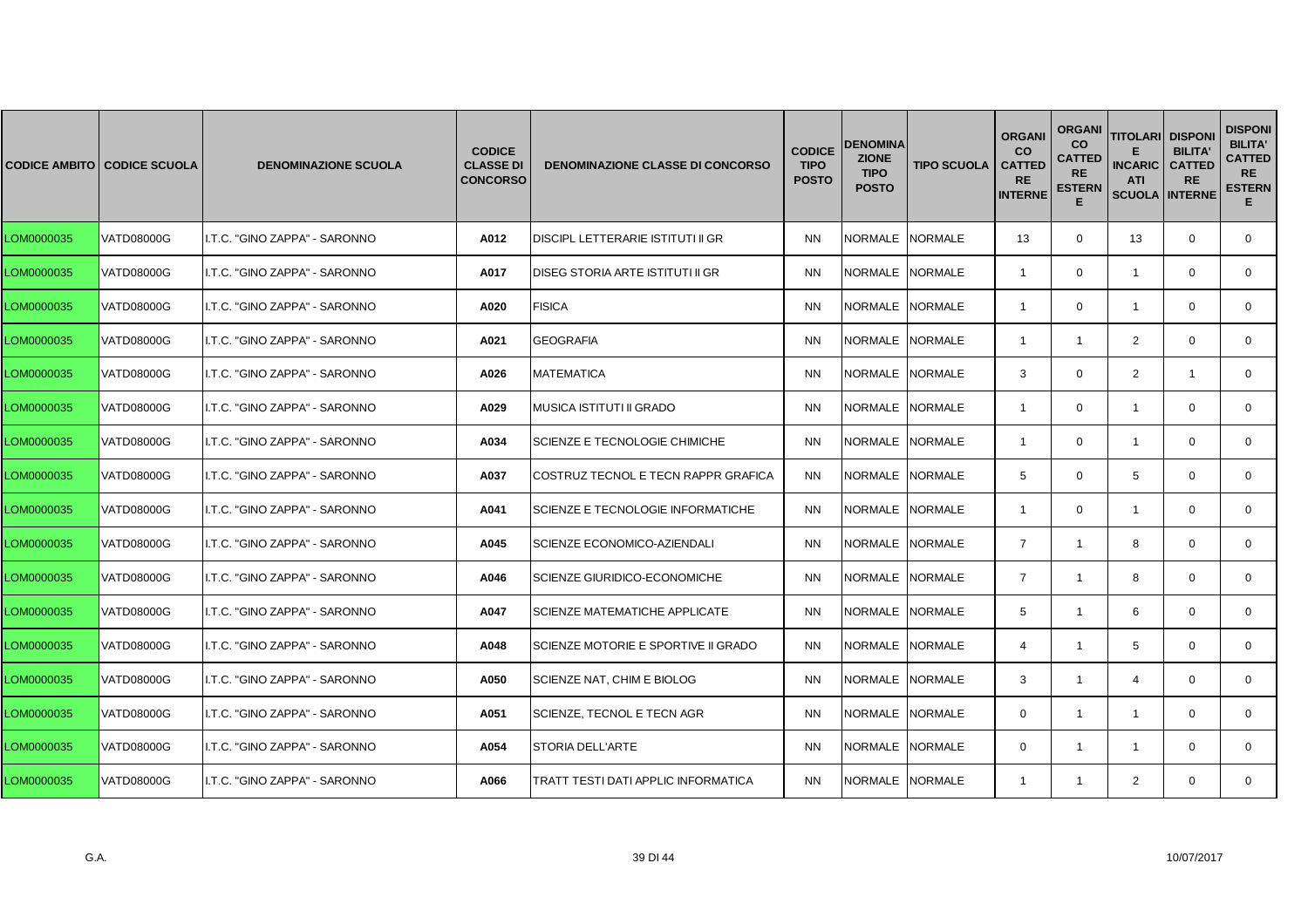|            | <b>CODICE AMBITO CODICE SCUOLA</b> | <b>DENOMINAZIONE SCUOLA</b>   | <b>CODICE</b><br><b>CLASSE DI</b><br><b>CONCORSO</b> | <b>DENOMINAZIONE CLASSE DI CONCORSO</b> | <b>CODICE</b><br><b>TIPO</b><br><b>POSTO</b> | <b>DENOMINA</b><br><b>ZIONE</b><br><b>TIPO</b><br><b>POSTO</b> | <b>TIPO SCUOLA</b> | <b>ORGANI</b><br><b>CO</b><br><b>CATTED</b><br><b>RE</b><br><b>INTERNE</b> | <b>ORGANI</b><br><b>CO</b><br><b>CATTED</b><br><b>RE</b><br><b>ESTERN</b><br>Е | <b>TITOLARI</b><br><b>INCARIC</b><br><b>ATI</b><br><b>SCUOLA INTERNE</b> | <b>DISPONI</b><br><b>BILITA'</b><br><b>CATTED</b><br><b>RE</b> | <b>DISPONI</b><br><b>BILITA'</b><br><b>CATTED</b><br><b>RE</b><br><b>ESTERN</b><br>Е. |
|------------|------------------------------------|-------------------------------|------------------------------------------------------|-----------------------------------------|----------------------------------------------|----------------------------------------------------------------|--------------------|----------------------------------------------------------------------------|--------------------------------------------------------------------------------|--------------------------------------------------------------------------|----------------------------------------------------------------|---------------------------------------------------------------------------------------|
| LOM0000035 | <b>VATD08000G</b>                  | I.T.C. "GINO ZAPPA" - SARONNO | A012                                                 | DISCIPL LETTERARIE ISTITUTI II GR       | <b>NN</b>                                    | NORMALE INORMALE                                               |                    | 13                                                                         | $\mathbf{0}$                                                                   | 13                                                                       | $\mathbf 0$                                                    | $\mathbf{0}$                                                                          |
| LOM0000035 | VATD08000G                         | I.T.C. "GINO ZAPPA" - SARONNO | A017                                                 | DISEG STORIA ARTE ISTITUTI II GR        | <b>NN</b>                                    | NORMALE NORMALE                                                |                    | $\overline{1}$                                                             | $\mathbf{0}$                                                                   | $\mathbf{1}$                                                             | $\mathbf 0$                                                    | $\mathbf{0}$                                                                          |
| LOM0000035 | <b>VATD08000G</b>                  | I.T.C. "GINO ZAPPA" - SARONNO | A020                                                 | <b>FISICA</b>                           | <b>NN</b>                                    | NORMALE                                                        | <b>NORMALE</b>     | -1                                                                         | $\Omega$                                                                       | -1                                                                       | $\Omega$                                                       | $\mathbf{0}$                                                                          |
| LOM0000035 | VATD08000G                         | I.T.C. "GINO ZAPPA" - SARONNO | A021                                                 | <b>GEOGRAFIA</b>                        | <b>NN</b>                                    | NORMALE INORMALE                                               |                    | $\overline{1}$                                                             | $\mathbf{1}$                                                                   | 2                                                                        | $\mathbf 0$                                                    | $\mathbf{0}$                                                                          |
| LOM0000035 | <b>VATD08000G</b>                  | I.T.C. "GINO ZAPPA" - SARONNO | A026                                                 | <b>MATEMATICA</b>                       | <b>NN</b>                                    | NORMALE NORMALE                                                |                    | 3                                                                          | $\mathbf{0}$                                                                   | $\overline{2}$                                                           | $\mathbf{1}$                                                   | $\mathbf 0$                                                                           |
| LOM0000035 | VATD08000G                         | I.T.C. "GINO ZAPPA" - SARONNO | A029                                                 | MUSICA ISTITUTI II GRADO                | <b>NN</b>                                    | <b>NORMALE</b>                                                 | <b>NORMALE</b>     | $\overline{1}$                                                             | 0                                                                              | $\overline{1}$                                                           | $\Omega$                                                       | $\mathbf{0}$                                                                          |
| LOM0000035 | VATD08000G                         | I.T.C. "GINO ZAPPA" - SARONNO | A034                                                 | SCIENZE E TECNOLOGIE CHIMICHE           | <b>NN</b>                                    | NORMALE NORMALE                                                |                    | $\mathbf{1}$                                                               | $\mathbf{0}$                                                                   | $\mathbf{1}$                                                             | $\mathbf 0$                                                    | $\mathbf{0}$                                                                          |
| LOM0000035 | VATD08000G                         | I.T.C. "GINO ZAPPA" - SARONNO | A037                                                 | COSTRUZ TECNOL E TECN RAPPR GRAFICA     | <b>NN</b>                                    | <b>NORMALE</b>                                                 | <b>NORMALE</b>     | 5                                                                          | $\mathbf{0}$                                                                   | 5                                                                        | $\mathbf 0$                                                    | $\mathbf{0}$                                                                          |
| LOM0000035 | <b>VATD08000G</b>                  | I.T.C. "GINO ZAPPA" - SARONNO | A041                                                 | SCIENZE E TECNOLOGIE INFORMATICHE       | <b>NN</b>                                    | <b>NORMALE</b>                                                 | <b>NORMALE</b>     | $\overline{1}$                                                             | $\mathbf 0$                                                                    | $\mathbf{1}$                                                             | $\mathbf 0$                                                    | $\Omega$                                                                              |
| LOM0000035 | VATD08000G                         | I.T.C. "GINO ZAPPA" - SARONNO | A045                                                 | SCIENZE ECONOMICO-AZIENDALI             | <b>NN</b>                                    | NORMALE                                                        | <b>NORMALE</b>     | $\overline{7}$                                                             | $\mathbf{1}$                                                                   | 8                                                                        | $\mathbf 0$                                                    | $\mathbf{0}$                                                                          |
| LOM0000035 | VATD08000G                         | I.T.C. "GINO ZAPPA" - SARONNO | A046                                                 | SCIENZE GIURIDICO-ECONOMICHE            | <b>NN</b>                                    | NORMALE NORMALE                                                |                    | $\overline{7}$                                                             | $\mathbf{1}$                                                                   | 8                                                                        | $\mathbf 0$                                                    | $\mathbf 0$                                                                           |
| LOM0000035 | <b>VATD08000G</b>                  | I.T.C. "GINO ZAPPA" - SARONNO | A047                                                 | <b>SCIENZE MATEMATICHE APPLICATE</b>    | <b>NN</b>                                    | <b>NORMALE</b>                                                 | <b>NORMALE</b>     | 5                                                                          | $\mathbf{1}$                                                                   | 6                                                                        | $\Omega$                                                       | $\Omega$                                                                              |
| LOM0000035 | VATD08000G                         | I.T.C. "GINO ZAPPA" - SARONNO | A048                                                 | SCIENZE MOTORIE E SPORTIVE II GRADO     | <b>NN</b>                                    | NORMALE                                                        | NORMALE            | $\overline{4}$                                                             | $\mathbf{1}$                                                                   | 5                                                                        | $\mathbf 0$                                                    | $\mathbf 0$                                                                           |
| LOM0000035 | VATD08000G                         | I.T.C. "GINO ZAPPA" - SARONNO | A050                                                 | SCIENZE NAT, CHIM E BIOLOG              | <b>NN</b>                                    | NORMALE                                                        | <b>NORMALE</b>     | 3                                                                          | $\mathbf{1}$                                                                   | 4                                                                        | $\mathbf 0$                                                    | 0                                                                                     |
| LOM0000035 | VATD08000G                         | I.T.C. "GINO ZAPPA" - SARONNO | A051                                                 | SCIENZE, TECNOL E TECN AGR              | <b>NN</b>                                    | NORMALE NORMALE                                                |                    | $\Omega$                                                                   | $\mathbf{1}$                                                                   | $\mathbf{1}$                                                             | $\mathbf 0$                                                    | $\mathbf{0}$                                                                          |
| LOM0000035 | <b>VATD08000G</b>                  | I.T.C. "GINO ZAPPA" - SARONNO | A054                                                 | <b>STORIA DELL'ARTE</b>                 | <b>NN</b>                                    | NORMALE                                                        | <b>NORMALE</b>     | $\Omega$                                                                   | 1                                                                              | -1                                                                       | $\Omega$                                                       | $\Omega$                                                                              |
| LOM0000035 | VATD08000G                         | I.T.C. "GINO ZAPPA" - SARONNO | A066                                                 | TRATT TESTI DATI APPLIC INFORMATICA     | <b>NN</b>                                    | NORMALE NORMALE                                                |                    | $\mathbf{1}$                                                               | 1                                                                              | 2                                                                        | $\mathbf{0}$                                                   | $\mathbf{0}$                                                                          |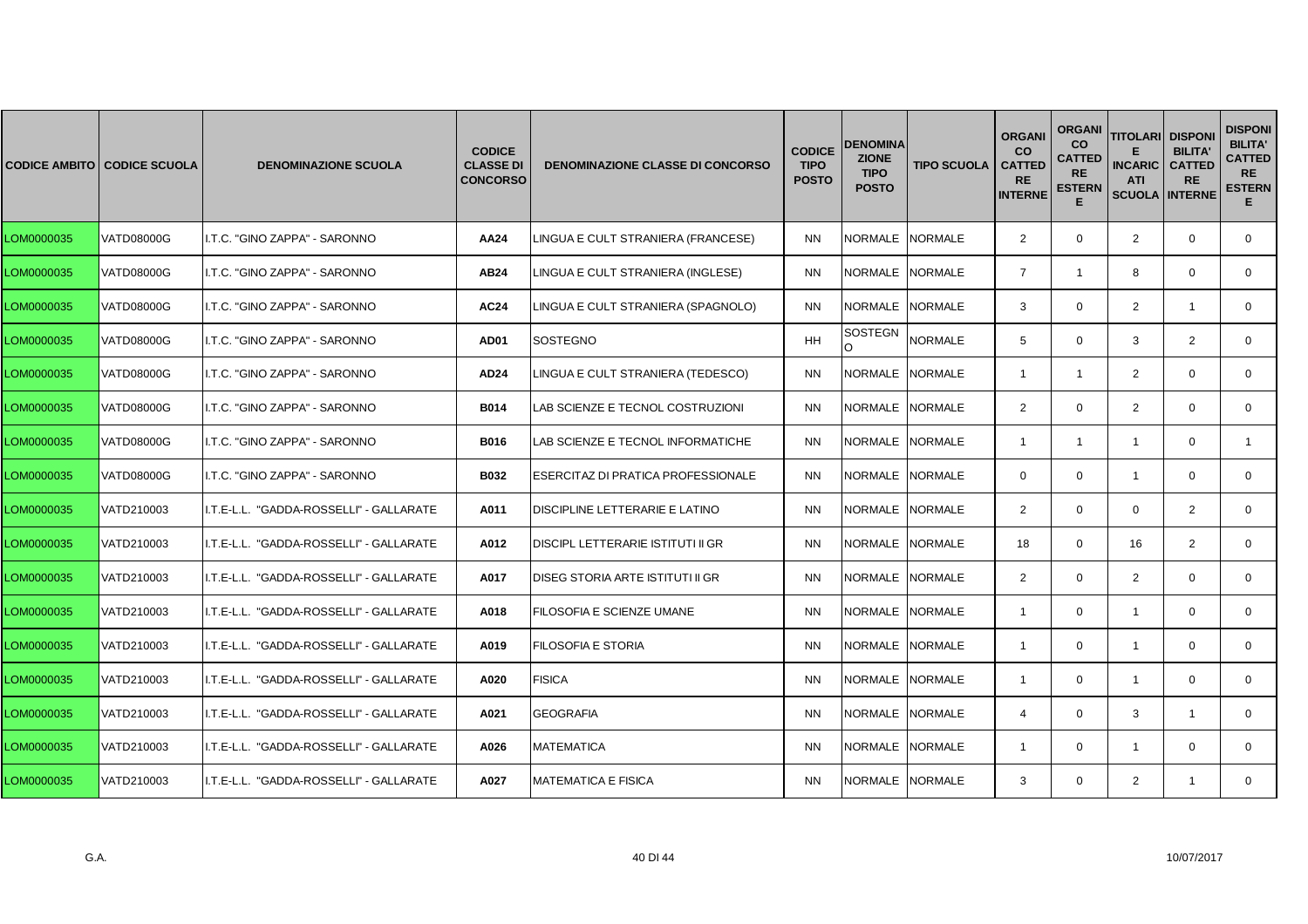|            | <b>CODICE AMBITO CODICE SCUOLA</b> | <b>DENOMINAZIONE SCUOLA</b>             | <b>CODICE</b><br><b>CLASSE DI</b><br><b>CONCORSO</b> | <b>DENOMINAZIONE CLASSE DI CONCORSO</b> | <b>CODICE</b><br><b>TIPO</b><br><b>POSTO</b> | DENOMINA<br><b>ZIONE</b><br><b>TIPO</b><br><b>POSTO</b> | <b>TIPO SCUOLA</b> | <b>ORGANI</b><br><b>CO</b><br><b>CATTED</b><br><b>RE</b><br><b>INTERNE</b> | <b>ORGANI</b><br><b>CO</b><br><b>CATTED</b><br><b>RE</b><br><b>ESTERN</b><br>Е | <b>TITOLARI</b><br><b>INCARIC</b><br><b>ATI</b><br><b>SCUOLA INTERNE</b> | <b>DISPONI</b><br><b>BILITA'</b><br><b>CATTED</b><br><b>RE</b> | <b>DISPONI</b><br><b>BILITA'</b><br><b>CATTED</b><br><b>RE</b><br><b>ESTERN</b><br>Е. |
|------------|------------------------------------|-----------------------------------------|------------------------------------------------------|-----------------------------------------|----------------------------------------------|---------------------------------------------------------|--------------------|----------------------------------------------------------------------------|--------------------------------------------------------------------------------|--------------------------------------------------------------------------|----------------------------------------------------------------|---------------------------------------------------------------------------------------|
| LOM0000035 | VATD08000G                         | I.T.C. "GINO ZAPPA" - SARONNO           | <b>AA24</b>                                          | LINGUA E CULT STRANIERA (FRANCESE)      | <b>NN</b>                                    | NORMALE NORMALE                                         |                    | 2                                                                          | $\mathbf{0}$                                                                   | $\overline{2}$                                                           | $\mathbf 0$                                                    | $\mathbf{0}$                                                                          |
| LOM0000035 | VATD08000G                         | I.T.C. "GINO ZAPPA" - SARONNO           | <b>AB24</b>                                          | LINGUA E CULT STRANIERA (INGLESE)       | <b>NN</b>                                    | NORMALE NORMALE                                         |                    | $\overline{7}$                                                             | $\mathbf{1}$                                                                   | 8                                                                        | $\mathbf 0$                                                    | $\mathbf{0}$                                                                          |
| LOM0000035 | <b>VATD08000G</b>                  | I.T.C. "GINO ZAPPA" - SARONNO           | <b>AC24</b>                                          | LINGUA E CULT STRANIERA (SPAGNOLO)      | <b>NN</b>                                    | NORMALE                                                 | <b>NORMALE</b>     | 3                                                                          | $\Omega$                                                                       | 2                                                                        |                                                                | $\mathbf{0}$                                                                          |
| LOM0000035 | VATD08000G                         | I.T.C. "GINO ZAPPA" - SARONNO           | AD01                                                 | <b>SOSTEGNO</b>                         | <b>HH</b>                                    | SOSTEGN<br>O                                            | <b>NORMALE</b>     | 5                                                                          | $\mathbf{0}$                                                                   | 3                                                                        | 2                                                              | $\mathbf{0}$                                                                          |
| LOM0000035 | <b>VATD08000G</b>                  | I.T.C. "GINO ZAPPA" - SARONNO           | AD24                                                 | LINGUA E CULT STRANIERA (TEDESCO)       | <b>NN</b>                                    | NORMALE NORMALE                                         |                    | $\overline{1}$                                                             | $\mathbf{1}$                                                                   | $\overline{2}$                                                           | $\mathbf 0$                                                    | $\mathbf{0}$                                                                          |
| LOM0000035 | <b>VATD08000G</b>                  | I.T.C. "GINO ZAPPA" - SARONNO           | <b>B014</b>                                          | LAB SCIENZE E TECNOL COSTRUZIONI        | <b>NN</b>                                    | <b>NORMALE</b>                                          | <b>NORMALE</b>     | $\overline{2}$                                                             | $\Omega$                                                                       | $\overline{2}$                                                           | $\Omega$                                                       | $\Omega$                                                                              |
| LOM0000035 | VATD08000G                         | I.T.C. "GINO ZAPPA" - SARONNO           | B016                                                 | AB SCIENZE E TECNOL INFORMATICHE        | <b>NN</b>                                    | NORMALE NORMALE                                         |                    | $\overline{1}$                                                             | $\mathbf{1}$                                                                   | $\mathbf{1}$                                                             | $\mathbf 0$                                                    | $\mathbf{1}$                                                                          |
| LOM0000035 | VATD08000G                         | I.T.C. "GINO ZAPPA" - SARONNO           | B032                                                 | ESERCITAZ DI PRATICA PROFESSIONALE      | <b>NN</b>                                    | <b>NORMALE</b>                                          | <b>NORMALE</b>     | $\mathbf 0$                                                                | $\mathbf 0$                                                                    | $\overline{1}$                                                           | $\mathbf 0$                                                    | $\mathbf{0}$                                                                          |
| LOM0000035 | VATD210003                         | I.T.E-L.L. "GADDA-ROSSELLI" - GALLARATE | A011                                                 | DISCIPLINE LETTERARIE E LATINO          | <b>NN</b>                                    | NORMALE NORMALE                                         |                    | $\overline{2}$                                                             | $\Omega$                                                                       | $\Omega$                                                                 | 2                                                              | $\Omega$                                                                              |
| LOM0000035 | VATD210003                         | I.T.E-L.L. "GADDA-ROSSELLI" - GALLARATE | A012                                                 | DISCIPL LETTERARIE ISTITUTI II GR       | <b>NN</b>                                    | NORMALE                                                 | <b>NORMALE</b>     | 18                                                                         | $\mathbf{0}$                                                                   | 16                                                                       | 2                                                              | $\mathbf{0}$                                                                          |
| LOM0000035 | VATD210003                         | I.T.E-L.L. "GADDA-ROSSELLI" - GALLARATE | A017                                                 | DISEG STORIA ARTE ISTITUTI II GR        | <b>NN</b>                                    | NORMALE NORMALE                                         |                    | 2                                                                          | $\mathbf 0$                                                                    | $\overline{2}$                                                           | $\mathbf 0$                                                    | $\mathbf 0$                                                                           |
| LOM0000035 | VATD210003                         | I.T.E-L.L. "GADDA-ROSSELLI" - GALLARATE | A018                                                 | FILOSOFIA E SCIENZE UMANE               | <b>NN</b>                                    | NORMALE NORMALE                                         |                    | $\mathbf{1}$                                                               | $\Omega$                                                                       | $\overline{1}$                                                           | $\Omega$                                                       | $\Omega$                                                                              |
| LOM0000035 | VATD210003                         | I.T.E-L.L. "GADDA-ROSSELLI" - GALLARATE | A019                                                 | FILOSOFIA E STORIA                      | <b>NN</b>                                    | NORMALE                                                 | NORMALE            | $\overline{1}$                                                             | $\mathbf{0}$                                                                   | $\overline{1}$                                                           | $\mathbf 0$                                                    | $\mathbf{0}$                                                                          |
| LOM0000035 | VATD210003                         | I.T.E-L.L. "GADDA-ROSSELLI" - GALLARATE | A020                                                 | <b>FISICA</b>                           | <b>NN</b>                                    | NORMALE                                                 | <b>NORMALE</b>     | $\overline{1}$                                                             | $\mathbf 0$                                                                    | $\mathbf{1}$                                                             | $\mathbf 0$                                                    | 0                                                                                     |
| LOM0000035 | VATD210003                         | I.T.E-L.L. "GADDA-ROSSELLI" - GALLARATE | A021                                                 | <b>GEOGRAFIA</b>                        | <b>NN</b>                                    | NORMALE NORMALE                                         |                    | $\overline{4}$                                                             | $\Omega$                                                                       | 3                                                                        | $\overline{1}$                                                 | $\mathbf{0}$                                                                          |
| LOM0000035 | VATD210003                         | I.T.E-L.L. "GADDA-ROSSELLI" - GALLARATE | A026                                                 | <b>MATEMATICA</b>                       | <b>NN</b>                                    | NORMALE                                                 | <b>NORMALE</b>     | -1                                                                         | $\Omega$                                                                       | $\overline{1}$                                                           | $\Omega$                                                       | $\Omega$                                                                              |
| LOM0000035 | VATD210003                         | I.T.E-L.L. "GADDA-ROSSELLI" - GALLARATE | A027                                                 | <b>MATEMATICA E FISICA</b>              | <b>NN</b>                                    | NORMALE NORMALE                                         |                    | 3                                                                          | $\mathbf{0}$                                                                   | 2                                                                        | $\overline{1}$                                                 | $\mathbf{0}$                                                                          |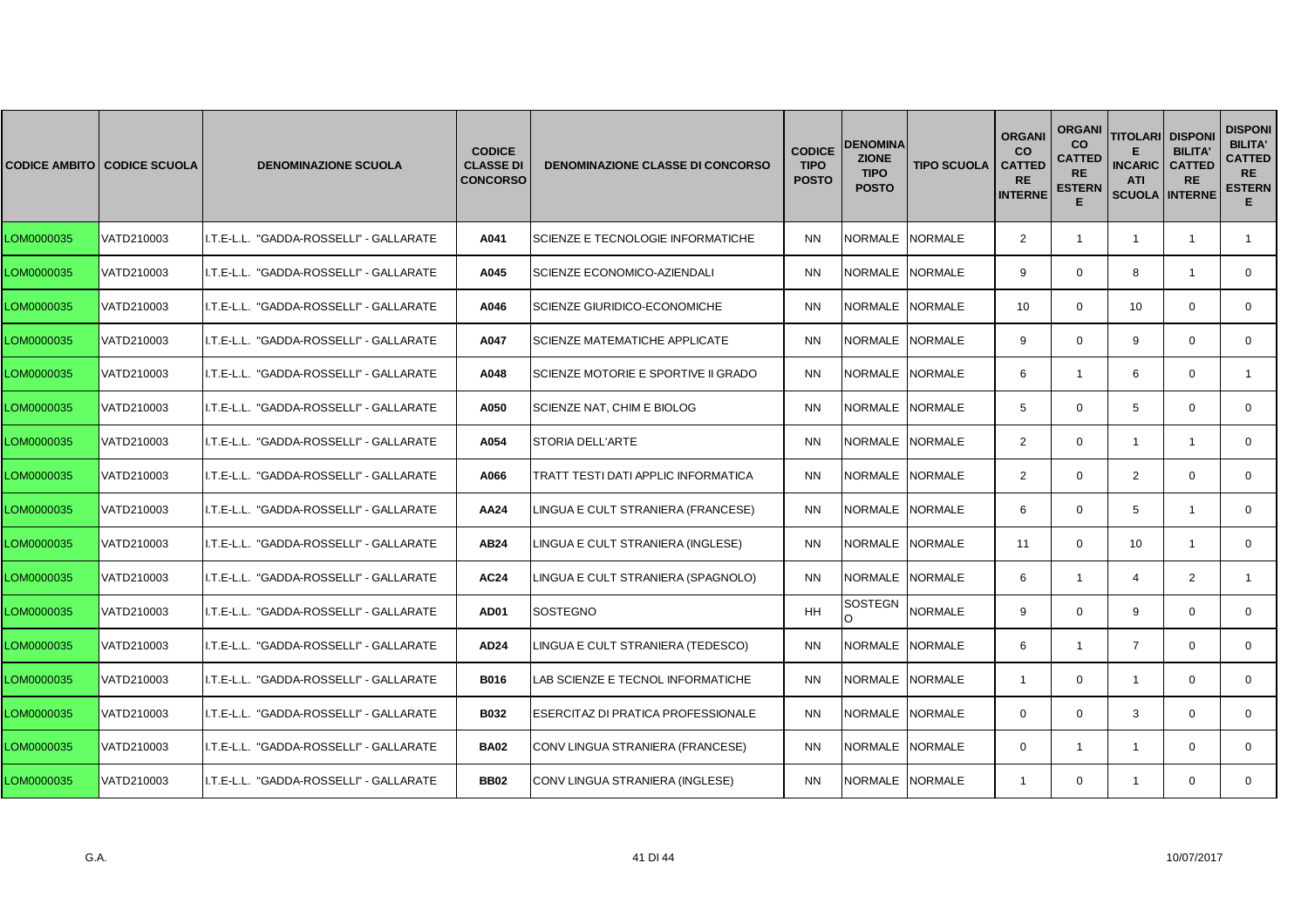|            | <b>CODICE AMBITO CODICE SCUOLA</b> | <b>DENOMINAZIONE SCUOLA</b>             | <b>CODICE</b><br><b>CLASSE DI</b><br><b>CONCORSO</b> | <b>DENOMINAZIONE CLASSE DI CONCORSO</b>   | <b>CODICE</b><br><b>TIPO</b><br><b>POSTO</b> | <b>DENOMINA</b><br><b>ZIONE</b><br><b>TIPO</b><br><b>POSTO</b> | <b>TIPO SCUOLA</b> | <b>ORGANI</b><br><b>CO</b><br><b>CATTED</b><br><b>RE</b><br><b>INTERNE</b> | <b>ORGANI</b><br><b>CO</b><br><b>CATTED</b><br><b>RE</b><br><b>ESTERN</b><br>Е | <b>TITOLARI</b><br><b>INCARIC</b><br><b>ATI</b><br><b>SCUOLA INTERNE</b> | <b>DISPONI</b><br><b>BILITA'</b><br><b>CATTED</b><br><b>RE</b> | <b>DISPONI</b><br><b>BILITA'</b><br><b>CATTED</b><br><b>RE</b><br><b>ESTERN</b><br>Е. |
|------------|------------------------------------|-----------------------------------------|------------------------------------------------------|-------------------------------------------|----------------------------------------------|----------------------------------------------------------------|--------------------|----------------------------------------------------------------------------|--------------------------------------------------------------------------------|--------------------------------------------------------------------------|----------------------------------------------------------------|---------------------------------------------------------------------------------------|
| LOM0000035 | VATD210003                         | I.T.E-L.L. "GADDA-ROSSELLI" - GALLARATE | A041                                                 | <b>SCIENZE E TECNOLOGIE INFORMATICHE</b>  | <b>NN</b>                                    | NORMALE NORMALE                                                |                    | 2                                                                          | $\mathbf{1}$                                                                   | $\overline{1}$                                                           | $\overline{1}$                                                 | $\mathbf{1}$                                                                          |
| LOM0000035 | VATD210003                         | I.T.E-L.L. "GADDA-ROSSELLI" - GALLARATE | A045                                                 | <b>SCIENZE ECONOMICO-AZIENDALI</b>        | <b>NN</b>                                    | NORMALE NORMALE                                                |                    | 9                                                                          | $\mathbf 0$                                                                    | 8                                                                        | $\mathbf{1}$                                                   | $\mathbf{0}$                                                                          |
| LOM0000035 | VATD210003                         | I.T.E-L.L. "GADDA-ROSSELLI" - GALLARATE | A046                                                 | ISCIENZE GIURIDICO-ECONOMICHE             | <b>NN</b>                                    | NORMALE INORMALE                                               |                    | 10 <sup>1</sup>                                                            | $\Omega$                                                                       | 10                                                                       | $\Omega$                                                       | $\mathbf{0}$                                                                          |
| LOM0000035 | VATD210003                         | I.T.E-L.L. "GADDA-ROSSELLI" - GALLARATE | A047                                                 | <b>SCIENZE MATEMATICHE APPLICATE</b>      | <b>NN</b>                                    | NORMALE NORMALE                                                |                    | 9                                                                          | $\mathbf 0$                                                                    | 9                                                                        | $\mathbf 0$                                                    | $\mathbf{0}$                                                                          |
| LOM0000035 | VATD210003                         | I.T.E-L.L. "GADDA-ROSSELLI" - GALLARATE | A048                                                 | SCIENZE MOTORIE E SPORTIVE II GRADO       | <b>NN</b>                                    | NORMALE INORMALE                                               |                    | 6                                                                          | $\mathbf{1}$                                                                   | 6                                                                        | $\mathbf 0$                                                    | $\mathbf{1}$                                                                          |
| LOM0000035 | VATD210003                         | I.T.E-L.L. "GADDA-ROSSELLI" - GALLARATE | A050                                                 | SCIENZE NAT, CHIM E BIOLOG                | <b>NN</b>                                    | NORMALE                                                        | <b>NORMALE</b>     | 5                                                                          | $\mathbf 0$                                                                    | 5                                                                        | $\Omega$                                                       | $\Omega$                                                                              |
| LOM0000035 | VATD210003                         | I.T.E-L.L. "GADDA-ROSSELLI" - GALLARATE | A054                                                 | <b>STORIA DELL'ARTE</b>                   | <b>NN</b>                                    | NORMALE NORMALE                                                |                    | $\overline{2}$                                                             | 0                                                                              | $\mathbf{1}$                                                             | $\mathbf{1}$                                                   | $\mathbf 0$                                                                           |
| LOM0000035 | VATD210003                         | I.T.E-L.L. "GADDA-ROSSELLI" - GALLARATE | A066                                                 | TRATT TESTI DATI APPLIC INFORMATICA       | <b>NN</b>                                    | NORMALE INORMALE                                               |                    | $\overline{2}$                                                             | $\mathbf 0$                                                                    | $\overline{2}$                                                           | $\mathbf 0$                                                    | $\mathbf{0}$                                                                          |
| LOM0000035 | VATD210003                         | I.T.E-L.L. "GADDA-ROSSELLI" - GALLARATE | AA24                                                 | LINGUA E CULT STRANIERA (FRANCESE)        | <b>NN</b>                                    | NORMALE NORMALE                                                |                    | 6                                                                          | $\mathbf 0$                                                                    | 5                                                                        | $\mathbf{1}$                                                   | $\mathbf{0}$                                                                          |
| LOM0000035 | VATD210003                         | I.T.E-L.L. "GADDA-ROSSELLI" - GALLARATE | AB24                                                 | LINGUA E CULT STRANIERA (INGLESE)         | <b>NN</b>                                    | NORMALE NORMALE                                                |                    | 11                                                                         | $\mathbf 0$                                                                    | 10                                                                       | $\mathbf{1}$                                                   | 0                                                                                     |
| LOM0000035 | VATD210003                         | I.T.E-L.L. "GADDA-ROSSELLI" - GALLARATE | <b>AC24</b>                                          | LINGUA E CULT STRANIERA (SPAGNOLO)        | <b>NN</b>                                    | NORMALE NORMALE                                                |                    | 6                                                                          | $\mathbf{1}$                                                                   | $\overline{4}$                                                           | 2                                                              | $\mathbf{1}$                                                                          |
| LOM0000035 | VATD210003                         | I.T.E-L.L. "GADDA-ROSSELLI" - GALLARATE | AD01                                                 | <b>SOSTEGNO</b>                           | <b>HH</b>                                    | <b>SOSTEGN</b><br>$\Omega$                                     | <b>NORMALE</b>     | 9                                                                          | $\Omega$                                                                       | 9                                                                        | $\Omega$                                                       | $\Omega$                                                                              |
| LOM0000035 | VATD210003                         | I.T.E-L.L. "GADDA-ROSSELLI" - GALLARATE | <b>AD24</b>                                          | LINGUA E CULT STRANIERA (TEDESCO)         | <b>NN</b>                                    | NORMALE                                                        | <b>NORMALE</b>     | 6                                                                          | $\mathbf{1}$                                                                   | $\overline{7}$                                                           | $\mathbf 0$                                                    | $\mathbf 0$                                                                           |
| LOM0000035 | VATD210003                         | I.T.E-L.L. "GADDA-ROSSELLI" - GALLARATE | B016                                                 | LAB SCIENZE E TECNOL INFORMATICHE         | <b>NN</b>                                    | NORMALE                                                        | <b>NORMALE</b>     | $\overline{1}$                                                             | $\mathbf 0$                                                                    | $\mathbf{1}$                                                             | $\mathbf 0$                                                    | $\mathbf 0$                                                                           |
| LOM0000035 | VATD210003                         | I.T.E-L.L. "GADDA-ROSSELLI" - GALLARATE | B032                                                 | <b>ESERCITAZ DI PRATICA PROFESSIONALE</b> | <b>NN</b>                                    | NORMALE NORMALE                                                |                    | $\Omega$                                                                   | $\Omega$                                                                       | 3                                                                        | $\Omega$                                                       | $\mathbf{0}$                                                                          |
| LOM0000035 | VATD210003                         | I.T.E-L.L. "GADDA-ROSSELLI" - GALLARATE | <b>BA02</b>                                          | CONV LINGUA STRANIERA (FRANCESE)          | <b>NN</b>                                    | NORMALE INORMALE                                               |                    | $\Omega$                                                                   | $\mathbf{1}$                                                                   | $\overline{1}$                                                           | $\Omega$                                                       | $\Omega$                                                                              |
| LOM0000035 | VATD210003                         | I.T.E-L.L. "GADDA-ROSSELLI" - GALLARATE | <b>BB02</b>                                          | CONV LINGUA STRANIERA (INGLESE)           | <b>NN</b>                                    | NORMALE NORMALE                                                |                    | -1                                                                         | $\mathbf 0$                                                                    | $\mathbf{1}$                                                             | $\mathbf 0$                                                    | $\mathbf{0}$                                                                          |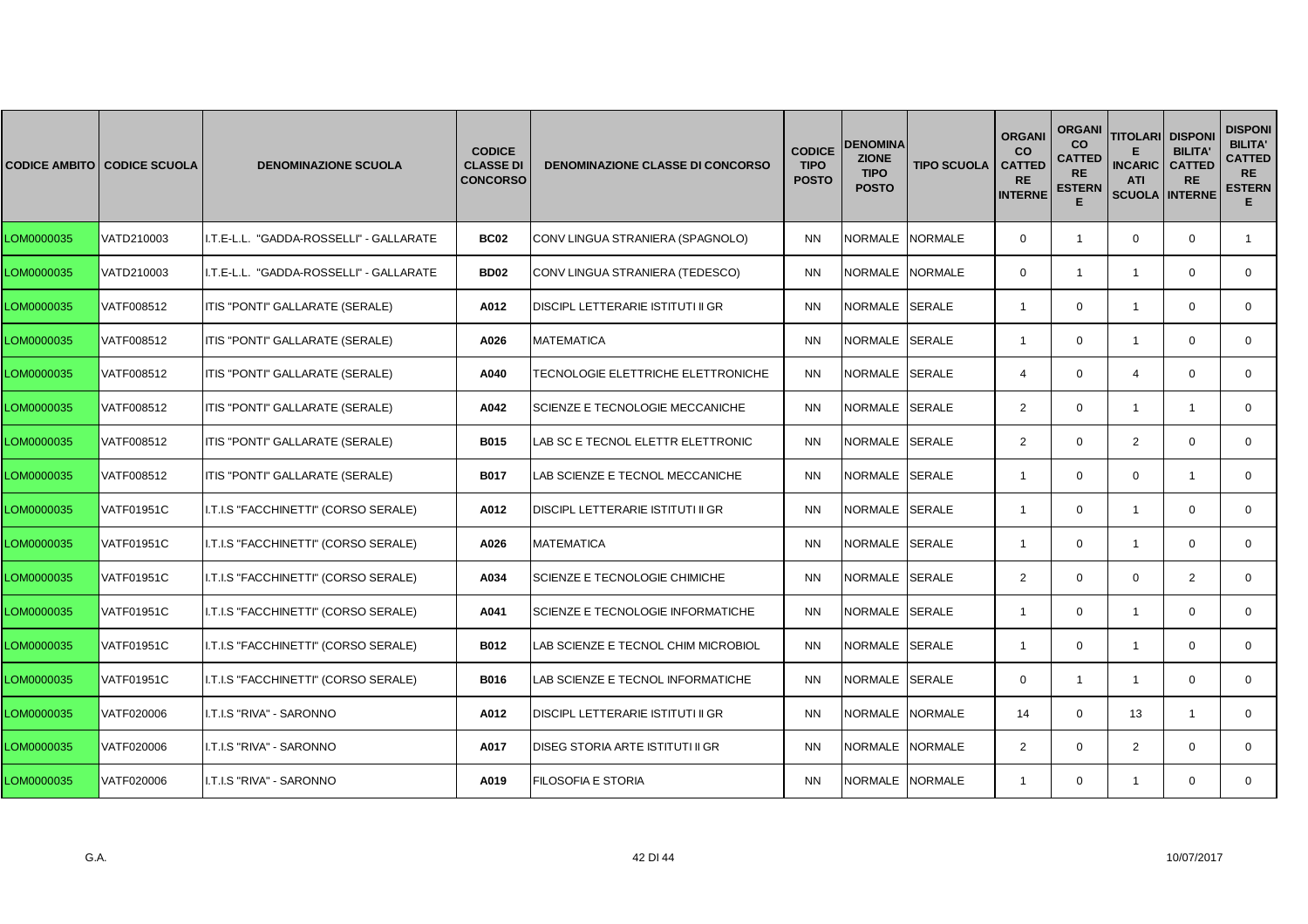|            | <b>CODICE AMBITO CODICE SCUOLA</b> | <b>DENOMINAZIONE SCUOLA</b>             | <b>CODICE</b><br><b>CLASSE DI</b><br><b>CONCORSO</b> | <b>DENOMINAZIONE CLASSE DI CONCORSO</b> | <b>CODICE</b><br><b>TIPO</b><br><b>POSTO</b> | <b>DENOMINA</b><br><b>ZIONE</b><br><b>TIPO</b><br><b>POSTO</b> | <b>TIPO SCUOLA</b> | <b>ORGANI</b><br><b>CO</b><br><b>CATTED</b><br><b>RE</b><br><b>INTERNE</b> | <b>ORGANI</b><br>co<br><b>CATTED</b><br><b>RE</b><br><b>ESTERN</b><br>E | <b>TITOLARI</b><br><b>INCARIC</b><br><b>ATI</b><br><b>SCUOLA INTERNE</b> | <b>DISPONI</b><br><b>BILITA'</b><br><b>CATTED</b><br><b>RE</b> | <b>DISPONI</b><br><b>BILITA'</b><br><b>CATTED</b><br><b>RE</b><br><b>ESTERN</b><br>E. |
|------------|------------------------------------|-----------------------------------------|------------------------------------------------------|-----------------------------------------|----------------------------------------------|----------------------------------------------------------------|--------------------|----------------------------------------------------------------------------|-------------------------------------------------------------------------|--------------------------------------------------------------------------|----------------------------------------------------------------|---------------------------------------------------------------------------------------|
| LOM0000035 | VATD210003                         | I.T.E-L.L. "GADDA-ROSSELLI" - GALLARATE | <b>BC02</b>                                          | CONV LINGUA STRANIERA (SPAGNOLO)        | <b>NN</b>                                    | NORMALE NORMALE                                                |                    | $\mathbf 0$                                                                | $\mathbf{1}$                                                            | $\mathbf 0$                                                              | $\mathbf 0$                                                    | $\mathbf{1}$                                                                          |
| LOM0000035 | VATD210003                         | I.T.E-L.L. "GADDA-ROSSELLI" - GALLARATE | <b>BD02</b>                                          | CONV LINGUA STRANIERA (TEDESCO)         | <b>NN</b>                                    | NORMALE NORMALE                                                |                    | $\Omega$                                                                   | $\mathbf{1}$                                                            | $\mathbf{1}$                                                             | $\Omega$                                                       | $\mathbf{0}$                                                                          |
| LOM0000035 | VATF008512                         | ITIS "PONTI" GALLARATE (SERALE)         | A012                                                 | DISCIPL LETTERARIE ISTITUTI II GR       | <b>NN</b>                                    | NORMALE SERALE                                                 |                    | $\overline{1}$                                                             | $\Omega$                                                                | $\overline{1}$                                                           | $\Omega$                                                       | $\Omega$                                                                              |
| LOM0000035 | VATF008512                         | ITIS "PONTI" GALLARATE (SERALE)         | A026                                                 | <b>MATEMATICA</b>                       | <b>NN</b>                                    | NORMALE SERALE                                                 |                    | $\overline{1}$                                                             | $\mathbf 0$                                                             | $\overline{1}$                                                           | $\mathbf 0$                                                    | $\mathbf 0$                                                                           |
| LOM0000035 | VATF008512                         | ITIS "PONTI" GALLARATE (SERALE)         | A040                                                 | TECNOLOGIE ELETTRICHE ELETTRONICHE      | <b>NN</b>                                    | NORMALE SERALE                                                 |                    | $\overline{4}$                                                             | $\mathbf 0$                                                             | $\overline{4}$                                                           | $\Omega$                                                       | $\mathbf{0}$                                                                          |
| LOM0000035 | VATF008512                         | ITIS "PONTI" GALLARATE (SERALE)         | A042                                                 | SCIENZE E TECNOLOGIE MECCANICHE         | <b>NN</b>                                    | NORMALE                                                        | <b>SERALE</b>      | $\overline{2}$                                                             | $\mathbf{0}$                                                            | $\overline{1}$                                                           | $\mathbf{1}$                                                   | $\mathbf{0}$                                                                          |
| LOM0000035 | VATF008512                         | ITIS "PONTI" GALLARATE (SERALE)         | B015                                                 | LAB SC E TECNOL ELETTR ELETTRONIC       | <b>NN</b>                                    | NORMALE SERALE                                                 |                    | 2                                                                          | $\mathbf 0$                                                             | $\overline{2}$                                                           | $\mathbf 0$                                                    | $\mathbf 0$                                                                           |
| LOM0000035 | VATF008512                         | ITIS "PONTI" GALLARATE (SERALE)         | <b>B017</b>                                          | LAB SCIENZE E TECNOL MECCANICHE         | <b>NN</b>                                    | NORMALE SERALE                                                 |                    | $\overline{1}$                                                             | $\mathbf 0$                                                             | $\mathbf 0$                                                              | -1                                                             | $\mathbf{0}$                                                                          |
| LOM0000035 | <b>VATF01951C</b>                  | I.T.I.S "FACCHINETTI" (CORSO SERALE)    | A012                                                 | DISCIPL LETTERARIE ISTITUTI II GR       | <b>NN</b>                                    | NORMALE SERALE                                                 |                    | $\overline{1}$                                                             | $\Omega$                                                                | $\overline{1}$                                                           | $\Omega$                                                       | $\mathbf 0$                                                                           |
| LOM0000035 | <b>VATF01951C</b>                  | I.T.I.S "FACCHINETTI" (CORSO SERALE)    | A026                                                 | <b>MATEMATICA</b>                       | <b>NN</b>                                    | NORMALE SERALE                                                 |                    | $\overline{1}$                                                             | $\mathbf 0$                                                             | $\mathbf{1}$                                                             | $\mathbf 0$                                                    | $\mathbf 0$                                                                           |
| LOM0000035 | <b>VATF01951C</b>                  | I.T.I.S "FACCHINETTI" (CORSO SERALE)    | A034                                                 | SCIENZE E TECNOLOGIE CHIMICHE           | <b>NN</b>                                    | NORMALE SERALE                                                 |                    | 2                                                                          | $\mathbf 0$                                                             | $\mathbf 0$                                                              | 2                                                              | $\mathbf{0}$                                                                          |
| LOM0000035 | <b>VATF01951C</b>                  | I.T.I.S "FACCHINETTI" (CORSO SERALE)    | A041                                                 | SCIENZE E TECNOLOGIE INFORMATICHE       | <b>NN</b>                                    | <b>NORMALE</b>                                                 | <b>SERALE</b>      | $\overline{1}$                                                             | $\mathbf 0$                                                             | $\overline{1}$                                                           | $\Omega$                                                       | $\mathbf{0}$                                                                          |
| LOM0000035 | <b>VATF01951C</b>                  | I.T.I.S "FACCHINETTI" (CORSO SERALE)    | B012                                                 | AB SCIENZE E TECNOL CHIM MICROBIOL      | <b>NN</b>                                    | NORMALE SERALE                                                 |                    | $\overline{1}$                                                             | $\mathbf 0$                                                             | $\mathbf{1}$                                                             | $\mathbf 0$                                                    | $\mathbf 0$                                                                           |
| LOM0000035 | <b>VATF01951C</b>                  | I.T.I.S "FACCHINETTI" (CORSO SERALE)    | <b>B016</b>                                          | LAB SCIENZE E TECNOL INFORMATICHE       | <b>NN</b>                                    | NORMALE SERALE                                                 |                    | $\mathbf 0$                                                                | $\mathbf{1}$                                                            | $\overline{1}$                                                           | $\mathbf 0$                                                    | $\mathbf{0}$                                                                          |
| LOM0000035 | VATF020006                         | I.T.I.S "RIVA" - SARONNO                | A012                                                 | DISCIPL LETTERARIE ISTITUTI II GR       | <b>NN</b>                                    | NORMALE                                                        | <b>NORMALE</b>     | 14                                                                         | $\Omega$                                                                | 13                                                                       | $\overline{1}$                                                 | $\mathbf{0}$                                                                          |
| LOM0000035 | VATF020006                         | I.T.I.S "RIVA" - SARONNO                | A017                                                 | DISEG STORIA ARTE ISTITUTI II GR        | <b>NN</b>                                    | NORMALE NORMALE                                                |                    | 2                                                                          | $\mathbf 0$                                                             | $\overline{2}$                                                           | $\mathbf 0$                                                    | $\mathbf 0$                                                                           |
| LOM0000035 | VATF020006                         | I.T.I.S "RIVA" - SARONNO                | A019                                                 | FILOSOFIA E STORIA                      | <b>NN</b>                                    | NORMALE NORMALE                                                |                    | $\mathbf{1}$                                                               | $\mathbf{0}$                                                            | $\overline{1}$                                                           | $\mathbf 0$                                                    | $\mathbf{0}$                                                                          |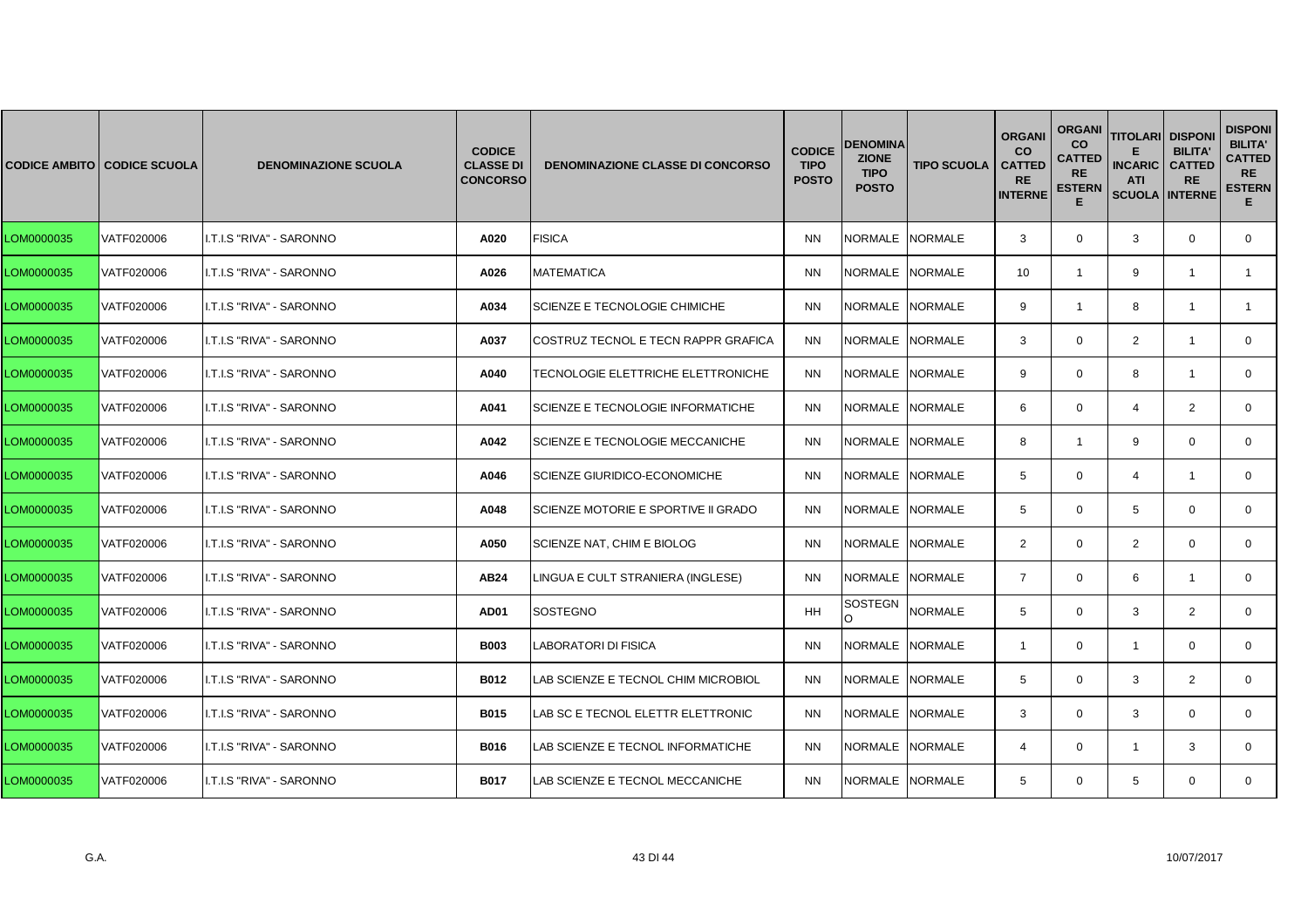|            | <b>CODICE AMBITO CODICE SCUOLA</b> | <b>DENOMINAZIONE SCUOLA</b> | <b>CODICE</b><br><b>CLASSE DI</b><br><b>CONCORSO</b> | <b>DENOMINAZIONE CLASSE DI CONCORSO</b> | <b>CODICE</b><br><b>TIPO</b><br><b>POSTO</b> | <b>DENOMINA</b><br><b>ZIONE</b><br><b>TIPO</b><br><b>POSTO</b> | <b>TIPO SCUOLA</b> | <b>ORGANI</b><br><b>CO</b><br><b>CATTED</b><br><b>RE</b><br><b>INTERNE</b> | <b>ORGANI</b><br><b>CO</b><br>CATTED<br><b>RE</b><br><b>ESTERN</b><br>Е | <b>TITOLARI</b><br><b>INCARIC</b><br><b>ATI</b><br><b>SCUOLA</b> | <b>DISPON</b><br><b>BILITA</b><br><b>CATTED</b><br><b>RE</b><br><b>INTERNE</b> | <b>DISPONI</b><br><b>BILITA'</b><br><b>CATTED</b><br><b>RE</b><br><b>ESTERN</b><br>Е. |
|------------|------------------------------------|-----------------------------|------------------------------------------------------|-----------------------------------------|----------------------------------------------|----------------------------------------------------------------|--------------------|----------------------------------------------------------------------------|-------------------------------------------------------------------------|------------------------------------------------------------------|--------------------------------------------------------------------------------|---------------------------------------------------------------------------------------|
| LOM0000035 | VATF020006                         | I.T.I.S "RIVA" - SARONNO    | A020                                                 | <b>FISICA</b>                           | <b>NN</b>                                    | NORMALE INORMALE                                               |                    | 3                                                                          | $\mathbf{0}$                                                            | 3                                                                | $\mathbf{0}$                                                                   | $\mathbf 0$                                                                           |
| LOM0000035 | VATF020006                         | I.T.I.S "RIVA" - SARONNO    | A026                                                 | <b>MATEMATICA</b>                       | <b>NN</b>                                    | NORMALE NORMALE                                                |                    | 10                                                                         | $\mathbf{1}$                                                            | 9                                                                | $\overline{1}$                                                                 | $\mathbf{1}$                                                                          |
| LOM0000035 | VATF020006                         | I.T.I.S "RIVA" - SARONNO    | A034                                                 | SCIENZE E TECNOLOGIE CHIMICHE           | <b>NN</b>                                    | NORMALE NORMALE                                                |                    | 9                                                                          | $\mathbf{1}$                                                            | 8                                                                | -1                                                                             | $\mathbf{1}$                                                                          |
| LOM0000035 | VATF020006                         | I.T.I.S "RIVA" - SARONNO    | A037                                                 | COSTRUZ TECNOL E TECN RAPPR GRAFICA     | <b>NN</b>                                    | NORMALE NORMALE                                                |                    | 3                                                                          | $\mathbf{0}$                                                            | $\overline{2}$                                                   | $\overline{1}$                                                                 | $\mathbf{0}$                                                                          |
| LOM0000035 | VATF020006                         | I.T.I.S "RIVA" - SARONNO    | A040                                                 | TECNOLOGIE ELETTRICHE ELETTRONICHE      | <b>NN</b>                                    | NORMALE NORMALE                                                |                    | 9                                                                          | $\mathbf{0}$                                                            | 8                                                                | $\overline{1}$                                                                 | $\mathbf{0}$                                                                          |
| LOM0000035 | VATF020006                         | I.T.I.S "RIVA" - SARONNO    | A041                                                 | SCIENZE E TECNOLOGIE INFORMATICHE       | <b>NN</b>                                    | NORMALE NORMALE                                                |                    | 6                                                                          | $\mathbf 0$                                                             | $\overline{4}$                                                   | 2                                                                              | $\mathbf{0}$                                                                          |
| LOM0000035 | VATF020006                         | I.T.I.S "RIVA" - SARONNO    | A042                                                 | SCIENZE E TECNOLOGIE MECCANICHE         | <b>NN</b>                                    | NORMALE NORMALE                                                |                    | 8                                                                          | $\mathbf{1}$                                                            | 9                                                                | $\mathbf{0}$                                                                   | $\mathbf{0}$                                                                          |
| LOM0000035 | VATF020006                         | I.T.I.S "RIVA" - SARONNO    | A046                                                 | <b>SCIENZE GIURIDICO-ECONOMICHE</b>     | <b>NN</b>                                    | NORMALE NORMALE                                                |                    | 5                                                                          | $\mathbf 0$                                                             | $\overline{4}$                                                   | $\overline{1}$                                                                 | $\mathbf 0$                                                                           |
| LOM0000035 | VATF020006                         | I.T.I.S "RIVA" - SARONNO    | A048                                                 | SCIENZE MOTORIE E SPORTIVE II GRADO     | <b>NN</b>                                    | NORMALE NORMALE                                                |                    | $5^{\circ}$                                                                | $\mathbf 0$                                                             | 5                                                                | $\Omega$                                                                       | $\mathbf 0$                                                                           |
| LOM0000035 | VATF020006                         | I.T.I.S "RIVA" - SARONNO    | A050                                                 | SCIENZE NAT, CHIM E BIOLOG              | <b>NN</b>                                    | NORMALE NORMALE                                                |                    | 2                                                                          | $\mathbf 0$                                                             | 2                                                                | $\mathbf{0}$                                                                   | $\mathbf{0}$                                                                          |
| LOM0000035 | VATF020006                         | I.T.I.S "RIVA" - SARONNO    | AB24                                                 | LINGUA E CULT STRANIERA (INGLESE)       | <b>NN</b>                                    | NORMALE NORMALE                                                |                    | $\overline{7}$                                                             | $\mathbf 0$                                                             | 6                                                                | $\overline{\mathbf{1}}$                                                        | $\mathbf{0}$                                                                          |
| LOM0000035 | VATF020006                         | I.T.I.S "RIVA" - SARONNO    | AD01                                                 | <b>SOSTEGNO</b>                         | <b>HH</b>                                    | SOSTEGN<br>O                                                   | <b>NORMALE</b>     | $5^{\circ}$                                                                | $\mathbf 0$                                                             | 3                                                                | 2                                                                              | $\Omega$                                                                              |
| LOM0000035 | VATF020006                         | I.T.I.S "RIVA" - SARONNO    | <b>B003</b>                                          | LABORATORI DI FISICA                    | <b>NN</b>                                    | NORMALE NORMALE                                                |                    | -1                                                                         | $\mathbf 0$                                                             | $\overline{1}$                                                   | $\mathbf{0}$                                                                   | 0                                                                                     |
| LOM0000035 | VATF020006                         | I.T.I.S "RIVA" - SARONNO    | <b>B012</b>                                          | AB SCIENZE E TECNOL CHIM MICROBIOL      | <b>NN</b>                                    | NORMALE NORMALE                                                |                    | $5^{\circ}$                                                                | $\mathbf 0$                                                             | 3                                                                | 2                                                                              | 0                                                                                     |
| LOM0000035 | VATF020006                         | I.T.I.S "RIVA" - SARONNO    | <b>B015</b>                                          | LAB SC E TECNOL ELETTR ELETTRONIC       | <b>NN</b>                                    | NORMALE NORMALE                                                |                    | 3                                                                          | $\mathbf 0$                                                             | 3                                                                | $\Omega$                                                                       | $\mathbf 0$                                                                           |
| LOM0000035 | VATF020006                         | I.T.I.S "RIVA" - SARONNO    | <b>B016</b>                                          | LAB SCIENZE E TECNOL INFORMATICHE       | <b>NN</b>                                    | NORMALE NORMALE                                                |                    | 4                                                                          | $\mathbf{0}$                                                            | -1                                                               | 3                                                                              | $\mathbf{0}$                                                                          |
| LOM0000035 | VATF020006                         | I.T.I.S "RIVA" - SARONNO    | <b>B017</b>                                          | LAB SCIENZE E TECNOL MECCANICHE         | <b>NN</b>                                    | NORMALE NORMALE                                                |                    | 5                                                                          | $\mathbf{0}$                                                            | 5                                                                | $\mathbf{0}$                                                                   | $\mathbf{0}$                                                                          |